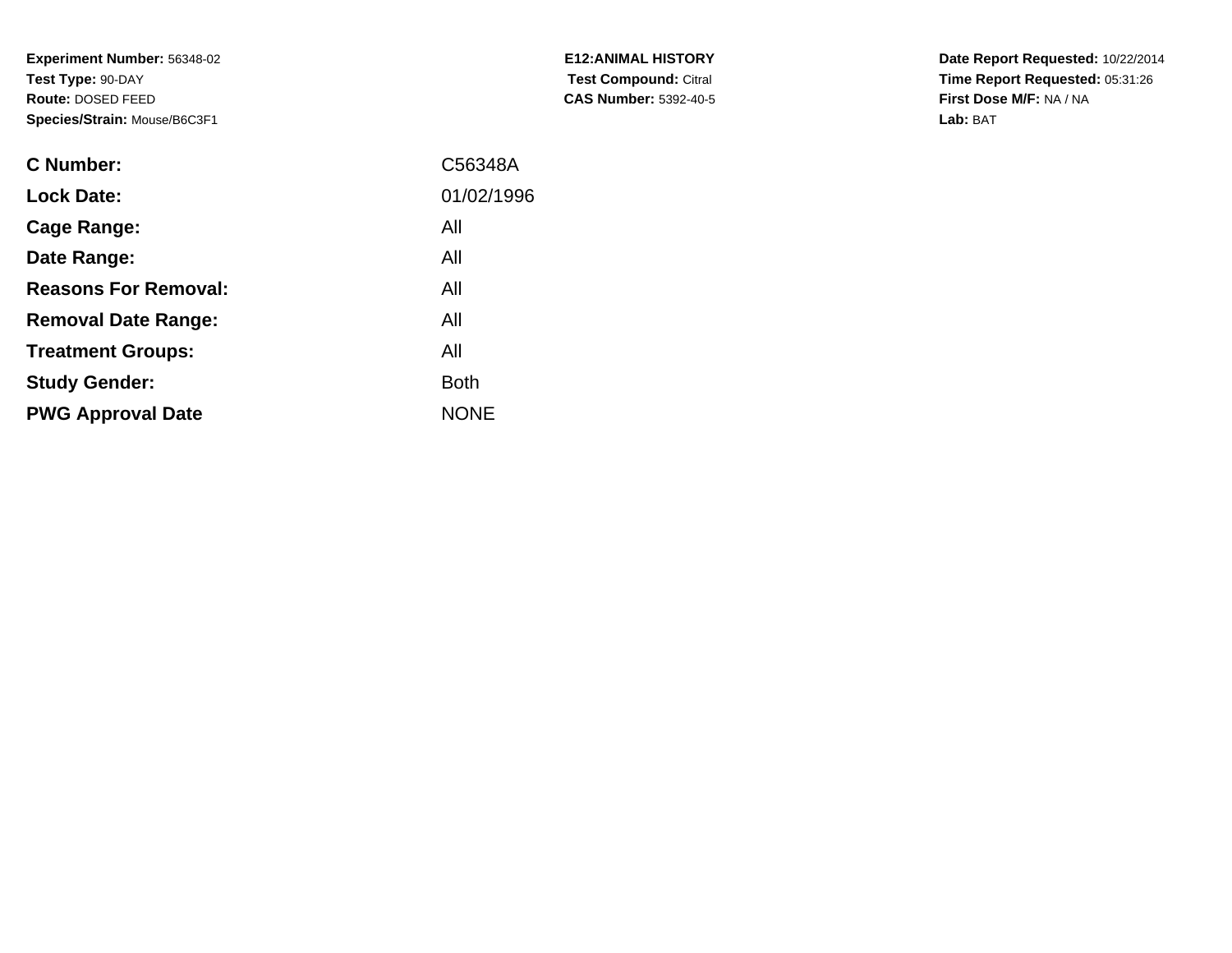**Experiment Number:** 56348-02**Test Type:** 90-DAY **Route:** DOSED FEED**Species/Strain:** Mouse/B6C3F1

| <b>C Number:</b>            | C56348A     |
|-----------------------------|-------------|
| <b>Lock Date:</b>           | 01/02/1996  |
| <b>Cage Range:</b>          | All         |
| Date Range:                 | All         |
| <b>Reasons For Removal:</b> | All         |
| <b>Removal Date Range:</b>  | All         |
| <b>Treatment Groups:</b>    | All         |
| <b>Study Gender:</b>        | <b>Both</b> |
| <b>PWG Approval Date</b>    | <b>NONE</b> |
|                             |             |

**E12:ANIMAL HISTORY Test Compound:** Citral **CAS Number:** 5392-40-5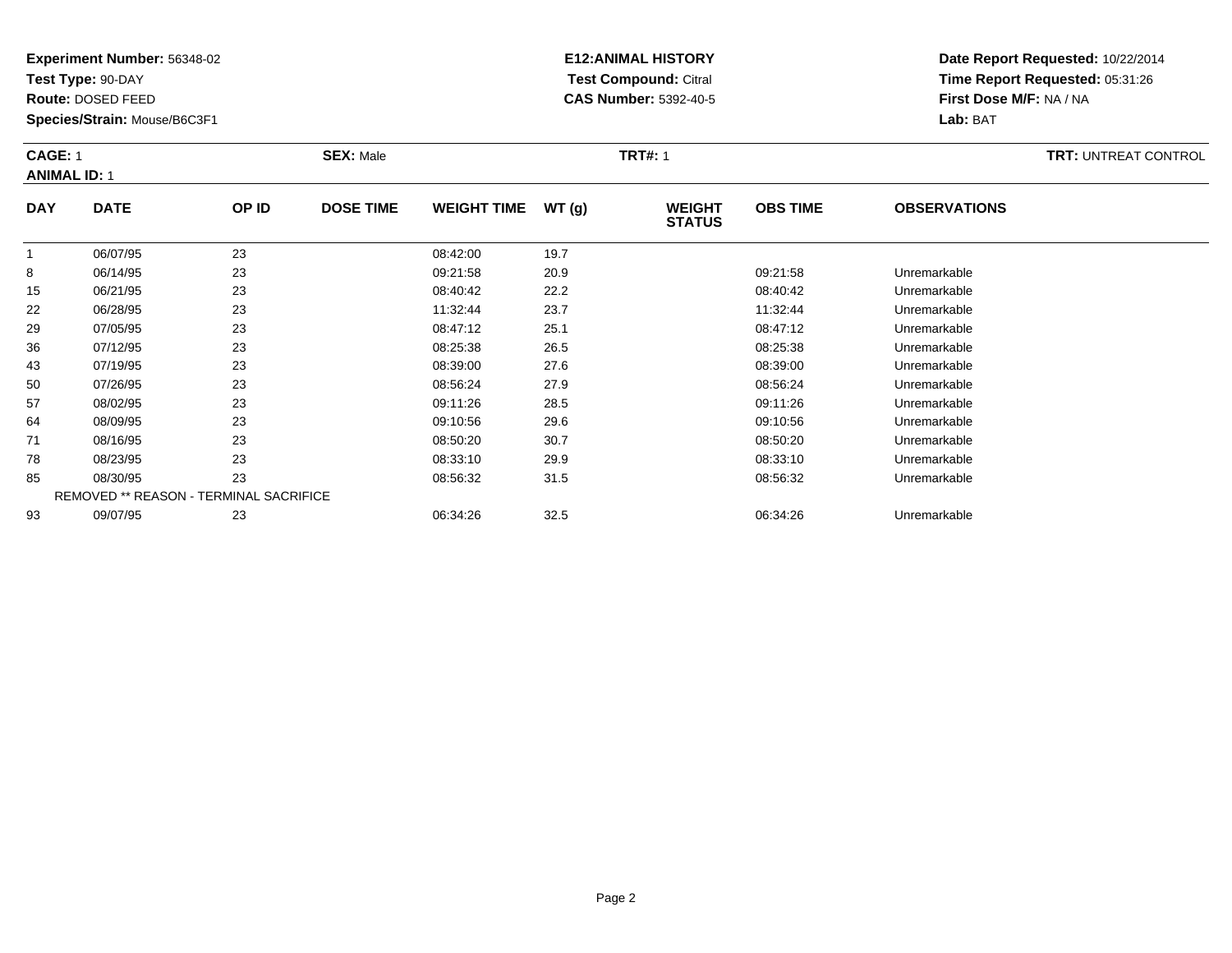**Test Type:** 90-DAY

**Route:** DOSED FEED

**Species/Strain:** Mouse/B6C3F1

# **E12:ANIMAL HISTORY Test Compound:** Citral **CAS Number:** 5392-40-5

| <b>CAGE: 1</b><br><b>ANIMAL ID: 1</b> |             |       | <b>SEX: Male</b> |                    |       | <b>TRT#: 1</b>                 |                 | <b>TRT: UNTREAT CONTROL</b> |  |
|---------------------------------------|-------------|-------|------------------|--------------------|-------|--------------------------------|-----------------|-----------------------------|--|
| <b>DAY</b>                            | <b>DATE</b> | OP ID | <b>DOSE TIME</b> | <b>WEIGHT TIME</b> | WT(g) | <b>WEIGHT</b><br><b>STATUS</b> | <b>OBS TIME</b> | <b>OBSERVATIONS</b>         |  |

|    |          |                                               |          |      | ------   |              |  |
|----|----------|-----------------------------------------------|----------|------|----------|--------------|--|
|    | 06/07/95 | 23                                            | 08:42:00 | 19.7 |          |              |  |
| 8  | 06/14/95 | 23                                            | 09:21:58 | 20.9 | 09:21:58 | Unremarkable |  |
| 15 | 06/21/95 | 23                                            | 08:40:42 | 22.2 | 08:40:42 | Unremarkable |  |
| 22 | 06/28/95 | 23                                            | 11:32:44 | 23.7 | 11:32:44 | Unremarkable |  |
| 29 | 07/05/95 | 23                                            | 08:47:12 | 25.1 | 08:47:12 | Unremarkable |  |
| 36 | 07/12/95 | 23                                            | 08:25:38 | 26.5 | 08:25:38 | Unremarkable |  |
| 43 | 07/19/95 | 23                                            | 08:39:00 | 27.6 | 08:39:00 | Unremarkable |  |
| 50 | 07/26/95 | 23                                            | 08:56:24 | 27.9 | 08:56:24 | Unremarkable |  |
| 57 | 08/02/95 | 23                                            | 09:11:26 | 28.5 | 09:11:26 | Unremarkable |  |
| 64 | 08/09/95 | 23                                            | 09:10:56 | 29.6 | 09:10:56 | Unremarkable |  |
| 71 | 08/16/95 | 23                                            | 08:50:20 | 30.7 | 08:50:20 | Unremarkable |  |
| 78 | 08/23/95 | 23                                            | 08:33:10 | 29.9 | 08:33:10 | Unremarkable |  |
| 85 | 08/30/95 | 23                                            | 08:56:32 | 31.5 | 08:56:32 | Unremarkable |  |
|    |          | <b>REMOVED ** REASON - TERMINAL SACRIFICE</b> |          |      |          |              |  |
| 93 | 09/07/95 | 23                                            | 06:34:26 | 32.5 | 06:34:26 | Unremarkable |  |
|    |          |                                               |          |      |          |              |  |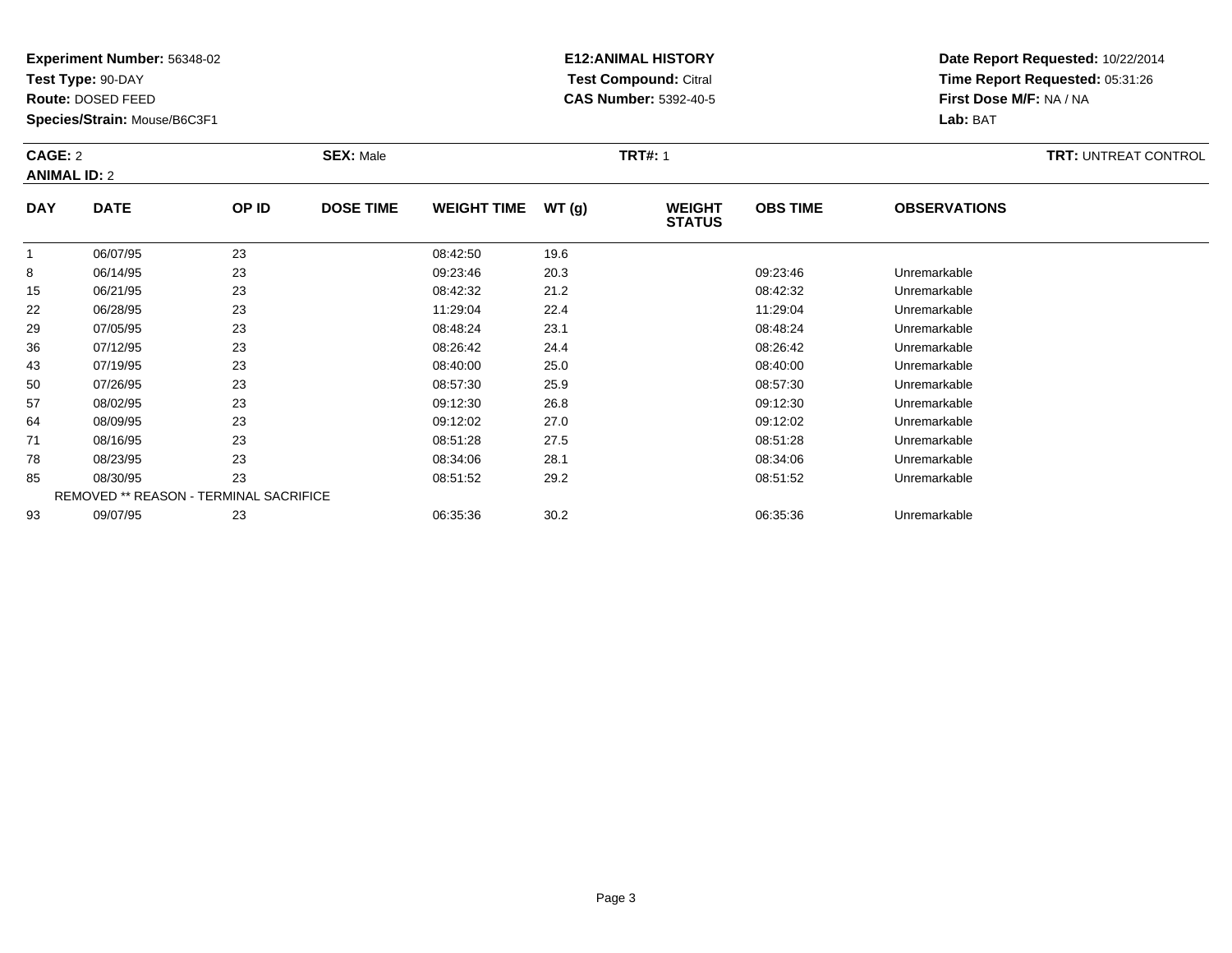**Test Type:** 90-DAY

**Route:** DOSED FEED

**Species/Strain:** Mouse/B6C3F1

# **E12:ANIMAL HISTORY Test Compound:** Citral **CAS Number:** 5392-40-5

| CAGE: 2<br><b>ANIMAL ID: 2</b> |             |       | <b>SEX: Male</b> |                    |        | <b>TRT#: 1</b>                 |                 | <b>TRT: UNTREAT CONTROL</b> |  |
|--------------------------------|-------------|-------|------------------|--------------------|--------|--------------------------------|-----------------|-----------------------------|--|
| <b>DAY</b>                     | <b>DATE</b> | OP ID | <b>DOSE TIME</b> | <b>WEIGHT TIME</b> | WT (g) | <b>WEIGHT</b><br><b>STATUS</b> | <b>OBS TIME</b> | <b>OBSERVATIONS</b>         |  |

|    |          |                                               |          |      | <b>01AIUU</b> |              |  |
|----|----------|-----------------------------------------------|----------|------|---------------|--------------|--|
|    | 06/07/95 | 23                                            | 08:42:50 | 19.6 |               |              |  |
| 8  | 06/14/95 | 23                                            | 09:23:46 | 20.3 | 09:23:46      | Unremarkable |  |
| 15 | 06/21/95 | 23                                            | 08:42:32 | 21.2 | 08:42:32      | Unremarkable |  |
| 22 | 06/28/95 | 23                                            | 11:29:04 | 22.4 | 11:29:04      | Unremarkable |  |
| 29 | 07/05/95 | 23                                            | 08:48:24 | 23.1 | 08:48:24      | Unremarkable |  |
| 36 | 07/12/95 | 23                                            | 08:26:42 | 24.4 | 08:26:42      | Unremarkable |  |
| 43 | 07/19/95 | 23                                            | 08:40:00 | 25.0 | 08:40:00      | Unremarkable |  |
| 50 | 07/26/95 | 23                                            | 08:57:30 | 25.9 | 08:57:30      | Unremarkable |  |
| 57 | 08/02/95 | 23                                            | 09:12:30 | 26.8 | 09:12:30      | Unremarkable |  |
| 64 | 08/09/95 | 23                                            | 09:12:02 | 27.0 | 09:12:02      | Unremarkable |  |
| 71 | 08/16/95 | 23                                            | 08:51:28 | 27.5 | 08:51:28      | Unremarkable |  |
| 78 | 08/23/95 | 23                                            | 08:34:06 | 28.1 | 08:34:06      | Unremarkable |  |
| 85 | 08/30/95 | 23                                            | 08:51:52 | 29.2 | 08:51:52      | Unremarkable |  |
|    |          | <b>REMOVED ** REASON - TERMINAL SACRIFICE</b> |          |      |               |              |  |
| 93 | 09/07/95 | 23                                            | 06:35:36 | 30.2 | 06:35:36      | Unremarkable |  |
|    |          |                                               |          |      |               |              |  |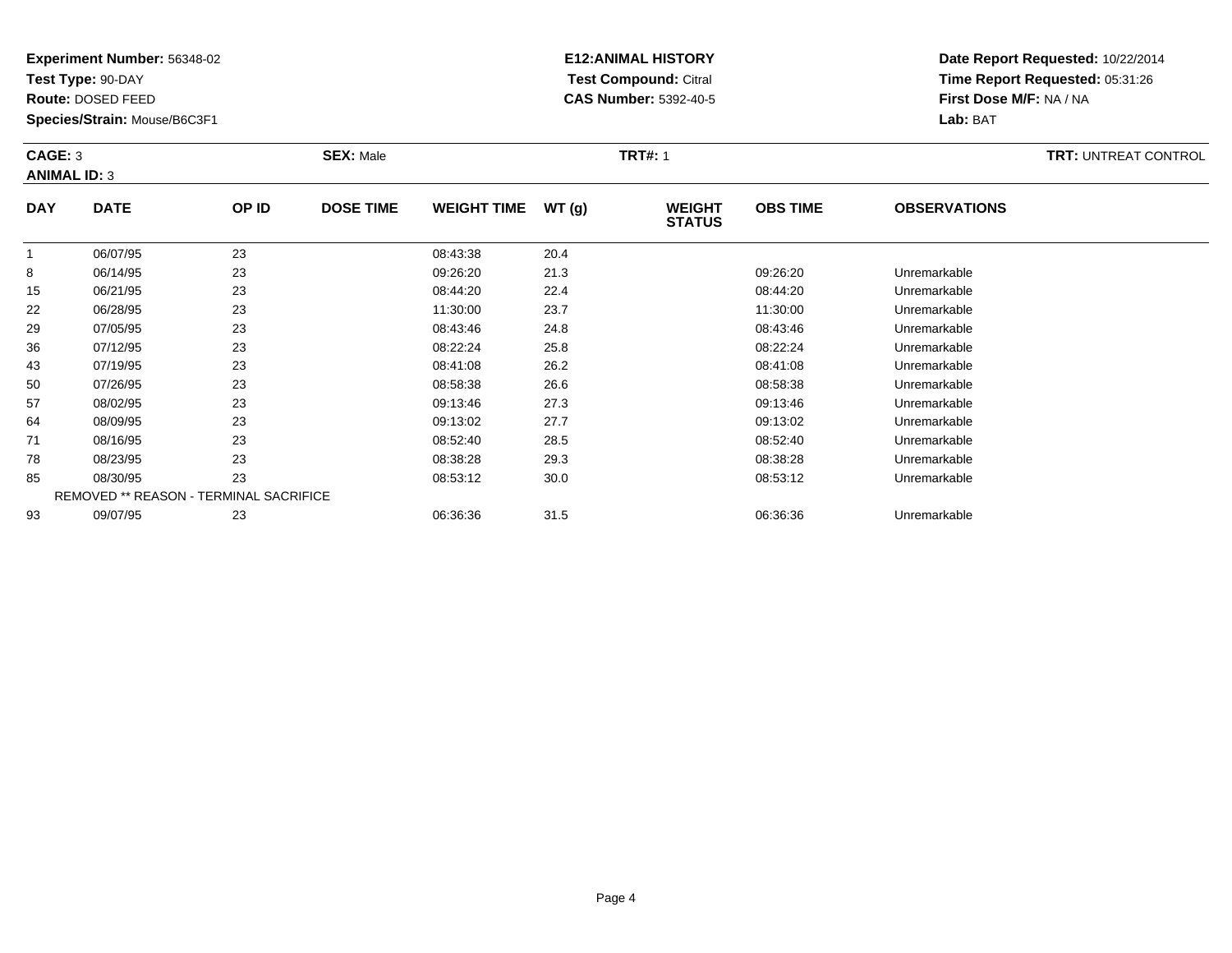**Test Type:** 90-DAY

**Route:** DOSED FEED

**Species/Strain:** Mouse/B6C3F1

# **E12:ANIMAL HISTORY Test Compound:** Citral **CAS Number:** 5392-40-5

| CAGE: 3<br><b>ANIMAL ID: 3</b> |             |       | <b>SEX: Male</b> |                    |               | <b>TRT#: 1</b>                 |                 |                     | <b>TRT:</b> UNTREAT CONTROL |
|--------------------------------|-------------|-------|------------------|--------------------|---------------|--------------------------------|-----------------|---------------------|-----------------------------|
| <b>DAY</b>                     | <b>DATE</b> | OP ID | <b>DOSE TIME</b> | <b>WEIGHT TIME</b> | <b>WT (g)</b> | <b>WEIGHT</b><br><b>STATUS</b> | <b>OBS TIME</b> | <b>OBSERVATIONS</b> |                             |

|    | 06/07/95 | 23                                     | 08:43:38 | 20.4 |          |              |  |
|----|----------|----------------------------------------|----------|------|----------|--------------|--|
| 8  | 06/14/95 | 23                                     | 09:26:20 | 21.3 | 09:26:20 | Unremarkable |  |
| 15 | 06/21/95 | 23                                     | 08:44:20 | 22.4 | 08:44:20 | Unremarkable |  |
| 22 | 06/28/95 | 23                                     | 11:30:00 | 23.7 | 11:30:00 | Unremarkable |  |
| 29 | 07/05/95 | 23                                     | 08:43:46 | 24.8 | 08:43:46 | Unremarkable |  |
| 36 | 07/12/95 | 23                                     | 08:22:24 | 25.8 | 08:22:24 | Unremarkable |  |
| 43 | 07/19/95 | 23                                     | 08:41:08 | 26.2 | 08:41:08 | Unremarkable |  |
| 50 | 07/26/95 | 23                                     | 08:58:38 | 26.6 | 08:58:38 | Unremarkable |  |
| 57 | 08/02/95 | 23                                     | 09:13:46 | 27.3 | 09:13:46 | Unremarkable |  |
| 64 | 08/09/95 | 23                                     | 09:13:02 | 27.7 | 09:13:02 | Unremarkable |  |
| 71 | 08/16/95 | 23                                     | 08:52:40 | 28.5 | 08:52:40 | Unremarkable |  |
| 78 | 08/23/95 | 23                                     | 08:38:28 | 29.3 | 08:38:28 | Unremarkable |  |
| 85 | 08/30/95 | 23                                     | 08:53:12 | 30.0 | 08:53:12 | Unremarkable |  |
|    |          | REMOVED ** REASON - TERMINAL SACRIFICE |          |      |          |              |  |
| 93 | 09/07/95 | 23                                     | 06:36:36 | 31.5 | 06:36:36 | Unremarkable |  |
|    |          |                                        |          |      |          |              |  |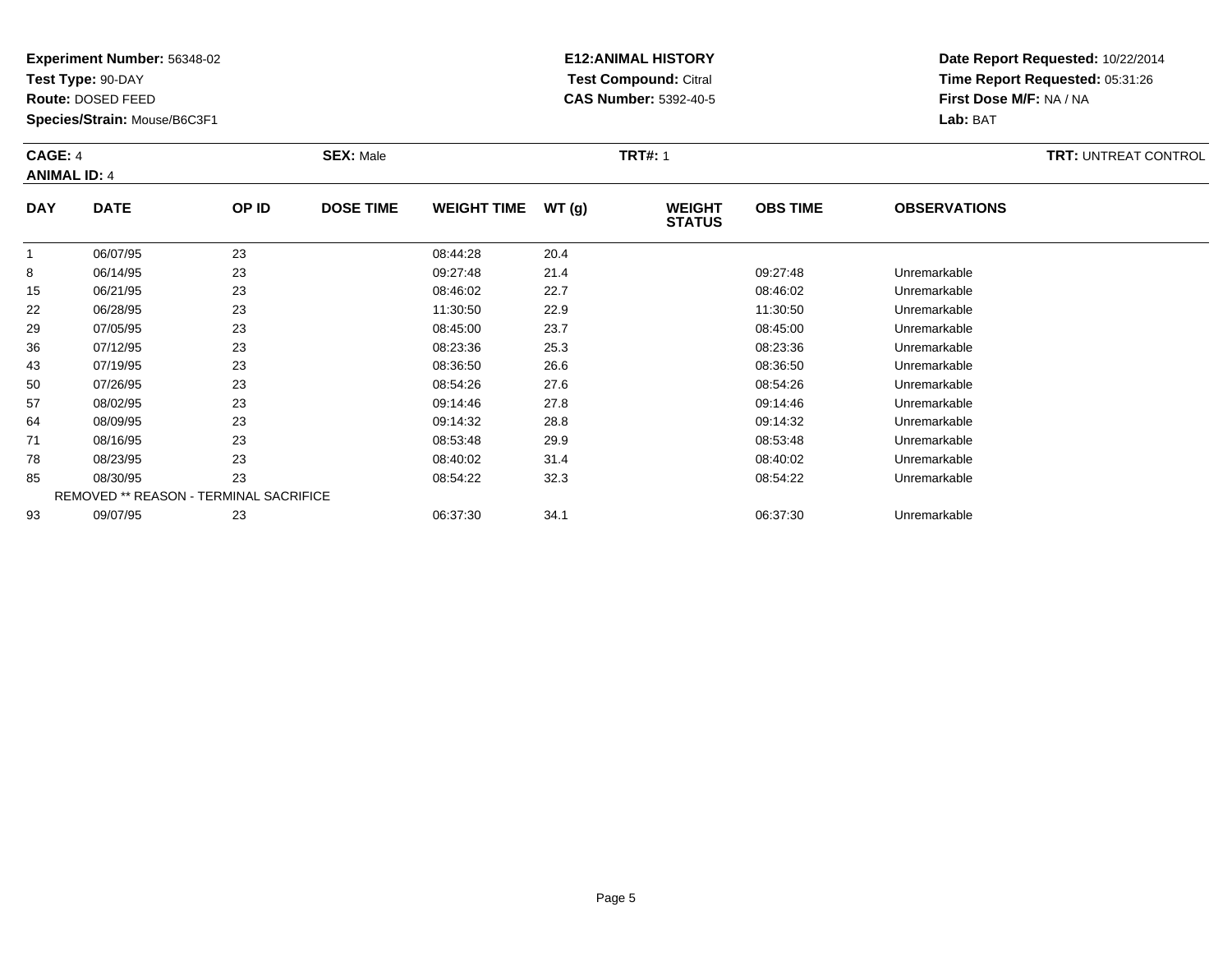**Test Type:** 90-DAY

**Route:** DOSED FEED

**Species/Strain:** Mouse/B6C3F1

# **E12:ANIMAL HISTORY Test Compound:** Citral **CAS Number:** 5392-40-5

| CAGE: 4<br><b>ANIMAL ID: 4</b> |             |       | <b>SEX: Male</b> |                    |       |                                | <b>TRT#: 1</b>  |                     |  |
|--------------------------------|-------------|-------|------------------|--------------------|-------|--------------------------------|-----------------|---------------------|--|
| <b>DAY</b>                     | <b>DATE</b> | OP ID | <b>DOSE TIME</b> | <b>WEIGHT TIME</b> | WT(g) | <b>WEIGHT</b><br><b>STATUS</b> | <b>OBS TIME</b> | <b>OBSERVATIONS</b> |  |

|    |          |                                               |          |      | ,,,,,,,  |              |  |
|----|----------|-----------------------------------------------|----------|------|----------|--------------|--|
|    | 06/07/95 | 23                                            | 08:44:28 | 20.4 |          |              |  |
| 8  | 06/14/95 | 23                                            | 09:27:48 | 21.4 | 09:27:48 | Unremarkable |  |
| 15 | 06/21/95 | 23                                            | 08:46:02 | 22.7 | 08:46:02 | Unremarkable |  |
| 22 | 06/28/95 | 23                                            | 11:30:50 | 22.9 | 11:30:50 | Unremarkable |  |
| 29 | 07/05/95 | 23                                            | 08:45:00 | 23.7 | 08:45:00 | Unremarkable |  |
| 36 | 07/12/95 | 23                                            | 08:23:36 | 25.3 | 08:23:36 | Unremarkable |  |
| 43 | 07/19/95 | 23                                            | 08:36:50 | 26.6 | 08:36:50 | Unremarkable |  |
| 50 | 07/26/95 | 23                                            | 08:54:26 | 27.6 | 08:54:26 | Unremarkable |  |
| 57 | 08/02/95 | 23                                            | 09:14:46 | 27.8 | 09:14:46 | Unremarkable |  |
| 64 | 08/09/95 | 23                                            | 09:14:32 | 28.8 | 09:14:32 | Unremarkable |  |
| 71 | 08/16/95 | 23                                            | 08:53:48 | 29.9 | 08:53:48 | Unremarkable |  |
| 78 | 08/23/95 | 23                                            | 08:40:02 | 31.4 | 08:40:02 | Unremarkable |  |
| 85 | 08/30/95 | 23                                            | 08:54:22 | 32.3 | 08:54:22 | Unremarkable |  |
|    |          | <b>REMOVED ** REASON - TERMINAL SACRIFICE</b> |          |      |          |              |  |
| 93 | 09/07/95 | 23                                            | 06:37:30 | 34.1 | 06:37:30 | Unremarkable |  |
|    |          |                                               |          |      |          |              |  |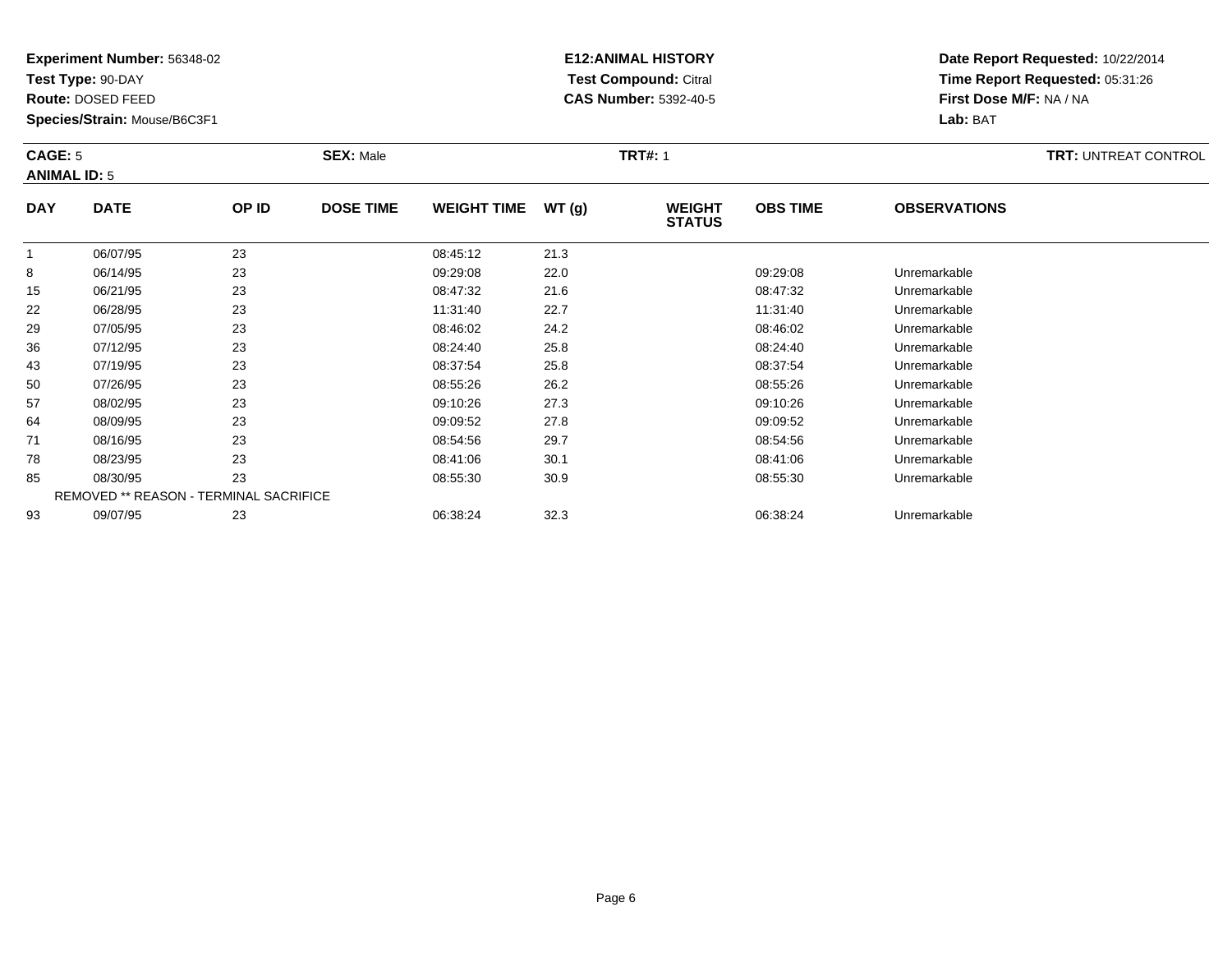**Test Type:** 90-DAY

**Route:** DOSED FEED

**Species/Strain:** Mouse/B6C3F1

# **E12:ANIMAL HISTORY Test Compound:** Citral **CAS Number:** 5392-40-5

| <b>CAGE: 5</b><br><b>ANIMAL ID: 5</b> |             | <b>SEX: Male</b> |                  |                    |       | <b>TRT#: 1</b>                 |                 |                     |  |
|---------------------------------------|-------------|------------------|------------------|--------------------|-------|--------------------------------|-----------------|---------------------|--|
| <b>DAY</b>                            | <b>DATE</b> | OP ID            | <b>DOSE TIME</b> | <b>WEIGHT TIME</b> | WT(g) | <b>WEIGHT</b><br><b>STATUS</b> | <b>OBS TIME</b> | <b>OBSERVATIONS</b> |  |

| 23<br>22.0<br>09:29:08<br>09:29:08<br>8<br>06/14/95<br>Unremarkable<br>23<br>21.6<br>06/21/95<br>08:47:32<br>08:47:32<br>Unremarkable<br>15 |  |
|---------------------------------------------------------------------------------------------------------------------------------------------|--|
|                                                                                                                                             |  |
|                                                                                                                                             |  |
| 23<br>22.7<br>22<br>06/28/95<br>11:31:40<br>11:31:40<br>Unremarkable                                                                        |  |
| 23<br>24.2<br>29<br>07/05/95<br>08:46:02<br>08:46:02<br>Unremarkable                                                                        |  |
| 23<br>25.8<br>36<br>07/12/95<br>08:24:40<br>08:24:40<br>Unremarkable                                                                        |  |
| 23<br>25.8<br>08:37:54<br>08:37:54<br>43<br>07/19/95<br>Unremarkable                                                                        |  |
| 23<br>26.2<br>50<br>07/26/95<br>08:55:26<br>08:55:26<br>Unremarkable                                                                        |  |
| 23<br>27.3<br>57<br>08/02/95<br>09:10:26<br>09:10:26<br>Unremarkable                                                                        |  |
| 23<br>27.8<br>09:09:52<br>64<br>08/09/95<br>09:09:52<br>Unremarkable                                                                        |  |
| 23<br>29.7<br>08/16/95<br>71<br>08:54:56<br>08:54:56<br>Unremarkable                                                                        |  |
| 23<br>30.1<br>08/23/95<br>Unremarkable<br>78<br>08:41:06<br>08:41:06                                                                        |  |
| 23<br>30.9<br>85<br>08/30/95<br>08:55:30<br>08:55:30<br>Unremarkable                                                                        |  |
| <b>REMOVED ** REASON - TERMINAL SACRIFICE</b>                                                                                               |  |
| 23<br>32.3<br>09/07/95<br>93<br>06:38:24<br>06:38:24<br>Unremarkable                                                                        |  |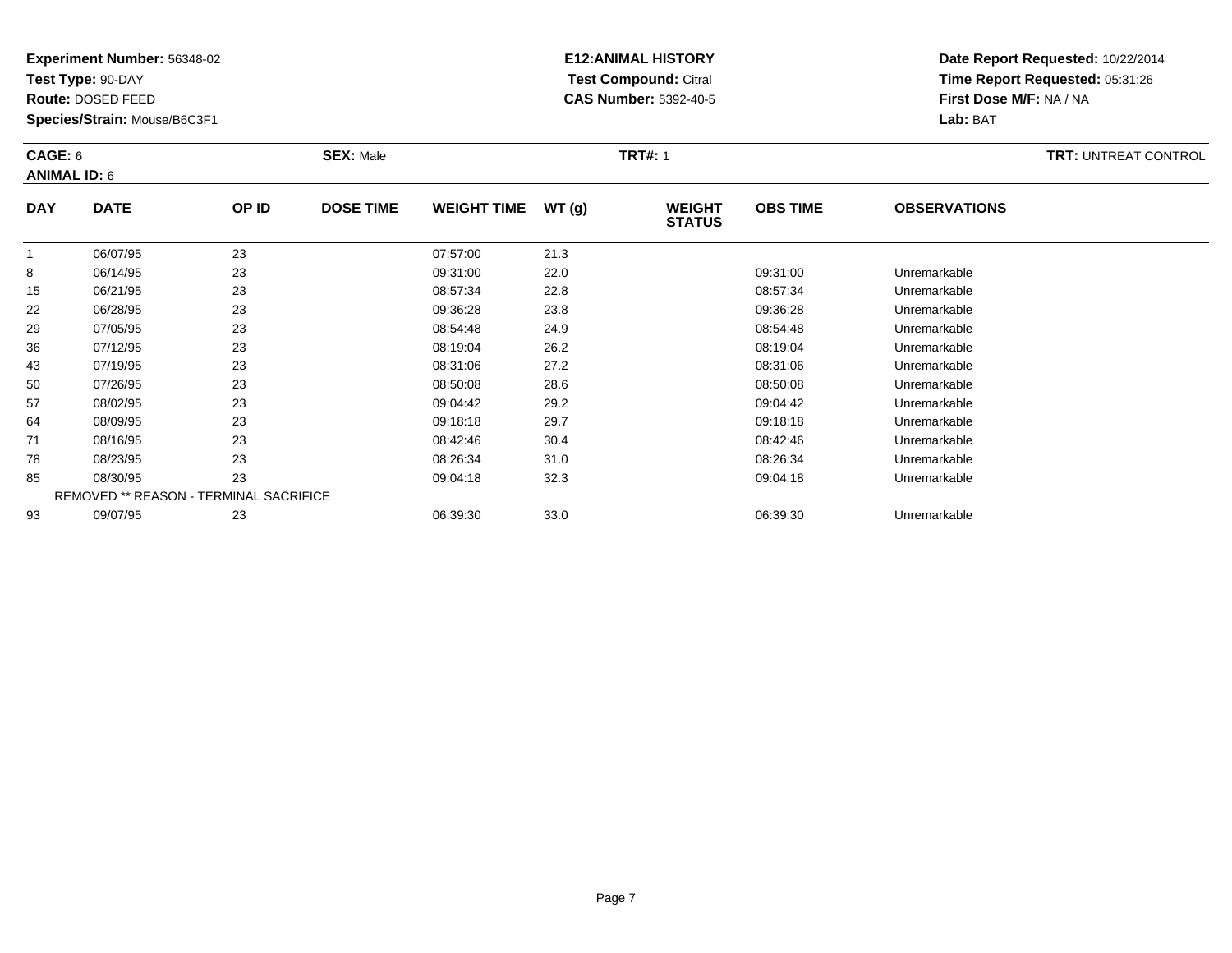**Test Type:** 90-DAY

**Route:** DOSED FEED

**Species/Strain:** Mouse/B6C3F1

# **E12:ANIMAL HISTORY Test Compound:** Citral **CAS Number:** 5392-40-5

| CAGE: 6<br><b>ANIMAL ID: 6</b> |             |       | <b>SEX: Male</b> |                    |       | <b>TRT#: 1</b>                 |                 |                     | <b>TRT: UNTREAT CONTROL</b> |
|--------------------------------|-------------|-------|------------------|--------------------|-------|--------------------------------|-----------------|---------------------|-----------------------------|
| <b>DAY</b>                     | <b>DATE</b> | OP ID | <b>DOSE TIME</b> | <b>WEIGHT TIME</b> | WT(g) | <b>WEIGHT</b><br><b>STATUS</b> | <b>OBS TIME</b> | <b>OBSERVATIONS</b> |                             |

|             |          |                                               |          |      | <b>01AIUU</b> |              |  |
|-------------|----------|-----------------------------------------------|----------|------|---------------|--------------|--|
| $\mathbf 1$ | 06/07/95 | 23                                            | 07:57:00 | 21.3 |               |              |  |
| 8           | 06/14/95 | 23                                            | 09:31:00 | 22.0 | 09:31:00      | Unremarkable |  |
| 15          | 06/21/95 | 23                                            | 08:57:34 | 22.8 | 08:57:34      | Unremarkable |  |
| 22          | 06/28/95 | 23                                            | 09:36:28 | 23.8 | 09:36:28      | Unremarkable |  |
| 29          | 07/05/95 | 23                                            | 08:54:48 | 24.9 | 08:54:48      | Unremarkable |  |
| 36          | 07/12/95 | 23                                            | 08:19:04 | 26.2 | 08:19:04      | Unremarkable |  |
| 43          | 07/19/95 | 23                                            | 08:31:06 | 27.2 | 08:31:06      | Unremarkable |  |
| 50          | 07/26/95 | 23                                            | 08:50:08 | 28.6 | 08:50:08      | Unremarkable |  |
| 57          | 08/02/95 | 23                                            | 09:04:42 | 29.2 | 09:04:42      | Unremarkable |  |
| 64          | 08/09/95 | 23                                            | 09:18:18 | 29.7 | 09:18:18      | Unremarkable |  |
| 71          | 08/16/95 | 23                                            | 08:42:46 | 30.4 | 08:42:46      | Unremarkable |  |
| 78          | 08/23/95 | 23                                            | 08:26:34 | 31.0 | 08:26:34      | Unremarkable |  |
| 85          | 08/30/95 | 23                                            | 09:04:18 | 32.3 | 09:04:18      | Unremarkable |  |
|             |          | <b>REMOVED ** REASON - TERMINAL SACRIFICE</b> |          |      |               |              |  |
| 93          | 09/07/95 | 23                                            | 06:39:30 | 33.0 | 06:39:30      | Unremarkable |  |
|             |          |                                               |          |      |               |              |  |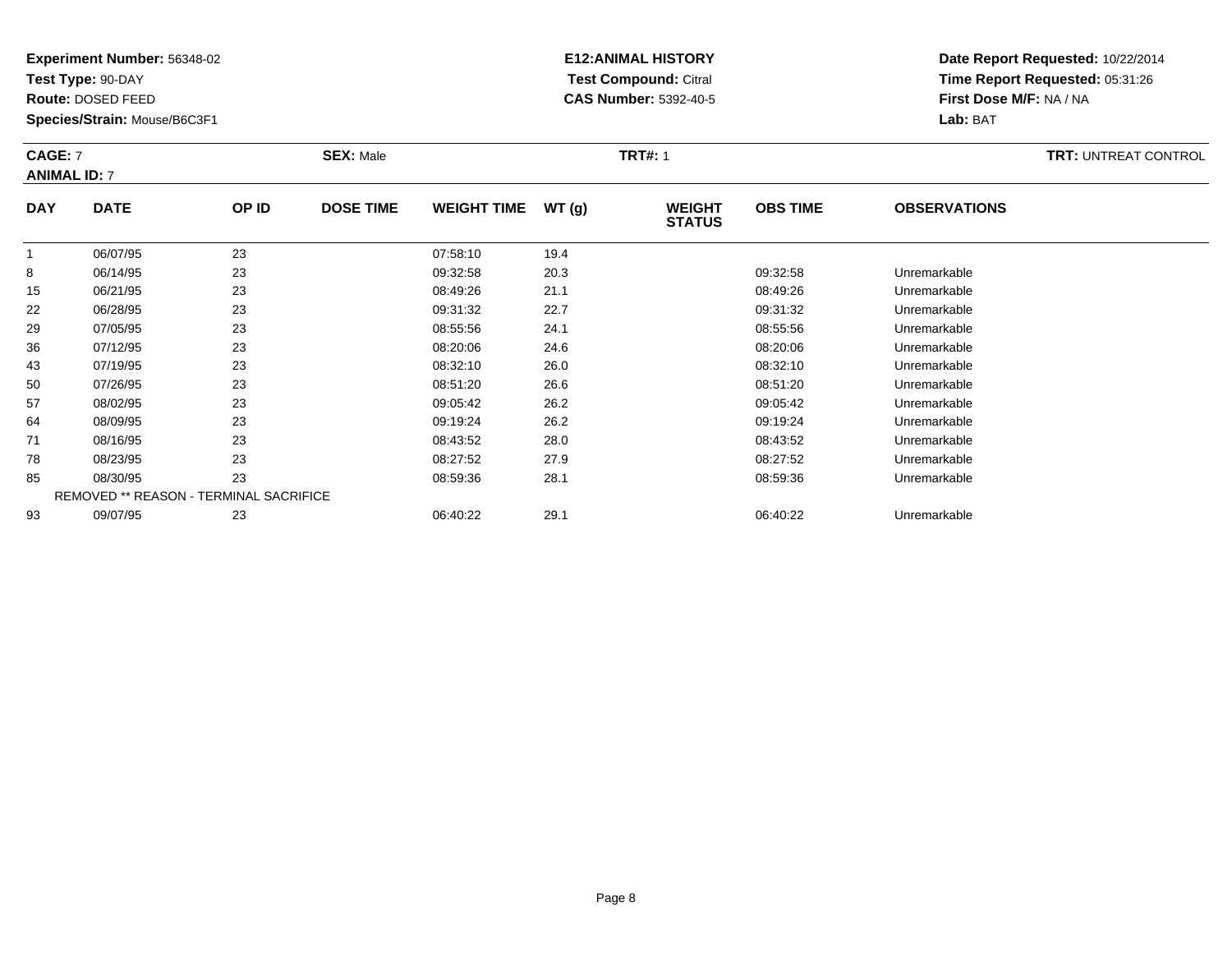**Test Type:** 90-DAY

**Route:** DOSED FEED

**Species/Strain:** Mouse/B6C3F1

# **E12:ANIMAL HISTORY Test Compound:** Citral **CAS Number:** 5392-40-5

| <b>CAGE: 7</b><br><b>ANIMAL ID: 7</b> |             |       | <b>SEX: Male</b> |                    | <b>TRT#: 1</b> |                                |                 | <b>TRT: UNTREAT CONTROL</b> |  |
|---------------------------------------|-------------|-------|------------------|--------------------|----------------|--------------------------------|-----------------|-----------------------------|--|
| <b>DAY</b>                            | <b>DATE</b> | OP ID | <b>DOSE TIME</b> | <b>WEIGHT TIME</b> | WT (g)         | <b>WEIGHT</b><br><b>STATUS</b> | <b>OBS TIME</b> | <b>OBSERVATIONS</b>         |  |

|    |          |                                               |          |      | -        |              |
|----|----------|-----------------------------------------------|----------|------|----------|--------------|
|    | 06/07/95 | 23                                            | 07:58:10 | 19.4 |          |              |
| 8  | 06/14/95 | 23                                            | 09:32:58 | 20.3 | 09:32:58 | Unremarkable |
| 15 | 06/21/95 | 23                                            | 08:49:26 | 21.1 | 08:49:26 | Unremarkable |
| 22 | 06/28/95 | 23                                            | 09:31:32 | 22.7 | 09:31:32 | Unremarkable |
| 29 | 07/05/95 | 23                                            | 08:55:56 | 24.1 | 08:55:56 | Unremarkable |
| 36 | 07/12/95 | 23                                            | 08:20:06 | 24.6 | 08:20:06 | Unremarkable |
| 43 | 07/19/95 | 23                                            | 08:32:10 | 26.0 | 08:32:10 | Unremarkable |
| 50 | 07/26/95 | 23                                            | 08:51:20 | 26.6 | 08:51:20 | Unremarkable |
| 57 | 08/02/95 | 23                                            | 09:05:42 | 26.2 | 09:05:42 | Unremarkable |
| 64 | 08/09/95 | 23                                            | 09:19:24 | 26.2 | 09:19:24 | Unremarkable |
| 71 | 08/16/95 | 23                                            | 08:43:52 | 28.0 | 08:43:52 | Unremarkable |
| 78 | 08/23/95 | 23                                            | 08:27:52 | 27.9 | 08:27:52 | Unremarkable |
| 85 | 08/30/95 | 23                                            | 08:59:36 | 28.1 | 08:59:36 | Unremarkable |
|    |          | <b>REMOVED ** REASON - TERMINAL SACRIFICE</b> |          |      |          |              |
| 93 | 09/07/95 | 23                                            | 06:40:22 | 29.1 | 06:40:22 | Unremarkable |
|    |          |                                               |          |      |          |              |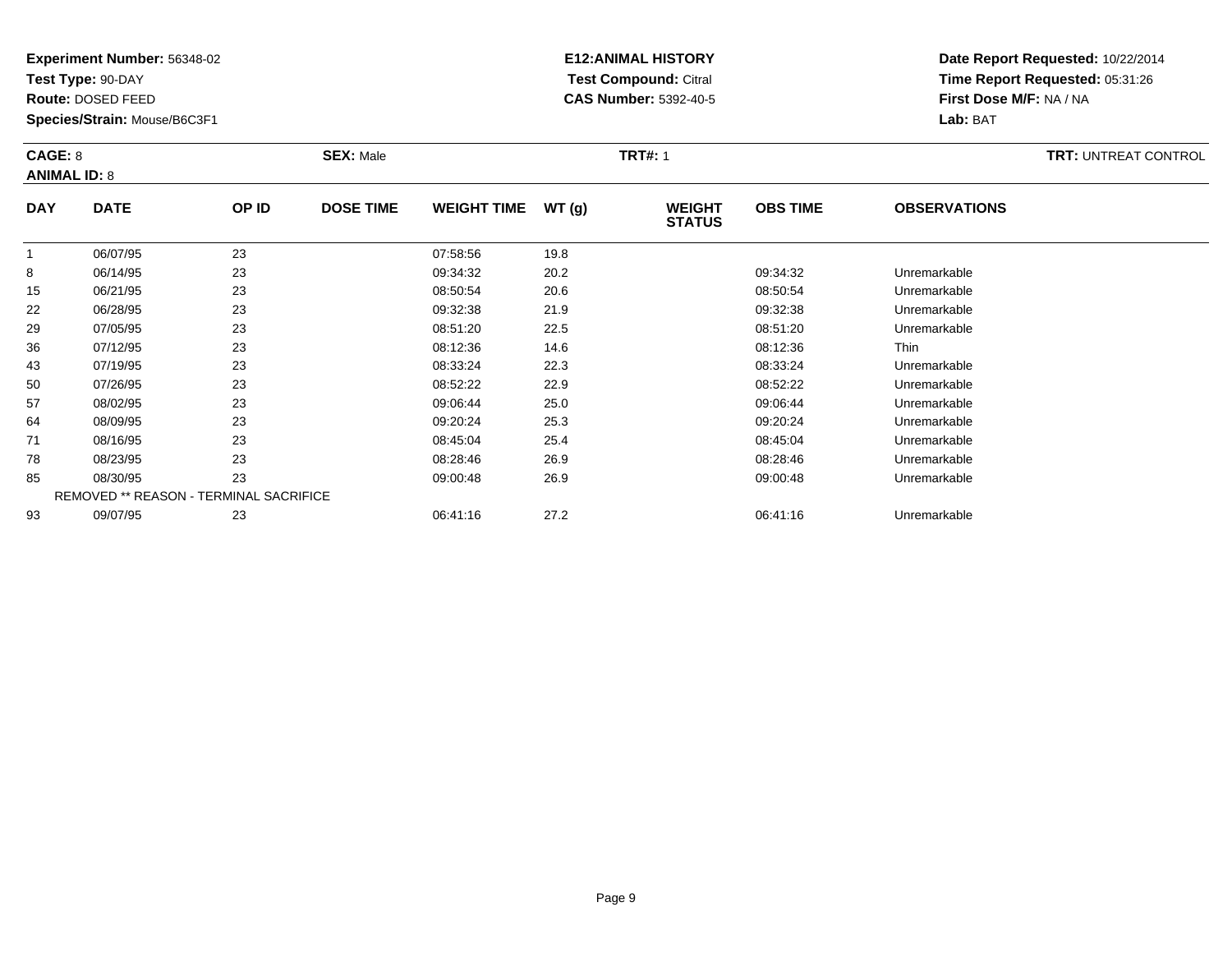**Test Type:** 90-DAY

**Route:** DOSED FEED

**Species/Strain:** Mouse/B6C3F1

# **E12:ANIMAL HISTORY Test Compound:** Citral **CAS Number:** 5392-40-5

| CAGE: 8<br><b>ANIMAL ID: 8</b> |             |       | <b>SEX: Male</b> |                    |       | <b>TRT#: 1</b>                 |                 |                     | <b>TRT: UNTREAT CONTROL</b> |
|--------------------------------|-------------|-------|------------------|--------------------|-------|--------------------------------|-----------------|---------------------|-----------------------------|
| <b>DAY</b>                     | <b>DATE</b> | OP ID | <b>DOSE TIME</b> | <b>WEIGHT TIME</b> | WT(g) | <b>WEIGHT</b><br><b>STATUS</b> | <b>OBS TIME</b> | <b>OBSERVATIONS</b> |                             |

|             |          |                                               |          |      | <b>UIRIUU</b> |              |
|-------------|----------|-----------------------------------------------|----------|------|---------------|--------------|
| $\mathbf 1$ | 06/07/95 | 23                                            | 07:58:56 | 19.8 |               |              |
| 8           | 06/14/95 | 23                                            | 09:34:32 | 20.2 | 09:34:32      | Unremarkable |
| 15          | 06/21/95 | 23                                            | 08:50:54 | 20.6 | 08:50:54      | Unremarkable |
| 22          | 06/28/95 | 23                                            | 09:32:38 | 21.9 | 09:32:38      | Unremarkable |
| 29          | 07/05/95 | 23                                            | 08:51:20 | 22.5 | 08:51:20      | Unremarkable |
| 36          | 07/12/95 | 23                                            | 08:12:36 | 14.6 | 08:12:36      | <b>Thin</b>  |
| 43          | 07/19/95 | 23                                            | 08:33:24 | 22.3 | 08:33:24      | Unremarkable |
| 50          | 07/26/95 | 23                                            | 08:52:22 | 22.9 | 08:52:22      | Unremarkable |
| 57          | 08/02/95 | 23                                            | 09:06:44 | 25.0 | 09:06:44      | Unremarkable |
| 64          | 08/09/95 | 23                                            | 09:20:24 | 25.3 | 09:20:24      | Unremarkable |
| 71          | 08/16/95 | 23                                            | 08:45:04 | 25.4 | 08:45:04      | Unremarkable |
| 78          | 08/23/95 | 23                                            | 08:28:46 | 26.9 | 08:28:46      | Unremarkable |
| 85          | 08/30/95 | 23                                            | 09:00:48 | 26.9 | 09:00:48      | Unremarkable |
|             |          | <b>REMOVED ** REASON - TERMINAL SACRIFICE</b> |          |      |               |              |
| 93          | 09/07/95 | 23                                            | 06:41:16 | 27.2 | 06:41:16      | Unremarkable |
|             |          |                                               |          |      |               |              |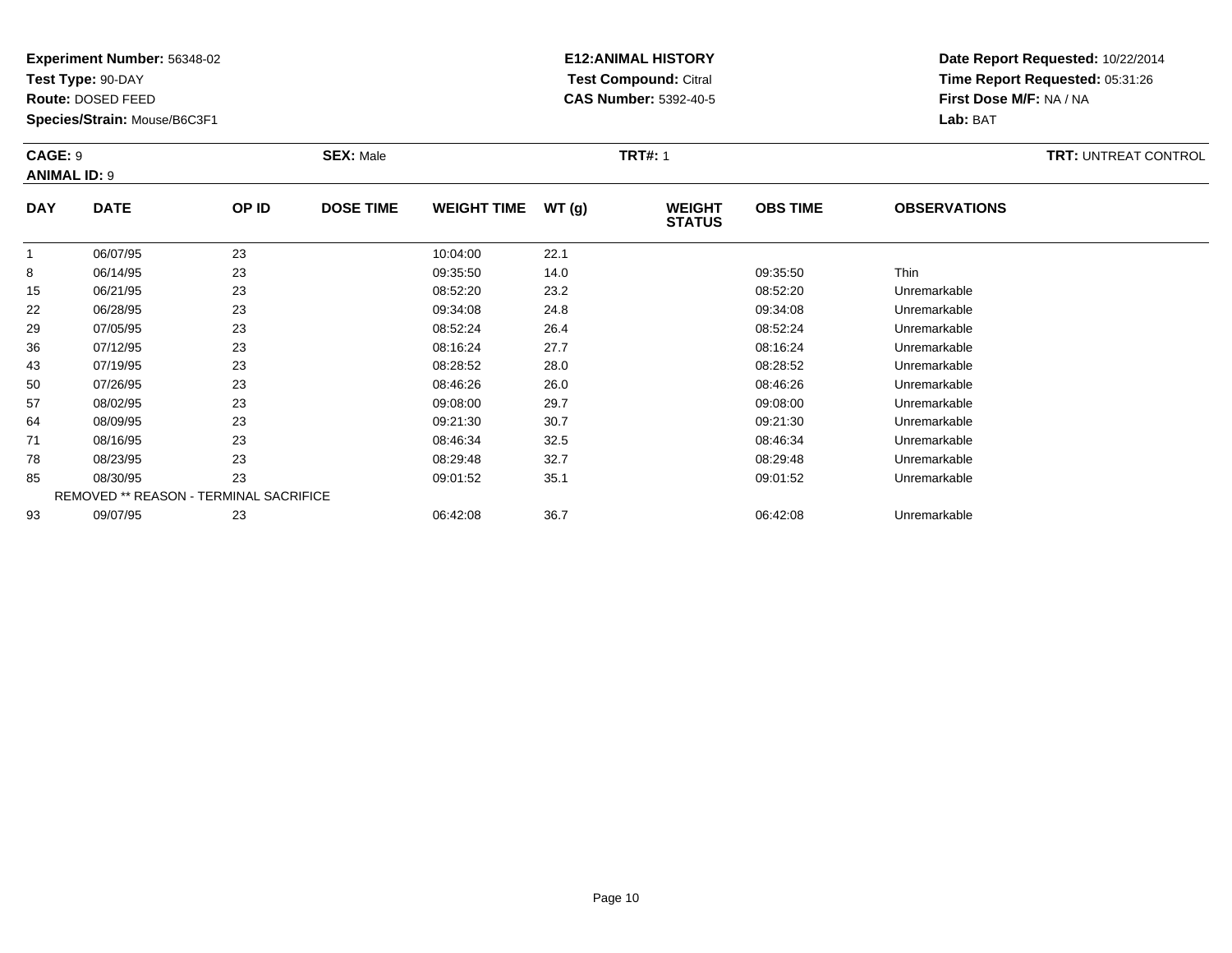**Test Type:** 90-DAY

**Route:** DOSED FEED

43

50

57

64

71

78

85

93

**Species/Strain:** Mouse/B6C3F1

REMOVED \*\* REASON - TERMINAL SACRIFICE

## **E12:ANIMAL HISTORY Test Compound:** Citral **CAS Number:** 5392-40-5

**Date Report Requested:** 10/22/2014**Time Report Requested:** 05:31:26**First Dose M/F:** NA / NA**Lab:** BAT

| CAGE: 9<br><b>ANIMAL ID: 9</b> |             |              | <b>SEX: Male</b> |                    |       | <b>TRT#: 1</b>                 |                 |                     | <b>TRT: UNTREAT CONTROL</b> |
|--------------------------------|-------------|--------------|------------------|--------------------|-------|--------------------------------|-----------------|---------------------|-----------------------------|
| <b>DAY</b>                     | <b>DATE</b> | <b>OP ID</b> | <b>DOSE TIME</b> | <b>WEIGHT TIME</b> | WT(g) | <b>WEIGHT</b><br><b>STATUS</b> | <b>OBS TIME</b> | <b>OBSERVATIONS</b> |                             |
|                                | 06/07/95    | 23           |                  | 10:04:00           | 22.1  |                                |                 |                     |                             |
| 8                              | 06/14/95    | 23           |                  | 09:35:50           | 14.0  |                                | 09:35:50        | Thin                |                             |
| 15                             | 06/21/95    | 23           |                  | 08:52:20           | 23.2  |                                | 08:52:20        | Unremarkable        |                             |
| 22                             | 06/28/95    | 23           |                  | 09:34:08           | 24.8  |                                | 09:34:08        | Unremarkable        |                             |
| 29                             | 07/05/95    | 23           |                  | 08:52:24           | 26.4  |                                | 08:52:24        | Unremarkable        |                             |
| 36                             | 07/12/95    | 23           |                  | 08:16:24           | 27.7  |                                | 08:16:24        | Unremarkable        |                             |

07/19/95 <sup>23</sup> 08:28:52 28.0 08:28:52 Unremarkable

0 07/26/95 23 23 08:46:26 26.0 26.0 08:46:26 26.0 08:46:26 Dhremarkable

08/02/95 <sup>23</sup> 09:08:00 29.7 09:08:00 Unremarkable

08/09/95 <sup>23</sup> 09:21:30 30.7 09:21:30 Unremarkable

08/16/95 <sup>23</sup> 08:46:34 32.5 08:46:34 Unremarkable

08/23/95 <sup>23</sup> 08:29:48 32.7 08:29:48 Unremarkable

08/30/95 <sup>23</sup> 09:01:52 35.1 09:01:52 Unremarkable

09/07/95 <sup>23</sup> 06:42:08 36.7 06:42:08 Unremarkable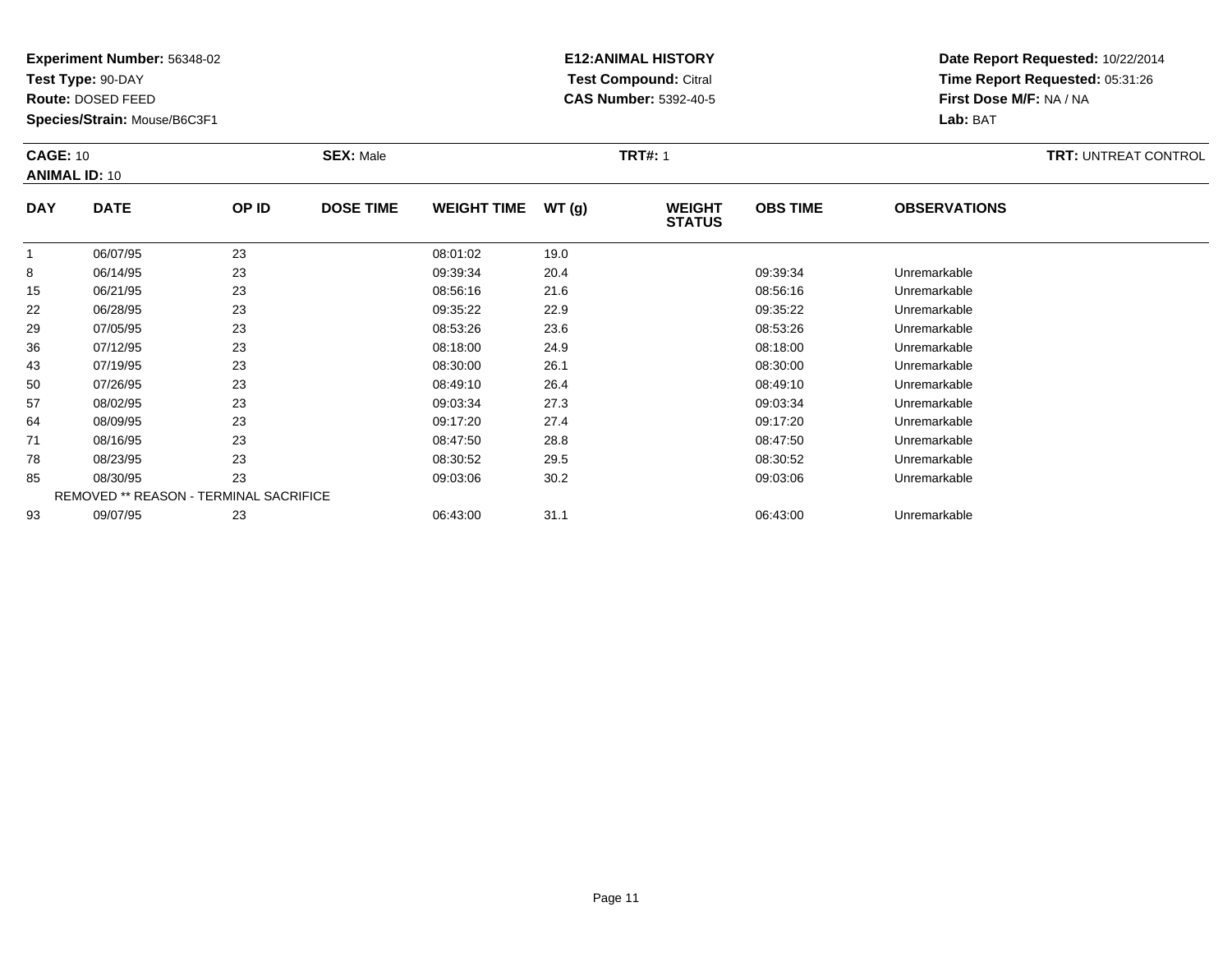**Test Type:** 90-DAY

**Route:** DOSED FEED

**Species/Strain:** Mouse/B6C3F1

# **E12:ANIMAL HISTORY Test Compound:** Citral **CAS Number:** 5392-40-5

| <b>CAGE: 10</b><br><b>ANIMAL ID: 10</b> |             |       | <b>SEX: Male</b> |                    |       | <b>TRT#: 1</b>                 |                 |                     |  |  |
|-----------------------------------------|-------------|-------|------------------|--------------------|-------|--------------------------------|-----------------|---------------------|--|--|
| <b>DAY</b>                              | <b>DATE</b> | OP ID | <b>DOSE TIME</b> | <b>WEIGHT TIME</b> | WT(g) | <b>WEIGHT</b><br><b>STATUS</b> | <b>OBS TIME</b> | <b>OBSERVATIONS</b> |  |  |
|                                         | 06/07/95    | 23    |                  | 08:01:02           | 19.0  |                                |                 |                     |  |  |
| 8                                       | 06/14/95    | 23    |                  | 09:39:34           | 20.4  |                                | 09:39:34        | Unremarkable        |  |  |
| 15                                      | 06/21/95    | 23    |                  | 08:56:16           | 21.6  |                                | 08:56:16        | Unremarkable        |  |  |
| 22                                      | 06/28/95    | 23    |                  | 09:35:22           | 22.9  |                                | 09:35:22        | Unremarkable        |  |  |

| 15 | U6/21/95 | 23                                            | <b>U8:56:16</b> | 21.b | <b>U8:56:16</b> | Unremarkable |  |
|----|----------|-----------------------------------------------|-----------------|------|-----------------|--------------|--|
| 22 | 06/28/95 | 23                                            | 09:35:22        | 22.9 | 09:35:22        | Unremarkable |  |
| 29 | 07/05/95 | 23                                            | 08:53:26        | 23.6 | 08:53:26        | Unremarkable |  |
| 36 | 07/12/95 | 23                                            | 08:18:00        | 24.9 | 08:18:00        | Unremarkable |  |
| 43 | 07/19/95 | 23                                            | 08:30:00        | 26.1 | 08:30:00        | Unremarkable |  |
| 50 | 07/26/95 | 23                                            | 08:49:10        | 26.4 | 08:49:10        | Unremarkable |  |
| 57 | 08/02/95 | 23                                            | 09:03:34        | 27.3 | 09:03:34        | Unremarkable |  |
| 64 | 08/09/95 | 23                                            | 09:17:20        | 27.4 | 09:17:20        | Unremarkable |  |
| 71 | 08/16/95 | 23                                            | 08:47:50        | 28.8 | 08:47:50        | Unremarkable |  |
| 78 | 08/23/95 | 23                                            | 08:30:52        | 29.5 | 08:30:52        | Unremarkable |  |
| 85 | 08/30/95 | 23                                            | 09:03:06        | 30.2 | 09:03:06        | Unremarkable |  |
|    |          | <b>REMOVED ** REASON - TERMINAL SACRIFICE</b> |                 |      |                 |              |  |
| 93 | 09/07/95 | 23                                            | 06:43:00        | 31.1 | 06:43:00        | Unremarkable |  |
|    |          |                                               |                 |      |                 |              |  |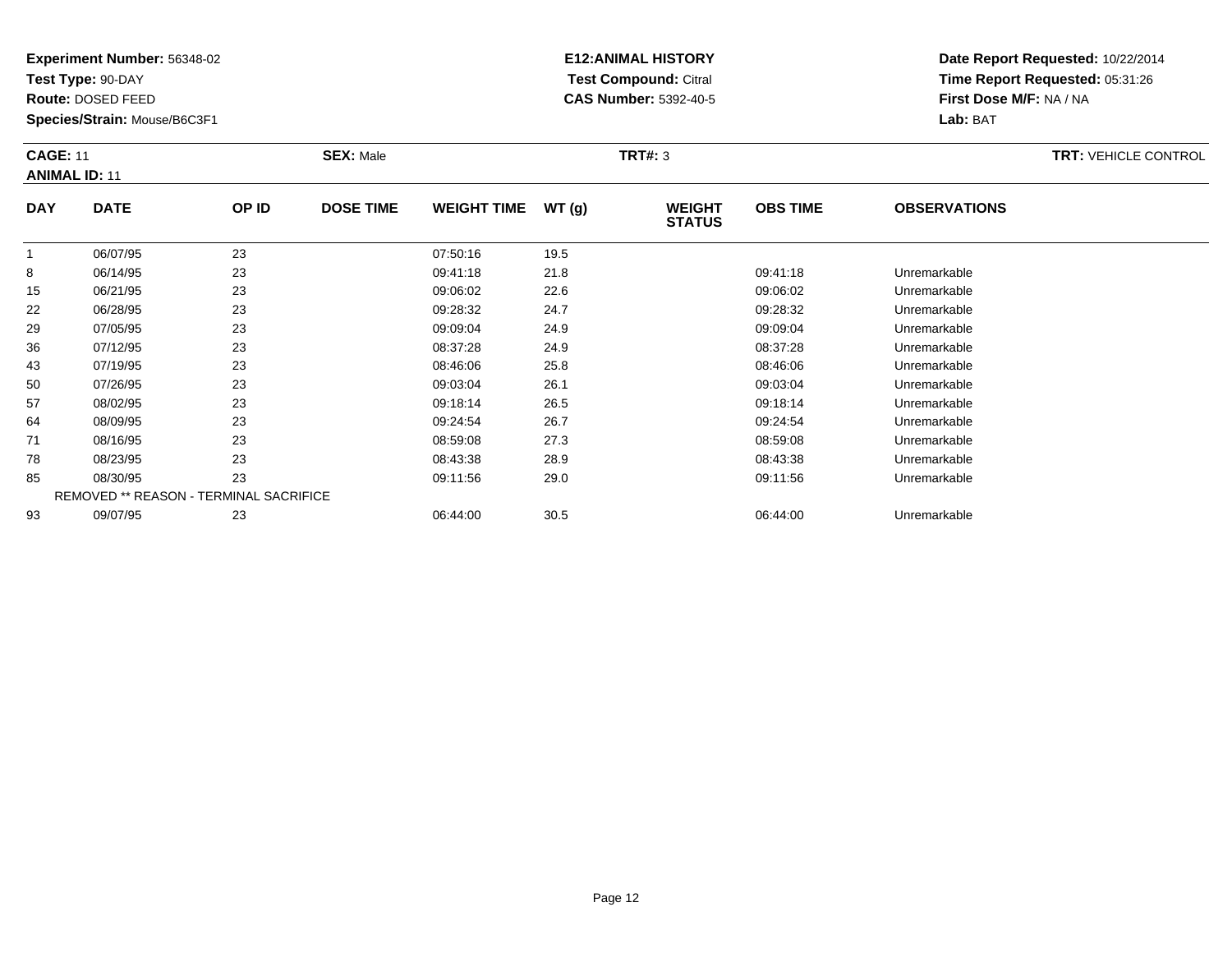**Test Type:** 90-DAY

**Route:** DOSED FEED

**Species/Strain:** Mouse/B6C3F1

# **E12:ANIMAL HISTORY Test Compound:** Citral **CAS Number:** 5392-40-5

| <b>CAGE: 11</b><br><b>ANIMAL ID: 11</b> |             |       | <b>SEX: Male</b> |                    | <b>TRT#: 3</b> |                                |                 |                     | <b>TRT: VEHICLE CONTROL</b> |
|-----------------------------------------|-------------|-------|------------------|--------------------|----------------|--------------------------------|-----------------|---------------------|-----------------------------|
| <b>DAY</b>                              | <b>DATE</b> | OP ID | <b>DOSE TIME</b> | <b>WEIGHT TIME</b> | WT(g)          | <b>WEIGHT</b><br><b>STATUS</b> | <b>OBS TIME</b> | <b>OBSERVATIONS</b> |                             |

|    | 06/07/95 | 23                                            | 07:50:16 | 19.5 |          |              |  |
|----|----------|-----------------------------------------------|----------|------|----------|--------------|--|
| 8  | 06/14/95 | 23                                            | 09:41:18 | 21.8 | 09:41:18 | Unremarkable |  |
| 15 | 06/21/95 | 23                                            | 09:06:02 | 22.6 | 09:06:02 | Unremarkable |  |
| 22 | 06/28/95 | 23                                            | 09:28:32 | 24.7 | 09:28:32 | Unremarkable |  |
| 29 | 07/05/95 | 23                                            | 09:09:04 | 24.9 | 09:09:04 | Unremarkable |  |
| 36 | 07/12/95 | 23                                            | 08:37:28 | 24.9 | 08:37:28 | Unremarkable |  |
| 43 | 07/19/95 | 23                                            | 08:46:06 | 25.8 | 08:46:06 | Unremarkable |  |
| 50 | 07/26/95 | 23                                            | 09:03:04 | 26.1 | 09:03:04 | Unremarkable |  |
| 57 | 08/02/95 | 23                                            | 09:18:14 | 26.5 | 09:18:14 | Unremarkable |  |
| 64 | 08/09/95 | 23                                            | 09:24:54 | 26.7 | 09:24:54 | Unremarkable |  |
| 71 | 08/16/95 | 23                                            | 08:59:08 | 27.3 | 08:59:08 | Unremarkable |  |
| 78 | 08/23/95 | 23                                            | 08:43:38 | 28.9 | 08:43:38 | Unremarkable |  |
| 85 | 08/30/95 | 23                                            | 09:11:56 | 29.0 | 09:11:56 | Unremarkable |  |
|    |          | <b>REMOVED ** REASON - TERMINAL SACRIFICE</b> |          |      |          |              |  |
| 93 | 09/07/95 | 23                                            | 06:44:00 | 30.5 | 06:44:00 | Unremarkable |  |
|    |          |                                               |          |      |          |              |  |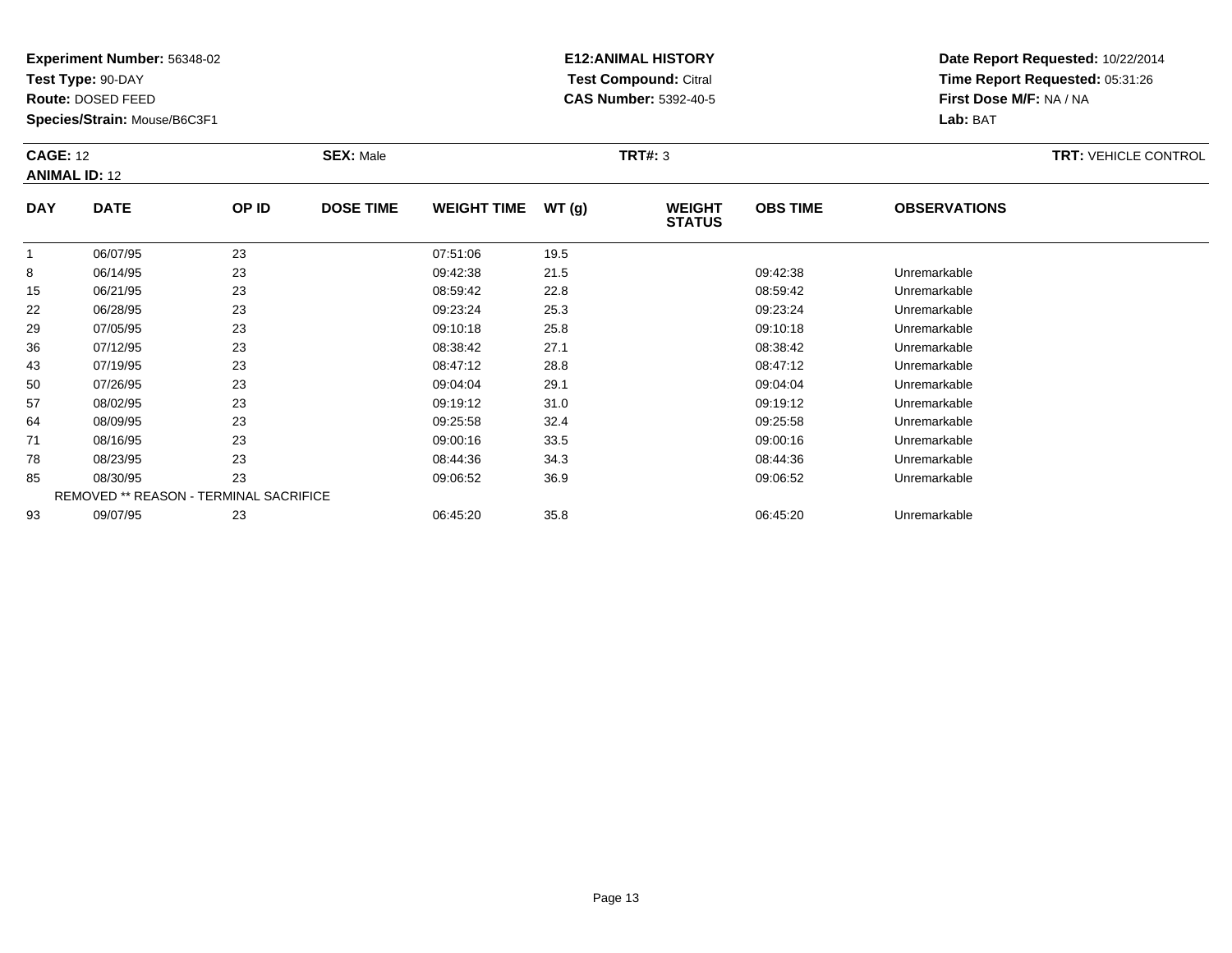**Test Type:** 90-DAY

**Route:** DOSED FEED

**Species/Strain:** Mouse/B6C3F1

# **E12:ANIMAL HISTORY Test Compound:** Citral **CAS Number:** 5392-40-5

| <b>CAGE: 12</b><br><b>ANIMAL ID: 12</b> |             | <b>SEX: Male</b> |                  |                    | <b>TRT#: 3</b> |                                |                 | <b>TRT: VEHICLE CONTROL</b> |  |
|-----------------------------------------|-------------|------------------|------------------|--------------------|----------------|--------------------------------|-----------------|-----------------------------|--|
| <b>DAY</b>                              | <b>DATE</b> | OP ID            | <b>DOSE TIME</b> | <b>WEIGHT TIME</b> | WT (g)         | <b>WEIGHT</b><br><b>STATUS</b> | <b>OBS TIME</b> | <b>OBSERVATIONS</b>         |  |

|    | 06/07/95 | 23                                     | 07:51:06 | 19.5 |          |              |  |
|----|----------|----------------------------------------|----------|------|----------|--------------|--|
| 8  | 06/14/95 | 23                                     | 09:42:38 | 21.5 | 09:42:38 | Unremarkable |  |
| 15 | 06/21/95 | 23                                     | 08:59:42 | 22.8 | 08:59:42 | Unremarkable |  |
| 22 | 06/28/95 | 23                                     | 09:23:24 | 25.3 | 09:23:24 | Unremarkable |  |
| 29 | 07/05/95 | 23                                     | 09:10:18 | 25.8 | 09:10:18 | Unremarkable |  |
| 36 | 07/12/95 | 23                                     | 08:38:42 | 27.1 | 08:38:42 | Unremarkable |  |
| 43 | 07/19/95 | 23                                     | 08:47:12 | 28.8 | 08:47:12 | Unremarkable |  |
| 50 | 07/26/95 | 23                                     | 09:04:04 | 29.1 | 09:04:04 | Unremarkable |  |
| 57 | 08/02/95 | 23                                     | 09:19:12 | 31.0 | 09:19:12 | Unremarkable |  |
| 64 | 08/09/95 | 23                                     | 09:25:58 | 32.4 | 09:25:58 | Unremarkable |  |
| 71 | 08/16/95 | 23                                     | 09:00:16 | 33.5 | 09:00:16 | Unremarkable |  |
| 78 | 08/23/95 | 23                                     | 08:44:36 | 34.3 | 08:44:36 | Unremarkable |  |
| 85 | 08/30/95 | 23                                     | 09:06:52 | 36.9 | 09:06:52 | Unremarkable |  |
|    |          | REMOVED ** REASON - TERMINAL SACRIFICE |          |      |          |              |  |
| 93 | 09/07/95 | 23                                     | 06:45:20 | 35.8 | 06:45:20 | Unremarkable |  |
|    |          |                                        |          |      |          |              |  |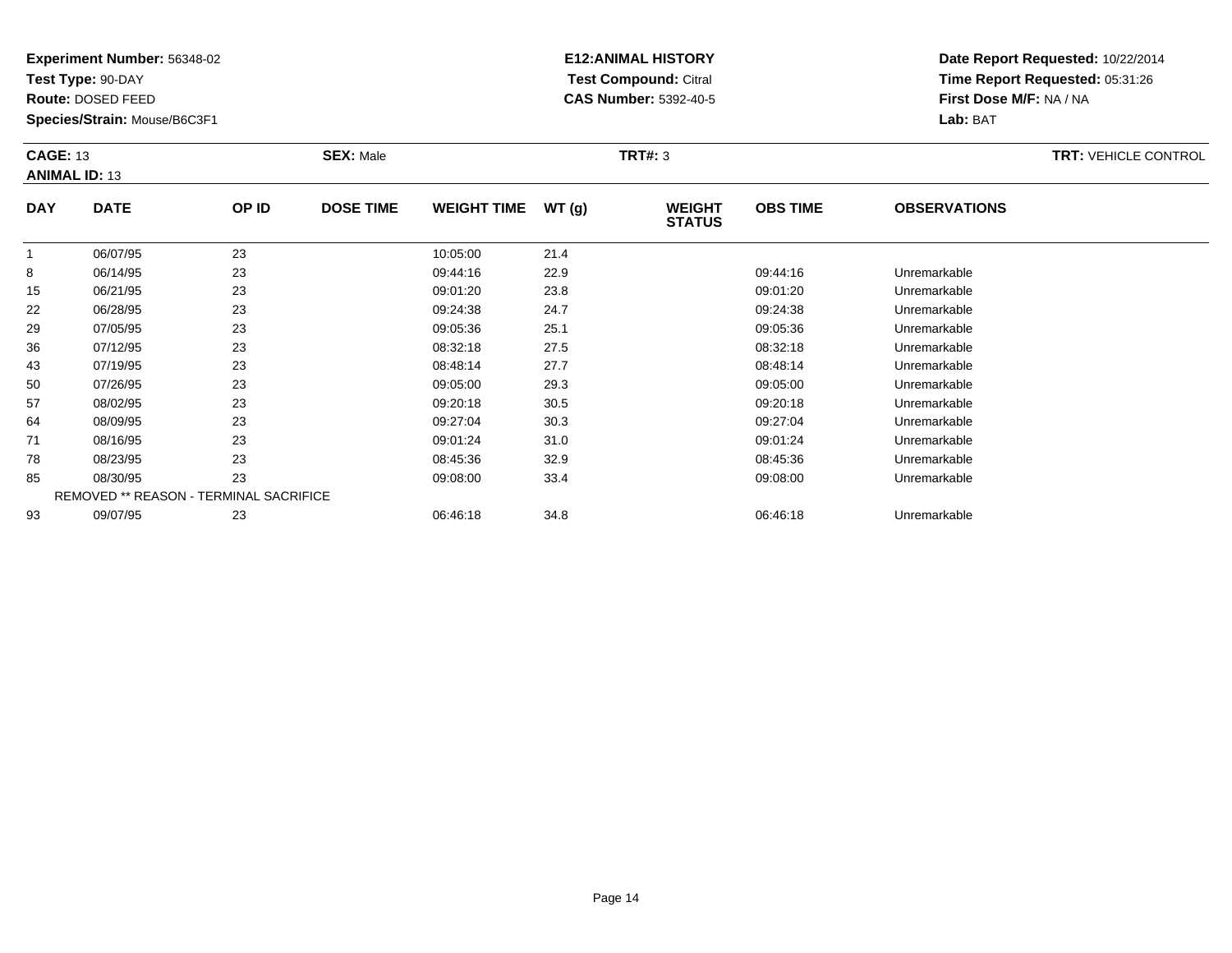**Test Type:** 90-DAY

**Route:** DOSED FEED

**Species/Strain:** Mouse/B6C3F1

# **E12:ANIMAL HISTORY Test Compound:** Citral **CAS Number:** 5392-40-5

| <b>CAGE: 13</b><br><b>ANIMAL ID: 13</b> |             | <b>SEX: Male</b> |                  | <b>TRT#: 3</b>     |        |                                | <b>TRT: VEHICLE CONTROL</b> |                     |  |
|-----------------------------------------|-------------|------------------|------------------|--------------------|--------|--------------------------------|-----------------------------|---------------------|--|
| <b>DAY</b>                              | <b>DATE</b> | OP ID            | <b>DOSE TIME</b> | <b>WEIGHT TIME</b> | WT (g) | <b>WEIGHT</b><br><b>STATUS</b> | <b>OBS TIME</b>             | <b>OBSERVATIONS</b> |  |

|    | 06/07/95 | 23                                     | 10:05:00 | 21.4 |          |              |  |
|----|----------|----------------------------------------|----------|------|----------|--------------|--|
| 8  | 06/14/95 | 23                                     | 09:44:16 | 22.9 | 09:44:16 | Unremarkable |  |
| 15 | 06/21/95 | 23                                     | 09:01:20 | 23.8 | 09:01:20 | Unremarkable |  |
| 22 | 06/28/95 | 23                                     | 09:24:38 | 24.7 | 09:24:38 | Unremarkable |  |
| 29 | 07/05/95 | 23                                     | 09:05:36 | 25.1 | 09:05:36 | Unremarkable |  |
| 36 | 07/12/95 | 23                                     | 08:32:18 | 27.5 | 08:32:18 | Unremarkable |  |
| 43 | 07/19/95 | 23                                     | 08:48:14 | 27.7 | 08:48:14 | Unremarkable |  |
| 50 | 07/26/95 | 23                                     | 09:05:00 | 29.3 | 09:05:00 | Unremarkable |  |
| 57 | 08/02/95 | 23                                     | 09:20:18 | 30.5 | 09:20:18 | Unremarkable |  |
| 64 | 08/09/95 | 23                                     | 09:27:04 | 30.3 | 09:27:04 | Unremarkable |  |
| 71 | 08/16/95 | 23                                     | 09:01:24 | 31.0 | 09:01:24 | Unremarkable |  |
| 78 | 08/23/95 | 23                                     | 08:45:36 | 32.9 | 08:45:36 | Unremarkable |  |
| 85 | 08/30/95 | 23                                     | 09:08:00 | 33.4 | 09:08:00 | Unremarkable |  |
|    |          | REMOVED ** REASON - TERMINAL SACRIFICE |          |      |          |              |  |
| 93 | 09/07/95 | 23                                     | 06:46:18 | 34.8 | 06:46:18 | Unremarkable |  |
|    |          |                                        |          |      |          |              |  |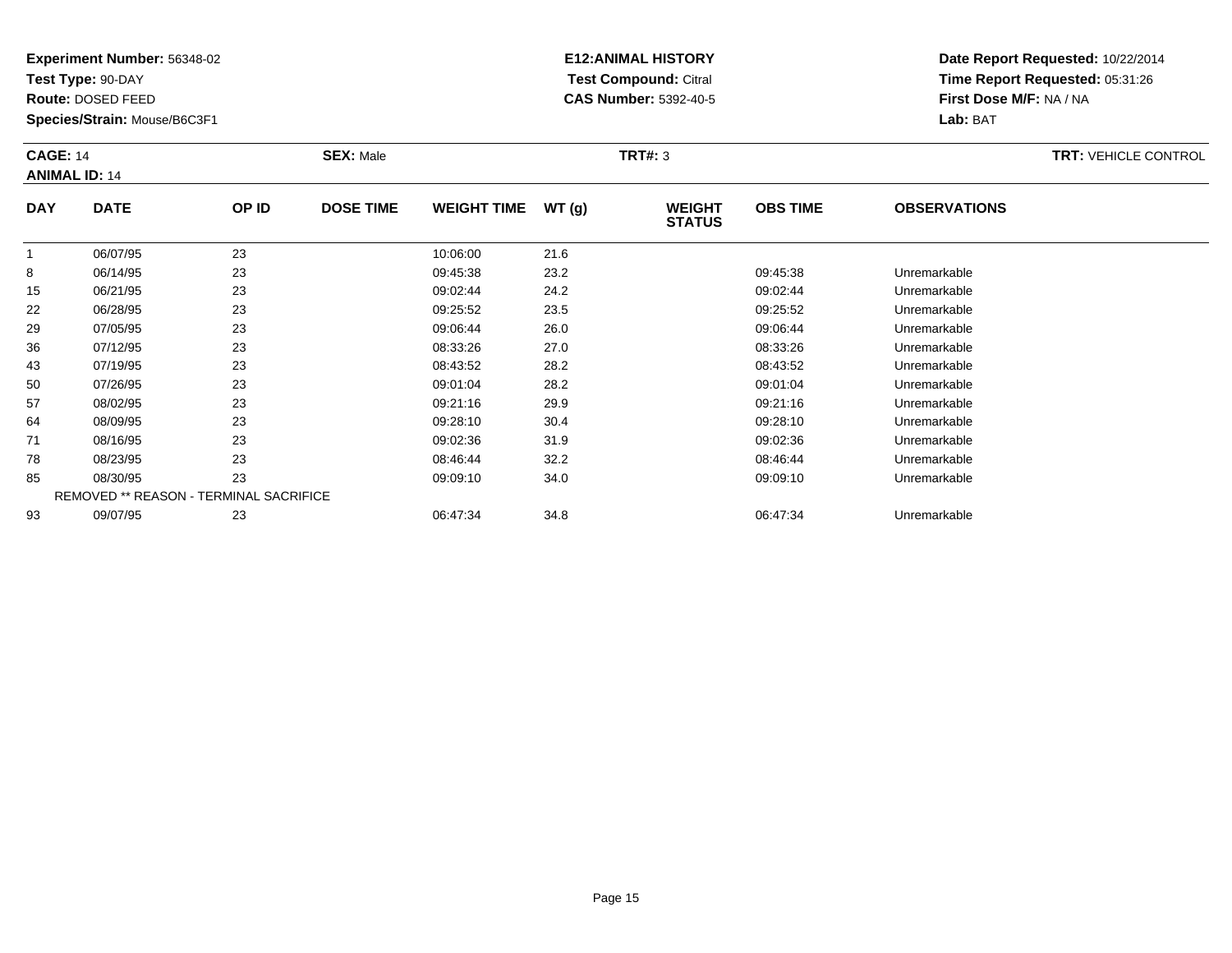**Test Type:** 90-DAY

**Route:** DOSED FEED

**Species/Strain:** Mouse/B6C3F1

# **E12:ANIMAL HISTORY Test Compound:** Citral **CAS Number:** 5392-40-5

| <b>CAGE: 14</b><br><b>ANIMAL ID: 14</b> |             |       | <b>SEX: Male</b> | <b>TRT#: 3</b>     |        |                                |                 |                     |  |
|-----------------------------------------|-------------|-------|------------------|--------------------|--------|--------------------------------|-----------------|---------------------|--|
| <b>DAY</b>                              | <b>DATE</b> | OP ID | <b>DOSE TIME</b> | <b>WEIGHT TIME</b> | WT (g) | <b>WEIGHT</b><br><b>STATUS</b> | <b>OBS TIME</b> | <b>OBSERVATIONS</b> |  |
|                                         | 06/07/95    | 23    |                  | 10:06:00           | 21.6   |                                |                 |                     |  |
| $\circ$                                 | QQ/A A/QE   | ົດລ   |                  | 00.45.20           | റാ റ   |                                | 00.45.29        | Lloromorkoblo       |  |

|    | <u>,,,,,,</u> | --                                            | .        | -    |          |              |  |
|----|---------------|-----------------------------------------------|----------|------|----------|--------------|--|
| 8  | 06/14/95      | 23                                            | 09:45:38 | 23.2 | 09:45:38 | Unremarkable |  |
| 15 | 06/21/95      | 23                                            | 09:02:44 | 24.2 | 09:02:44 | Unremarkable |  |
| 22 | 06/28/95      | 23                                            | 09:25:52 | 23.5 | 09:25:52 | Unremarkable |  |
| 29 | 07/05/95      | 23                                            | 09:06:44 | 26.0 | 09:06:44 | Unremarkable |  |
| 36 | 07/12/95      | 23                                            | 08:33:26 | 27.0 | 08:33:26 | Unremarkable |  |
| 43 | 07/19/95      | 23                                            | 08:43:52 | 28.2 | 08:43:52 | Unremarkable |  |
| 50 | 07/26/95      | 23                                            | 09:01:04 | 28.2 | 09:01:04 | Unremarkable |  |
| 57 | 08/02/95      | 23                                            | 09:21:16 | 29.9 | 09:21:16 | Unremarkable |  |
| 64 | 08/09/95      | 23                                            | 09:28:10 | 30.4 | 09:28:10 | Unremarkable |  |
| 71 | 08/16/95      | 23                                            | 09:02:36 | 31.9 | 09:02:36 | Unremarkable |  |
| 78 | 08/23/95      | 23                                            | 08:46:44 | 32.2 | 08:46:44 | Unremarkable |  |
| 85 | 08/30/95      | 23                                            | 09:09:10 | 34.0 | 09:09:10 | Unremarkable |  |
|    |               | <b>REMOVED ** REASON - TERMINAL SACRIFICE</b> |          |      |          |              |  |
| 93 | 09/07/95      | 23                                            | 06:47:34 | 34.8 | 06:47:34 | Unremarkable |  |
|    |               |                                               |          |      |          |              |  |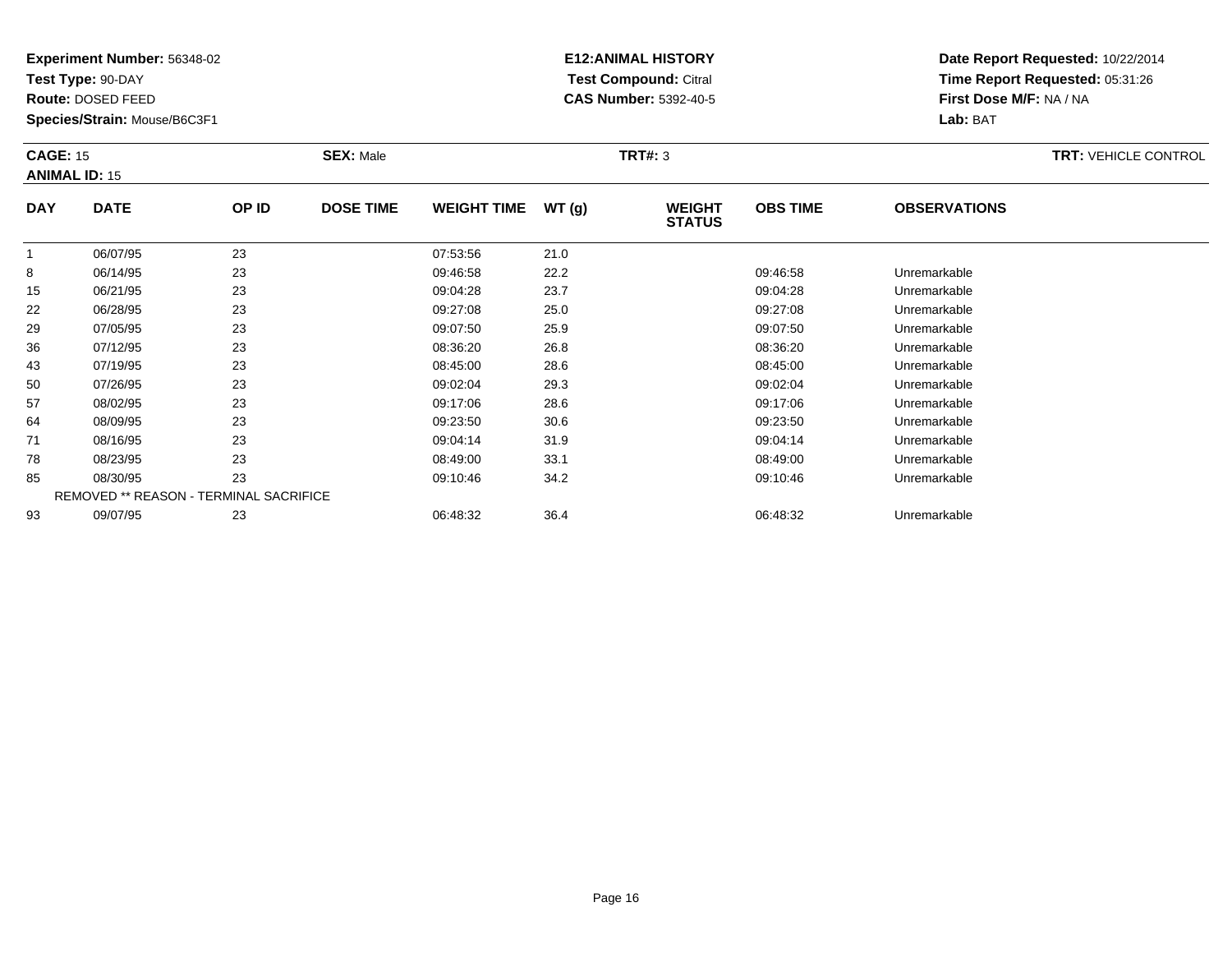**Test Type:** 90-DAY

**Route:** DOSED FEED

93

**Species/Strain:** Mouse/B6C3F1

# **E12:ANIMAL HISTORY Test Compound:** Citral **CAS Number:** 5392-40-5

**Date Report Requested:** 10/22/2014**Time Report Requested:** 05:31:26**First Dose M/F:** NA / NA**Lab:** BAT

| <b>CAGE: 15</b><br><b>ANIMAL ID: 15</b> |                      |          | <b>SEX: Male</b> |                      |              | TRT#: 3                        |                 | <b>TRT: VEHICLE CONTROL</b> |  |
|-----------------------------------------|----------------------|----------|------------------|----------------------|--------------|--------------------------------|-----------------|-----------------------------|--|
| <b>DAY</b>                              | <b>DATE</b>          | OP ID    | <b>DOSE TIME</b> | <b>WEIGHT TIME</b>   | WT(g)        | <b>WEIGHT</b><br><b>STATUS</b> | <b>OBS TIME</b> | <b>OBSERVATIONS</b>         |  |
| 8                                       | 06/07/95<br>06/14/95 | 23<br>23 |                  | 07:53:56<br>09:46:58 | 21.0<br>22.2 |                                | 09:46:58        | Unremarkable                |  |

| 15 | 06/21/95 | 23                                            | 09:04:28 | 23.7 | 09:04:28 | Unremarkable |
|----|----------|-----------------------------------------------|----------|------|----------|--------------|
| 22 | 06/28/95 | 23                                            | 09:27:08 | 25.0 | 09:27:08 | Unremarkable |
| 29 | 07/05/95 | 23                                            | 09:07:50 | 25.9 | 09:07:50 | Unremarkable |
| 36 | 07/12/95 | 23                                            | 08:36:20 | 26.8 | 08:36:20 | Unremarkable |
| 43 | 07/19/95 | 23                                            | 08:45:00 | 28.6 | 08:45:00 | Unremarkable |
| 50 | 07/26/95 | 23                                            | 09:02:04 | 29.3 | 09:02:04 | Unremarkable |
| 57 | 08/02/95 | 23                                            | 09:17:06 | 28.6 | 09:17:06 | Unremarkable |
| 64 | 08/09/95 | 23                                            | 09:23:50 | 30.6 | 09:23:50 | Unremarkable |
| 71 | 08/16/95 | 23                                            | 09:04:14 | 31.9 | 09:04:14 | Unremarkable |
| 78 | 08/23/95 | 23                                            | 08:49:00 | 33.1 | 08:49:00 | Unremarkable |
| 85 | 08/30/95 | 23                                            | 09:10:46 | 34.2 | 09:10:46 | Unremarkable |
|    |          | <b>REMOVED ** REASON - TERMINAL SACRIFICE</b> |          |      |          |              |

09/07/95 <sup>23</sup> 06:48:32 36.4 06:48:32 Unremarkable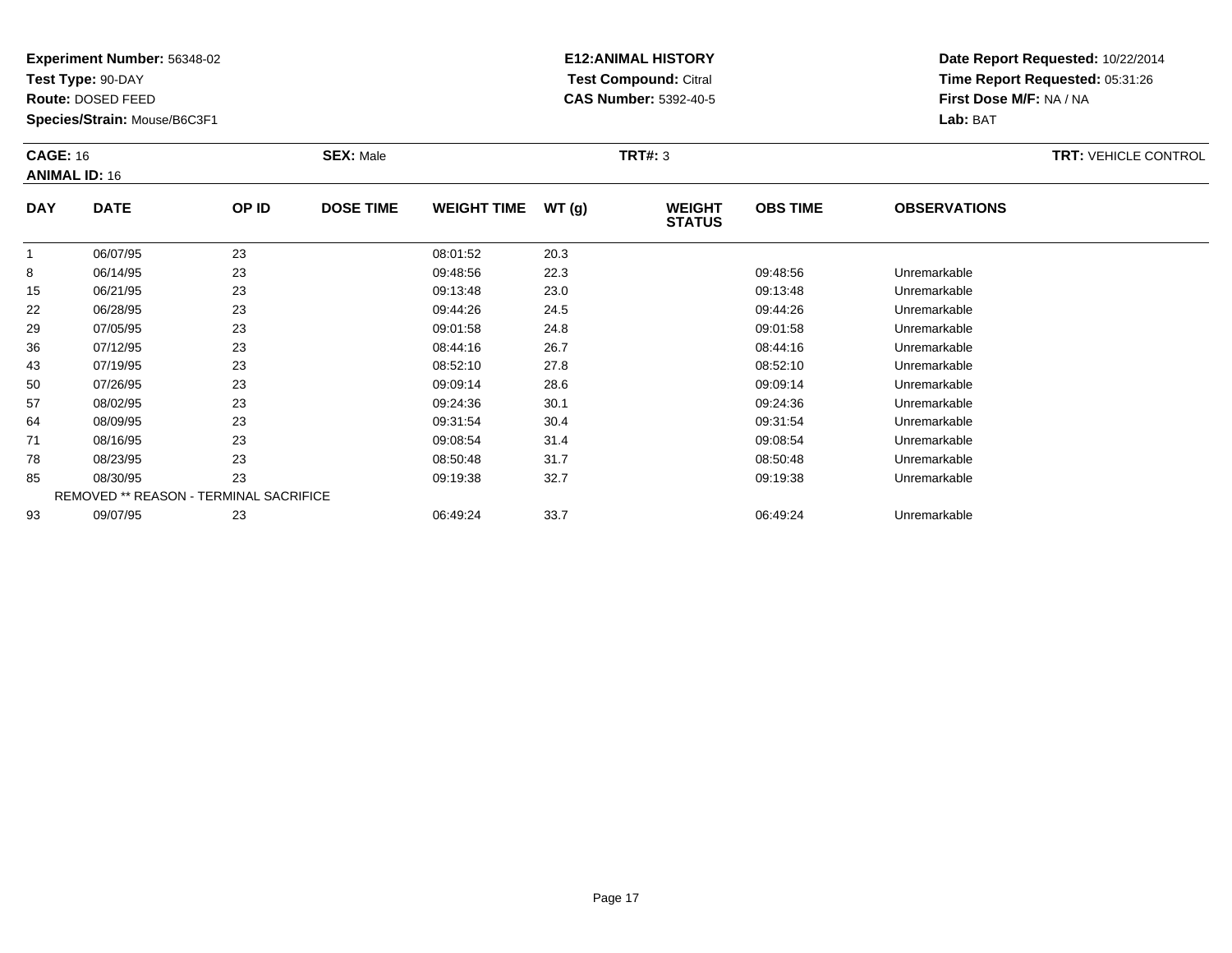**Test Type:** 90-DAY

**Route:** DOSED FEED

50

57

64

71

78

85

93

**Species/Strain:** Mouse/B6C3F1

REMOVED \*\* REASON - TERMINAL SACRIFICE

## **E12:ANIMAL HISTORY Test Compound:** Citral **CAS Number:** 5392-40-5

**Date Report Requested:** 10/22/2014**Time Report Requested:** 05:31:26**First Dose M/F:** NA / NA**Lab:** BAT

| <b>CAGE: 16</b><br><b>ANIMAL ID: 16</b> |             |       | <b>SEX: Male</b> |                    |       | TRT#: 3                        |                 |                     | <b>TRT: VEHICLE CONTROL</b> |
|-----------------------------------------|-------------|-------|------------------|--------------------|-------|--------------------------------|-----------------|---------------------|-----------------------------|
| <b>DAY</b>                              | <b>DATE</b> | OP ID | <b>DOSE TIME</b> | <b>WEIGHT TIME</b> | WT(g) | <b>WEIGHT</b><br><b>STATUS</b> | <b>OBS TIME</b> | <b>OBSERVATIONS</b> |                             |
|                                         | 06/07/95    | 23    |                  | 08:01:52           | 20.3  |                                |                 |                     |                             |
| 8                                       | 06/14/95    | 23    |                  | 09:48:56           | 22.3  |                                | 09:48:56        | Unremarkable        |                             |
| 15                                      | 06/21/95    | 23    |                  | 09:13:48           | 23.0  |                                | 09:13:48        | Unremarkable        |                             |
| 22                                      | 06/28/95    | 23    |                  | 09:44:26           | 24.5  |                                | 09:44:26        | Unremarkable        |                             |
| 29                                      | 07/05/95    | 23    |                  | 09:01:58           | 24.8  |                                | 09:01:58        | Unremarkable        |                             |
| 36                                      | 07/12/95    | 23    |                  | 08:44:16           | 26.7  |                                | 08:44:16        | Unremarkable        |                             |
| 43                                      | 07/19/95    | 23    |                  | 08:52:10           | 27.8  |                                | 08:52:10        | Unremarkable        |                             |

0 07/26/95 23 23 09:09:14 28.6 09:09 09:09 09:09:14 Dhremarkable

08/02/95 <sup>23</sup> 09:24:36 30.1 09:24:36 Unremarkable

08/09/95 <sup>23</sup> 09:31:54 30.4 09:31:54 Unremarkable

08/16/95 <sup>23</sup> 09:08:54 31.4 09:08:54 Unremarkable

08/23/95 <sup>23</sup> 08:50:48 31.7 08:50:48 Unremarkable

08/30/95 <sup>23</sup> 09:19:38 32.7 09:19:38 Unremarkable

09/07/95 <sup>23</sup> 06:49:24 33.7 06:49:24 Unremarkable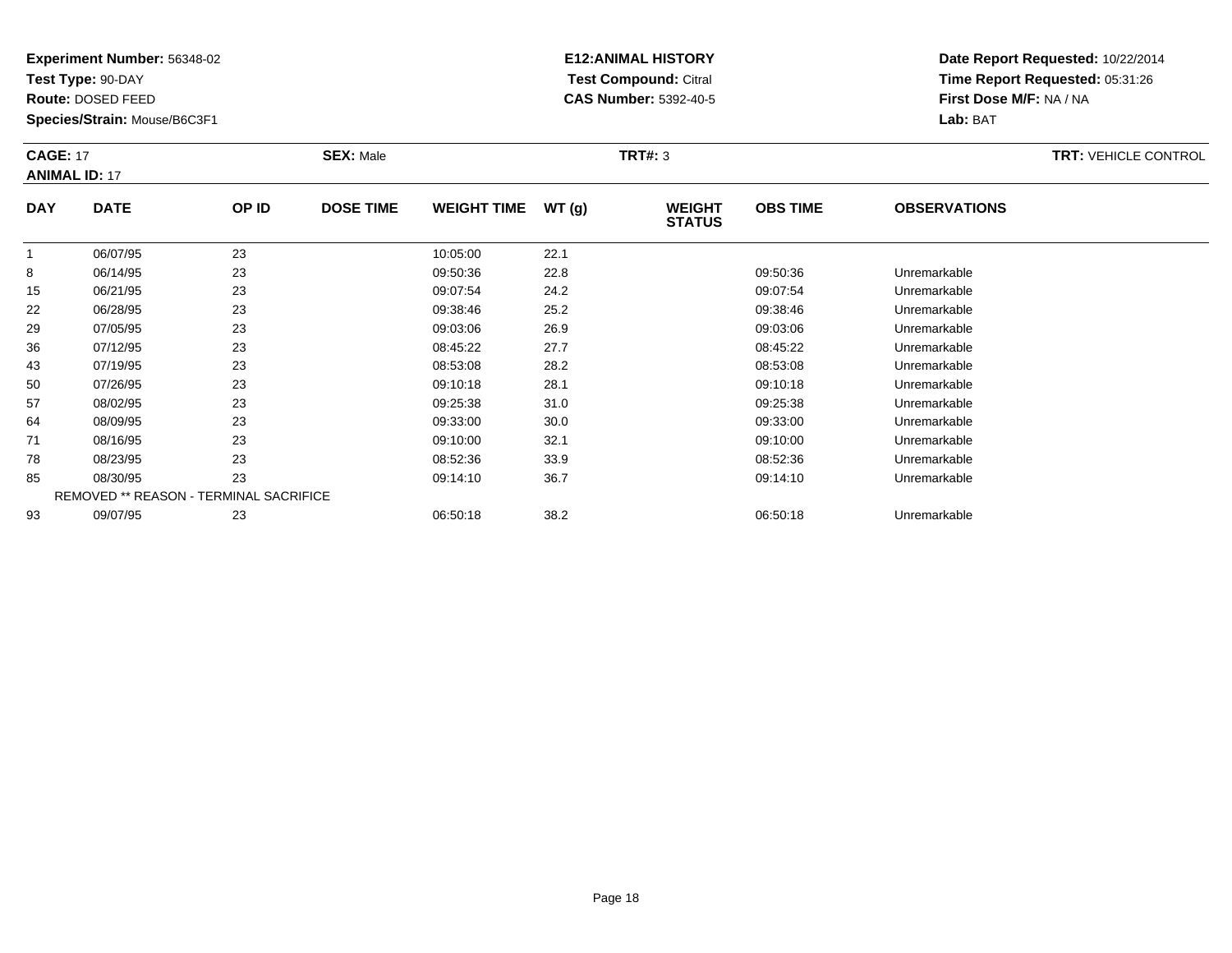**Test Type:** 90-DAY

**Route:** DOSED FEED

**Species/Strain:** Mouse/B6C3F1

# **E12:ANIMAL HISTORY Test Compound:** Citral **CAS Number:** 5392-40-5

| <b>CAGE: 17</b><br><b>ANIMAL ID: 17</b> |             | <b>SEX: Male</b> |                  |                    | <b>TRT#: 3</b> |                                |                 | <b>TRT: VEHICLE CONTROL</b> |  |
|-----------------------------------------|-------------|------------------|------------------|--------------------|----------------|--------------------------------|-----------------|-----------------------------|--|
| <b>DAY</b>                              | <b>DATE</b> | OP ID            | <b>DOSE TIME</b> | <b>WEIGHT TIME</b> | WT (g)         | <b>WEIGHT</b><br><b>STATUS</b> | <b>OBS TIME</b> | <b>OBSERVATIONS</b>         |  |

|    | 06/07/95 | 23                                            | 10:05:00 | 22.1 |          |              |  |
|----|----------|-----------------------------------------------|----------|------|----------|--------------|--|
| 8  | 06/14/95 | 23                                            | 09:50:36 | 22.8 | 09:50:36 | Unremarkable |  |
| 15 | 06/21/95 | 23                                            | 09:07:54 | 24.2 | 09:07:54 | Unremarkable |  |
| 22 | 06/28/95 | 23                                            | 09:38:46 | 25.2 | 09:38:46 | Unremarkable |  |
| 29 | 07/05/95 | 23                                            | 09:03:06 | 26.9 | 09:03:06 | Unremarkable |  |
| 36 | 07/12/95 | 23                                            | 08:45:22 | 27.7 | 08:45:22 | Unremarkable |  |
| 43 | 07/19/95 | 23                                            | 08:53:08 | 28.2 | 08:53:08 | Unremarkable |  |
| 50 | 07/26/95 | 23                                            | 09:10:18 | 28.1 | 09:10:18 | Unremarkable |  |
| 57 | 08/02/95 | 23                                            | 09:25:38 | 31.0 | 09:25:38 | Unremarkable |  |
| 64 | 08/09/95 | 23                                            | 09:33:00 | 30.0 | 09:33:00 | Unremarkable |  |
| 71 | 08/16/95 | 23                                            | 09:10:00 | 32.1 | 09:10:00 | Unremarkable |  |
| 78 | 08/23/95 | 23                                            | 08:52:36 | 33.9 | 08:52:36 | Unremarkable |  |
| 85 | 08/30/95 | 23                                            | 09:14:10 | 36.7 | 09:14:10 | Unremarkable |  |
|    |          | <b>REMOVED ** REASON - TERMINAL SACRIFICE</b> |          |      |          |              |  |
| 93 | 09/07/95 | 23                                            | 06:50:18 | 38.2 | 06:50:18 | Unremarkable |  |
|    |          |                                               |          |      |          |              |  |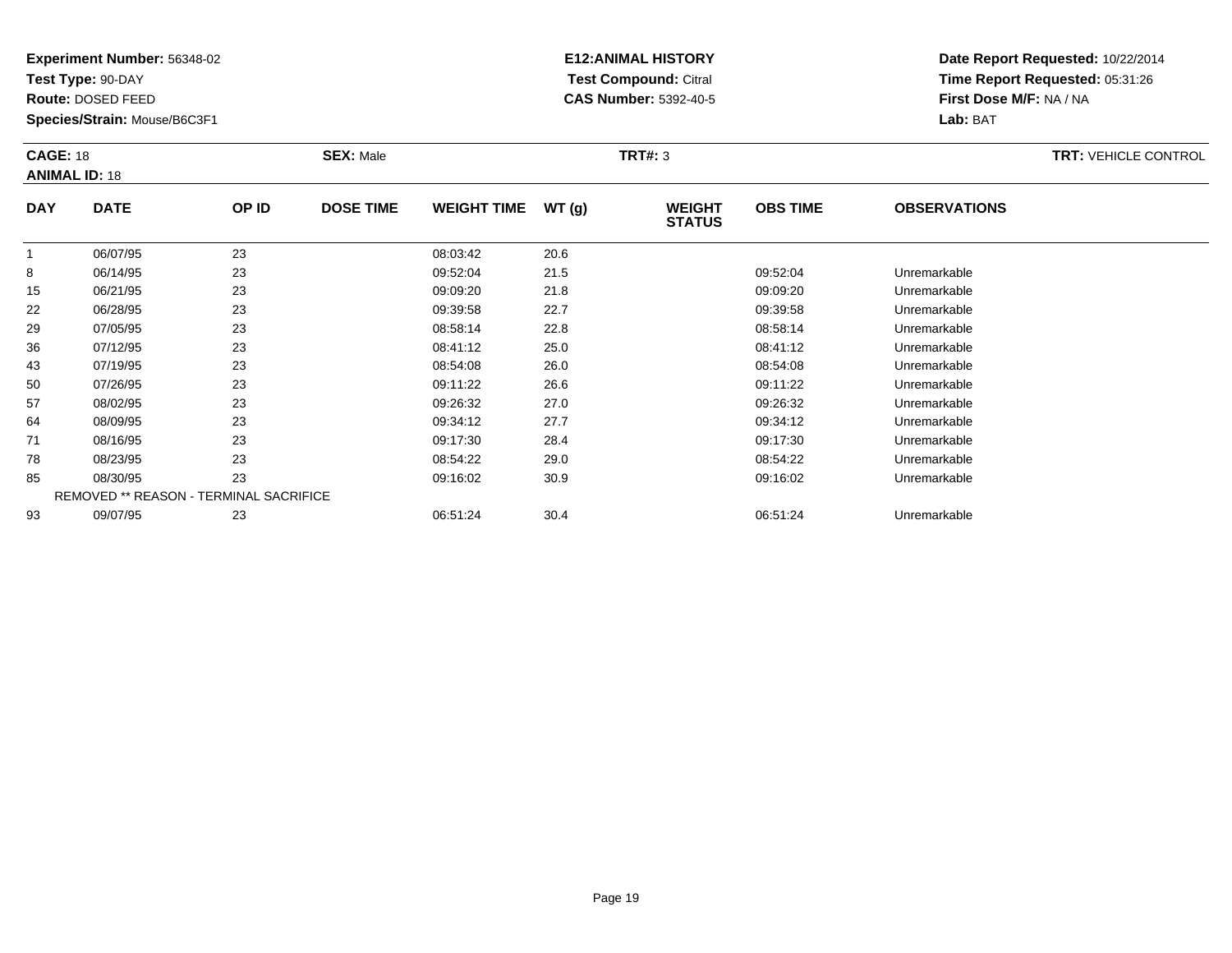**Test Type:** 90-DAY

**Route:** DOSED FEED

36

43

50

57

64

71

78

85

93

**Species/Strain:** Mouse/B6C3F1

# **E12:ANIMAL HISTORY Test Compound:** Citral **CAS Number:** 5392-40-5

**Date Report Requested:** 10/22/2014**Time Report Requested:** 05:31:26**First Dose M/F:** NA / NA**Lab:** BAT

| <b>CAGE: 18</b><br><b>ANIMAL ID: 18</b> |             |       | <b>SEX: Male</b> |                    | TRT#: 3 |                                |                 |                     | <b>TRT: VEHICLE CONTROL</b> |
|-----------------------------------------|-------------|-------|------------------|--------------------|---------|--------------------------------|-----------------|---------------------|-----------------------------|
| <b>DAY</b>                              | <b>DATE</b> | OP ID | <b>DOSE TIME</b> | <b>WEIGHT TIME</b> | WT(g)   | <b>WEIGHT</b><br><b>STATUS</b> | <b>OBS TIME</b> | <b>OBSERVATIONS</b> |                             |
|                                         | 06/07/95    | 23    |                  | 08:03:42           | 20.6    |                                |                 |                     |                             |
| 8                                       | 06/14/95    | 23    |                  | 09:52:04           | 21.5    |                                | 09:52:04        | Unremarkable        |                             |
| 15                                      | 06/21/95    | 23    |                  | 09:09:20           | 21.8    |                                | 09:09:20        | Unremarkable        |                             |
| 22                                      | 06/28/95    | 23    |                  | 09:39:58           | 22.7    |                                | 09:39:58        | Unremarkable        |                             |
| 29                                      | 07/05/95    | 23    |                  | 08:58:14           | 22.8    |                                | 08:58:14        | Unremarkable        |                             |

|   | 07/19/95 | 23                                     | 08:54:08 | 26.0 | 08:54:08 | Unremarkable |  |
|---|----------|----------------------------------------|----------|------|----------|--------------|--|
|   | 07/26/95 | 23                                     | 09:11:22 | 26.6 | 09:11:22 | Unremarkable |  |
|   | 08/02/95 | 23                                     | 09:26:32 | 27.0 | 09:26:32 | Unremarkable |  |
| 4 | 08/09/95 | 23                                     | 09:34:12 | 27.7 | 09:34:12 | Unremarkable |  |
|   | 08/16/95 | 23                                     | 09:17:30 | 28.4 | 09:17:30 | Unremarkable |  |
|   | 08/23/95 | 23                                     | 08:54:22 | 29.0 | 08:54:22 | Unremarkable |  |
|   | 08/30/95 | 23                                     | 09:16:02 | 30.9 | 09:16:02 | Unremarkable |  |
|   |          | REMOVED ** REASON - TERMINAL SACRIFICE |          |      |          |              |  |
|   | 09/07/95 | 23                                     | 06:51:24 | 30.4 | 06:51:24 | Unremarkable |  |
|   |          |                                        |          |      |          |              |  |

07/12/95 <sup>23</sup> 08:41:12 25.0 08:41:12 Unremarkable

Page 19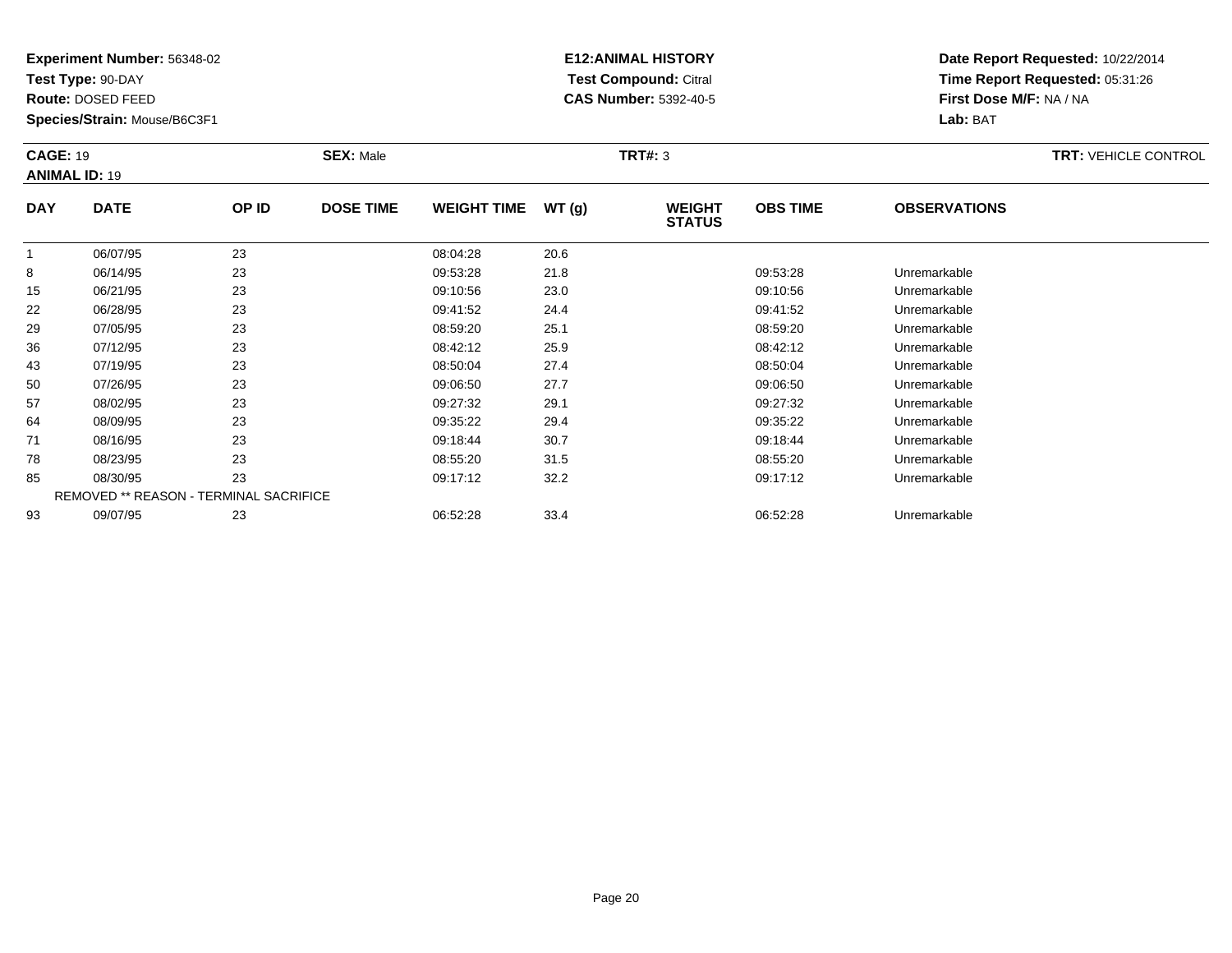**Test Type:** 90-DAY

**Route:** DOSED FEED

50

57

64

71

78

85

93

**Species/Strain:** Mouse/B6C3F1

REMOVED \*\* REASON - TERMINAL SACRIFICE

## **E12:ANIMAL HISTORY Test Compound:** Citral **CAS Number:** 5392-40-5

**Date Report Requested:** 10/22/2014**Time Report Requested:** 05:31:26**First Dose M/F:** NA / NA**Lab:** BAT

| <b>CAGE: 19</b><br><b>ANIMAL ID: 19</b> |             |       | <b>SEX: Male</b> |                    |       | TRT#: 3                        |                 |                     | <b>TRT: VEHICLE CONTROL</b> |
|-----------------------------------------|-------------|-------|------------------|--------------------|-------|--------------------------------|-----------------|---------------------|-----------------------------|
| <b>DAY</b>                              | <b>DATE</b> | OP ID | <b>DOSE TIME</b> | <b>WEIGHT TIME</b> | WT(g) | <b>WEIGHT</b><br><b>STATUS</b> | <b>OBS TIME</b> | <b>OBSERVATIONS</b> |                             |
|                                         | 06/07/95    | 23    |                  | 08:04:28           | 20.6  |                                |                 |                     |                             |
| 8                                       | 06/14/95    | 23    |                  | 09:53:28           | 21.8  |                                | 09:53:28        | Unremarkable        |                             |
| 15                                      | 06/21/95    | 23    |                  | 09:10:56           | 23.0  |                                | 09:10:56        | Unremarkable        |                             |
| 22                                      | 06/28/95    | 23    |                  | 09:41:52           | 24.4  |                                | 09:41:52        | Unremarkable        |                             |
| 29                                      | 07/05/95    | 23    |                  | 08:59:20           | 25.1  |                                | 08:59:20        | Unremarkable        |                             |
| 36                                      | 07/12/95    | 23    |                  | 08:42:12           | 25.9  |                                | 08:42:12        | Unremarkable        |                             |
| 43                                      | 07/19/95    | 23    |                  | 08:50:04           | 27.4  |                                | 08:50:04        | Unremarkable        |                             |

0 07/26/95 23 23 09:06:50 27.7 09:07/26/95 Unremarkable

08/02/95 <sup>23</sup> 09:27:32 29.1 09:27:32 Unremarkable

08/09/95 <sup>23</sup> 09:35:22 29.4 09:35:22 Unremarkable

08/16/95 <sup>23</sup> 09:18:44 30.7 09:18:44 Unremarkable

08/23/95 <sup>23</sup> 08:55:20 31.5 08:55:20 Unremarkable

08/30/95 <sup>23</sup> 09:17:12 32.2 09:17:12 Unremarkable

09/07/95 <sup>23</sup> 06:52:28 33.4 06:52:28 Unremarkable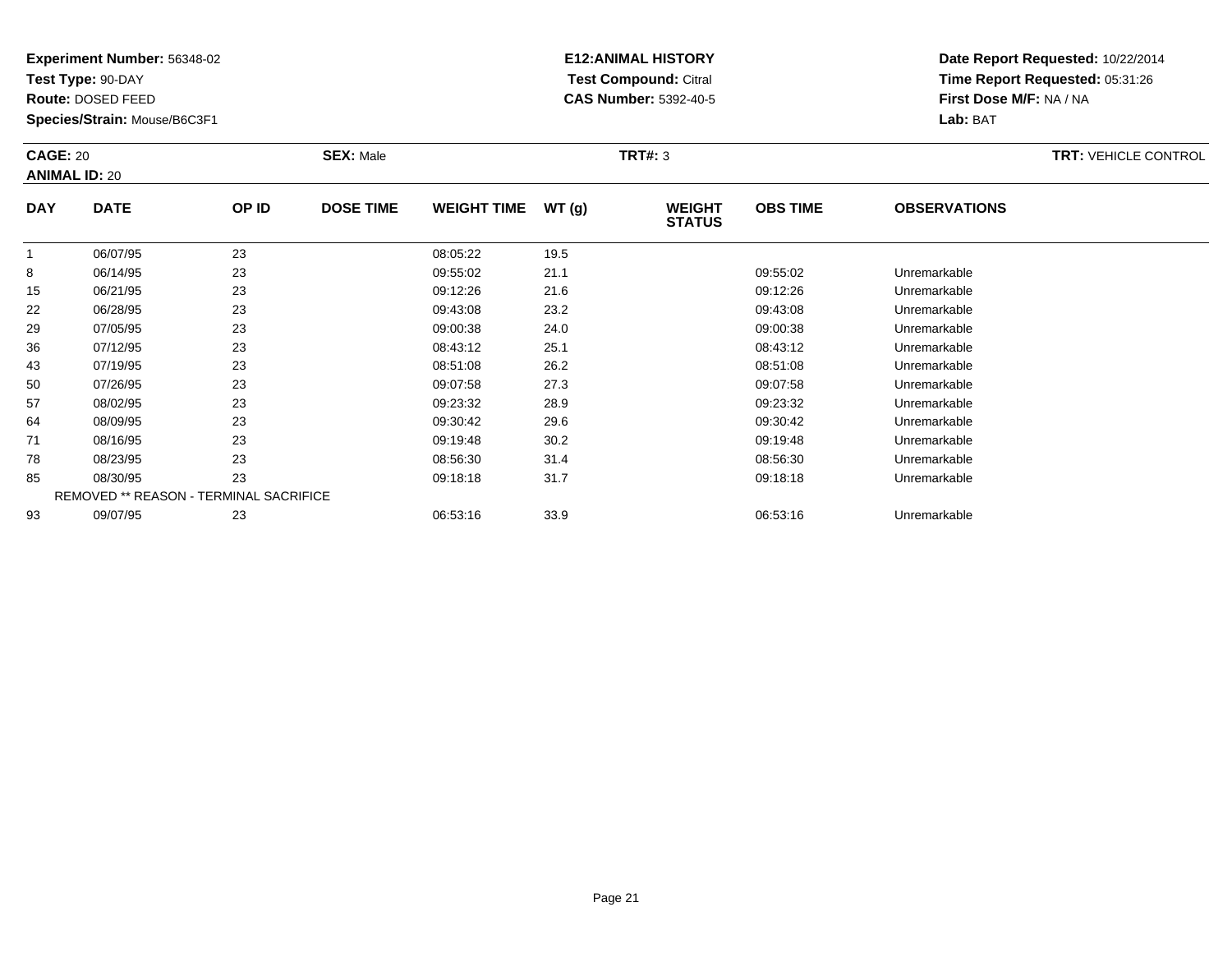**Test Type:** 90-DAY

**Route:** DOSED FEED

50

57

64

71

78

85

93

**Species/Strain:** Mouse/B6C3F1

REMOVED \*\* REASON - TERMINAL SACRIFICE

## **E12:ANIMAL HISTORY Test Compound:** Citral **CAS Number:** 5392-40-5

**Date Report Requested:** 10/22/2014**Time Report Requested:** 05:31:26**First Dose M/F:** NA / NA**Lab:** BAT

| <b>CAGE: 20</b><br><b>SEX: Male</b><br><b>ANIMAL ID: 20</b> |             |       |                  | <b>TRT: VEHICLE CONTROL</b> |       |                                |                 |                     |  |
|-------------------------------------------------------------|-------------|-------|------------------|-----------------------------|-------|--------------------------------|-----------------|---------------------|--|
| <b>DAY</b>                                                  | <b>DATE</b> | OP ID | <b>DOSE TIME</b> | <b>WEIGHT TIME</b>          | WT(g) | <b>WEIGHT</b><br><b>STATUS</b> | <b>OBS TIME</b> | <b>OBSERVATIONS</b> |  |
|                                                             | 06/07/95    | 23    |                  | 08:05:22                    | 19.5  |                                |                 |                     |  |
| 8                                                           | 06/14/95    | 23    |                  | 09:55:02                    | 21.1  |                                | 09:55:02        | Unremarkable        |  |
| 15                                                          | 06/21/95    | 23    |                  | 09:12:26                    | 21.6  |                                | 09:12:26        | Unremarkable        |  |
| 22                                                          | 06/28/95    | 23    |                  | 09:43:08                    | 23.2  |                                | 09:43:08        | Unremarkable        |  |
| 29                                                          | 07/05/95    | 23    |                  | 09:00:38                    | 24.0  |                                | 09:00:38        | Unremarkable        |  |
| 36                                                          | 07/12/95    | 23    |                  | 08:43:12                    | 25.1  |                                | 08:43:12        | Unremarkable        |  |
| 43                                                          | 07/19/95    | 23    |                  | 08:51:08                    | 26.2  |                                | 08:51:08        | Unremarkable        |  |

07/19/95 <sup>23</sup> 08:51:08 26.2 08:51:08 Unremarkable

0 07/26/95 23 23 09:07:58 27.3 09:07:58 09:07:58 Dhremarkable

08/02/95 <sup>23</sup> 09:23:32 28.9 09:23:32 Unremarkable

08/09/95 <sup>23</sup> 09:30:42 29.6 09:30:42 Unremarkable

08/16/95 <sup>23</sup> 09:19:48 30.2 09:19:48 Unremarkable

08/23/95 <sup>23</sup> 08:56:30 31.4 08:56:30 Unremarkable

08/30/95 <sup>23</sup> 09:18:18 31.7 09:18:18 Unremarkable

09/07/95 <sup>23</sup> 06:53:16 33.9 06:53:16 Unremarkable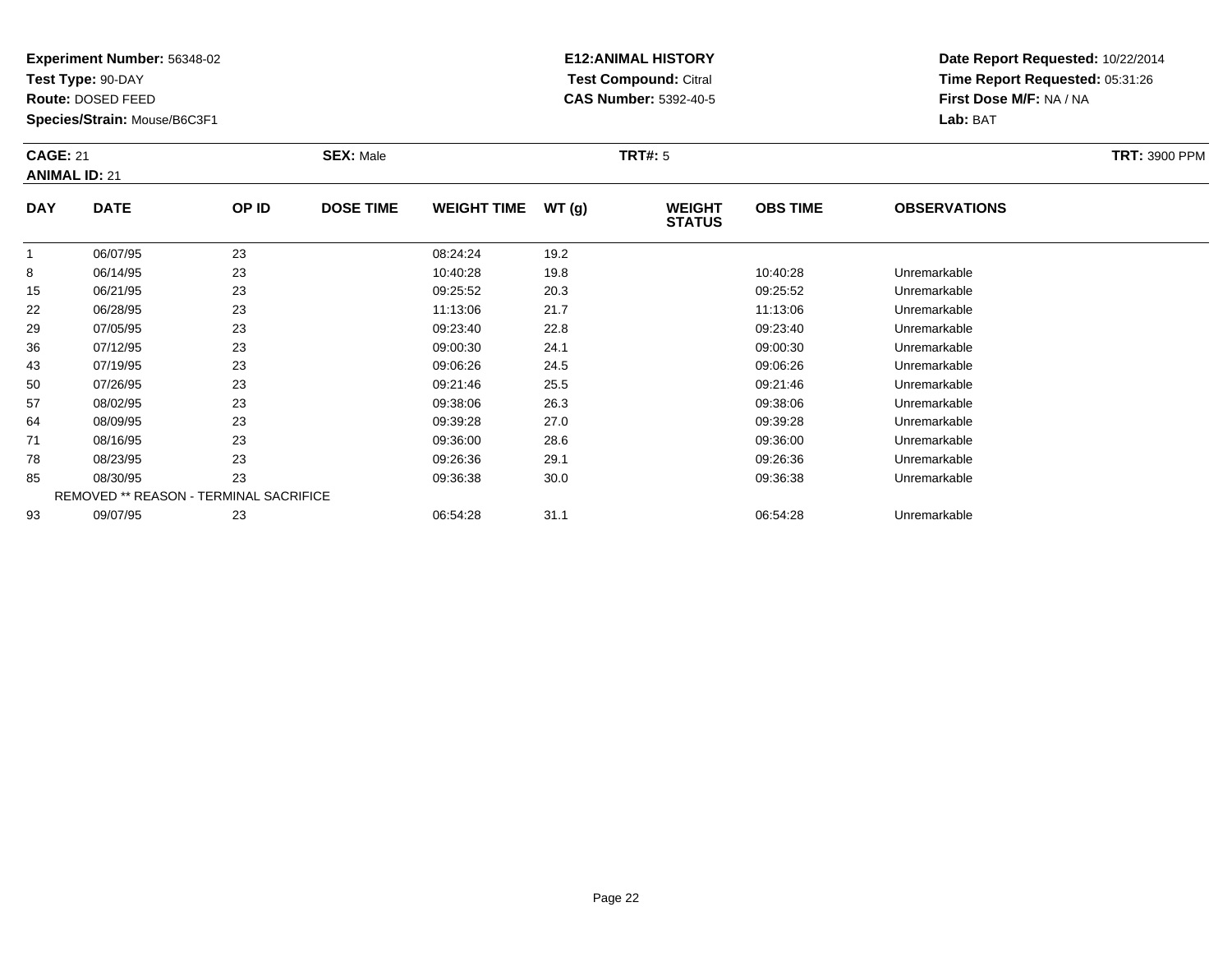**Test Type:** 90-DAY

**Route:** DOSED FEED

**Species/Strain:** Mouse/B6C3F1

# **E12:ANIMAL HISTORY Test Compound:** Citral **CAS Number:** 5392-40-5

| <b>CAGE: 21</b><br><b>ANIMAL ID: 21</b> |               |               | <b>SEX: Male</b> |                    |               | <b>TRT#:</b> 5                 | <b>TRT: 3900 PPM</b> |                     |  |
|-----------------------------------------|---------------|---------------|------------------|--------------------|---------------|--------------------------------|----------------------|---------------------|--|
| <b>DAY</b>                              | <b>DATE</b>   | OP ID         | <b>DOSE TIME</b> | <b>WEIGHT TIME</b> | WT (q)        | <b>WEIGHT</b><br><b>STATUS</b> | <b>OBS TIME</b>      | <b>OBSERVATIONS</b> |  |
|                                         | 06/07/95      | 23            |                  | 08:24:24           | 19.2          |                                |                      |                     |  |
| 8                                       | 06/14/95      | 23            |                  | 10:40:28           | 19.8          |                                | 10:40:28             | Unremarkable        |  |
| .                                       | $\frac{1}{2}$ | $\sim$ $\sim$ |                  | $\cdots$           | $\sim$ $\sim$ |                                | $\cdots$             |                     |  |

| ŏ  | UD/14/YO                                      | د∠ | 10.40.Z8 | 19.8 | 10.40.Z8 | Unremarkable |  |
|----|-----------------------------------------------|----|----------|------|----------|--------------|--|
| 15 | 06/21/95                                      | 23 | 09:25:52 | 20.3 | 09:25:52 | Unremarkable |  |
| 22 | 06/28/95                                      | 23 | 11:13:06 | 21.7 | 11:13:06 | Unremarkable |  |
| 29 | 07/05/95                                      | 23 | 09:23:40 | 22.8 | 09:23:40 | Unremarkable |  |
| 36 | 07/12/95                                      | 23 | 09:00:30 | 24.1 | 09:00:30 | Unremarkable |  |
| 43 | 07/19/95                                      | 23 | 09:06:26 | 24.5 | 09:06:26 | Unremarkable |  |
| 50 | 07/26/95                                      | 23 | 09:21:46 | 25.5 | 09:21:46 | Unremarkable |  |
| 57 | 08/02/95                                      | 23 | 09:38:06 | 26.3 | 09:38:06 | Unremarkable |  |
| 64 | 08/09/95                                      | 23 | 09:39:28 | 27.0 | 09:39:28 | Unremarkable |  |
| 71 | 08/16/95                                      | 23 | 09:36:00 | 28.6 | 09:36:00 | Unremarkable |  |
| 78 | 08/23/95                                      | 23 | 09:26:36 | 29.1 | 09:26:36 | Unremarkable |  |
| 85 | 08/30/95                                      | 23 | 09:36:38 | 30.0 | 09:36:38 | Unremarkable |  |
|    | <b>REMOVED ** REASON - TERMINAL SACRIFICE</b> |    |          |      |          |              |  |
| 93 | 09/07/95                                      | 23 | 06:54:28 | 31.1 | 06:54:28 | Unremarkable |  |
|    |                                               |    |          |      |          |              |  |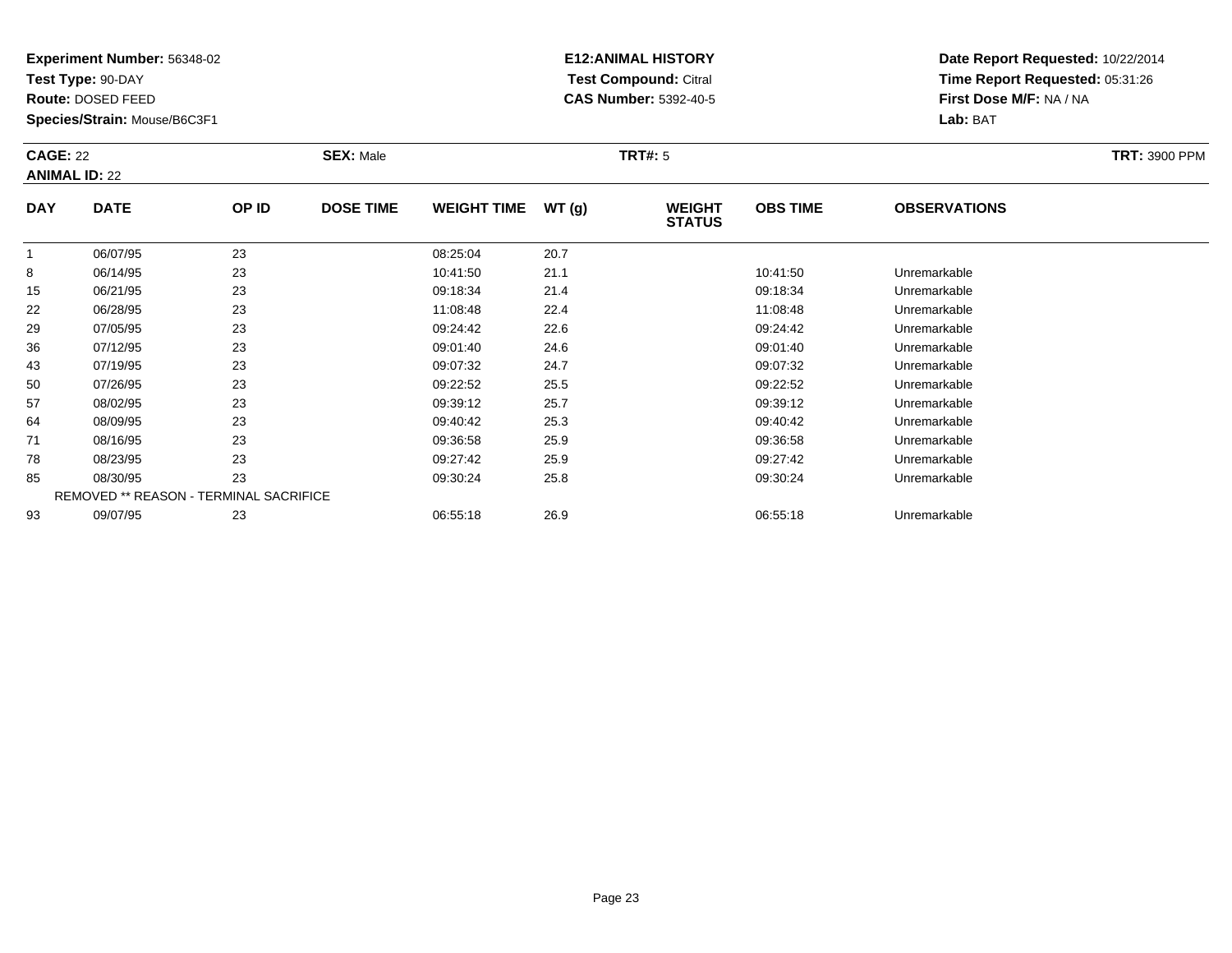**Test Type:** 90-DAY

**Route:** DOSED FEED

43

50

57

64

71

78

85

93

**Species/Strain:** Mouse/B6C3F1

REMOVED \*\* REASON - TERMINAL SACRIFICE

## **E12:ANIMAL HISTORY Test Compound:** Citral **CAS Number:** 5392-40-5

**Date Report Requested:** 10/22/2014**Time Report Requested:** 05:31:26**First Dose M/F:** NA / NA**Lab:** BAT

| <b>SEX: Male</b><br><b>CAGE: 22</b><br><b>ANIMAL ID: 22</b> |             |       |                  |                    | <b>TRT: 3900 PPM</b> |                                |                 |                     |  |
|-------------------------------------------------------------|-------------|-------|------------------|--------------------|----------------------|--------------------------------|-----------------|---------------------|--|
| <b>DAY</b>                                                  | <b>DATE</b> | OP ID | <b>DOSE TIME</b> | <b>WEIGHT TIME</b> | WT(g)                | <b>WEIGHT</b><br><b>STATUS</b> | <b>OBS TIME</b> | <b>OBSERVATIONS</b> |  |
|                                                             | 06/07/95    | 23    |                  | 08:25:04           | 20.7                 |                                |                 |                     |  |
| 8                                                           | 06/14/95    | 23    |                  | 10:41:50           | 21.1                 |                                | 10:41:50        | Unremarkable        |  |
| 15                                                          | 06/21/95    | 23    |                  | 09:18:34           | 21.4                 |                                | 09:18:34        | Unremarkable        |  |
| 22                                                          | 06/28/95    | 23    |                  | 11:08:48           | 22.4                 |                                | 11:08:48        | Unremarkable        |  |
| 29                                                          | 07/05/95    | 23    |                  | 09:24:42           | 22.6                 |                                | 09:24:42        | Unremarkable        |  |
| 36                                                          | 07/12/95    | 23    |                  | 09:01:40           | 24.6                 |                                | 09:01:40        | Unremarkable        |  |

07/12/95 <sup>23</sup> 09:01:40 24.6 09:01:40 Unremarkable

07/19/95 <sup>23</sup> 09:07:32 24.7 09:07:32 Unremarkable

0 07/26/95 23 23 09:22:52 25.5 09:23

08/02/95 <sup>23</sup> 09:39:12 25.7 09:39:12 Unremarkable

08/09/95 <sup>23</sup> 09:40:42 25.3 09:40:42 Unremarkable

08/16/95 <sup>23</sup> 09:36:58 25.9 09:36:58 Unremarkable

08/23/95 <sup>23</sup> 09:27:42 25.9 09:27:42 Unremarkable

08/30/95 <sup>23</sup> 09:30:24 25.8 09:30:24 Unremarkable

09/07/95 <sup>23</sup> 06:55:18 26.9 06:55:18 Unremarkable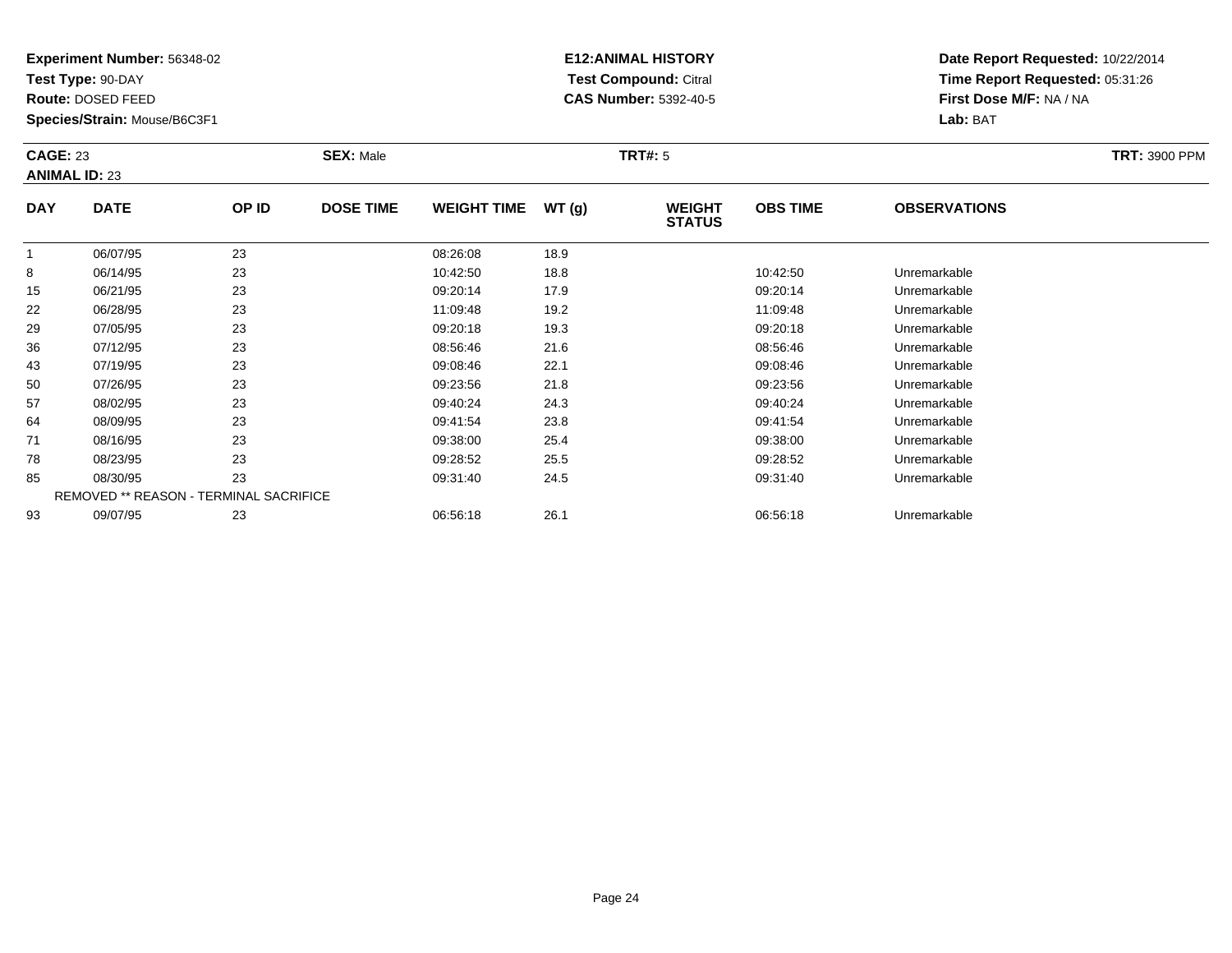**Test Type:** 90-DAY

**Route:** DOSED FEED

50

57

64

71

78

85

93

**Species/Strain:** Mouse/B6C3F1

REMOVED \*\* REASON - TERMINAL SACRIFICE

## **E12:ANIMAL HISTORY Test Compound:** Citral **CAS Number:** 5392-40-5

**Date Report Requested:** 10/22/2014**Time Report Requested:** 05:31:26**First Dose M/F:** NA / NA**Lab:** BAT

|            | <b>CAGE: 23</b><br><b>ANIMAL ID: 23</b> |       | <b>SEX: Male</b> |                    |       | TRT#: 5                        |                 |                     |  |  |  |
|------------|-----------------------------------------|-------|------------------|--------------------|-------|--------------------------------|-----------------|---------------------|--|--|--|
| <b>DAY</b> | <b>DATE</b>                             | OP ID | <b>DOSE TIME</b> | <b>WEIGHT TIME</b> | WT(g) | <b>WEIGHT</b><br><b>STATUS</b> | <b>OBS TIME</b> | <b>OBSERVATIONS</b> |  |  |  |
|            | 06/07/95                                | 23    |                  | 08:26:08           | 18.9  |                                |                 |                     |  |  |  |
| 8          | 06/14/95                                | 23    |                  | 10:42:50           | 18.8  |                                | 10:42:50        | Unremarkable        |  |  |  |
| 15         | 06/21/95                                | 23    |                  | 09:20:14           | 17.9  |                                | 09:20:14        | Unremarkable        |  |  |  |
| 22         | 06/28/95                                | 23    |                  | 11:09:48           | 19.2  |                                | 11:09:48        | Unremarkable        |  |  |  |
| 29         | 07/05/95                                | 23    |                  | 09:20:18           | 19.3  |                                | 09:20:18        | Unremarkable        |  |  |  |
| 36         | 07/12/95                                | 23    |                  | 08:56:46           | 21.6  |                                | 08:56:46        | Unremarkable        |  |  |  |
| 43         | 07/19/95                                | 23    |                  | 09:08:46           | 22.1  |                                | 09:08:46        | Unremarkable        |  |  |  |

0 07/26/95 23 23 09:23:56 21.8 09:23:56 0 09:23:56 Dhremarkable

08/02/95 <sup>23</sup> 09:40:24 24.3 09:40:24 Unremarkable

08/09/95 <sup>23</sup> 09:41:54 23.8 09:41:54 Unremarkable

08/16/95 <sup>23</sup> 09:38:00 25.4 09:38:00 Unremarkable

08/23/95 <sup>23</sup> 09:28:52 25.5 09:28:52 Unremarkable

08/30/95 <sup>23</sup> 09:31:40 24.5 09:31:40 Unremarkable

09/07/95 <sup>23</sup> 06:56:18 26.1 06:56:18 Unremarkable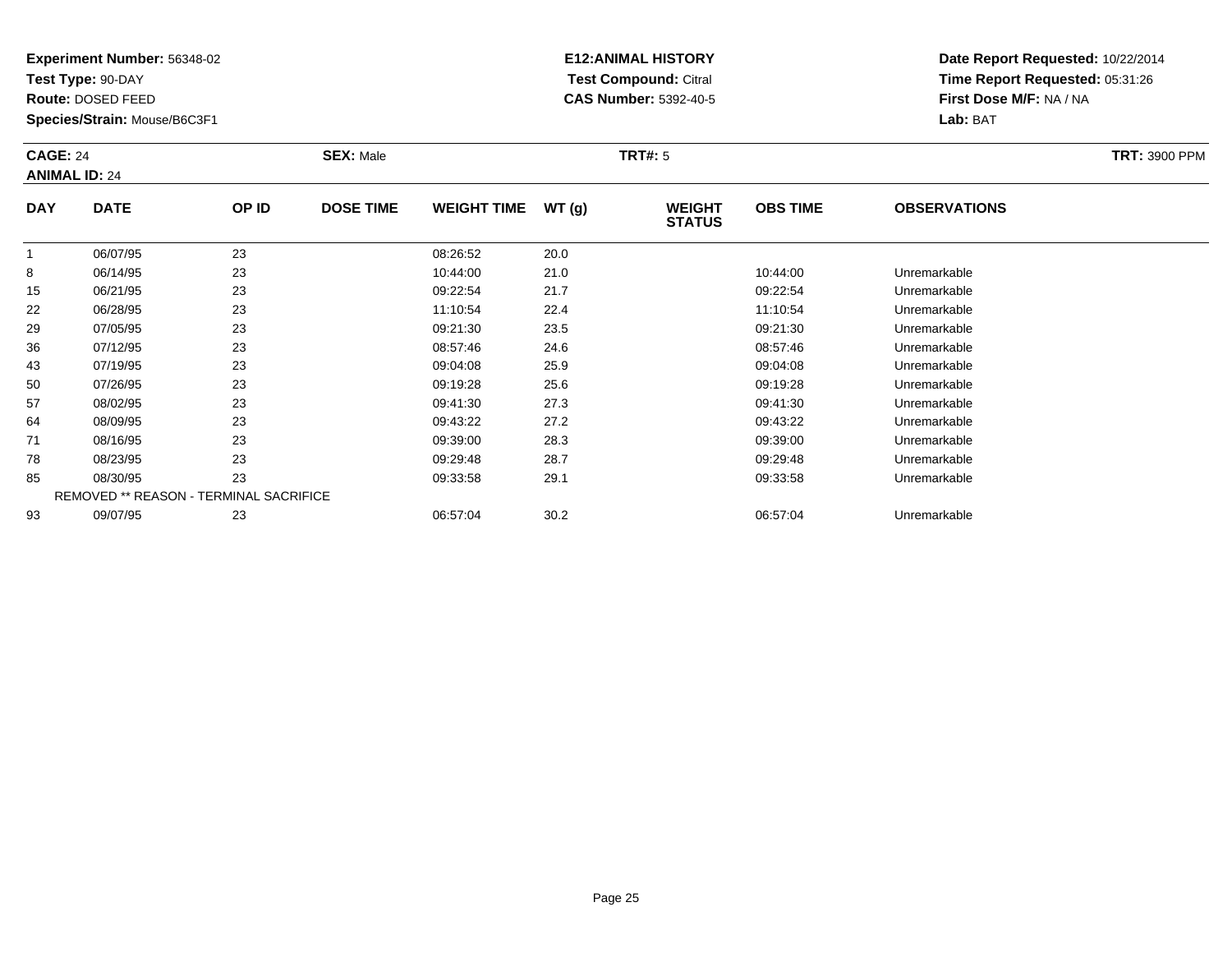**Test Type:** 90-DAY

**Route:** DOSED FEED

**Species/Strain:** Mouse/B6C3F1

# **E12:ANIMAL HISTORY Test Compound:** Citral **CAS Number:** 5392-40-5

| <b>CAGE: 24</b> | <b>ANIMAL ID: 24</b> |               | <b>SEX: Male</b> |                                    |                      | <b>TRT#: 5</b>                 | <b>TRT: 3900 PPM</b>               |                     |  |
|-----------------|----------------------|---------------|------------------|------------------------------------|----------------------|--------------------------------|------------------------------------|---------------------|--|
| <b>DAY</b>      | <b>DATE</b>          | OP ID         | <b>DOSE TIME</b> | <b>WEIGHT TIME</b>                 | WT(g)                | <b>WEIGHT</b><br><b>STATUS</b> | <b>OBS TIME</b>                    | <b>OBSERVATIONS</b> |  |
|                 | 06/07/95             | 23            |                  | 08:26:52                           | 20.0                 |                                |                                    |                     |  |
| 8               | 06/14/95             | 23            |                  | 10:44:00                           | 21.0                 |                                | 10:44:00                           | Unremarkable        |  |
| .               | $\frac{1}{2}$        | $\sim$ $\sim$ |                  | $\sim$ $\sim$ $\sim$ $\sim$ $\sim$ | $\sim$ $\sim$ $\sim$ |                                | $\sim$ $\sim$ $\sim$ $\sim$ $\sim$ |                     |  |

| 8  | 06/14/95 | 23                                            | 10:44:00 | 21.0 | 10:44:00 | Unremarkable |
|----|----------|-----------------------------------------------|----------|------|----------|--------------|
| 15 | 06/21/95 | 23                                            | 09:22:54 | 21.7 | 09:22:54 | Unremarkable |
| 22 | 06/28/95 | 23                                            | 11:10:54 | 22.4 | 11:10:54 | Unremarkable |
| 29 | 07/05/95 | 23                                            | 09:21:30 | 23.5 | 09:21:30 | Unremarkable |
| 36 | 07/12/95 | 23                                            | 08:57:46 | 24.6 | 08:57:46 | Unremarkable |
| 43 | 07/19/95 | 23                                            | 09:04:08 | 25.9 | 09:04:08 | Unremarkable |
| 50 | 07/26/95 | 23                                            | 09:19:28 | 25.6 | 09:19:28 | Unremarkable |
| 57 | 08/02/95 | 23                                            | 09:41:30 | 27.3 | 09:41:30 | Unremarkable |
| 64 | 08/09/95 | 23                                            | 09:43:22 | 27.2 | 09:43:22 | Unremarkable |
| 71 | 08/16/95 | 23                                            | 09:39:00 | 28.3 | 09:39:00 | Unremarkable |
| 78 | 08/23/95 | 23                                            | 09:29:48 | 28.7 | 09:29:48 | Unremarkable |
| 85 | 08/30/95 | 23                                            | 09:33:58 | 29.1 | 09:33:58 | Unremarkable |
|    |          | <b>REMOVED ** REASON - TERMINAL SACRIFICE</b> |          |      |          |              |
| 93 | 09/07/95 | 23                                            | 06:57:04 | 30.2 | 06:57:04 | Unremarkable |
|    |          |                                               |          |      |          |              |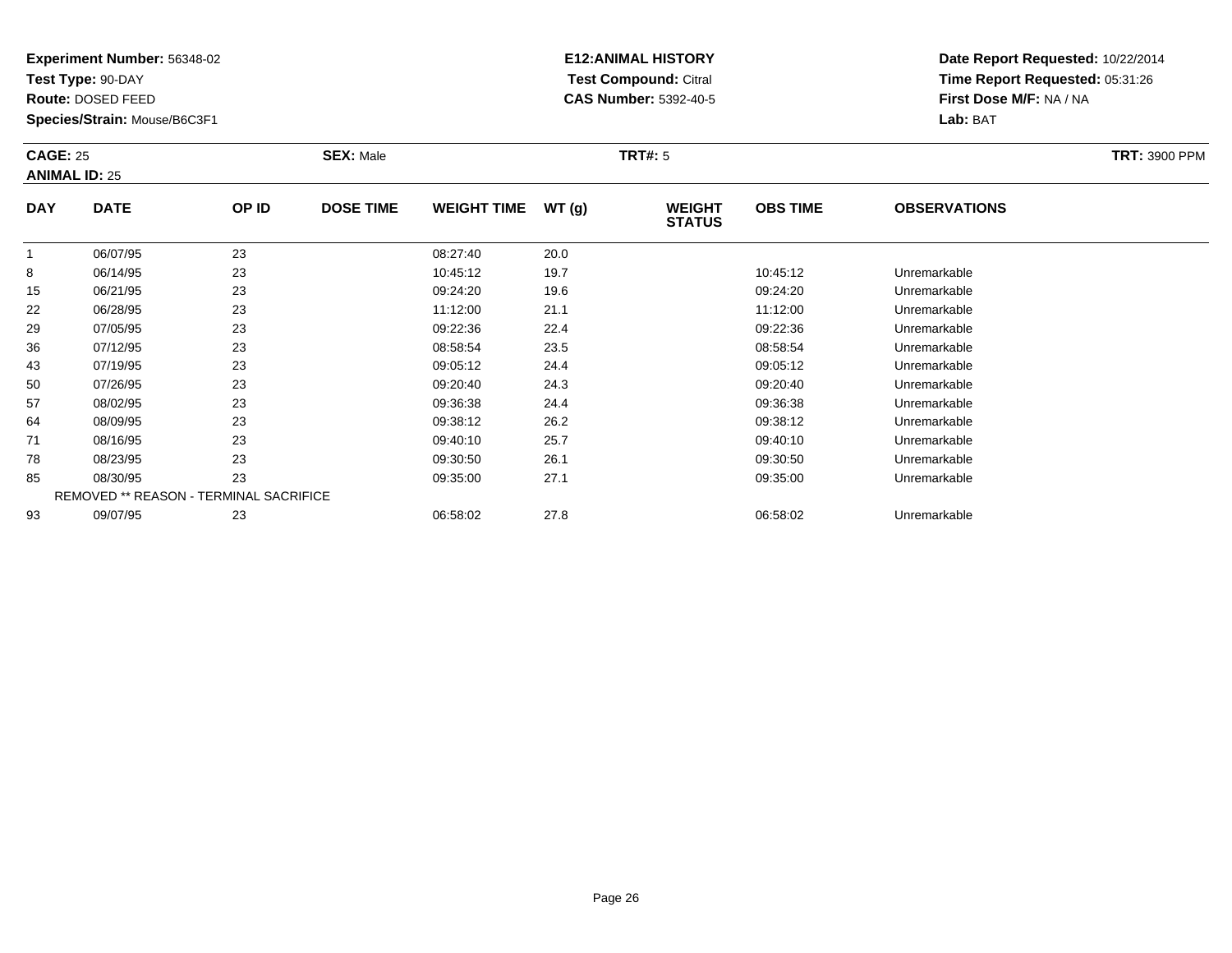**Test Type:** 90-DAY

**Route:** DOSED FEED

**Species/Strain:** Mouse/B6C3F1

# **E12:ANIMAL HISTORY Test Compound:** Citral **CAS Number:** 5392-40-5

| <b>SEX: Male</b><br><b>CAGE: 25</b><br><b>ANIMAL ID: 25</b> |             |       |                  | TRT#: 5            |       |                                |                 |                      |  |  |
|-------------------------------------------------------------|-------------|-------|------------------|--------------------|-------|--------------------------------|-----------------|----------------------|--|--|
| <b>DAY</b>                                                  | <b>DATE</b> | OP ID | <b>DOSE TIME</b> | <b>WEIGHT TIME</b> | WT(g) | <b>WEIGHT</b><br><b>STATUS</b> | <b>OBS TIME</b> | <b>OBSERVATIONS</b>  |  |  |
|                                                             | 06/07/95    | 23    |                  | 08:27:40           | 20.0  |                                |                 |                      |  |  |
| 8                                                           | 06/14/95    | 23    |                  | 10:45:12           | 19.7  |                                | 10:45:12        | Unremarkable         |  |  |
| 15                                                          | 06/21/95    | 23    |                  | 09:24:20           | 19.6  |                                | 09:24:20        | Unremarkable         |  |  |
| 22                                                          | 06/28/95    | 23    |                  | 11:12:00           | 21.1  |                                | 11:12:00        | Unremarkable         |  |  |
| 29                                                          | 07/05/95    | 23    |                  | 09:22:36           | 22.4  |                                | 09:22:36        | Unremarkable         |  |  |
| - 36                                                        | 07/12/95    | つつ    |                  | 08.58.54           | つつち   |                                | 08.58.54        | <b>Linremarkahle</b> |  |  |

| IJ | <b>QDIZ 1/92</b> | د∠                                            | 09.Z4.ZU | 19.O | <b>UY.24.20</b> | Uniemarkable |  |
|----|------------------|-----------------------------------------------|----------|------|-----------------|--------------|--|
| 22 | 06/28/95         | 23                                            | 11:12:00 | 21.1 | 11:12:00        | Unremarkable |  |
| 29 | 07/05/95         | 23                                            | 09:22:36 | 22.4 | 09:22:36        | Unremarkable |  |
| 36 | 07/12/95         | 23                                            | 08:58:54 | 23.5 | 08:58:54        | Unremarkable |  |
| 43 | 07/19/95         | 23                                            | 09:05:12 | 24.4 | 09:05:12        | Unremarkable |  |
| 50 | 07/26/95         | 23                                            | 09:20:40 | 24.3 | 09:20:40        | Unremarkable |  |
| 57 | 08/02/95         | 23                                            | 09:36:38 | 24.4 | 09:36:38        | Unremarkable |  |
| 64 | 08/09/95         | 23                                            | 09:38:12 | 26.2 | 09:38:12        | Unremarkable |  |
| 71 | 08/16/95         | 23                                            | 09:40:10 | 25.7 | 09:40:10        | Unremarkable |  |
| 78 | 08/23/95         | 23                                            | 09:30:50 | 26.1 | 09:30:50        | Unremarkable |  |
| 85 | 08/30/95         | 23                                            | 09:35:00 | 27.1 | 09:35:00        | Unremarkable |  |
|    |                  | <b>REMOVED ** REASON - TERMINAL SACRIFICE</b> |          |      |                 |              |  |
| 93 | 09/07/95         | 23                                            | 06:58:02 | 27.8 | 06:58:02        | Unremarkable |  |
|    |                  |                                               |          |      |                 |              |  |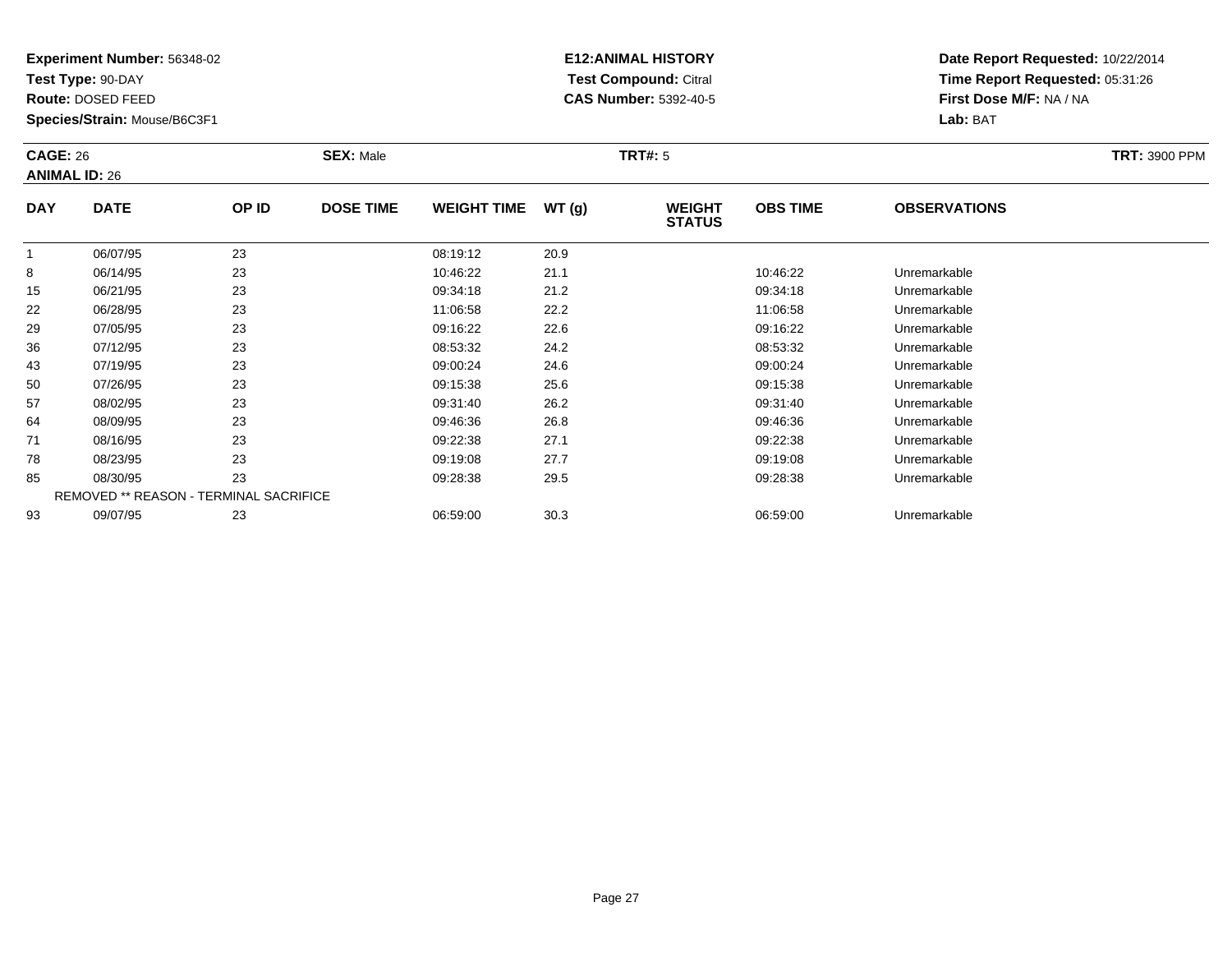**Test Type:** 90-DAY

**Route:** DOSED FEED

78

85

93

**Species/Strain:** Mouse/B6C3F1

REMOVED \*\* REASON - TERMINAL SACRIFICE

## **E12:ANIMAL HISTORY Test Compound:** Citral **CAS Number:** 5392-40-5

**Date Report Requested:** 10/22/2014**Time Report Requested:** 05:31:26**First Dose M/F:** NA / NA**Lab:** BAT

| <b>CAGE: 26</b><br><b>ANIMAL ID: 26</b> |             |       | <b>SEX: Male</b> |                    |       | <b>TRT#: 5</b>                 |                 |                     |  |  |  |
|-----------------------------------------|-------------|-------|------------------|--------------------|-------|--------------------------------|-----------------|---------------------|--|--|--|
| <b>DAY</b>                              | <b>DATE</b> | OP ID | <b>DOSE TIME</b> | <b>WEIGHT TIME</b> | WT(g) | <b>WEIGHT</b><br><b>STATUS</b> | <b>OBS TIME</b> | <b>OBSERVATIONS</b> |  |  |  |
|                                         | 06/07/95    | 23    |                  | 08:19:12           | 20.9  |                                |                 |                     |  |  |  |
| 8                                       | 06/14/95    | 23    |                  | 10:46:22           | 21.1  |                                | 10:46:22        | Unremarkable        |  |  |  |
| 15                                      | 06/21/95    | 23    |                  | 09:34:18           | 21.2  |                                | 09:34:18        | Unremarkable        |  |  |  |
| 22                                      | 06/28/95    | 23    |                  | 11:06:58           | 22.2  |                                | 11:06:58        | Unremarkable        |  |  |  |
| 29                                      | 07/05/95    | 23    |                  | 09:16:22           | 22.6  |                                | 09:16:22        | Unremarkable        |  |  |  |
| 36                                      | 07/12/95    | 23    |                  | 08:53:32           | 24.2  |                                | 08:53:32        | Unremarkable        |  |  |  |
| 43                                      | 07/19/95    | 23    |                  | 09:00:24           | 24.6  |                                | 09:00:24        | Unremarkable        |  |  |  |
| 50                                      | 07/26/95    | 23    |                  | 09:15:38           | 25.6  |                                | 09:15:38        | Unremarkable        |  |  |  |
| 57                                      | 08/02/95    | 23    |                  | 09:31:40           | 26.2  |                                | 09:31:40        | Unremarkable        |  |  |  |
| 64                                      | 08/09/95    | 23    |                  | 09:46:36           | 26.8  |                                | 09:46:36        | Unremarkable        |  |  |  |
| 71                                      | 08/16/95    | 23    |                  | 09:22:38           | 27.1  |                                | 09:22:38        | Unremarkable        |  |  |  |

8 08/23/95 23 23 09:19:08 27.7 09:19:08 09:19:08 DN 09:19:08 Unremarkable

08/30/95 <sup>23</sup> 09:28:38 29.5 09:28:38 Unremarkable

09/07/95 <sup>23</sup> 06:59:00 30.3 06:59:00 Unremarkable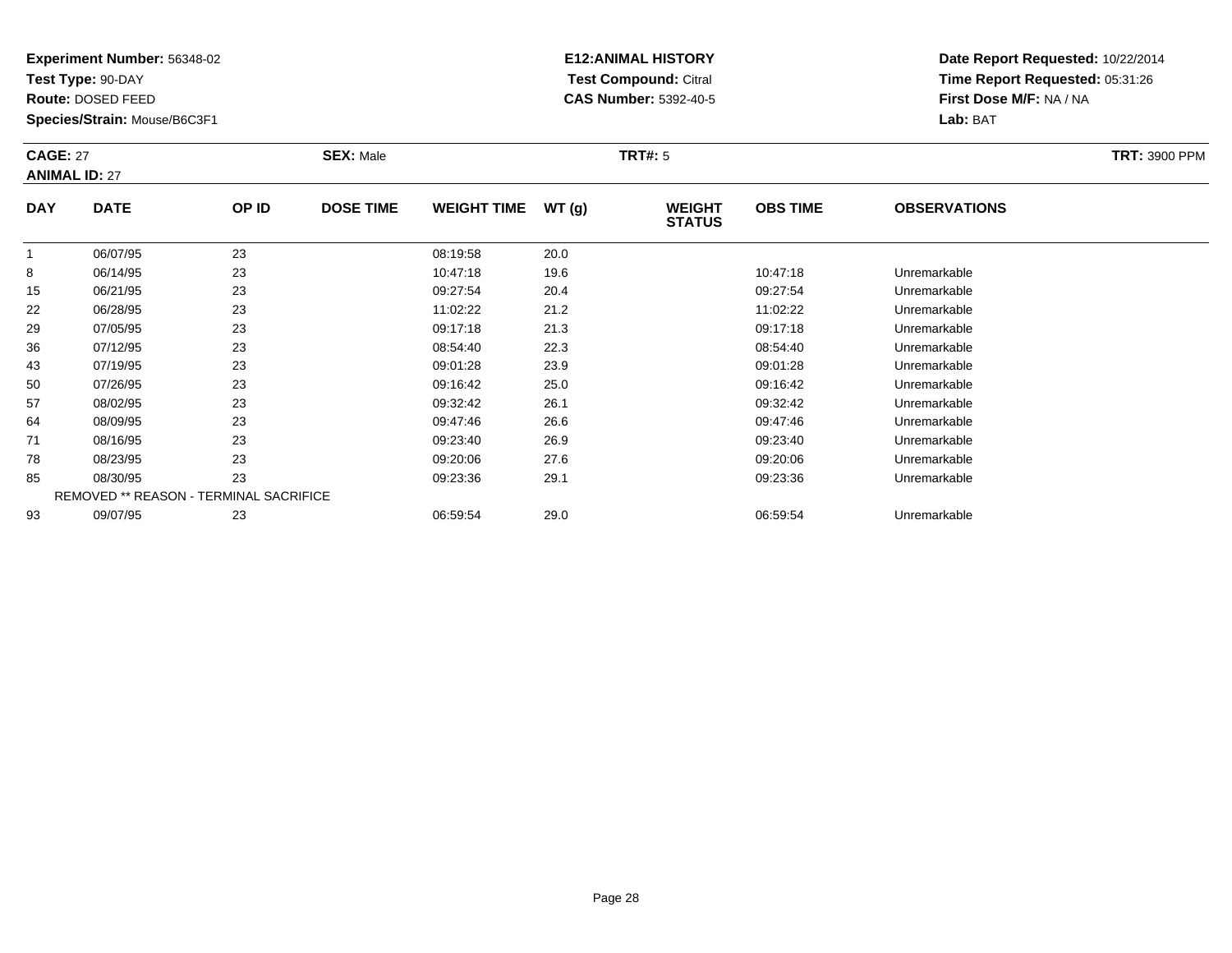**Test Type:** 90-DAY

**Route:** DOSED FEED

**Species/Strain:** Mouse/B6C3F1

# **E12:ANIMAL HISTORY Test Compound:** Citral **CAS Number:** 5392-40-5

| <b>CAGE: 27</b><br><b>SEX: Male</b><br><b>ANIMAL ID: 27</b> |             |       |                  |                    |        | <b>TRT#: 5</b>                 |                 |                     | <b>TRT: 3900 PPM</b> |
|-------------------------------------------------------------|-------------|-------|------------------|--------------------|--------|--------------------------------|-----------------|---------------------|----------------------|
| <b>DAY</b>                                                  | <b>DATE</b> | OP ID | <b>DOSE TIME</b> | <b>WEIGHT TIME</b> | WT (q) | <b>WEIGHT</b><br><b>STATUS</b> | <b>OBS TIME</b> | <b>OBSERVATIONS</b> |                      |
|                                                             | 06/07/95    | 23    |                  | 08:19:58           | 20.0   |                                |                 |                     |                      |
| 8                                                           | 06/14/95    | 23    |                  | 10:47:18           | 19.6   |                                | 10:47:18        | Unremarkable        |                      |

|    | 06/07/95 | 23                                            | 08:19:58 | 20.0 |          |              |  |
|----|----------|-----------------------------------------------|----------|------|----------|--------------|--|
| 8  | 06/14/95 | 23                                            | 10:47:18 | 19.6 | 10:47:18 | Unremarkable |  |
| 15 | 06/21/95 | 23                                            | 09:27:54 | 20.4 | 09:27:54 | Unremarkable |  |
| 22 | 06/28/95 | 23                                            | 11:02:22 | 21.2 | 11:02:22 | Unremarkable |  |
| 29 | 07/05/95 | 23                                            | 09:17:18 | 21.3 | 09:17:18 | Unremarkable |  |
| 36 | 07/12/95 | 23                                            | 08:54:40 | 22.3 | 08:54:40 | Unremarkable |  |
| 43 | 07/19/95 | 23                                            | 09:01:28 | 23.9 | 09:01:28 | Unremarkable |  |
| 50 | 07/26/95 | 23                                            | 09:16:42 | 25.0 | 09:16:42 | Unremarkable |  |
| 57 | 08/02/95 | 23                                            | 09:32:42 | 26.1 | 09:32:42 | Unremarkable |  |
| 64 | 08/09/95 | 23                                            | 09:47:46 | 26.6 | 09:47:46 | Unremarkable |  |
| 71 | 08/16/95 | 23                                            | 09:23:40 | 26.9 | 09:23:40 | Unremarkable |  |
| 78 | 08/23/95 | 23                                            | 09:20:06 | 27.6 | 09:20:06 | Unremarkable |  |
| 85 | 08/30/95 | 23                                            | 09:23:36 | 29.1 | 09:23:36 | Unremarkable |  |
|    |          | <b>REMOVED ** REASON - TERMINAL SACRIFICE</b> |          |      |          |              |  |
| 93 | 09/07/95 | 23                                            | 06:59:54 | 29.0 | 06:59:54 | Unremarkable |  |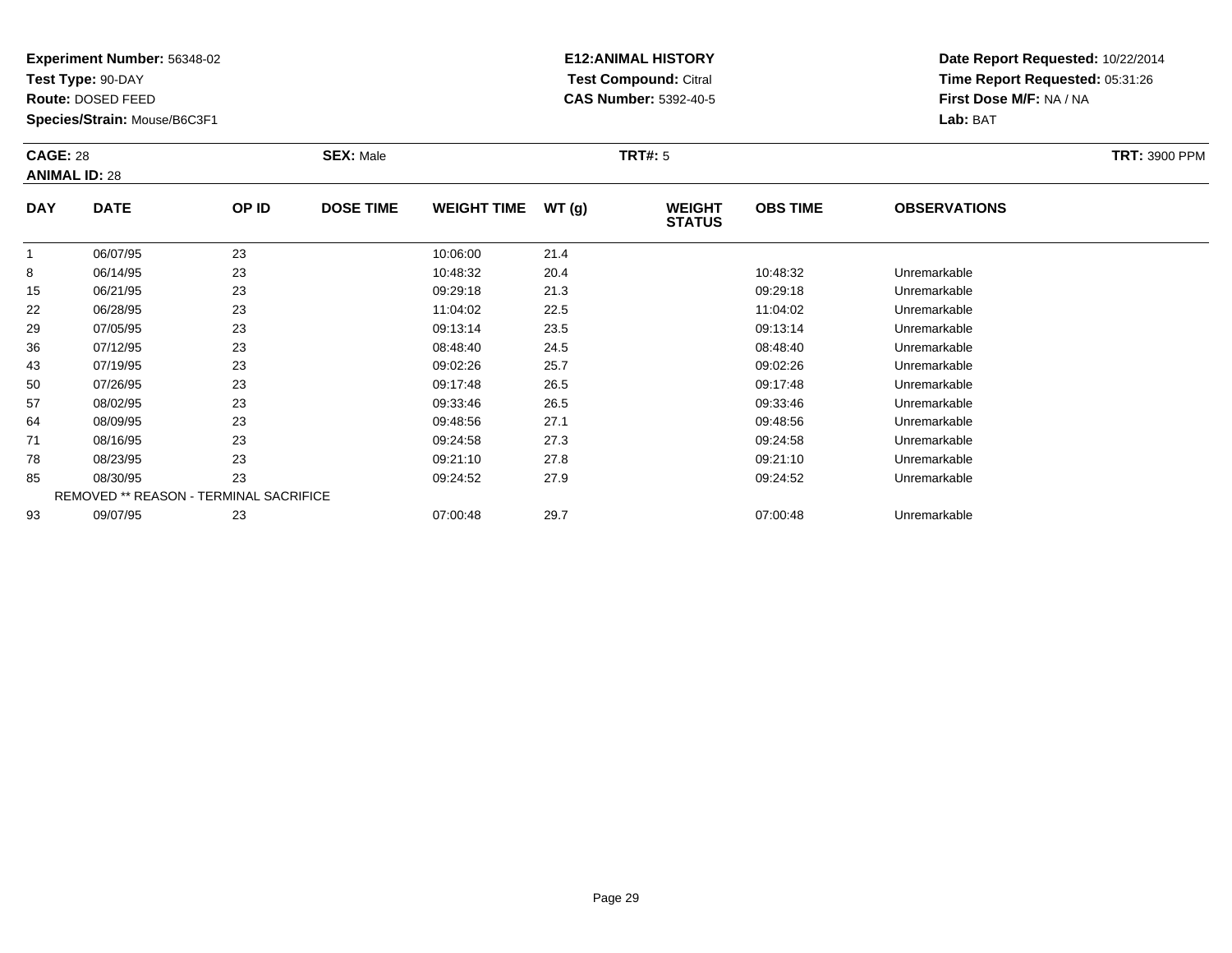**Test Type:** 90-DAY

**Route:** DOSED FEED

64

71

78

85

93

**Species/Strain:** Mouse/B6C3F1

REMOVED \*\* REASON - TERMINAL SACRIFICE

## **E12:ANIMAL HISTORY Test Compound:** Citral **CAS Number:** 5392-40-5

**Date Report Requested:** 10/22/2014**Time Report Requested:** 05:31:26**First Dose M/F:** NA / NA**Lab:** BAT

| <b>CAGE: 28</b><br><b>ANIMAL ID: 28</b> |             | <b>SEX: Male</b> |                  |                    | <b>TRT#:</b> 5 | <b>TRT: 3900 PPM</b>           |                 |                     |  |
|-----------------------------------------|-------------|------------------|------------------|--------------------|----------------|--------------------------------|-----------------|---------------------|--|
| <b>DAY</b>                              | <b>DATE</b> | OP ID            | <b>DOSE TIME</b> | <b>WEIGHT TIME</b> | WT(g)          | <b>WEIGHT</b><br><b>STATUS</b> | <b>OBS TIME</b> | <b>OBSERVATIONS</b> |  |
|                                         | 06/07/95    | 23               |                  | 10:06:00           | 21.4           |                                |                 |                     |  |
| 8                                       | 06/14/95    | 23               |                  | 10:48:32           | 20.4           |                                | 10:48:32        | Unremarkable        |  |
| 15                                      | 06/21/95    | 23               |                  | 09:29:18           | 21.3           |                                | 09:29:18        | Unremarkable        |  |
| 22                                      | 06/28/95    | 23               |                  | 11:04:02           | 22.5           |                                | 11:04:02        | Unremarkable        |  |
| 29                                      | 07/05/95    | 23               |                  | 09:13:14           | 23.5           |                                | 09:13:14        | Unremarkable        |  |
| 36                                      | 07/12/95    | 23               |                  | 08:48:40           | 24.5           |                                | 08:48:40        | Unremarkable        |  |
| 43                                      | 07/19/95    | 23               |                  | 09:02:26           | 25.7           |                                | 09:02:26        | Unremarkable        |  |
| 50                                      | 07/26/95    | 23               |                  | 09:17:48           | 26.5           |                                | 09:17:48        | Unremarkable        |  |
| 57                                      | 08/02/95    | 23               |                  | 09:33:46           | 26.5           |                                | 09:33:46        | Unremarkable        |  |

08/09/95 <sup>23</sup> 09:48:56 27.1 09:48:56 Unremarkable

08/16/95 <sup>23</sup> 09:24:58 27.3 09:24:58 Unremarkable

08/23/95 <sup>23</sup> 09:21:10 27.8 09:21:10 Unremarkable

08/30/95 <sup>23</sup> 09:24:52 27.9 09:24:52 Unremarkable

09/07/95 <sup>23</sup> 07:00:48 29.7 07:00:48 Unremarkable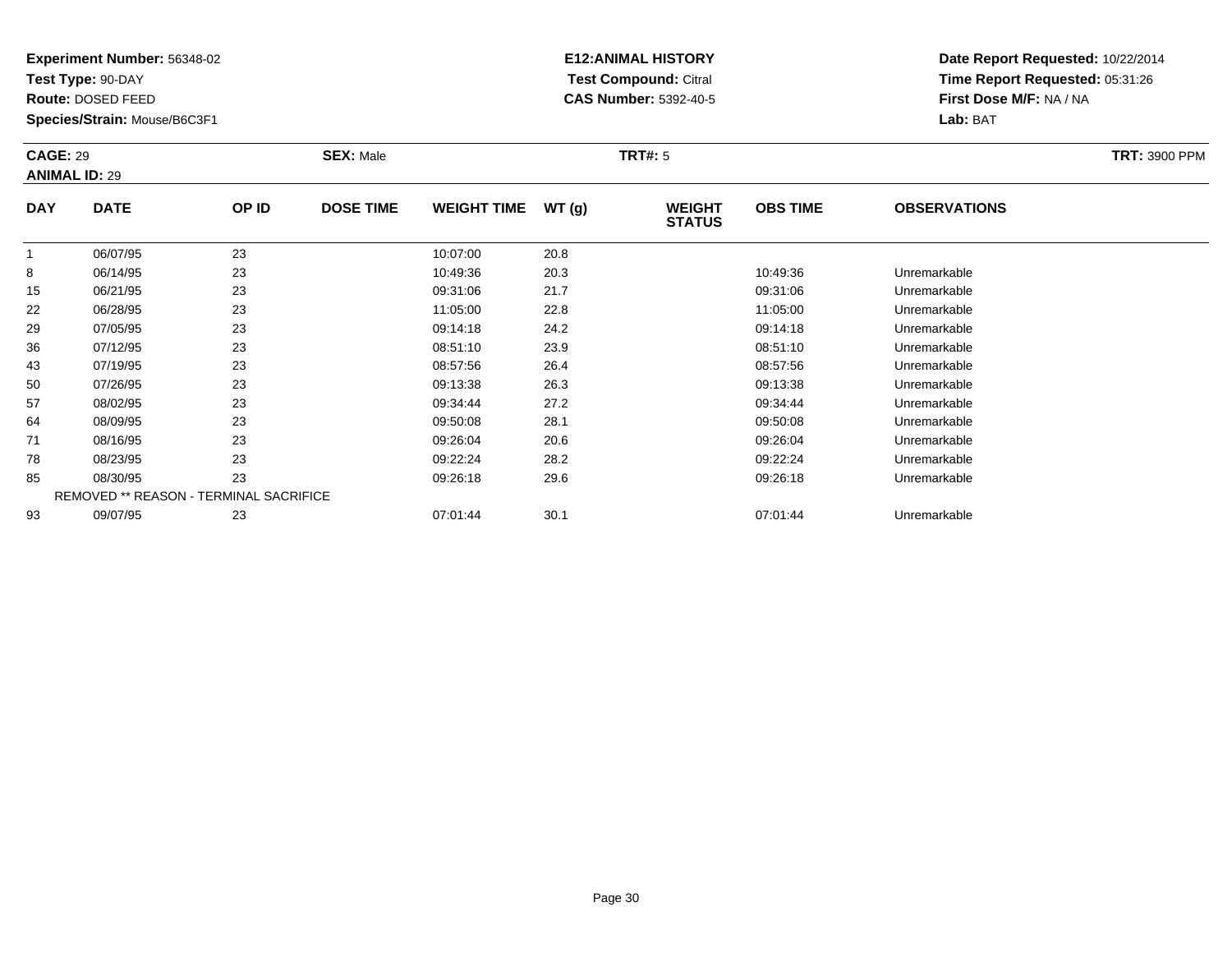**Test Type:** 90-DAY

**Route:** DOSED FEED

71

78

85

93

**Species/Strain:** Mouse/B6C3F1

REMOVED \*\* REASON - TERMINAL SACRIFICE

## **E12:ANIMAL HISTORY Test Compound:** Citral **CAS Number:** 5392-40-5

**Date Report Requested:** 10/22/2014**Time Report Requested:** 05:31:26**First Dose M/F:** NA / NA**Lab:** BAT

| <b>CAGE: 29</b><br><b>ANIMAL ID: 29</b> |             | <b>SEX: Male</b><br><b>TRT#: 5</b> |                  |                    |       |                                |                 | <b>TRT: 3900 PPM</b> |  |
|-----------------------------------------|-------------|------------------------------------|------------------|--------------------|-------|--------------------------------|-----------------|----------------------|--|
| <b>DAY</b>                              | <b>DATE</b> | OP ID                              | <b>DOSE TIME</b> | <b>WEIGHT TIME</b> | WT(g) | <b>WEIGHT</b><br><b>STATUS</b> | <b>OBS TIME</b> | <b>OBSERVATIONS</b>  |  |
|                                         | 06/07/95    | 23                                 |                  | 10:07:00           | 20.8  |                                |                 |                      |  |
| 8                                       | 06/14/95    | 23                                 |                  | 10:49:36           | 20.3  |                                | 10:49:36        | Unremarkable         |  |
| 15                                      | 06/21/95    | 23                                 |                  | 09:31:06           | 21.7  |                                | 09:31:06        | Unremarkable         |  |
| 22                                      | 06/28/95    | 23                                 |                  | 11:05:00           | 22.8  |                                | 11:05:00        | Unremarkable         |  |
| 29                                      | 07/05/95    | 23                                 |                  | 09:14:18           | 24.2  |                                | 09:14:18        | Unremarkable         |  |
| 36                                      | 07/12/95    | 23                                 |                  | 08:51:10           | 23.9  |                                | 08:51:10        | Unremarkable         |  |
| 43                                      | 07/19/95    | 23                                 |                  | 08:57:56           | 26.4  |                                | 08:57:56        | Unremarkable         |  |
| 50                                      | 07/26/95    | 23                                 |                  | 09:13:38           | 26.3  |                                | 09:13:38        | Unremarkable         |  |
| 57                                      | 08/02/95    | 23                                 |                  | 09:34:44           | 27.2  |                                | 09:34:44        | Unremarkable         |  |
| 64                                      | 08/09/95    | 23                                 |                  | 09:50:08           | 28.1  |                                | 09:50:08        | Unremarkable         |  |

08/16/95 <sup>23</sup> 09:26:04 20.6 09:26:04 Unremarkable

08/23/95 <sup>23</sup> 09:22:24 28.2 09:22:24 Unremarkable

08/30/95 <sup>23</sup> 09:26:18 29.6 09:26:18 Unremarkable

09/07/95 <sup>23</sup> 07:01:44 30.1 07:01:44 Unremarkable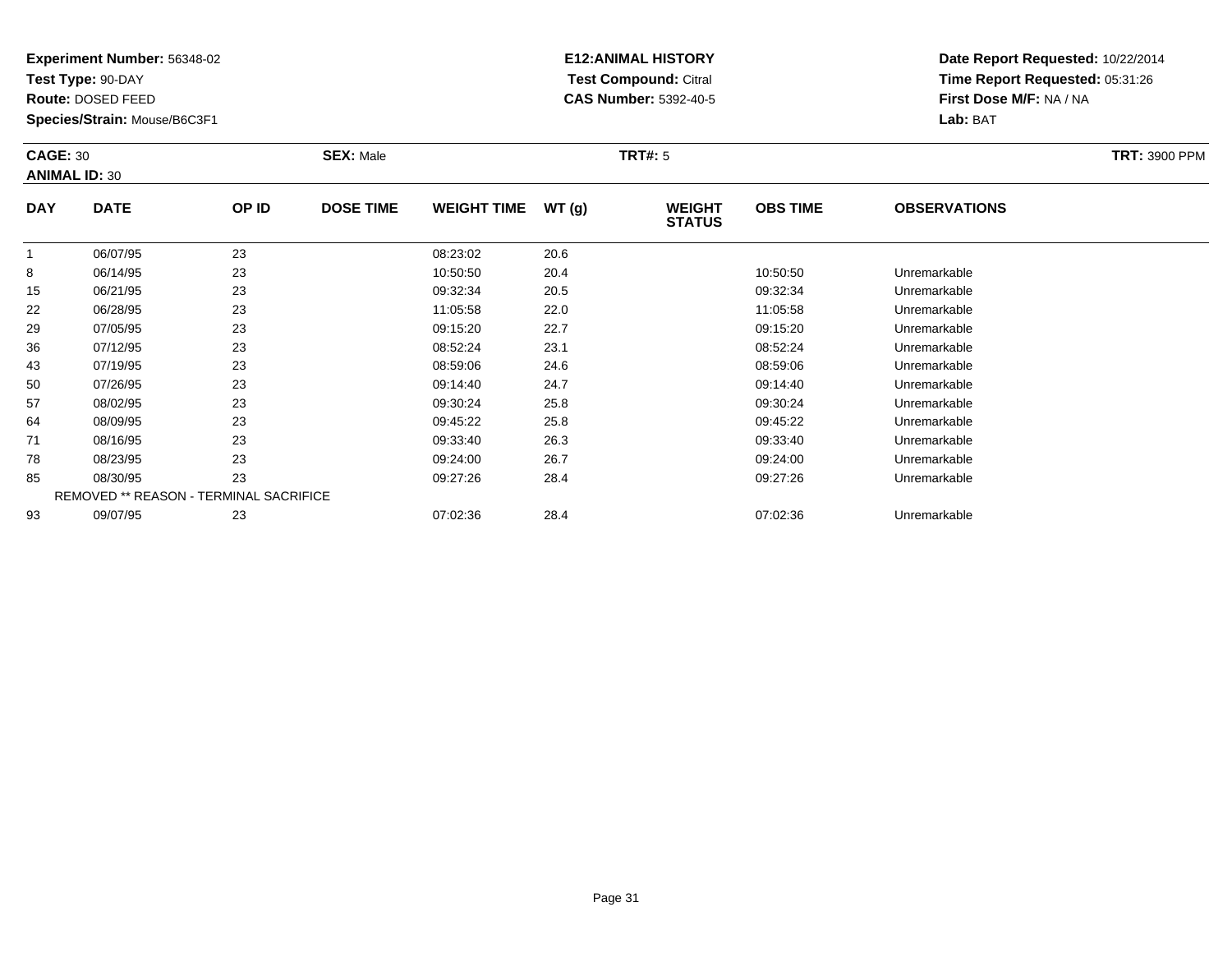**Test Type:** 90-DAY

**Route:** DOSED FEED

**Species/Strain:** Mouse/B6C3F1

# **E12:ANIMAL HISTORY Test Compound:** Citral **CAS Number:** 5392-40-5

| <b>CAGE: 30</b><br><b>ANIMAL ID: 30</b> |             |       | <b>SEX: Male</b> |                    |       | TRT#: 5                        | <b>TRT: 3900 PPM</b> |                     |  |
|-----------------------------------------|-------------|-------|------------------|--------------------|-------|--------------------------------|----------------------|---------------------|--|
| <b>DAY</b>                              | <b>DATE</b> | OP ID | <b>DOSE TIME</b> | <b>WEIGHT TIME</b> | WT(g) | <b>WEIGHT</b><br><b>STATUS</b> | <b>OBS TIME</b>      | <b>OBSERVATIONS</b> |  |
|                                         | 06/07/95    | 23    |                  | 08:23:02           | 20.6  |                                |                      |                     |  |
| 8                                       | 06/14/95    | 23    |                  | 10:50:50           | 20.4  |                                | 10:50:50             | Unremarkable        |  |
| 15                                      | 06/21/95    | 23    |                  | 09:32:34           | 20.5  |                                | 09:32:34             | Unremarkable        |  |
| 22                                      | 06/28/95    | 23    |                  | 11:05:58           | 22.0  |                                | 11:05:58             | Unremarkable        |  |
| 29                                      | 07/05/95    | 23    |                  | 09:15:20           | 22.7  |                                | 09:15:20             | Unremarkable        |  |

| 29 | 07/05/95 | 23                                            | 09:15:20 | 22.7 | 09:15:20 | Unremarkable |  |
|----|----------|-----------------------------------------------|----------|------|----------|--------------|--|
| 36 | 07/12/95 | 23                                            | 08:52:24 | 23.1 | 08:52:24 | Unremarkable |  |
| 43 | 07/19/95 | 23                                            | 08:59:06 | 24.6 | 08:59:06 | Unremarkable |  |
| 50 | 07/26/95 | 23                                            | 09:14:40 | 24.7 | 09:14:40 | Unremarkable |  |
| 57 | 08/02/95 | 23                                            | 09:30:24 | 25.8 | 09:30:24 | Unremarkable |  |
| 64 | 08/09/95 | 23                                            | 09:45:22 | 25.8 | 09:45:22 | Unremarkable |  |
| 71 | 08/16/95 | 23                                            | 09:33:40 | 26.3 | 09:33:40 | Unremarkable |  |
| 78 | 08/23/95 | 23                                            | 09:24:00 | 26.7 | 09:24:00 | Unremarkable |  |
| 85 | 08/30/95 | 23                                            | 09:27:26 | 28.4 | 09:27:26 | Unremarkable |  |
|    |          | <b>REMOVED ** REASON - TERMINAL SACRIFICE</b> |          |      |          |              |  |
| 93 | 09/07/95 | 23                                            | 07:02:36 | 28.4 | 07:02:36 | Unremarkable |  |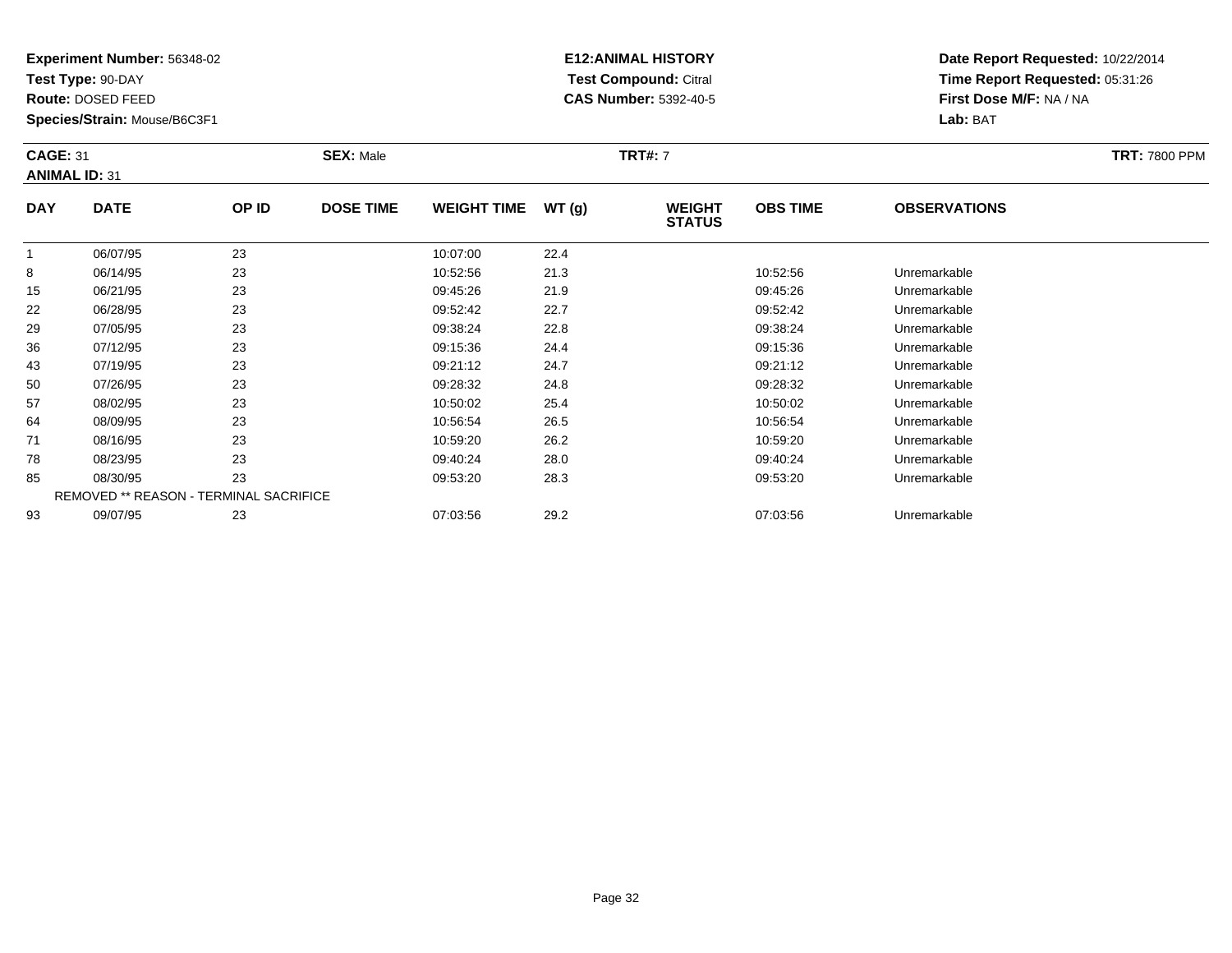**Test Type:** 90-DAY

**Route:** DOSED FEED

**Species/Strain:** Mouse/B6C3F1

# **E12:ANIMAL HISTORY Test Compound:** Citral **CAS Number:** 5392-40-5

| <b>CAGE: 31</b><br><b>ANIMAL ID: 31</b> |             |       | <b>SEX: Male</b> | <b>TRT#: 7</b>     |        |                                |                 |                     |  |  |
|-----------------------------------------|-------------|-------|------------------|--------------------|--------|--------------------------------|-----------------|---------------------|--|--|
| <b>DAY</b>                              | <b>DATE</b> | OP ID | <b>DOSE TIME</b> | <b>WEIGHT TIME</b> | WT (q) | <b>WEIGHT</b><br><b>STATUS</b> | <b>OBS TIME</b> | <b>OBSERVATIONS</b> |  |  |
|                                         | 06/07/95    | 23    |                  | 10:07:00           | 22.4   |                                |                 |                     |  |  |
| 8                                       | 06/14/95    | 23    |                  | 10:52:56           | 21.3   |                                | 10:52:56        | Unremarkable        |  |  |
| 15                                      | 06/21/05    | วว    |                  | 00.15.26           | 210    |                                | 00.45.26        | Linramarkahla       |  |  |

| o  | UO/ 14/93 | دے                                            | 10.32.30 | د. ا ∠ | 10.32.30 | UITEITIAINADIE |  |
|----|-----------|-----------------------------------------------|----------|--------|----------|----------------|--|
| 15 | 06/21/95  | 23                                            | 09:45:26 | 21.9   | 09:45:26 | Unremarkable   |  |
| 22 | 06/28/95  | 23                                            | 09:52:42 | 22.7   | 09:52:42 | Unremarkable   |  |
| 29 | 07/05/95  | 23                                            | 09:38:24 | 22.8   | 09:38:24 | Unremarkable   |  |
| 36 | 07/12/95  | 23                                            | 09:15:36 | 24.4   | 09:15:36 | Unremarkable   |  |
| 43 | 07/19/95  | 23                                            | 09:21:12 | 24.7   | 09:21:12 | Unremarkable   |  |
| 50 | 07/26/95  | 23                                            | 09:28:32 | 24.8   | 09:28:32 | Unremarkable   |  |
| 57 | 08/02/95  | 23                                            | 10:50:02 | 25.4   | 10:50:02 | Unremarkable   |  |
| 64 | 08/09/95  | 23                                            | 10:56:54 | 26.5   | 10:56:54 | Unremarkable   |  |
| 71 | 08/16/95  | 23                                            | 10:59:20 | 26.2   | 10:59:20 | Unremarkable   |  |
| 78 | 08/23/95  | 23                                            | 09:40:24 | 28.0   | 09:40:24 | Unremarkable   |  |
| 85 | 08/30/95  | 23                                            | 09:53:20 | 28.3   | 09:53:20 | Unremarkable   |  |
|    |           | <b>REMOVED ** REASON - TERMINAL SACRIFICE</b> |          |        |          |                |  |
| 93 | 09/07/95  | 23                                            | 07:03:56 | 29.2   | 07:03:56 | Unremarkable   |  |
|    |           |                                               |          |        |          |                |  |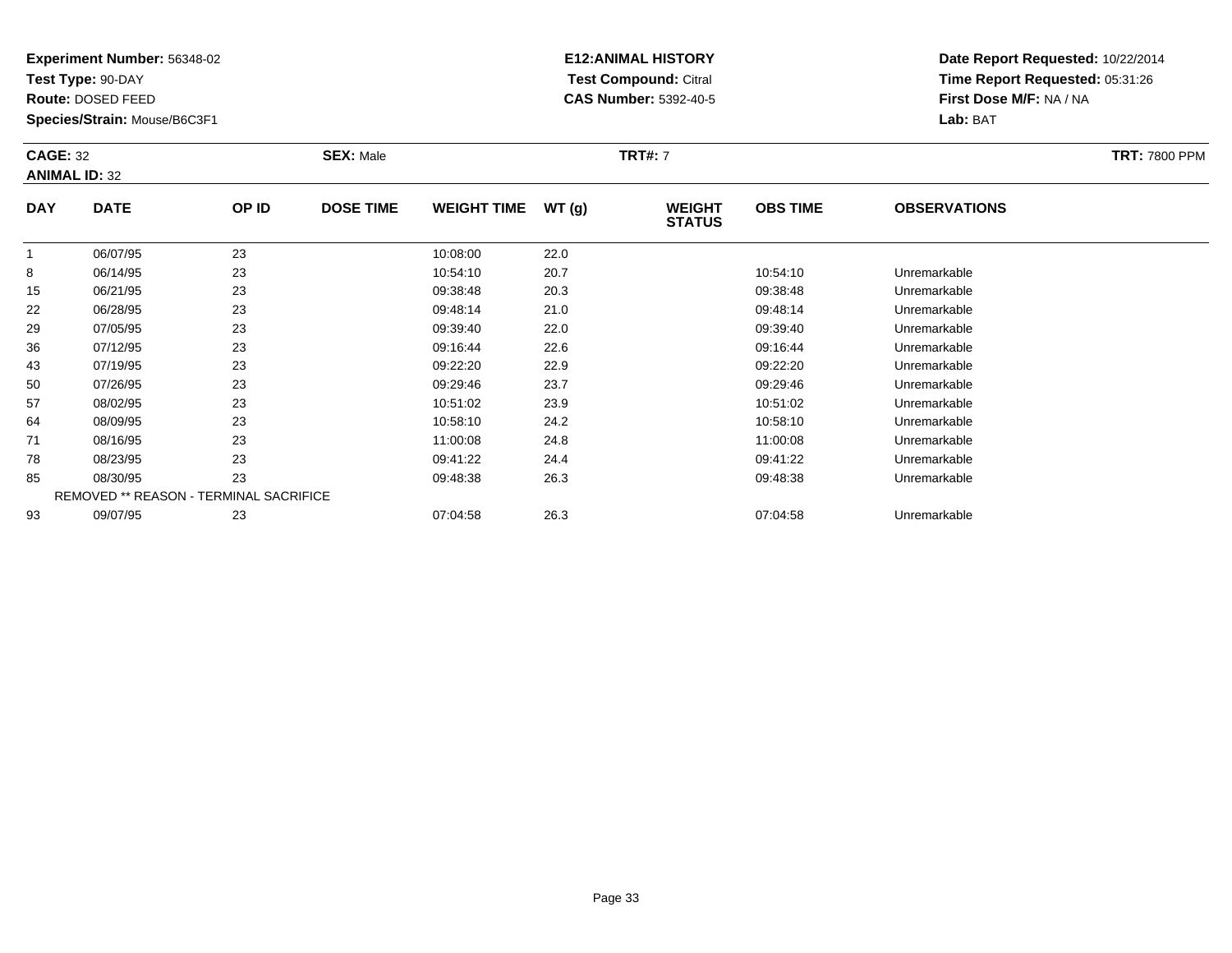**Test Type:** 90-DAY

**Route:** DOSED FEED

**Species/Strain:** Mouse/B6C3F1

# **E12:ANIMAL HISTORY Test Compound:** Citral **CAS Number:** 5392-40-5

| <b>CAGE: 32</b><br><b>SEX: Male</b><br><b>ANIMAL ID: 32</b> |             |       |                  |                    | <b>TRT#: 7</b> |                                | <b>TRT: 7800 PPM</b> |                     |  |
|-------------------------------------------------------------|-------------|-------|------------------|--------------------|----------------|--------------------------------|----------------------|---------------------|--|
| <b>DAY</b>                                                  | <b>DATE</b> | OP ID | <b>DOSE TIME</b> | <b>WEIGHT TIME</b> | WT(q)          | <b>WEIGHT</b><br><b>STATUS</b> | <b>OBS TIME</b>      | <b>OBSERVATIONS</b> |  |
|                                                             | 06/07/95    | 23    |                  | 10:08:00           | 22.0           |                                |                      |                     |  |
|                                                             | 06/14/95    | つつ    |                  | 10.54.10           | 207            |                                | 10.54.10             | l Inramarkahla      |  |

|    | <b>UD/U7/95</b> | 23                                            | 10:08:00 | 22.0 |          |              |  |
|----|-----------------|-----------------------------------------------|----------|------|----------|--------------|--|
| 8  | 06/14/95        | 23                                            | 10:54:10 | 20.7 | 10:54:10 | Unremarkable |  |
| 15 | 06/21/95        | 23                                            | 09:38:48 | 20.3 | 09:38:48 | Unremarkable |  |
| 22 | 06/28/95        | 23                                            | 09:48:14 | 21.0 | 09:48:14 | Unremarkable |  |
| 29 | 07/05/95        | 23                                            | 09:39:40 | 22.0 | 09:39:40 | Unremarkable |  |
| 36 | 07/12/95        | 23                                            | 09:16:44 | 22.6 | 09:16:44 | Unremarkable |  |
| 43 | 07/19/95        | 23                                            | 09:22:20 | 22.9 | 09:22:20 | Unremarkable |  |
| 50 | 07/26/95        | 23                                            | 09:29:46 | 23.7 | 09:29:46 | Unremarkable |  |
| 57 | 08/02/95        | 23                                            | 10:51:02 | 23.9 | 10:51:02 | Unremarkable |  |
| 64 | 08/09/95        | 23                                            | 10:58:10 | 24.2 | 10:58:10 | Unremarkable |  |
| 71 | 08/16/95        | 23                                            | 11:00:08 | 24.8 | 11:00:08 | Unremarkable |  |
| 78 | 08/23/95        | 23                                            | 09:41:22 | 24.4 | 09:41:22 | Unremarkable |  |
| 85 | 08/30/95        | 23                                            | 09:48:38 | 26.3 | 09:48:38 | Unremarkable |  |
|    |                 | <b>REMOVED ** REASON - TERMINAL SACRIFICE</b> |          |      |          |              |  |
| 93 | 09/07/95        | 23                                            | 07:04:58 | 26.3 | 07:04:58 | Unremarkable |  |
|    |                 |                                               |          |      |          |              |  |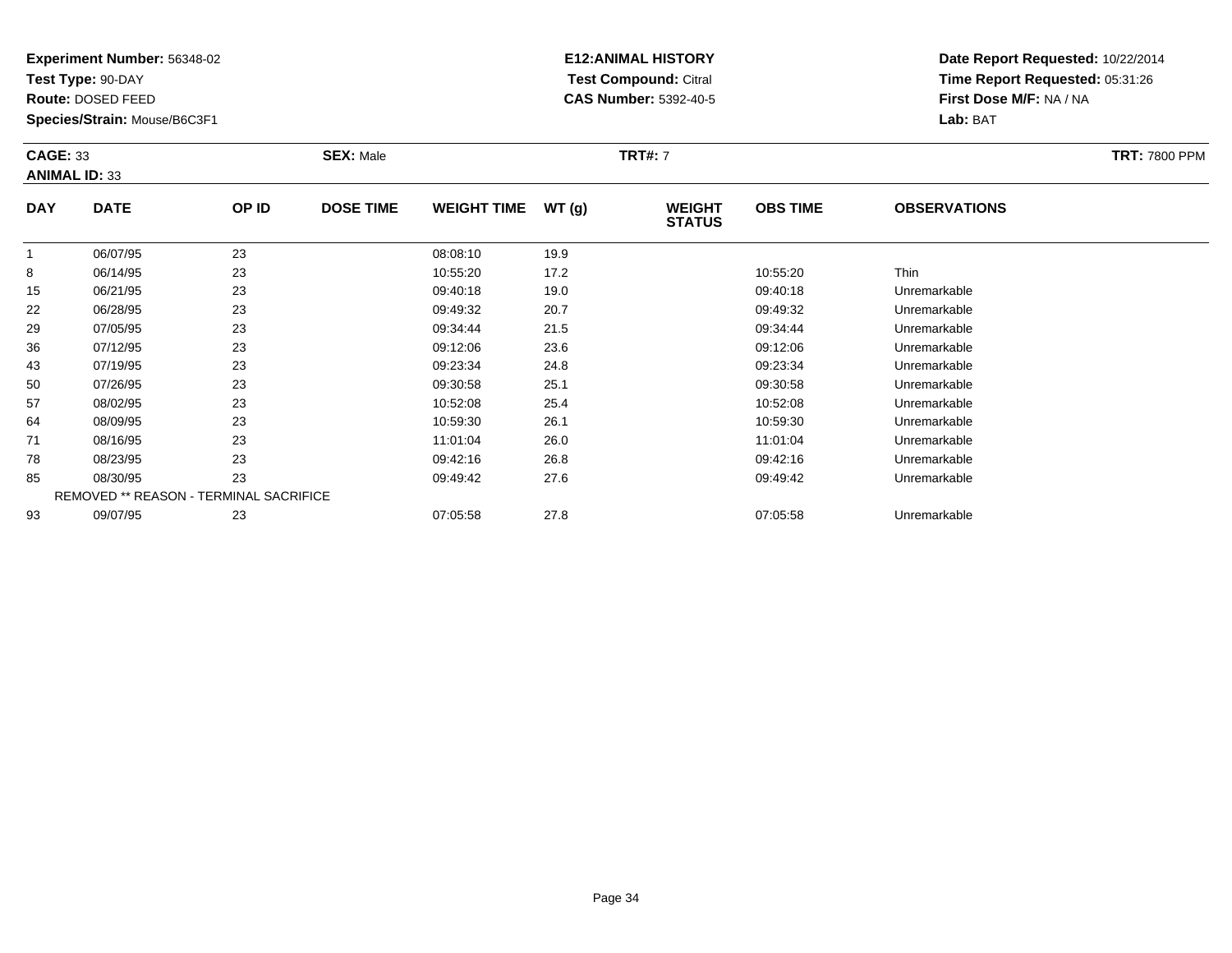**Test Type:** 90-DAY

**Route:** DOSED FEED

50

57

64

71

78

85

93

**Species/Strain:** Mouse/B6C3F1

REMOVED \*\* REASON - TERMINAL SACRIFICE

## **E12:ANIMAL HISTORY Test Compound:** Citral **CAS Number:** 5392-40-5

**Date Report Requested:** 10/22/2014**Time Report Requested:** 05:31:26**First Dose M/F:** NA / NA**Lab:** BAT

| <b>CAGE: 33</b><br><b>ANIMAL ID: 33</b> |             |       | <b>SEX: Male</b> |                    |       | <b>TRT#: 7</b>                 |                 |                     | <b>TRT: 7800 PPM</b> |
|-----------------------------------------|-------------|-------|------------------|--------------------|-------|--------------------------------|-----------------|---------------------|----------------------|
| <b>DAY</b>                              | <b>DATE</b> | OP ID | <b>DOSE TIME</b> | <b>WEIGHT TIME</b> | WT(g) | <b>WEIGHT</b><br><b>STATUS</b> | <b>OBS TIME</b> | <b>OBSERVATIONS</b> |                      |
|                                         | 06/07/95    | 23    |                  | 08:08:10           | 19.9  |                                |                 |                     |                      |
| 8                                       | 06/14/95    | 23    |                  | 10:55:20           | 17.2  |                                | 10:55:20        | <b>Thin</b>         |                      |
| 15                                      | 06/21/95    | 23    |                  | 09:40:18           | 19.0  |                                | 09:40:18        | Unremarkable        |                      |
| 22                                      | 06/28/95    | 23    |                  | 09:49:32           | 20.7  |                                | 09:49:32        | Unremarkable        |                      |
| 29                                      | 07/05/95    | 23    |                  | 09:34:44           | 21.5  |                                | 09:34:44        | Unremarkable        |                      |
| 36                                      | 07/12/95    | 23    |                  | 09:12:06           | 23.6  |                                | 09:12:06        | Unremarkable        |                      |
| 43                                      | 07/19/95    | 23    |                  | 09:23:34           | 24.8  |                                | 09:23:34        | Unremarkable        |                      |

0 07/26/95 23 23 09:30:58 25.1 09:30 09:30:58 Dhremarkable

08/02/95 <sup>23</sup> 10:52:08 25.4 10:52:08 Unremarkable

08/09/95 <sup>23</sup> 10:59:30 26.1 10:59:30 Unremarkable

08/16/95 <sup>23</sup> 11:01:04 26.0 11:01:04 Unremarkable

08/23/95 <sup>23</sup> 09:42:16 26.8 09:42:16 Unremarkable

08/30/95 <sup>23</sup> 09:49:42 27.6 09:49:42 Unremarkable

09/07/95 <sup>23</sup> 07:05:58 27.8 07:05:58 Unremarkable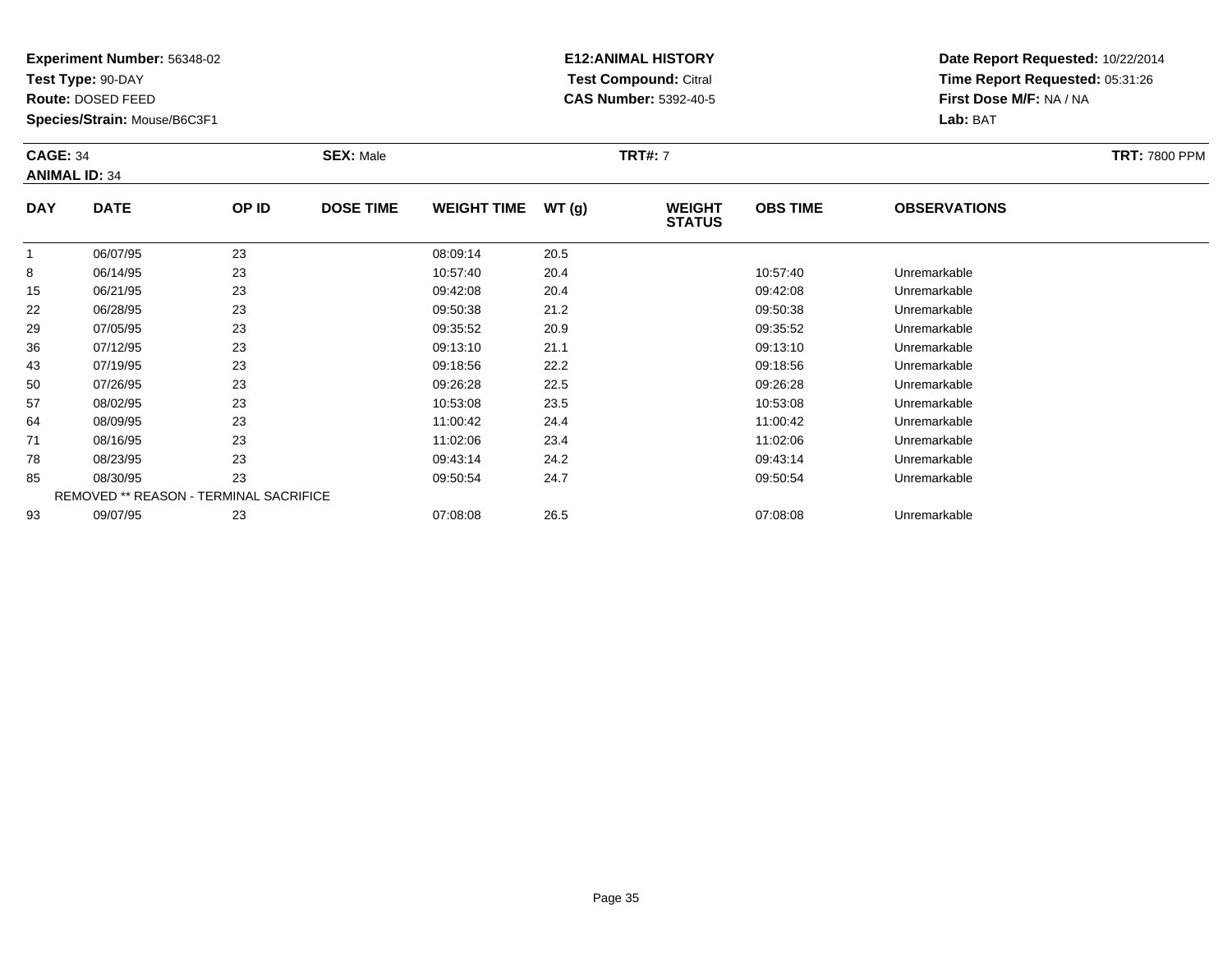**Test Type:** 90-DAY

**Route:** DOSED FEED

**Species/Strain:** Mouse/B6C3F1

# **E12:ANIMAL HISTORY Test Compound:** Citral **CAS Number:** 5392-40-5

| <b>CAGE: 34</b><br><b>SEX: Male</b><br><b>ANIMAL ID: 34</b> |                       |              |                  |                        | <b>TRT#: 7</b>        |                                | <b>TRT: 7800 PPM</b> |                     |  |
|-------------------------------------------------------------|-----------------------|--------------|------------------|------------------------|-----------------------|--------------------------------|----------------------|---------------------|--|
| <b>DAY</b>                                                  | <b>DATE</b>           | OP ID        | <b>DOSE TIME</b> | WEIGHT TIME $WT(g)$    |                       | <b>WEIGHT</b><br><b>STATUS</b> | <b>OBS TIME</b>      | <b>OBSERVATIONS</b> |  |
| $\sim$                                                      | 06/07/95<br>0.0111107 | 23<br>$\sim$ |                  | 08:09:14<br>$\sqrt{2}$ | 20.5<br>$\sim$ $\sim$ |                                | $\sim$ $ \sim$       |                     |  |

|    | 06/07/95 | 23                                     | 08:09:14 | 20.5 |          |              |  |
|----|----------|----------------------------------------|----------|------|----------|--------------|--|
| 8  | 06/14/95 | 23                                     | 10:57:40 | 20.4 | 10:57:40 | Unremarkable |  |
| 15 | 06/21/95 | 23                                     | 09:42:08 | 20.4 | 09:42:08 | Unremarkable |  |
| 22 | 06/28/95 | 23                                     | 09:50:38 | 21.2 | 09:50:38 | Unremarkable |  |
| 29 | 07/05/95 | 23                                     | 09:35:52 | 20.9 | 09:35:52 | Unremarkable |  |
| 36 | 07/12/95 | 23                                     | 09:13:10 | 21.1 | 09:13:10 | Unremarkable |  |
| 43 | 07/19/95 | 23                                     | 09:18:56 | 22.2 | 09:18:56 | Unremarkable |  |
| 50 | 07/26/95 | 23                                     | 09:26:28 | 22.5 | 09:26:28 | Unremarkable |  |
| 57 | 08/02/95 | 23                                     | 10:53:08 | 23.5 | 10:53:08 | Unremarkable |  |
| 64 | 08/09/95 | 23                                     | 11:00:42 | 24.4 | 11:00:42 | Unremarkable |  |
| 71 | 08/16/95 | 23                                     | 11:02:06 | 23.4 | 11:02:06 | Unremarkable |  |
| 78 | 08/23/95 | 23                                     | 09:43:14 | 24.2 | 09:43:14 | Unremarkable |  |
| 85 | 08/30/95 | 23                                     | 09:50:54 | 24.7 | 09:50:54 | Unremarkable |  |
|    |          | REMOVED ** REASON - TERMINAL SACRIFICE |          |      |          |              |  |
| 93 | 09/07/95 | 23                                     | 07:08:08 | 26.5 | 07:08:08 | Unremarkable |  |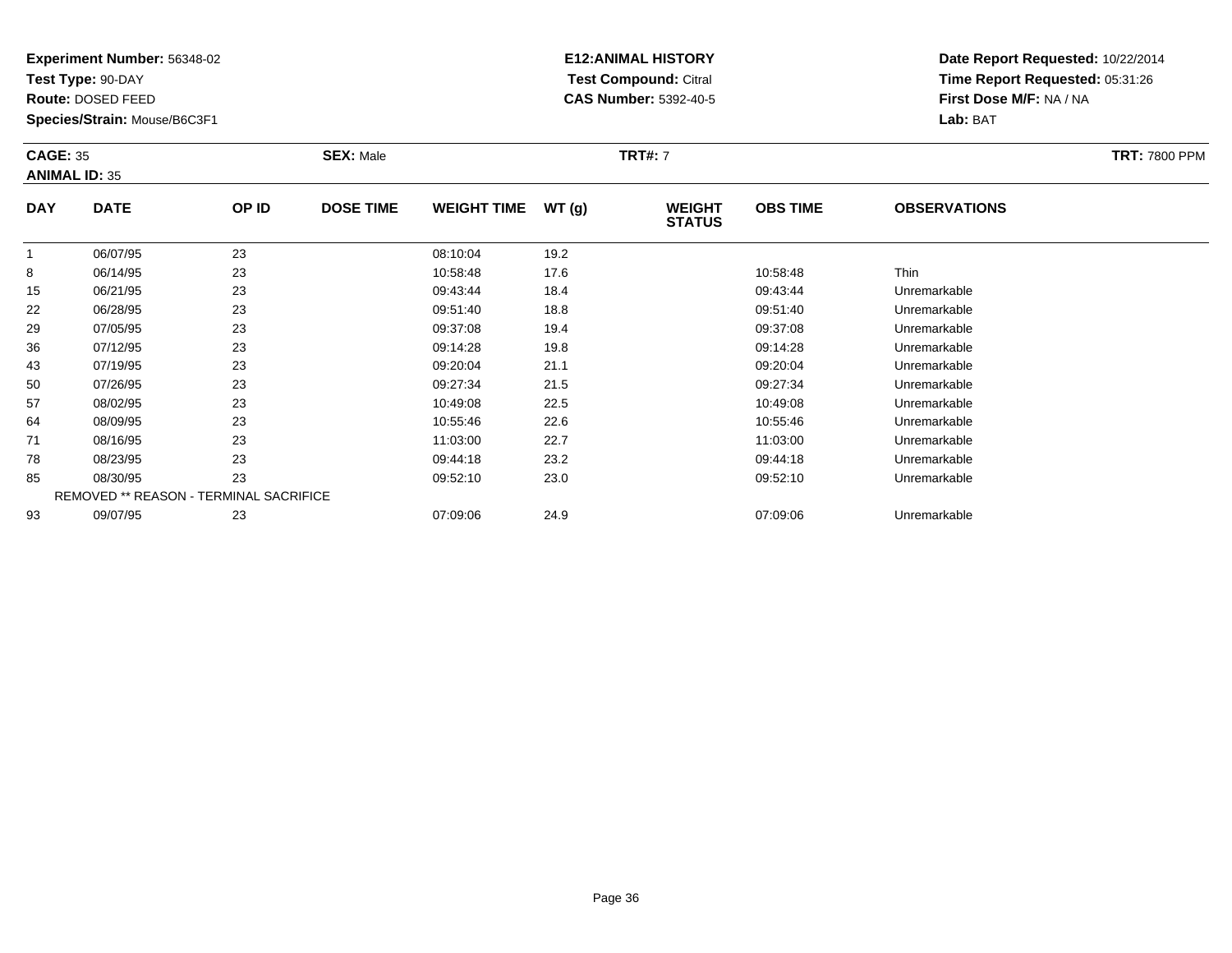**Test Type:** 90-DAY

**Route:** DOSED FEED

43

50

57

64

71

78

85

93

**Species/Strain:** Mouse/B6C3F1

REMOVED \*\* REASON - TERMINAL SACRIFICE

## **E12:ANIMAL HISTORY Test Compound:** Citral **CAS Number:** 5392-40-5

**Date Report Requested:** 10/22/2014**Time Report Requested:** 05:31:26**First Dose M/F:** NA / NA**Lab:** BAT

| <b>CAGE: 35</b><br><b>ANIMAL ID: 35</b> |             |       | <b>SEX: Male</b> |                    |       | <b>TRT#: 7</b>                 | <b>TRT: 7800 PPM</b> |                     |  |
|-----------------------------------------|-------------|-------|------------------|--------------------|-------|--------------------------------|----------------------|---------------------|--|
| <b>DAY</b>                              | <b>DATE</b> | OP ID | <b>DOSE TIME</b> | <b>WEIGHT TIME</b> | WT(g) | <b>WEIGHT</b><br><b>STATUS</b> | <b>OBS TIME</b>      | <b>OBSERVATIONS</b> |  |
|                                         | 06/07/95    | 23    |                  | 08:10:04           | 19.2  |                                |                      |                     |  |
| 8                                       | 06/14/95    | 23    |                  | 10:58:48           | 17.6  |                                | 10:58:48             | Thin                |  |
| 15                                      | 06/21/95    | 23    |                  | 09:43:44           | 18.4  |                                | 09:43:44             | Unremarkable        |  |
| 22                                      | 06/28/95    | 23    |                  | 09:51:40           | 18.8  |                                | 09:51:40             | Unremarkable        |  |
| 29                                      | 07/05/95    | 23    |                  | 09:37:08           | 19.4  |                                | 09:37:08             | Unremarkable        |  |
| 36                                      | 07/12/95    | 23    |                  | 09:14:28           | 19.8  |                                | 09:14:28             | Unremarkable        |  |

07/12/95 <sup>23</sup> 09:14:28 19.8 09:14:28 Unremarkable

07/19/95 <sup>23</sup> 09:20:04 21.1 09:20:04 Unremarkable

0 07/26/95 23 23 09:27:34 21.5 209:27:34 09:27:34 Dhremarkable

08/02/95 <sup>23</sup> 10:49:08 22.5 10:49:08 Unremarkable

08/09/95 <sup>23</sup> 10:55:46 22.6 10:55:46 Unremarkable

08/16/95 <sup>23</sup> 11:03:00 22.7 11:03:00 Unremarkable

08/23/95 <sup>23</sup> 09:44:18 23.2 09:44:18 Unremarkable

08/30/95 <sup>23</sup> 09:52:10 23.0 09:52:10 Unremarkable

09/07/95 <sup>23</sup> 07:09:06 24.9 07:09:06 Unremarkable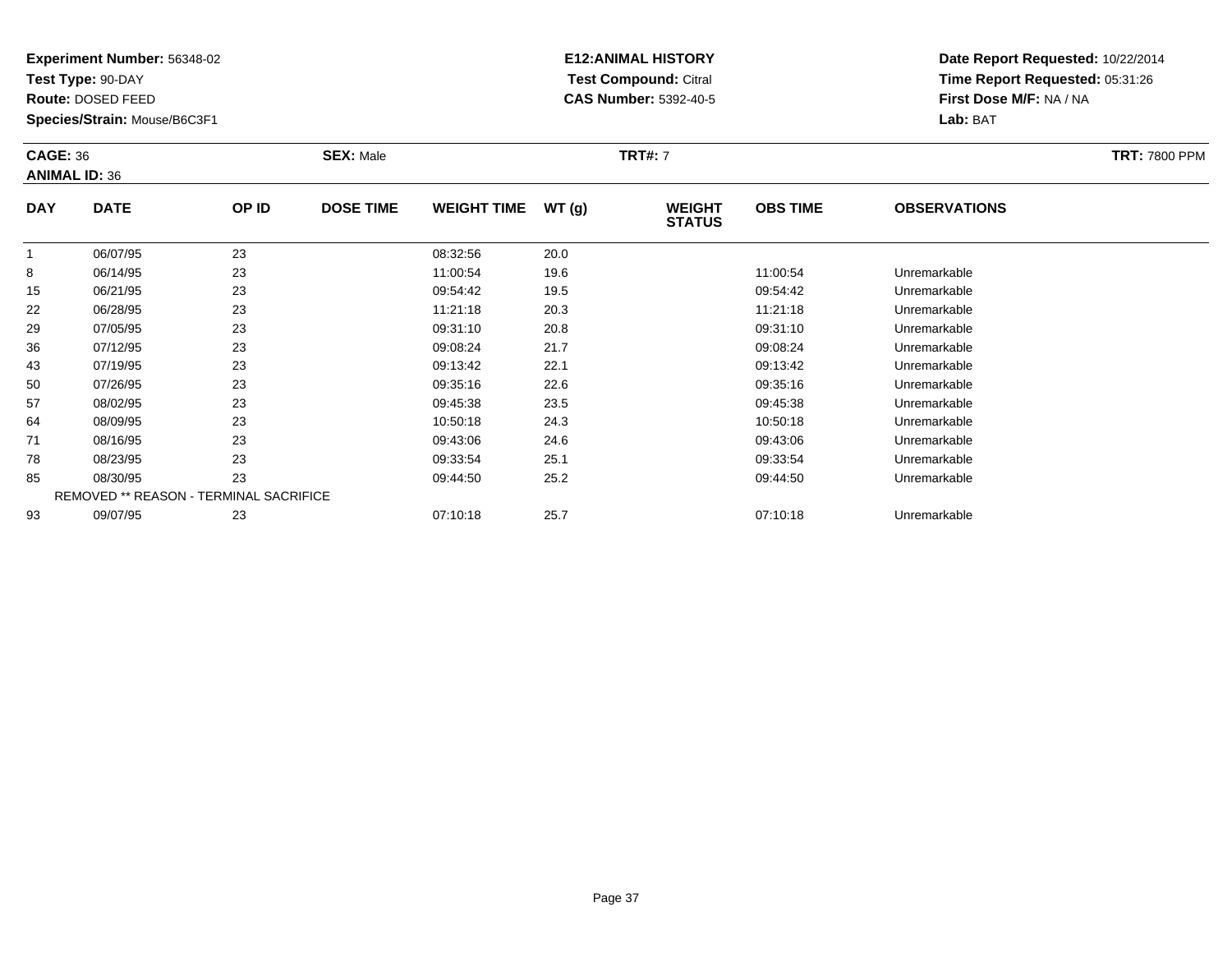**Test Type:** 90-DAY

**Route:** DOSED FEED

**Species/Strain:** Mouse/B6C3F1

# **E12:ANIMAL HISTORY Test Compound:** Citral **CAS Number:** 5392-40-5

| <b>CAGE: 36</b><br><b>ANIMAL ID: 36</b> |             |       | <b>SEX: Male</b> |                    |        | <b>TRT#: 7</b>                 | <b>TRT: 7800 PPM</b> |                     |  |
|-----------------------------------------|-------------|-------|------------------|--------------------|--------|--------------------------------|----------------------|---------------------|--|
| <b>DAY</b>                              | <b>DATE</b> | OP ID | <b>DOSE TIME</b> | <b>WEIGHT TIME</b> | WT (g) | <b>WEIGHT</b><br><b>STATUS</b> | <b>OBS TIME</b>      | <b>OBSERVATIONS</b> |  |
|                                         | 06/07/95    | 23    |                  | 08:32:56           | 20.0   |                                |                      |                     |  |
| 8                                       | 06/14/95    | 23    |                  | 11:00:54           | 19.6   |                                | 11:00:54             | Unremarkable        |  |
| 15                                      | 06/21/95    | 23    |                  | 09:54:42           | 19.5   |                                | 09:54:42             | Unremarkable        |  |
| 22                                      | 06/28/95    | 23    |                  | 11:21:18           | 20.3   |                                | 11:21:18             | Unremarkable        |  |
| ാവ                                      | 07/05/05    | າາ    |                  | 00.21.10           | 200    |                                | 00.21.10             | Lloromarkablo       |  |

|    | <b>00/07/92</b> | دے                                            | <b>00.32.00</b> | ZU.U |          |              |
|----|-----------------|-----------------------------------------------|-----------------|------|----------|--------------|
| 8  | 06/14/95        | 23                                            | 11:00:54        | 19.6 | 11:00:54 | Unremarkable |
| 15 | 06/21/95        | 23                                            | 09:54:42        | 19.5 | 09:54:42 | Unremarkable |
| 22 | 06/28/95        | 23                                            | 11:21:18        | 20.3 | 11:21:18 | Unremarkable |
| 29 | 07/05/95        | 23                                            | 09:31:10        | 20.8 | 09:31:10 | Unremarkable |
| 36 | 07/12/95        | 23                                            | 09:08:24        | 21.7 | 09:08:24 | Unremarkable |
| 43 | 07/19/95        | 23                                            | 09:13:42        | 22.1 | 09:13:42 | Unremarkable |
| 50 | 07/26/95        | 23                                            | 09:35:16        | 22.6 | 09:35:16 | Unremarkable |
| 57 | 08/02/95        | 23                                            | 09:45:38        | 23.5 | 09:45:38 | Unremarkable |
| 64 | 08/09/95        | 23                                            | 10:50:18        | 24.3 | 10:50:18 | Unremarkable |
| 71 | 08/16/95        | 23                                            | 09:43:06        | 24.6 | 09:43:06 | Unremarkable |
| 78 | 08/23/95        | 23                                            | 09:33:54        | 25.1 | 09:33:54 | Unremarkable |
| 85 | 08/30/95        | 23                                            | 09:44:50        | 25.2 | 09:44:50 | Unremarkable |
|    |                 | <b>REMOVED ** REASON - TERMINAL SACRIFICE</b> |                 |      |          |              |
| 93 | 09/07/95        | 23                                            | 07:10:18        | 25.7 | 07:10:18 | Unremarkable |
|    |                 |                                               |                 |      |          |              |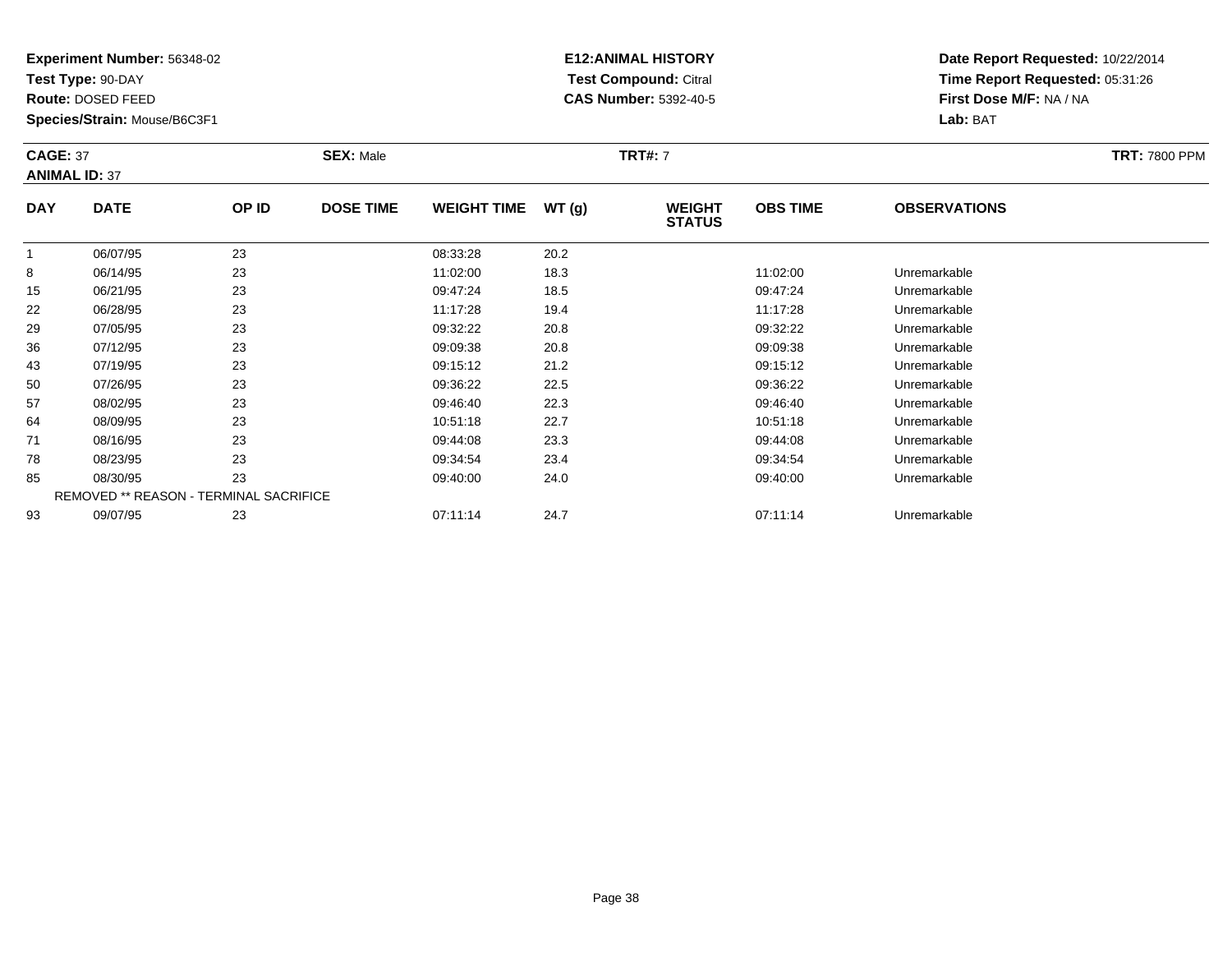**Test Type:** 90-DAY

**Route:** DOSED FEED

**Species/Strain:** Mouse/B6C3F1

# **E12:ANIMAL HISTORY Test Compound:** Citral **CAS Number:** 5392-40-5

| <b>CAGE: 37</b><br><b>SEX: Male</b><br><b>ANIMAL ID: 37</b> |             |       |                  |                    | <b>TRT#: 7</b> |                                | <b>TRT: 7800 PPM</b> |                      |  |
|-------------------------------------------------------------|-------------|-------|------------------|--------------------|----------------|--------------------------------|----------------------|----------------------|--|
| <b>DAY</b>                                                  | <b>DATE</b> | OP ID | <b>DOSE TIME</b> | <b>WEIGHT TIME</b> | WT(g)          | <b>WEIGHT</b><br><b>STATUS</b> | <b>OBS TIME</b>      | <b>OBSERVATIONS</b>  |  |
|                                                             | 06/07/95    | 23    |                  | 08:33:28           | 20.2           |                                |                      |                      |  |
| $\circ$                                                     | OC/4A/OE    | ົດລ   |                  | 11.02.00           | 102            |                                | 11.02.00             | <b>Llaramarkabla</b> |  |

|    | 06/07/95 | 23                                            | 08:33:28 | 20.2 |          |              |  |
|----|----------|-----------------------------------------------|----------|------|----------|--------------|--|
| 8  | 06/14/95 | 23                                            | 11:02:00 | 18.3 | 11:02:00 | Unremarkable |  |
| 15 | 06/21/95 | 23                                            | 09:47:24 | 18.5 | 09:47:24 | Unremarkable |  |
| 22 | 06/28/95 | 23                                            | 11:17:28 | 19.4 | 11:17:28 | Unremarkable |  |
| 29 | 07/05/95 | 23                                            | 09:32:22 | 20.8 | 09:32:22 | Unremarkable |  |
| 36 | 07/12/95 | 23                                            | 09:09:38 | 20.8 | 09:09:38 | Unremarkable |  |
| 43 | 07/19/95 | 23                                            | 09:15:12 | 21.2 | 09:15:12 | Unremarkable |  |
| 50 | 07/26/95 | 23                                            | 09:36:22 | 22.5 | 09:36:22 | Unremarkable |  |
| 57 | 08/02/95 | 23                                            | 09:46:40 | 22.3 | 09:46:40 | Unremarkable |  |
| 64 | 08/09/95 | 23                                            | 10:51:18 | 22.7 | 10:51:18 | Unremarkable |  |
| 71 | 08/16/95 | 23                                            | 09:44:08 | 23.3 | 09:44:08 | Unremarkable |  |
| 78 | 08/23/95 | 23                                            | 09:34:54 | 23.4 | 09:34:54 | Unremarkable |  |
| 85 | 08/30/95 | 23                                            | 09:40:00 | 24.0 | 09:40:00 | Unremarkable |  |
|    |          | <b>REMOVED ** REASON - TERMINAL SACRIFICE</b> |          |      |          |              |  |
| 93 | 09/07/95 | 23                                            | 07:11:14 | 24.7 | 07:11:14 | Unremarkable |  |
|    |          |                                               |          |      |          |              |  |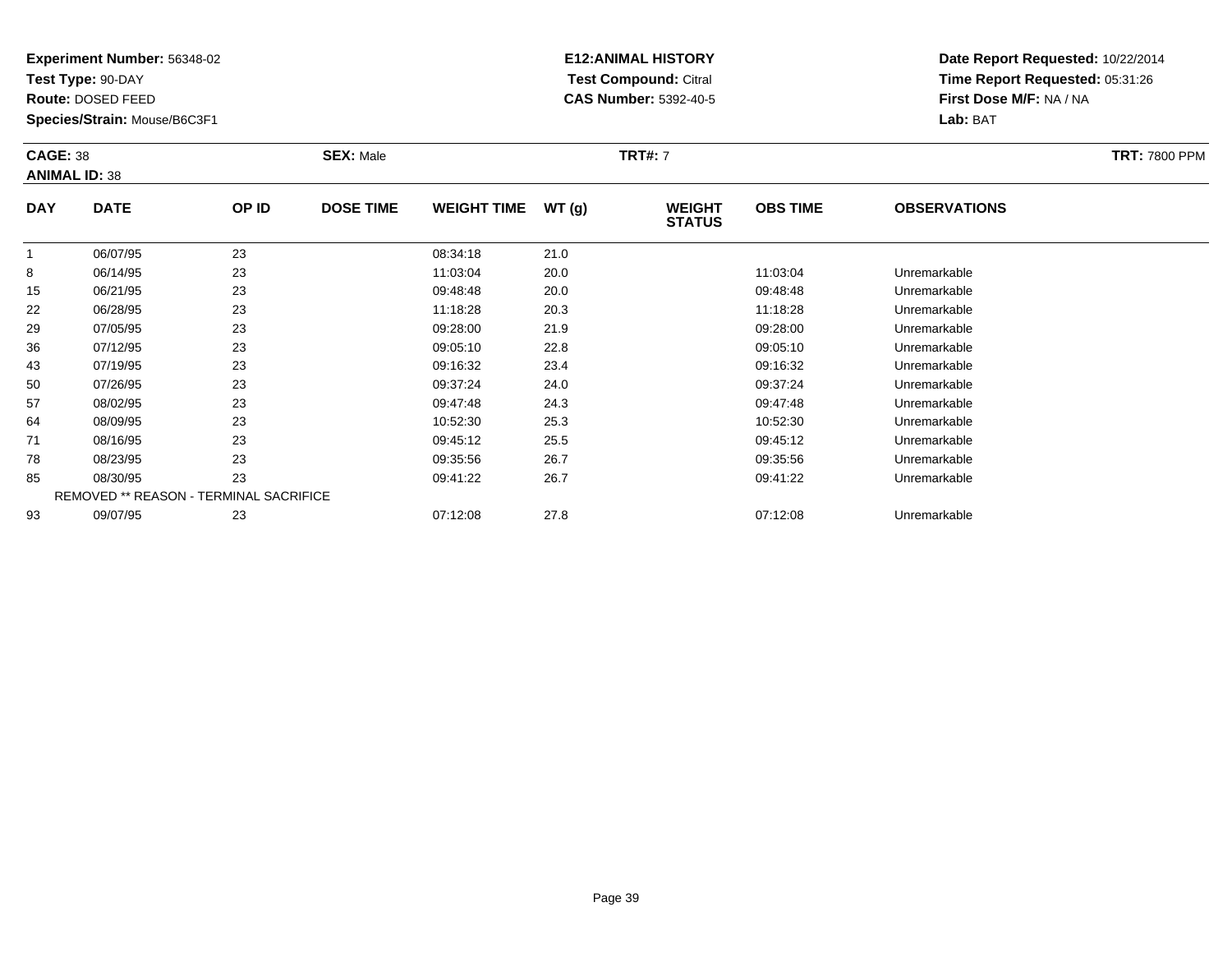**Test Type:** 90-DAY

**Route:** DOSED FEED

50

57

64

71

78

85

93

**Species/Strain:** Mouse/B6C3F1

REMOVED \*\* REASON - TERMINAL SACRIFICE

### **E12:ANIMAL HISTORY Test Compound:** Citral **CAS Number:** 5392-40-5

**Date Report Requested:** 10/22/2014**Time Report Requested:** 05:31:26**First Dose M/F:** NA / NA**Lab:** BAT

| <b>CAGE: 38</b><br><b>ANIMAL ID: 38</b> |             |       |                  |                    | <b>TRT#: 7</b> |                                | <b>TRT: 7800 PPM</b> |                     |  |
|-----------------------------------------|-------------|-------|------------------|--------------------|----------------|--------------------------------|----------------------|---------------------|--|
| <b>DAY</b>                              | <b>DATE</b> | OP ID | <b>DOSE TIME</b> | <b>WEIGHT TIME</b> | WT(g)          | <b>WEIGHT</b><br><b>STATUS</b> | <b>OBS TIME</b>      | <b>OBSERVATIONS</b> |  |
|                                         | 06/07/95    | 23    |                  | 08:34:18           | 21.0           |                                |                      |                     |  |
| 8                                       | 06/14/95    | 23    |                  | 11:03:04           | 20.0           |                                | 11:03:04             | Unremarkable        |  |
| 15                                      | 06/21/95    | 23    |                  | 09:48:48           | 20.0           |                                | 09:48:48             | Unremarkable        |  |
| 22                                      | 06/28/95    | 23    |                  | 11:18:28           | 20.3           |                                | 11:18:28             | Unremarkable        |  |
| 29                                      | 07/05/95    | 23    |                  | 09:28:00           | 21.9           |                                | 09:28:00             | Unremarkable        |  |
| 36                                      | 07/12/95    | 23    |                  | 09:05:10           | 22.8           |                                | 09:05:10             | Unremarkable        |  |
| 43                                      | 07/19/95    | 23    |                  | 09:16:32           | 23.4           |                                | 09:16:32             | Unremarkable        |  |

07/19/95 <sup>23</sup> 09:16:32 23.4 09:16:32 Unremarkable

0 07/26/95 23 23 09:37:24 24.0 00:07/26/95 Unremarkable

08/02/95 <sup>23</sup> 09:47:48 24.3 09:47:48 Unremarkable

08/09/95 <sup>23</sup> 10:52:30 25.3 10:52:30 Unremarkable

08/16/95 <sup>23</sup> 09:45:12 25.5 09:45:12 Unremarkable

08/23/95 <sup>23</sup> 09:35:56 26.7 09:35:56 Unremarkable

08/30/95 <sup>23</sup> 09:41:22 26.7 09:41:22 Unremarkable

09/07/95 <sup>23</sup> 07:12:08 27.8 07:12:08 Unremarkable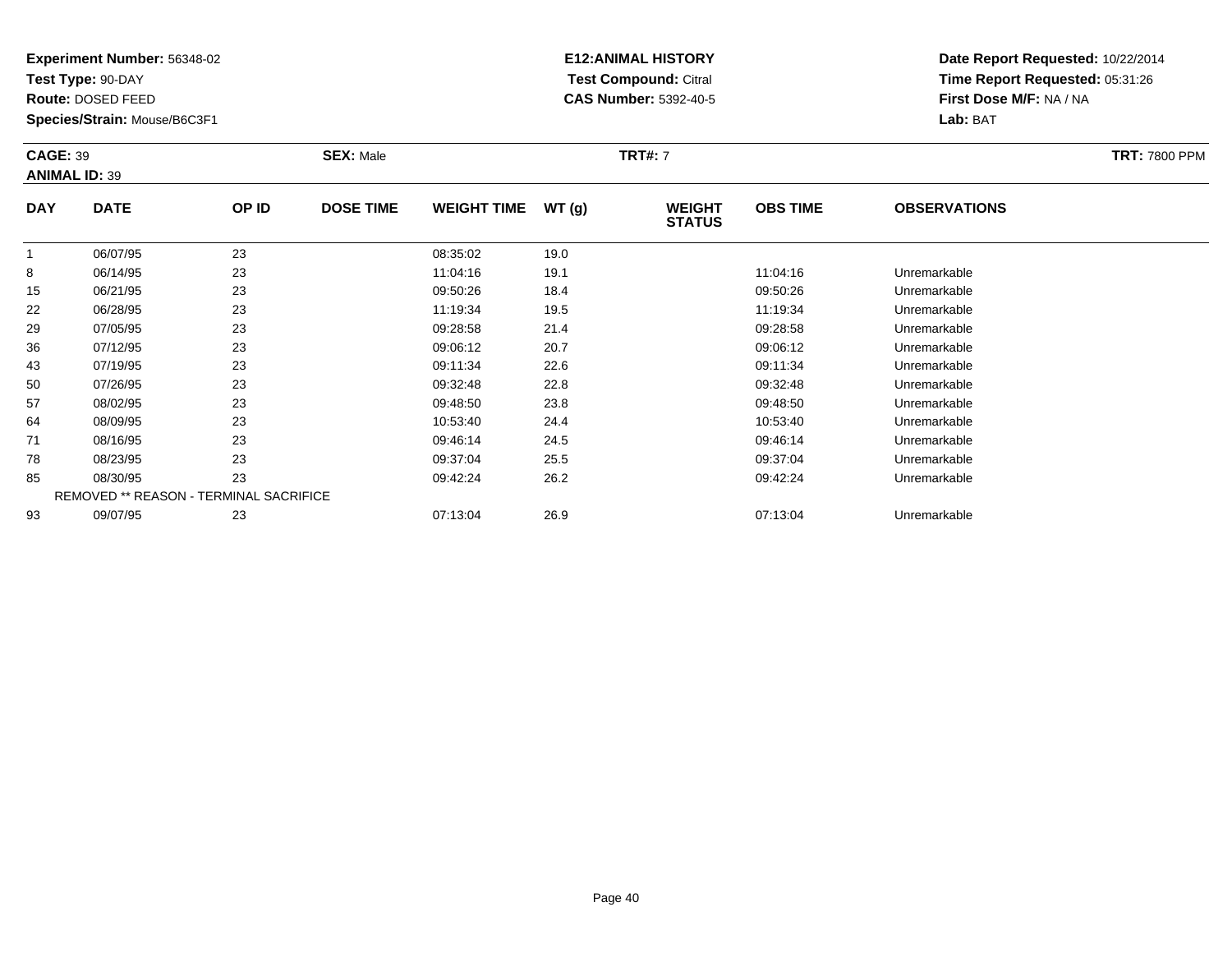**Test Type:** 90-DAY

**Route:** DOSED FEED

78

85

93

**Species/Strain:** Mouse/B6C3F1

REMOVED \*\* REASON - TERMINAL SACRIFICE

### **E12:ANIMAL HISTORY Test Compound:** Citral **CAS Number:** 5392-40-5

**Date Report Requested:** 10/22/2014**Time Report Requested:** 05:31:26**First Dose M/F:** NA / NA**Lab:** BAT

| <b>CAGE: 39</b><br><b>ANIMAL ID: 39</b> |             | <b>SEX: Male</b> | <b>TRT: 7800 PPM</b> |                    |       |                                |                 |                     |  |
|-----------------------------------------|-------------|------------------|----------------------|--------------------|-------|--------------------------------|-----------------|---------------------|--|
| <b>DAY</b>                              | <b>DATE</b> | OP ID            | <b>DOSE TIME</b>     | <b>WEIGHT TIME</b> | WT(g) | <b>WEIGHT</b><br><b>STATUS</b> | <b>OBS TIME</b> | <b>OBSERVATIONS</b> |  |
|                                         | 06/07/95    | 23               |                      | 08:35:02           | 19.0  |                                |                 |                     |  |
| 8                                       | 06/14/95    | 23               |                      | 11:04:16           | 19.1  |                                | 11:04:16        | Unremarkable        |  |
| 15                                      | 06/21/95    | 23               |                      | 09:50:26           | 18.4  |                                | 09:50:26        | Unremarkable        |  |
| 22                                      | 06/28/95    | 23               |                      | 11:19:34           | 19.5  |                                | 11:19:34        | Unremarkable        |  |
| 29                                      | 07/05/95    | 23               |                      | 09:28:58           | 21.4  |                                | 09:28:58        | Unremarkable        |  |
| 36                                      | 07/12/95    | 23               |                      | 09:06:12           | 20.7  |                                | 09:06:12        | Unremarkable        |  |
| 43                                      | 07/19/95    | 23               |                      | 09:11:34           | 22.6  |                                | 09:11:34        | Unremarkable        |  |
| 50                                      | 07/26/95    | 23               |                      | 09:32:48           | 22.8  |                                | 09:32:48        | Unremarkable        |  |
| 57                                      | 08/02/95    | 23               |                      | 09:48:50           | 23.8  |                                | 09:48:50        | Unremarkable        |  |
| 64                                      | 08/09/95    | 23               |                      | 10:53:40           | 24.4  |                                | 10:53:40        | Unremarkable        |  |
| 71                                      | 08/16/95    | 23               |                      | 09:46:14           | 24.5  |                                | 09:46:14        | Unremarkable        |  |

08/16/95 <sup>23</sup> 09:46:14 24.5 09:46:14 Unremarkable

08/23/95 <sup>23</sup> 09:37:04 25.5 09:37:04 Unremarkable

08/30/95 <sup>23</sup> 09:42:24 26.2 09:42:24 Unremarkable

09/07/95 <sup>23</sup> 07:13:04 26.9 07:13:04 Unremarkable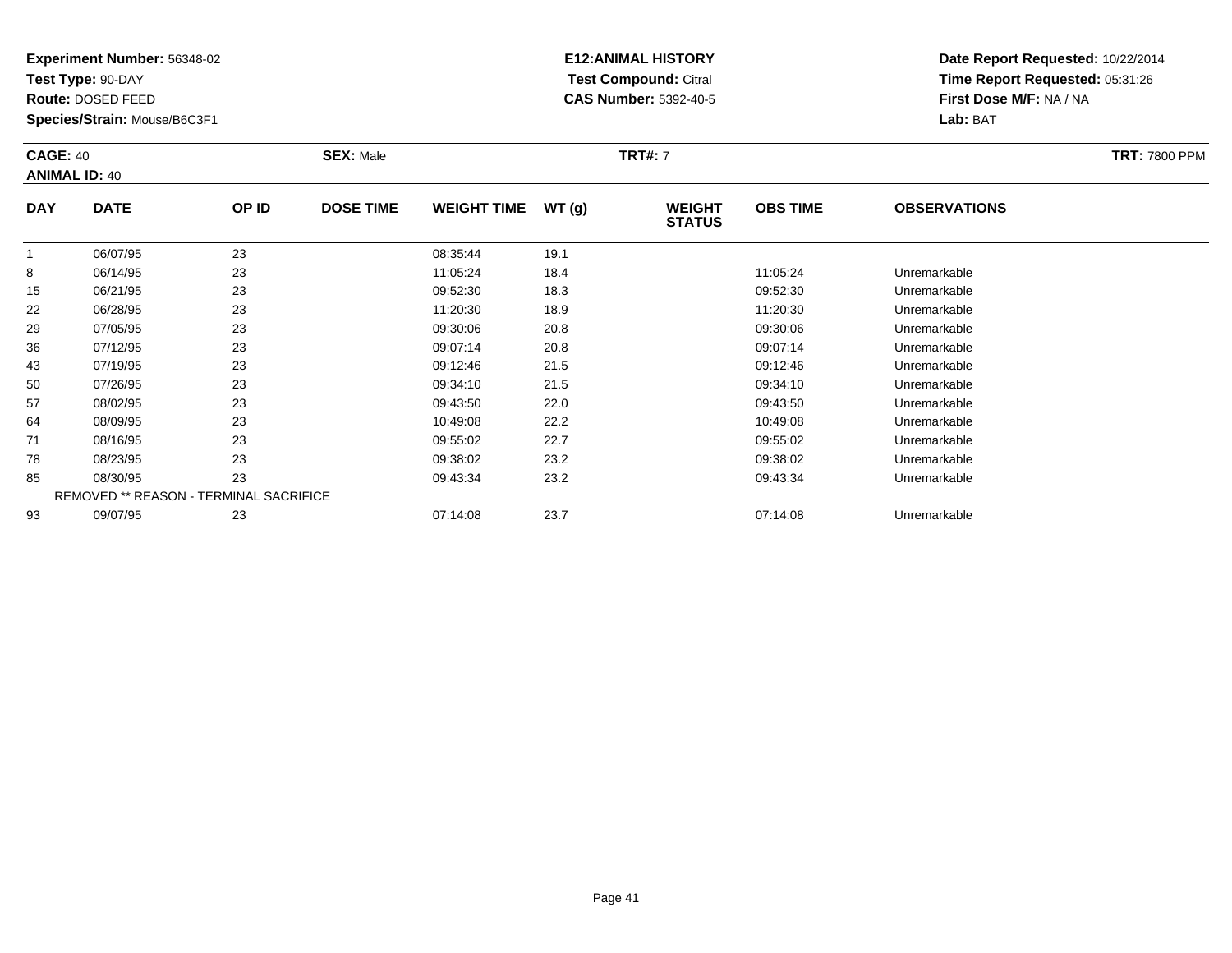**Test Type:** 90-DAY

**Route:** DOSED FEED

57

64

71

78

85

93

**Species/Strain:** Mouse/B6C3F1

REMOVED \*\* REASON - TERMINAL SACRIFICE

## **E12:ANIMAL HISTORY Test Compound:** Citral **CAS Number:** 5392-40-5

**Date Report Requested:** 10/22/2014**Time Report Requested:** 05:31:26**First Dose M/F:** NA / NA**Lab:** BAT

| <b>CAGE: 40</b><br><b>ANIMAL ID: 40</b> |             |       | <b>SEX: Male</b> |                    |       | <b>TRT#: 7</b>                 | <b>TRT: 7800 PPM</b> |                     |  |
|-----------------------------------------|-------------|-------|------------------|--------------------|-------|--------------------------------|----------------------|---------------------|--|
| <b>DAY</b>                              | <b>DATE</b> | OP ID | <b>DOSE TIME</b> | <b>WEIGHT TIME</b> | WT(g) | <b>WEIGHT</b><br><b>STATUS</b> | <b>OBS TIME</b>      | <b>OBSERVATIONS</b> |  |
|                                         | 06/07/95    | 23    |                  | 08:35:44           | 19.1  |                                |                      |                     |  |
| 8                                       | 06/14/95    | 23    |                  | 11:05:24           | 18.4  |                                | 11:05:24             | Unremarkable        |  |
| 15                                      | 06/21/95    | 23    |                  | 09:52:30           | 18.3  |                                | 09:52:30             | Unremarkable        |  |
| 22                                      | 06/28/95    | 23    |                  | 11:20:30           | 18.9  |                                | 11:20:30             | Unremarkable        |  |
| 29                                      | 07/05/95    | 23    |                  | 09:30:06           | 20.8  |                                | 09:30:06             | Unremarkable        |  |
| 36                                      | 07/12/95    | 23    |                  | 09:07:14           | 20.8  |                                | 09:07:14             | Unremarkable        |  |
| 43                                      | 07/19/95    | 23    |                  | 09:12:46           | 21.5  |                                | 09:12:46             | Unremarkable        |  |
| 50                                      | 07/26/95    | 23    |                  | 09:34:10           | 21.5  |                                | 09:34:10             | Unremarkable        |  |

08/02/95 <sup>23</sup> 09:43:50 22.0 09:43:50 Unremarkable

08/09/95 <sup>23</sup> 10:49:08 22.2 10:49:08 Unremarkable

08/16/95 <sup>23</sup> 09:55:02 22.7 09:55:02 Unremarkable

08/23/95 <sup>23</sup> 09:38:02 23.2 09:38:02 Unremarkable

08/30/95 <sup>23</sup> 09:43:34 23.2 09:43:34 Unremarkable

09/07/95 <sup>23</sup> 07:14:08 23.7 07:14:08 Unremarkable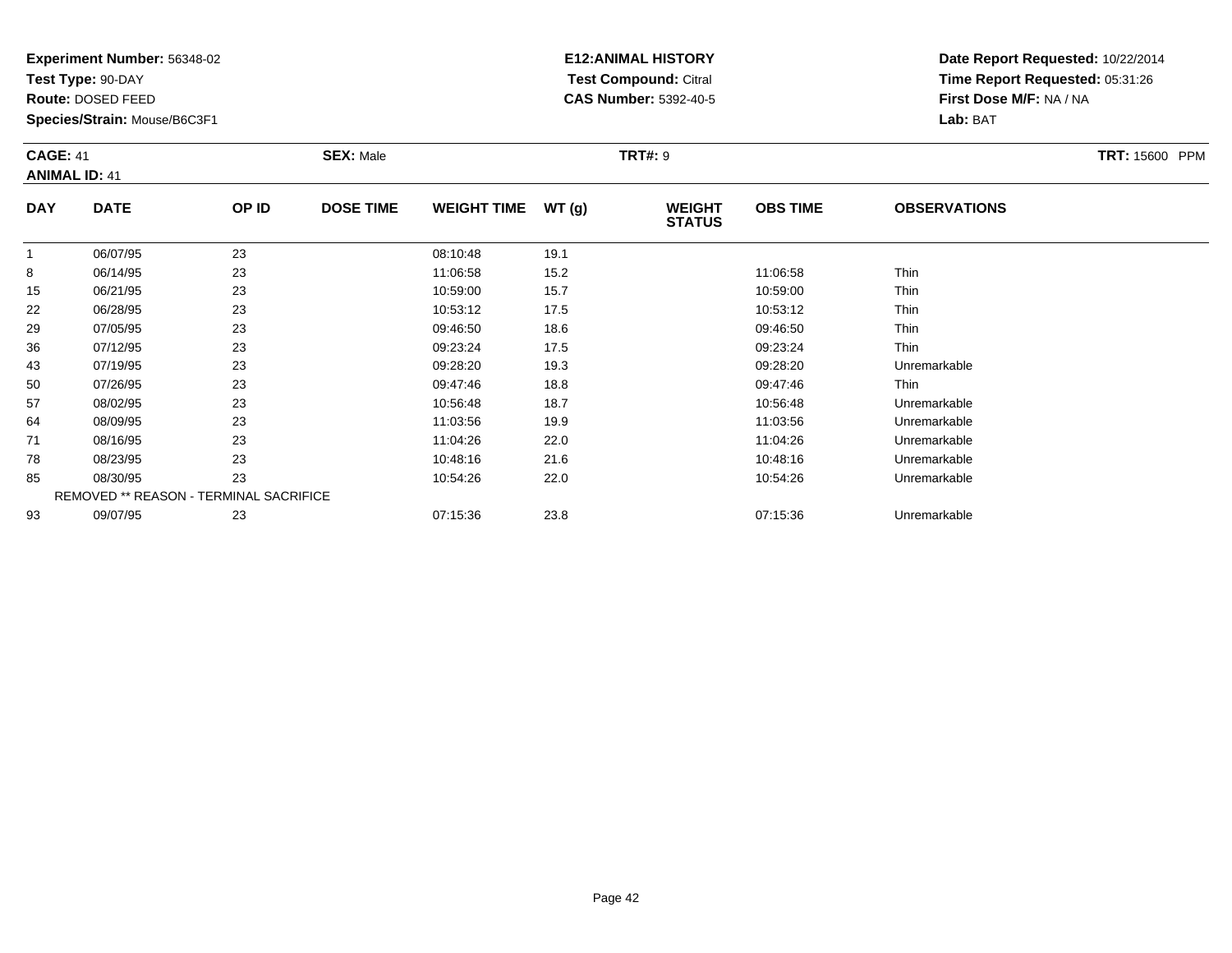**Test Type:** 90-DAY

**Route:** DOSED FEED

**Species/Strain:** Mouse/B6C3F1

# **E12:ANIMAL HISTORY Test Compound:** Citral **CAS Number:** 5392-40-5

| <b>CAGE: 41</b><br><b>ANIMAL ID: 41</b> |             |       | <b>SEX: Male</b> |                    |             | <b>TRT#: 9</b>                 | <b>TRT: 15600 PPM</b> |                     |  |
|-----------------------------------------|-------------|-------|------------------|--------------------|-------------|--------------------------------|-----------------------|---------------------|--|
| <b>DAY</b>                              | <b>DATE</b> | OP ID | <b>DOSE TIME</b> | <b>WEIGHT TIME</b> | WT(g)       | <b>WEIGHT</b><br><b>STATUS</b> | <b>OBS TIME</b>       | <b>OBSERVATIONS</b> |  |
|                                         | 06/07/95    | 23    |                  | 08:10:48           | 19.1        |                                |                       |                     |  |
| 8                                       | 06/14/95    | 23    |                  | 11:06:58           | 15.2        |                                | 11:06:58              | <b>Thin</b>         |  |
| $\sim$ $-$                              | --------    | $ -$  |                  | .                  | $\sim$ $ -$ |                                | .                     | —                   |  |

| ŏ  | UD/14/YD                                      | د∠ | 11.UO.OO | 15.Z | I 1.U0.58 | - i nin      |  |
|----|-----------------------------------------------|----|----------|------|-----------|--------------|--|
| 15 | 06/21/95                                      | 23 | 10:59:00 | 15.7 | 10:59:00  | Thin         |  |
| 22 | 06/28/95                                      | 23 | 10:53:12 | 17.5 | 10:53:12  | Thin         |  |
| 29 | 07/05/95                                      | 23 | 09:46:50 | 18.6 | 09:46:50  | Thin         |  |
| 36 | 07/12/95                                      | 23 | 09:23:24 | 17.5 | 09:23:24  | Thin         |  |
| 43 | 07/19/95                                      | 23 | 09:28:20 | 19.3 | 09:28:20  | Unremarkable |  |
| 50 | 07/26/95                                      | 23 | 09:47:46 | 18.8 | 09:47:46  | <b>Thin</b>  |  |
| 57 | 08/02/95                                      | 23 | 10:56:48 | 18.7 | 10:56:48  | Unremarkable |  |
| 64 | 08/09/95                                      | 23 | 11:03:56 | 19.9 | 11:03:56  | Unremarkable |  |
| 71 | 08/16/95                                      | 23 | 11:04:26 | 22.0 | 11:04:26  | Unremarkable |  |
| 78 | 08/23/95                                      | 23 | 10:48:16 | 21.6 | 10:48:16  | Unremarkable |  |
| 85 | 08/30/95                                      | 23 | 10:54:26 | 22.0 | 10:54:26  | Unremarkable |  |
|    | <b>REMOVED ** REASON - TERMINAL SACRIFICE</b> |    |          |      |           |              |  |
| 93 | 09/07/95                                      | 23 | 07:15:36 | 23.8 | 07:15:36  | Unremarkable |  |
|    |                                               |    |          |      |           |              |  |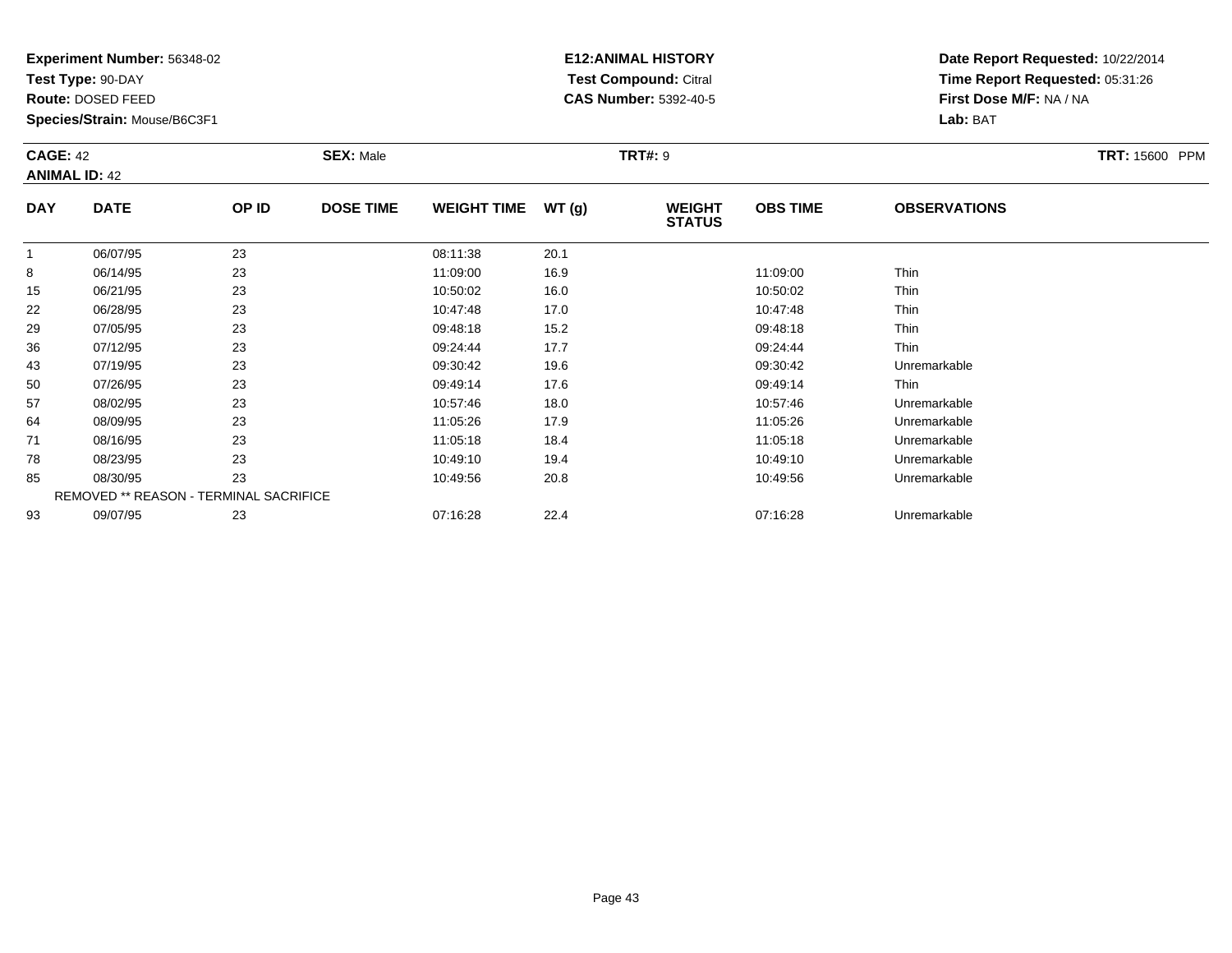**Test Type:** 90-DAY

**Route:** DOSED FEED

**Species/Strain:** Mouse/B6C3F1

# **E12:ANIMAL HISTORY Test Compound:** Citral **CAS Number:** 5392-40-5

| <b>CAGE: 42</b><br><b>SEX: Male</b><br><b>ANIMAL ID: 42</b> |             |       |                  |                     | <b>TRT#: 9</b> |                                | <b>TRT: 15600 PPM</b> |                     |  |
|-------------------------------------------------------------|-------------|-------|------------------|---------------------|----------------|--------------------------------|-----------------------|---------------------|--|
| <b>DAY</b>                                                  | <b>DATE</b> | OP ID | <b>DOSE TIME</b> | WEIGHT TIME $WT(g)$ |                | <b>WEIGHT</b><br><b>STATUS</b> | <b>OBS TIME</b>       | <b>OBSERVATIONS</b> |  |
|                                                             | 06/07/95    | 23    |                  | 08:11:38            | 20.1           |                                |                       |                     |  |
| 8                                                           | 06/14/95    | 23    |                  | 11:09:00            | 16.9           |                                | 11:09:00              | <b>Thin</b>         |  |

|    | <b>UD/U7/95</b> | 23                                            | <b>08:11:38</b> | <b>ZU.1</b> |          |              |  |
|----|-----------------|-----------------------------------------------|-----------------|-------------|----------|--------------|--|
| 8  | 06/14/95        | 23                                            | 11:09:00        | 16.9        | 11:09:00 | Thin         |  |
| 15 | 06/21/95        | 23                                            | 10:50:02        | 16.0        | 10:50:02 | Thin         |  |
| 22 | 06/28/95        | 23                                            | 10:47:48        | 17.0        | 10:47:48 | Thin         |  |
| 29 | 07/05/95        | 23                                            | 09:48:18        | 15.2        | 09:48:18 | Thin         |  |
| 36 | 07/12/95        | 23                                            | 09:24:44        | 17.7        | 09:24:44 | Thin         |  |
| 43 | 07/19/95        | 23                                            | 09:30:42        | 19.6        | 09:30:42 | Unremarkable |  |
| 50 | 07/26/95        | 23                                            | 09:49:14        | 17.6        | 09:49:14 | Thin         |  |
| 57 | 08/02/95        | 23                                            | 10:57:46        | 18.0        | 10:57:46 | Unremarkable |  |
| 64 | 08/09/95        | 23                                            | 11:05:26        | 17.9        | 11:05:26 | Unremarkable |  |
| 71 | 08/16/95        | 23                                            | 11:05:18        | 18.4        | 11:05:18 | Unremarkable |  |
| 78 | 08/23/95        | 23                                            | 10:49:10        | 19.4        | 10:49:10 | Unremarkable |  |
| 85 | 08/30/95        | 23                                            | 10:49:56        | 20.8        | 10:49:56 | Unremarkable |  |
|    |                 | <b>REMOVED ** REASON - TERMINAL SACRIFICE</b> |                 |             |          |              |  |
| 93 | 09/07/95        | 23                                            | 07:16:28        | 22.4        | 07:16:28 | Unremarkable |  |
|    |                 |                                               |                 |             |          |              |  |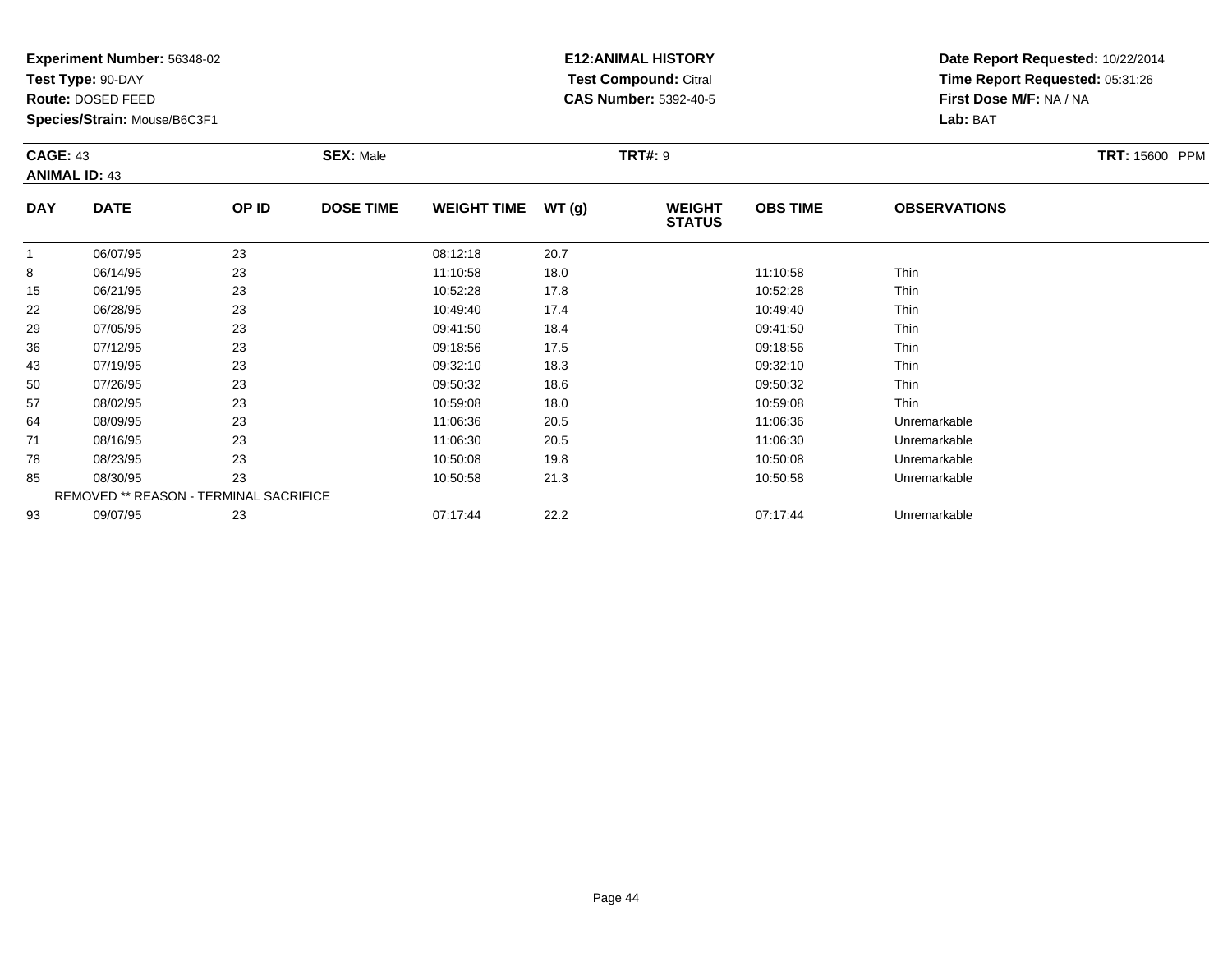**Test Type:** 90-DAY

**Route:** DOSED FEED

**Species/Strain:** Mouse/B6C3F1

# **E12:ANIMAL HISTORY Test Compound:** Citral **CAS Number:** 5392-40-5

| <b>CAGE: 43</b><br><b>ANIMAL ID: 43</b> |             | <b>SEX: Male</b> |                  | <b>TRT#:</b> 9     |        |                                | <b>TRT: 15600 PPM</b> |                     |  |
|-----------------------------------------|-------------|------------------|------------------|--------------------|--------|--------------------------------|-----------------------|---------------------|--|
| <b>DAY</b>                              | <b>DATE</b> | OP ID            | <b>DOSE TIME</b> | <b>WEIGHT TIME</b> | WT (g) | <b>WEIGHT</b><br><b>STATUS</b> | <b>OBS TIME</b>       | <b>OBSERVATIONS</b> |  |

|    | 06/07/95 | 23                                     | 08:12:18 | 20.7 |          |              |  |
|----|----------|----------------------------------------|----------|------|----------|--------------|--|
| 8  | 06/14/95 | 23                                     | 11:10:58 | 18.0 | 11:10:58 | Thin         |  |
| 15 | 06/21/95 | 23                                     | 10:52:28 | 17.8 | 10:52:28 | Thin         |  |
| 22 | 06/28/95 | 23                                     | 10:49:40 | 17.4 | 10:49:40 | Thin         |  |
| 29 | 07/05/95 | 23                                     | 09:41:50 | 18.4 | 09:41:50 | Thin         |  |
| 36 | 07/12/95 | 23                                     | 09:18:56 | 17.5 | 09:18:56 | Thin         |  |
| 43 | 07/19/95 | 23                                     | 09:32:10 | 18.3 | 09:32:10 | Thin         |  |
| 50 | 07/26/95 | 23                                     | 09:50:32 | 18.6 | 09:50:32 | Thin         |  |
| 57 | 08/02/95 | 23                                     | 10:59:08 | 18.0 | 10:59:08 | Thin         |  |
| 64 | 08/09/95 | 23                                     | 11:06:36 | 20.5 | 11:06:36 | Unremarkable |  |
| 71 | 08/16/95 | 23                                     | 11:06:30 | 20.5 | 11:06:30 | Unremarkable |  |
| 78 | 08/23/95 | 23                                     | 10:50:08 | 19.8 | 10:50:08 | Unremarkable |  |
| 85 | 08/30/95 | 23                                     | 10:50:58 | 21.3 | 10:50:58 | Unremarkable |  |
|    |          | REMOVED ** REASON - TERMINAL SACRIFICE |          |      |          |              |  |
| 93 | 09/07/95 | 23                                     | 07:17:44 | 22.2 | 07:17:44 | Unremarkable |  |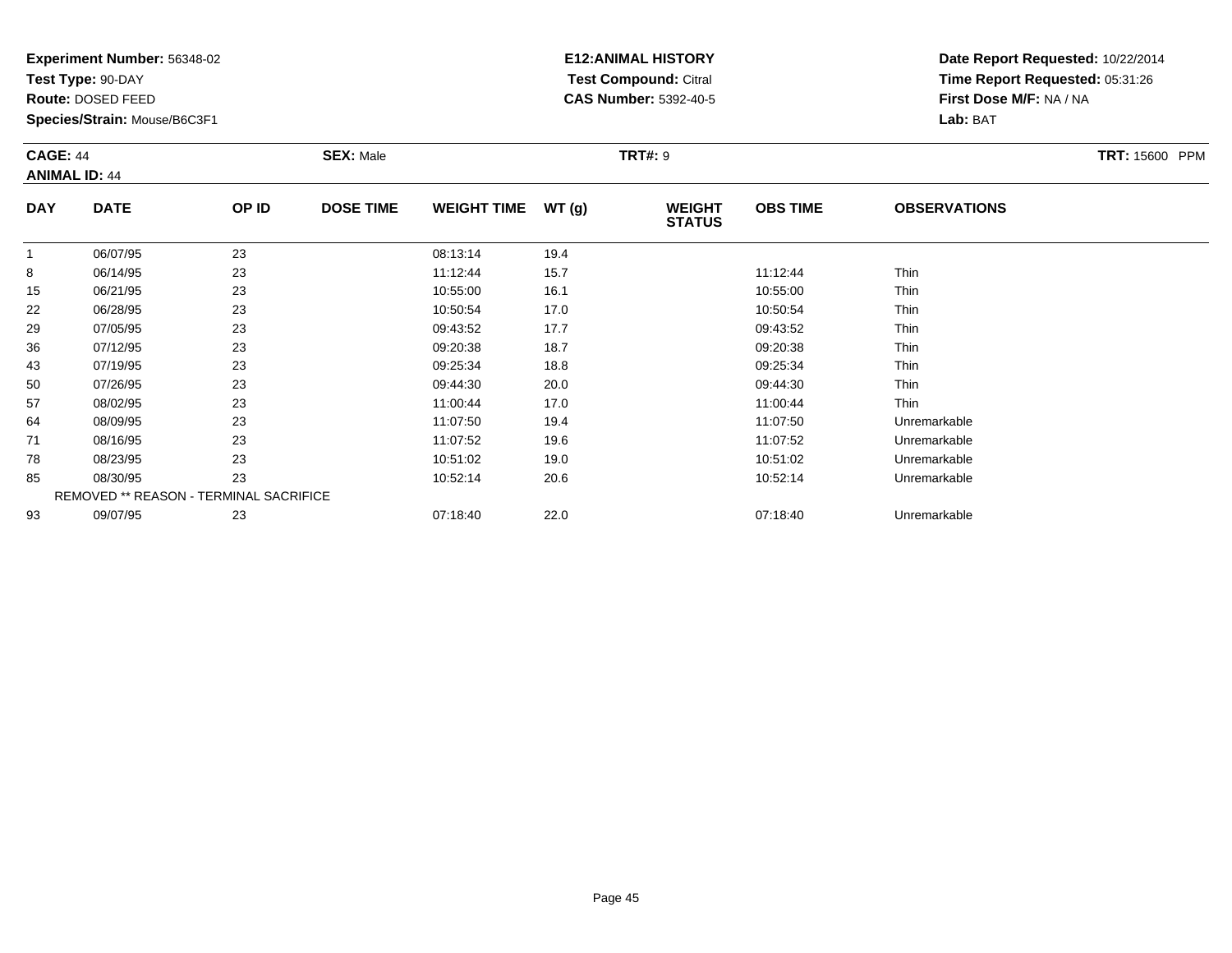**Test Type:** 90-DAY

**Route:** DOSED FEED

**Species/Strain:** Mouse/B6C3F1

# **E12:ANIMAL HISTORY Test Compound:** Citral **CAS Number:** 5392-40-5

| <b>CAGE: 44</b><br><b>ANIMAL ID: 44</b> |             |       | <b>SEX: Male</b> |                    |       | <b>TRT#: 9</b>                 |                 |                     |  |  |
|-----------------------------------------|-------------|-------|------------------|--------------------|-------|--------------------------------|-----------------|---------------------|--|--|
| <b>DAY</b>                              | <b>DATE</b> | OP ID | <b>DOSE TIME</b> | <b>WEIGHT TIME</b> | WT(g) | <b>WEIGHT</b><br><b>STATUS</b> | <b>OBS TIME</b> | <b>OBSERVATIONS</b> |  |  |
|                                         | 06/07/95    | 23    |                  | 08:13:14           | 19.4  |                                |                 |                     |  |  |
| 8                                       | 06/14/95    | 23    |                  | 11:12:44           | 15.7  |                                | 11:12:44        | Thin                |  |  |
| 15                                      | 06/21/95    | 23    |                  | 10:55:00           | 16.1  |                                | 10:55:00        | Thin                |  |  |
| 22                                      | 06/28/95    | 23    |                  | 10:50:54           | 17.0  |                                | 10:50:54        | Thin                |  |  |
| 29                                      | 07/05/95    | 23    |                  | 09:43:52           | 17.7  |                                | 09:43:52        | Thin                |  |  |
| ิวค                                     | 07/12/05    | つつ    |                  | <b>NG-20-38</b>    | 187   |                                | <b>NG-20-38</b> | <b>Thin</b>         |  |  |

| 22 | 06/28/95                                      | 23 | 10:50:54 | 17.0 | 10:50:54 | Thin         |  |
|----|-----------------------------------------------|----|----------|------|----------|--------------|--|
| 29 | 07/05/95                                      | 23 | 09:43:52 | 17.7 | 09:43:52 | <b>Thin</b>  |  |
| 36 | 07/12/95                                      | 23 | 09:20:38 | 18.7 | 09:20:38 | <b>Thin</b>  |  |
| 43 | 07/19/95                                      | 23 | 09:25:34 | 18.8 | 09:25:34 | Thin         |  |
| 50 | 07/26/95                                      | 23 | 09:44:30 | 20.0 | 09:44:30 | <b>Thin</b>  |  |
| 57 | 08/02/95                                      | 23 | 11:00:44 | 17.0 | 11:00:44 | <b>Thin</b>  |  |
| 64 | 08/09/95                                      | 23 | 11:07:50 | 19.4 | 11:07:50 | Unremarkable |  |
| 71 | 08/16/95                                      | 23 | 11:07:52 | 19.6 | 11:07:52 | Unremarkable |  |
| 78 | 08/23/95                                      | 23 | 10:51:02 | 19.0 | 10:51:02 | Unremarkable |  |
| 85 | 08/30/95                                      | 23 | 10:52:14 | 20.6 | 10:52:14 | Unremarkable |  |
|    | <b>REMOVED ** REASON - TERMINAL SACRIFICE</b> |    |          |      |          |              |  |
| 93 | 09/07/95                                      | 23 | 07:18:40 | 22.0 | 07:18:40 | Unremarkable |  |
|    |                                               |    |          |      |          |              |  |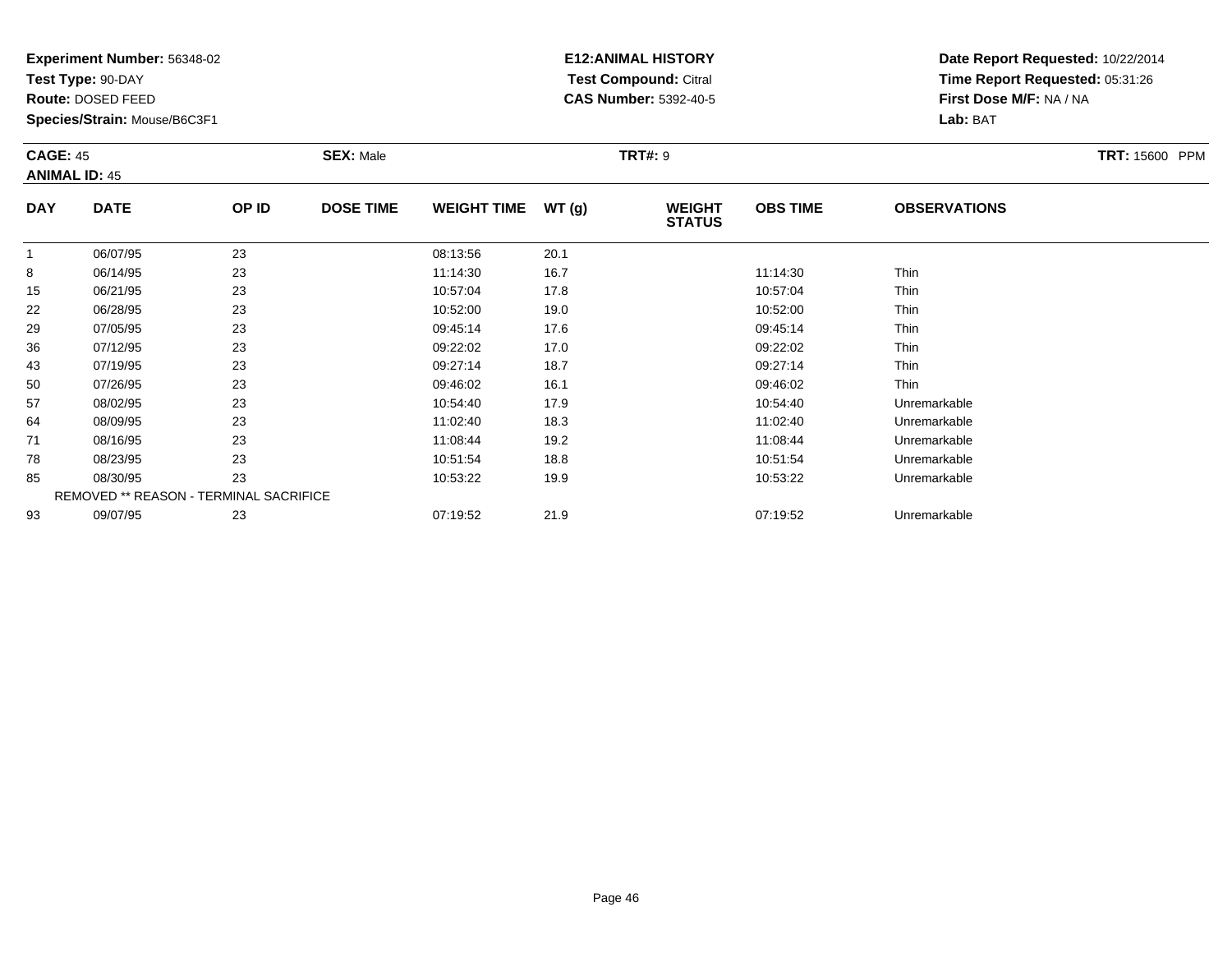**Test Type:** 90-DAY

**Route:** DOSED FEED

43

50

57

64

71

78

85

93

**Species/Strain:** Mouse/B6C3F1

REMOVED \*\* REASON - TERMINAL SACRIFICE

## **E12:ANIMAL HISTORY Test Compound:** Citral **CAS Number:** 5392-40-5

**Date Report Requested:** 10/22/2014**Time Report Requested:** 05:31:26**First Dose M/F:** NA / NA**Lab:** BAT

| <b>CAGE: 45</b><br><b>ANIMAL ID: 45</b> |             |       | <b>SEX: Male</b> |                    |       | <b>TRT#: 9</b>                 |                 |                     | <b>TRT: 15600 PPM</b> |
|-----------------------------------------|-------------|-------|------------------|--------------------|-------|--------------------------------|-----------------|---------------------|-----------------------|
| <b>DAY</b>                              | <b>DATE</b> | OP ID | <b>DOSE TIME</b> | <b>WEIGHT TIME</b> | WT(g) | <b>WEIGHT</b><br><b>STATUS</b> | <b>OBS TIME</b> | <b>OBSERVATIONS</b> |                       |
|                                         | 06/07/95    | 23    |                  | 08:13:56           | 20.1  |                                |                 |                     |                       |
| 8                                       | 06/14/95    | 23    |                  | 11:14:30           | 16.7  |                                | 11:14:30        | Thin                |                       |
| 15                                      | 06/21/95    | 23    |                  | 10:57:04           | 17.8  |                                | 10:57:04        | <b>Thin</b>         |                       |
| 22                                      | 06/28/95    | 23    |                  | 10:52:00           | 19.0  |                                | 10:52:00        | Thin                |                       |
| 29                                      | 07/05/95    | 23    |                  | 09:45:14           | 17.6  |                                | 09:45:14        | Thin                |                       |
| 36                                      | 07/12/95    | 23    |                  | 09:22:02           | 17.0  |                                | 09:22:02        | <b>Thin</b>         |                       |

07/19/95 <sup>23</sup> 09:27:14 18.7 09:27:14 Thin

0 07/26/95 23 23 09:46:02 16.1 06.1 09:46:02 Thin

08/02/95 <sup>23</sup> 10:54:40 17.9 10:54:40 Unremarkable

08/09/95 <sup>23</sup> 11:02:40 18.3 11:02:40 Unremarkable

08/16/95 <sup>23</sup> 11:08:44 19.2 11:08:44 Unremarkable

08/23/95 <sup>23</sup> 10:51:54 18.8 10:51:54 Unremarkable

08/30/95 <sup>23</sup> 10:53:22 19.9 10:53:22 Unremarkable

09/07/95 <sup>23</sup> 07:19:52 21.9 07:19:52 Unremarkable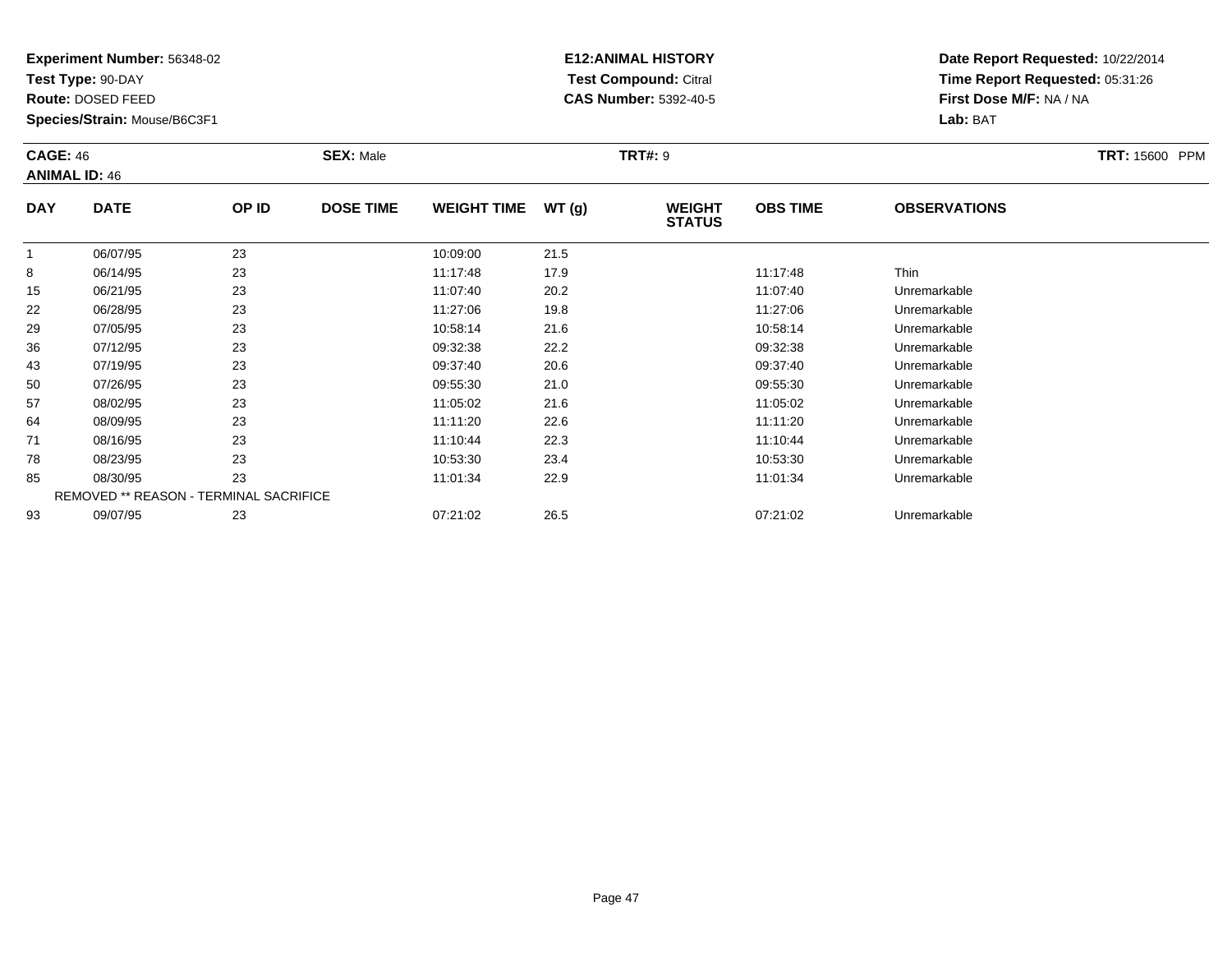**Test Type:** 90-DAY

**Route:** DOSED FEED

85

93

**Species/Strain:** Mouse/B6C3F1

REMOVED \*\* REASON - TERMINAL SACRIFICE

## **E12:ANIMAL HISTORY Test Compound:** Citral **CAS Number:** 5392-40-5

**Date Report Requested:** 10/22/2014**Time Report Requested:** 05:31:26**First Dose M/F:** NA / NA**Lab:** BAT

| <b>CAGE: 46</b><br><b>ANIMAL ID: 46</b> |             | <b>SEX: Male</b> |                  |                    | <b>TRT#: 9</b> | TRT: 15600 PPM                 |                 |                     |  |
|-----------------------------------------|-------------|------------------|------------------|--------------------|----------------|--------------------------------|-----------------|---------------------|--|
| <b>DAY</b>                              | <b>DATE</b> | OP ID            | <b>DOSE TIME</b> | <b>WEIGHT TIME</b> | WT(g)          | <b>WEIGHT</b><br><b>STATUS</b> | <b>OBS TIME</b> | <b>OBSERVATIONS</b> |  |
|                                         | 06/07/95    | 23               |                  | 10:09:00           | 21.5           |                                |                 |                     |  |
| 8                                       | 06/14/95    | 23               |                  | 11:17:48           | 17.9           |                                | 11:17:48        | Thin                |  |
| 15                                      | 06/21/95    | 23               |                  | 11:07:40           | 20.2           |                                | 11:07:40        | Unremarkable        |  |
| 22                                      | 06/28/95    | 23               |                  | 11:27:06           | 19.8           |                                | 11:27:06        | Unremarkable        |  |
| 29                                      | 07/05/95    | 23               |                  | 10:58:14           | 21.6           |                                | 10:58:14        | Unremarkable        |  |
| 36                                      | 07/12/95    | 23               |                  | 09:32:38           | 22.2           |                                | 09:32:38        | Unremarkable        |  |
| 43                                      | 07/19/95    | 23               |                  | 09:37:40           | 20.6           |                                | 09:37:40        | Unremarkable        |  |
| 50                                      | 07/26/95    | 23               |                  | 09:55:30           | 21.0           |                                | 09:55:30        | Unremarkable        |  |
| 57                                      | 08/02/95    | 23               |                  | 11:05:02           | 21.6           |                                | 11:05:02        | Unremarkable        |  |
| 64                                      | 08/09/95    | 23               |                  | 11:11:20           | 22.6           |                                | 11:11:20        | Unremarkable        |  |
| 71                                      | 08/16/95    | 23               |                  | 11:10:44           | 22.3           |                                | 11:10:44        | Unremarkable        |  |
| 78                                      | 08/23/95    | 23               |                  | 10:53:30           | 23.4           |                                | 10:53:30        | Unremarkable        |  |

08/30/95 <sup>23</sup> 11:01:34 22.9 11:01:34 Unremarkable

09/07/95 <sup>23</sup> 07:21:02 26.5 07:21:02 Unremarkable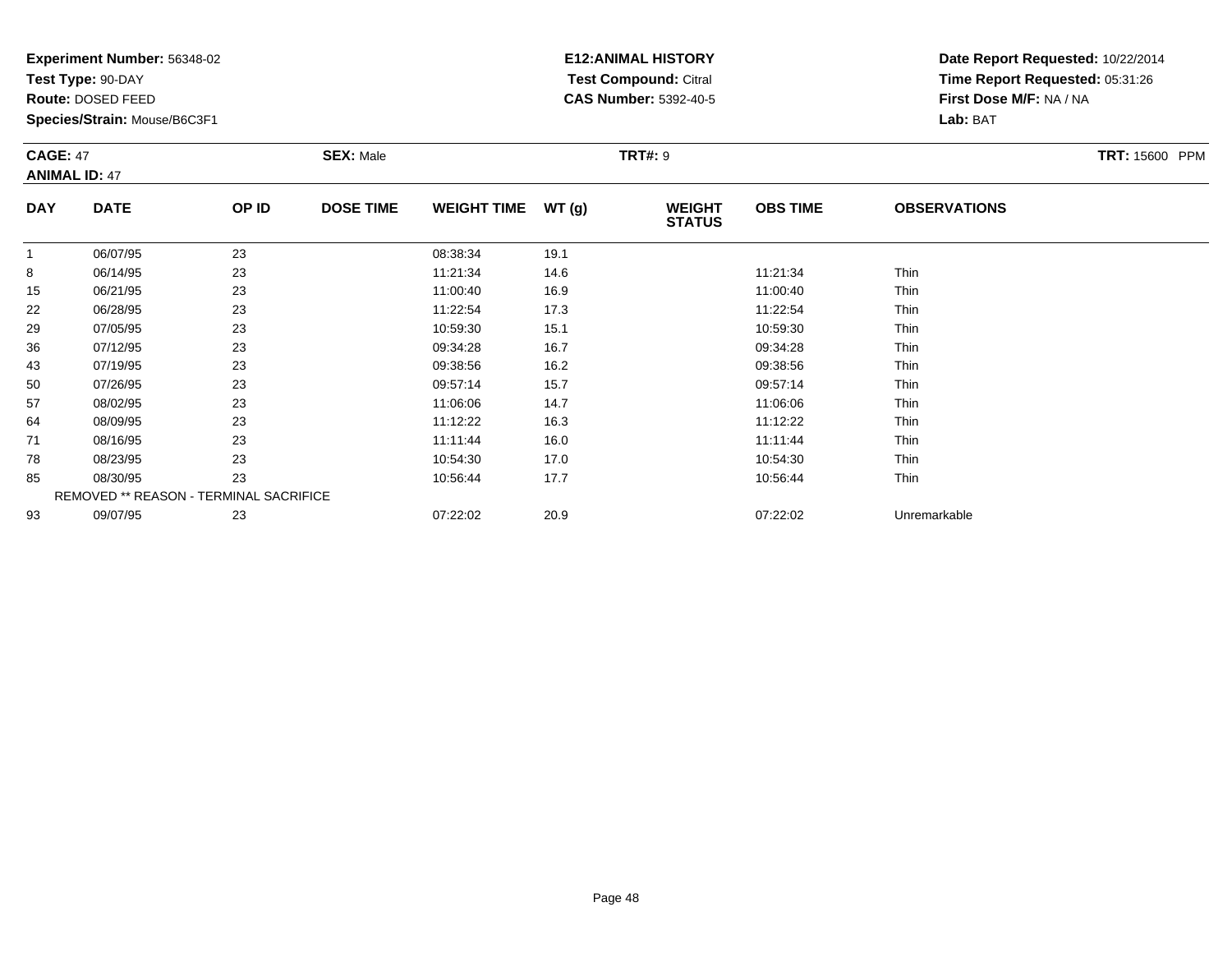**Test Type:** 90-DAY

**Route:** DOSED FEED

**Species/Strain:** Mouse/B6C3F1

# **E12:ANIMAL HISTORY Test Compound:** Citral **CAS Number:** 5392-40-5

| <b>CAGE: 47</b><br><b>ANIMAL ID: 47</b> |             |       | <b>SEX: Male</b> |                             |      | <b>TRT#: 9</b>                 | <b>TRT: 15600 PPM</b> |                     |  |
|-----------------------------------------|-------------|-------|------------------|-----------------------------|------|--------------------------------|-----------------------|---------------------|--|
| <b>DAY</b>                              | <b>DATE</b> | OP ID | <b>DOSE TIME</b> | WT(g)<br><b>WEIGHT TIME</b> |      | <b>WEIGHT</b><br><b>STATUS</b> | <b>OBS TIME</b>       | <b>OBSERVATIONS</b> |  |
|                                         | 06/07/95    | 23    |                  | 08:38:34                    | 19.1 |                                |                       |                     |  |
| 8                                       | 06/14/95    | 23    |                  | 11:21:34                    | 14.6 |                                | 11:21:34              | Thin                |  |
| 15                                      | 06/21/95    | 23    |                  | 11:00:40                    | 16.9 |                                | 11:00:40              | Thin                |  |
| 22                                      | 06/28/95    | 23    |                  | 11.22.54                    | 17.3 |                                | 11:22:54              | <b>Thin</b>         |  |

| $\circ$ | <b>UD/14/95</b>                               | د∠ | 11.21.34 | 14.O | 11.21.34 | - 1 1 1 1 1 1 |  |
|---------|-----------------------------------------------|----|----------|------|----------|---------------|--|
| 15      | 06/21/95                                      | 23 | 11:00:40 | 16.9 | 11:00:40 | <b>Thin</b>   |  |
| 22      | 06/28/95                                      | 23 | 11:22:54 | 17.3 | 11:22:54 | Thin          |  |
| 29      | 07/05/95                                      | 23 | 10:59:30 | 15.1 | 10:59:30 | Thin          |  |
| 36      | 07/12/95                                      | 23 | 09:34:28 | 16.7 | 09:34:28 | Thin          |  |
| 43      | 07/19/95                                      | 23 | 09:38:56 | 16.2 | 09:38:56 | Thin          |  |
| 50      | 07/26/95                                      | 23 | 09:57:14 | 15.7 | 09:57:14 | Thin          |  |
| 57      | 08/02/95                                      | 23 | 11:06:06 | 14.7 | 11:06:06 | <b>Thin</b>   |  |
| 64      | 08/09/95                                      | 23 | 11:12:22 | 16.3 | 11:12:22 | Thin          |  |
| 71      | 08/16/95                                      | 23 | 11:11:44 | 16.0 | 11:11:44 | Thin          |  |
| 78      | 08/23/95                                      | 23 | 10:54:30 | 17.0 | 10:54:30 | Thin          |  |
| 85      | 08/30/95                                      | 23 | 10:56:44 | 17.7 | 10:56:44 | Thin          |  |
|         | <b>REMOVED ** REASON - TERMINAL SACRIFICE</b> |    |          |      |          |               |  |
| 93      | 09/07/95                                      | 23 | 07:22:02 | 20.9 | 07:22:02 | Unremarkable  |  |
|         |                                               |    |          |      |          |               |  |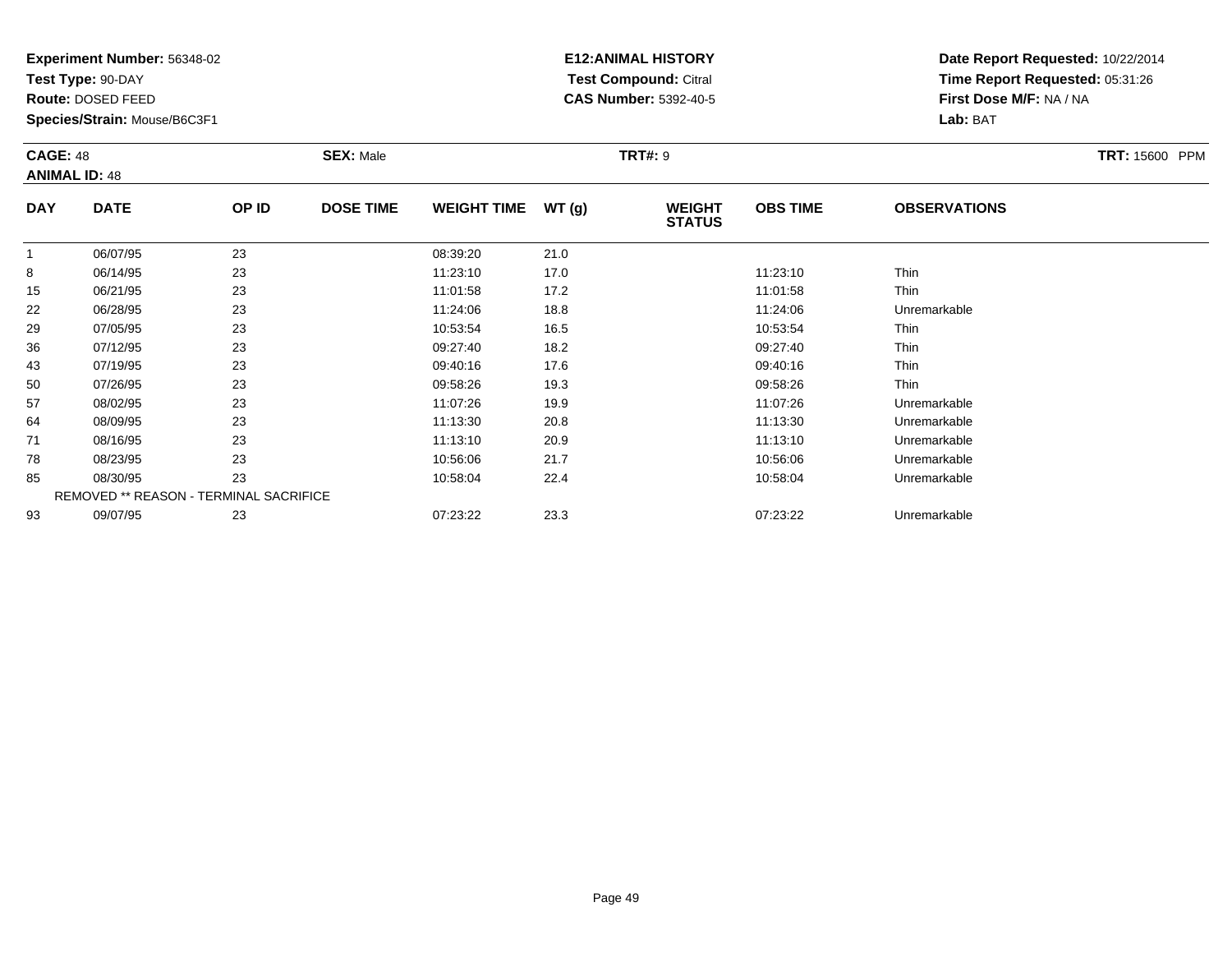**Test Type:** 90-DAY

**Route:** DOSED FEED

93

**Species/Strain:** Mouse/B6C3F1

## **E12:ANIMAL HISTORY Test Compound:** Citral **CAS Number:** 5392-40-5

**Date Report Requested:** 10/22/2014**Time Report Requested:** 05:31:26**First Dose M/F:** NA / NA**Lab:** BAT

|            | <b>CAGE: 48</b><br><b>ANIMAL ID: 48</b>       |       | <b>SEX: Male</b> |                    |       | <b>TRT#: 9</b>                 | TRT: 15600 PPM  |                     |  |
|------------|-----------------------------------------------|-------|------------------|--------------------|-------|--------------------------------|-----------------|---------------------|--|
| <b>DAY</b> | <b>DATE</b>                                   | OP ID | <b>DOSE TIME</b> | <b>WEIGHT TIME</b> | WT(g) | <b>WEIGHT</b><br><b>STATUS</b> | <b>OBS TIME</b> | <b>OBSERVATIONS</b> |  |
|            | 06/07/95                                      | 23    |                  | 08:39:20           | 21.0  |                                |                 |                     |  |
| 8          | 06/14/95                                      | 23    |                  | 11:23:10           | 17.0  |                                | 11:23:10        | Thin                |  |
| 15         | 06/21/95                                      | 23    |                  | 11:01:58           | 17.2  |                                | 11:01:58        | Thin                |  |
| 22         | 06/28/95                                      | 23    |                  | 11:24:06           | 18.8  |                                | 11:24:06        | Unremarkable        |  |
| 29         | 07/05/95                                      | 23    |                  | 10:53:54           | 16.5  |                                | 10:53:54        | Thin                |  |
| 36         | 07/12/95                                      | 23    |                  | 09:27:40           | 18.2  |                                | 09:27:40        | Thin                |  |
| 43         | 07/19/95                                      | 23    |                  | 09:40:16           | 17.6  |                                | 09:40:16        | Thin                |  |
| 50         | 07/26/95                                      | 23    |                  | 09:58:26           | 19.3  |                                | 09:58:26        | Thin                |  |
| 57         | 08/02/95                                      | 23    |                  | 11:07:26           | 19.9  |                                | 11:07:26        | Unremarkable        |  |
| 64         | 08/09/95                                      | 23    |                  | 11:13:30           | 20.8  |                                | 11:13:30        | Unremarkable        |  |
| 71         | 08/16/95                                      | 23    |                  | 11:13:10           | 20.9  |                                | 11:13:10        | Unremarkable        |  |
| 78         | 08/23/95                                      | 23    |                  | 10:56:06           | 21.7  |                                | 10:56:06        | Unremarkable        |  |
| 85         | 08/30/95                                      | 23    |                  | 10:58:04           | 22.4  |                                | 10:58:04        | Unremarkable        |  |
|            | <b>REMOVED ** REASON - TERMINAL SACRIFICE</b> |       |                  |                    |       |                                |                 |                     |  |

09/07/95 <sup>23</sup> 07:23:22 23.3 07:23:22 Unremarkable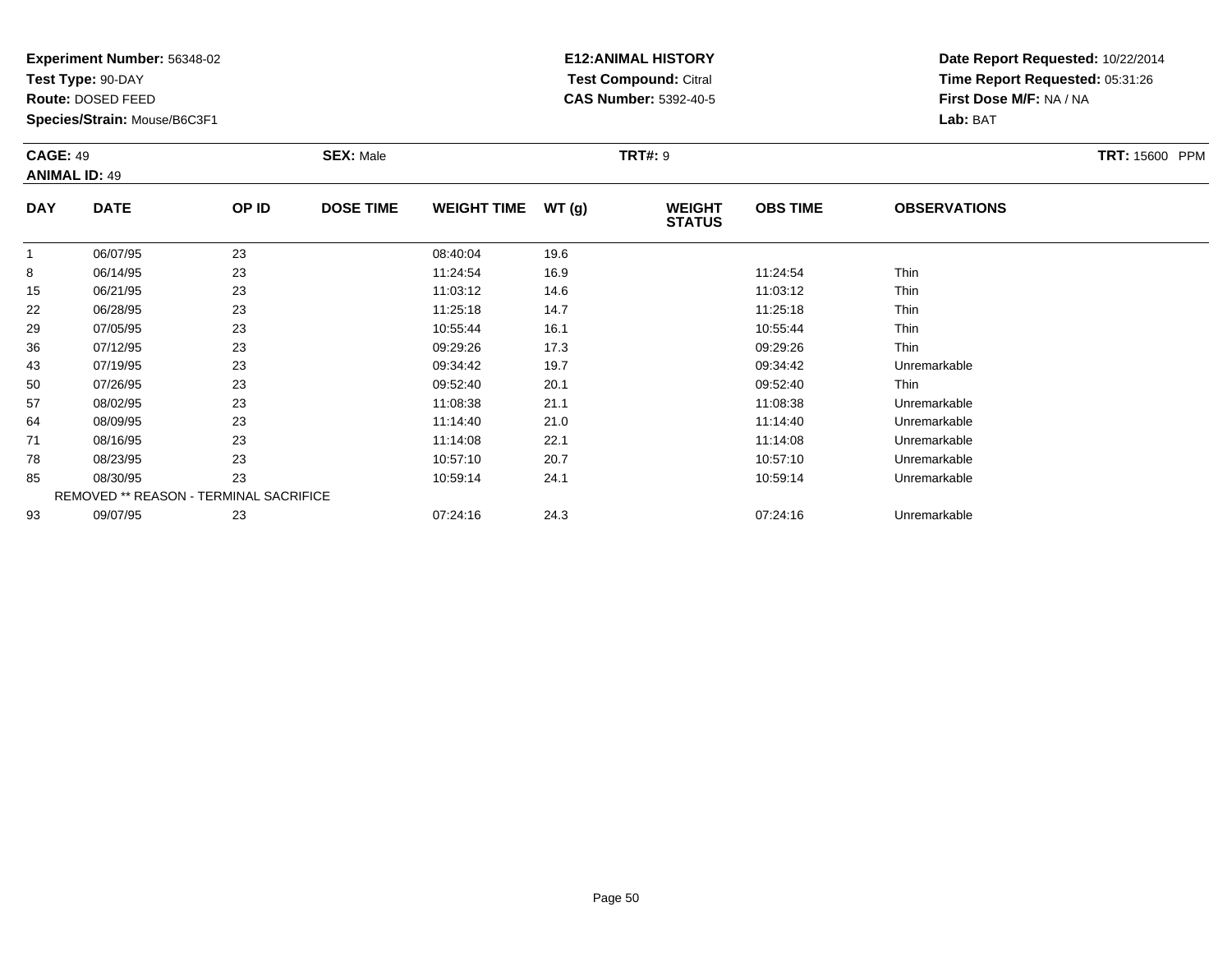**Test Type:** 90-DAY

**Route:** DOSED FEED

78

85

93

**Species/Strain:** Mouse/B6C3F1

REMOVED \*\* REASON - TERMINAL SACRIFICE

## **E12:ANIMAL HISTORY Test Compound:** Citral **CAS Number:** 5392-40-5

**Date Report Requested:** 10/22/2014**Time Report Requested:** 05:31:26**First Dose M/F:** NA / NA**Lab:** BAT

| <b>CAGE: 49</b><br><b>ANIMAL ID: 49</b> |             | <b>SEX: Male</b> | <b>TRT: 15600 PPM</b> |                    |       |                                |                 |                     |  |
|-----------------------------------------|-------------|------------------|-----------------------|--------------------|-------|--------------------------------|-----------------|---------------------|--|
| <b>DAY</b>                              | <b>DATE</b> | OP ID            | <b>DOSE TIME</b>      | <b>WEIGHT TIME</b> | WT(g) | <b>WEIGHT</b><br><b>STATUS</b> | <b>OBS TIME</b> | <b>OBSERVATIONS</b> |  |
|                                         | 06/07/95    | 23               |                       | 08:40:04           | 19.6  |                                |                 |                     |  |
| 8                                       | 06/14/95    | 23               |                       | 11:24:54           | 16.9  |                                | 11:24:54        | Thin                |  |
| 15                                      | 06/21/95    | 23               |                       | 11:03:12           | 14.6  |                                | 11:03:12        | Thin                |  |
| 22                                      | 06/28/95    | 23               |                       | 11:25:18           | 14.7  |                                | 11:25:18        | Thin                |  |
| 29                                      | 07/05/95    | 23               |                       | 10:55:44           | 16.1  |                                | 10:55:44        | Thin                |  |
| 36                                      | 07/12/95    | 23               |                       | 09:29:26           | 17.3  |                                | 09:29:26        | Thin                |  |
| 43                                      | 07/19/95    | 23               |                       | 09:34:42           | 19.7  |                                | 09:34:42        | Unremarkable        |  |
| 50                                      | 07/26/95    | 23               |                       | 09:52:40           | 20.1  |                                | 09:52:40        | Thin                |  |
| 57                                      | 08/02/95    | 23               |                       | 11:08:38           | 21.1  |                                | 11:08:38        | Unremarkable        |  |
| 64                                      | 08/09/95    | 23               |                       | 11:14:40           | 21.0  |                                | 11:14:40        | Unremarkable        |  |
| 71                                      | 08/16/95    | 23               |                       | 11:14:08           | 22.1  |                                | 11:14:08        | Unremarkable        |  |

 08/23/95 <sup>23</sup> 10:57:10 20.7 10:57:10 Unremarkable 08/30/95 <sup>23</sup> 10:59:14 24.1 10:59:14 Unremarkable

09/07/95 <sup>23</sup> 07:24:16 24.3 07:24:16 Unremarkable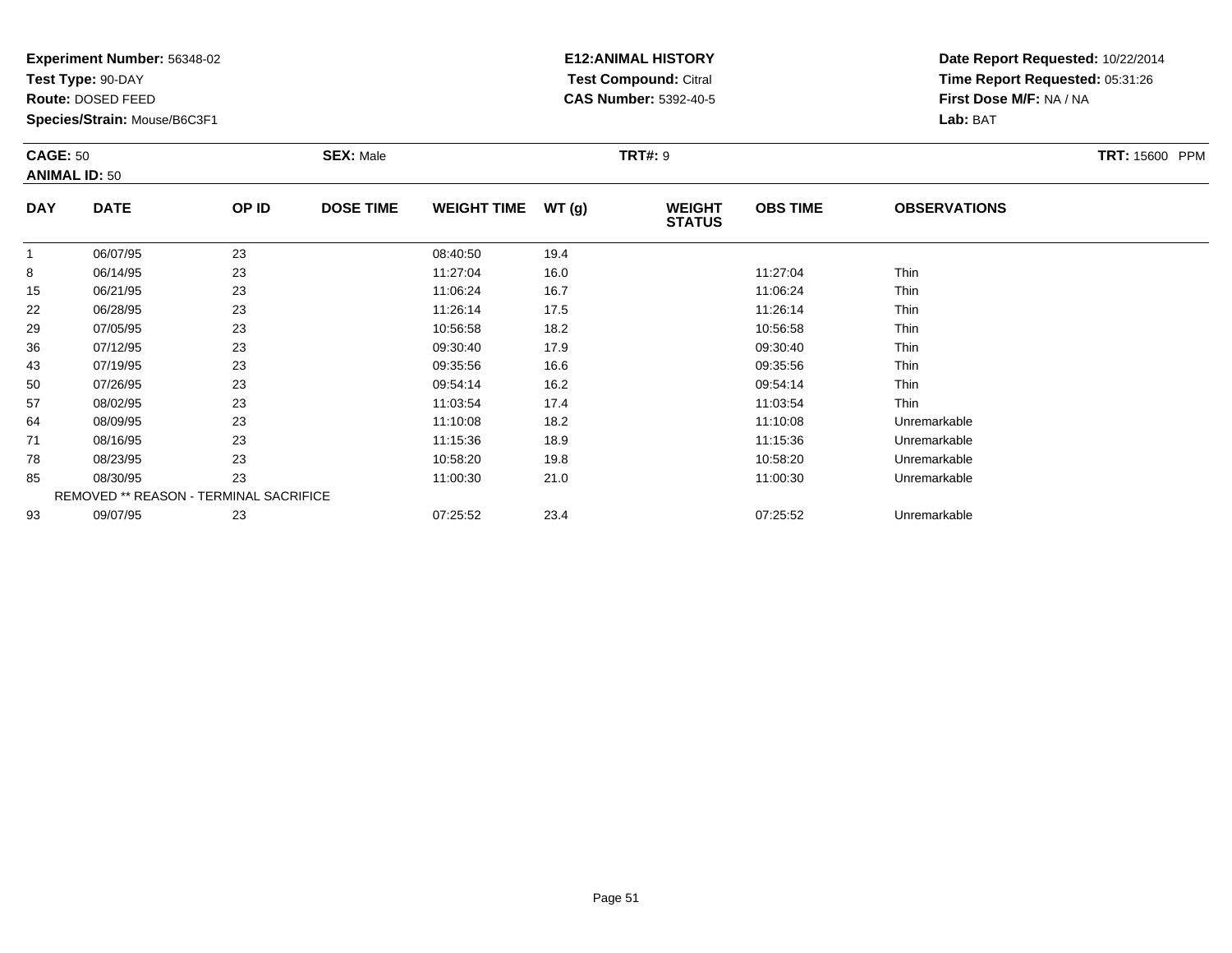**Test Type:** 90-DAY

**Route:** DOSED FEED

85

93

**Species/Strain:** Mouse/B6C3F1

REMOVED \*\* REASON - TERMINAL SACRIFICE

## **E12:ANIMAL HISTORY Test Compound:** Citral **CAS Number:** 5392-40-5

**Date Report Requested:** 10/22/2014**Time Report Requested:** 05:31:26**First Dose M/F:** NA / NA**Lab:** BAT

| <b>CAGE: 50</b><br><b>ANIMAL ID: 50</b> |             |       | <b>SEX: Male</b> |                    |       | <b>TRT#: 9</b>                 | <b>TRT: 15600 PPM</b> |                     |  |
|-----------------------------------------|-------------|-------|------------------|--------------------|-------|--------------------------------|-----------------------|---------------------|--|
| <b>DAY</b>                              | <b>DATE</b> | OP ID | <b>DOSE TIME</b> | <b>WEIGHT TIME</b> | WT(g) | <b>WEIGHT</b><br><b>STATUS</b> | <b>OBS TIME</b>       | <b>OBSERVATIONS</b> |  |
| 1                                       | 06/07/95    | 23    |                  | 08:40:50           | 19.4  |                                |                       |                     |  |
| 8                                       | 06/14/95    | 23    |                  | 11:27:04           | 16.0  |                                | 11:27:04              | Thin                |  |
| 15                                      | 06/21/95    | 23    |                  | 11:06:24           | 16.7  |                                | 11:06:24              | Thin                |  |
| 22                                      | 06/28/95    | 23    |                  | 11:26:14           | 17.5  |                                | 11:26:14              | Thin                |  |
| 29                                      | 07/05/95    | 23    |                  | 10:56:58           | 18.2  |                                | 10:56:58              | Thin                |  |
| 36                                      | 07/12/95    | 23    |                  | 09:30:40           | 17.9  |                                | 09:30:40              | Thin                |  |
| 43                                      | 07/19/95    | 23    |                  | 09:35:56           | 16.6  |                                | 09:35:56              | Thin                |  |
| 50                                      | 07/26/95    | 23    |                  | 09:54:14           | 16.2  |                                | 09:54:14              | Thin                |  |
| 57                                      | 08/02/95    | 23    |                  | 11:03:54           | 17.4  |                                | 11:03:54              | Thin                |  |
| 64                                      | 08/09/95    | 23    |                  | 11:10:08           | 18.2  |                                | 11:10:08              | Unremarkable        |  |
| 71                                      | 08/16/95    | 23    |                  | 11:15:36           | 18.9  |                                | 11:15:36              | Unremarkable        |  |
| 78                                      | 08/23/95    | 23    |                  | 10:58:20           | 19.8  |                                | 10:58:20              | Unremarkable        |  |

08/23/95 <sup>23</sup> 10:58:20 19.8 10:58:20 Unremarkable

08/30/95 <sup>23</sup> 11:00:30 21.0 11:00:30 Unremarkable

09/07/95 <sup>23</sup> 07:25:52 23.4 07:25:52 Unremarkable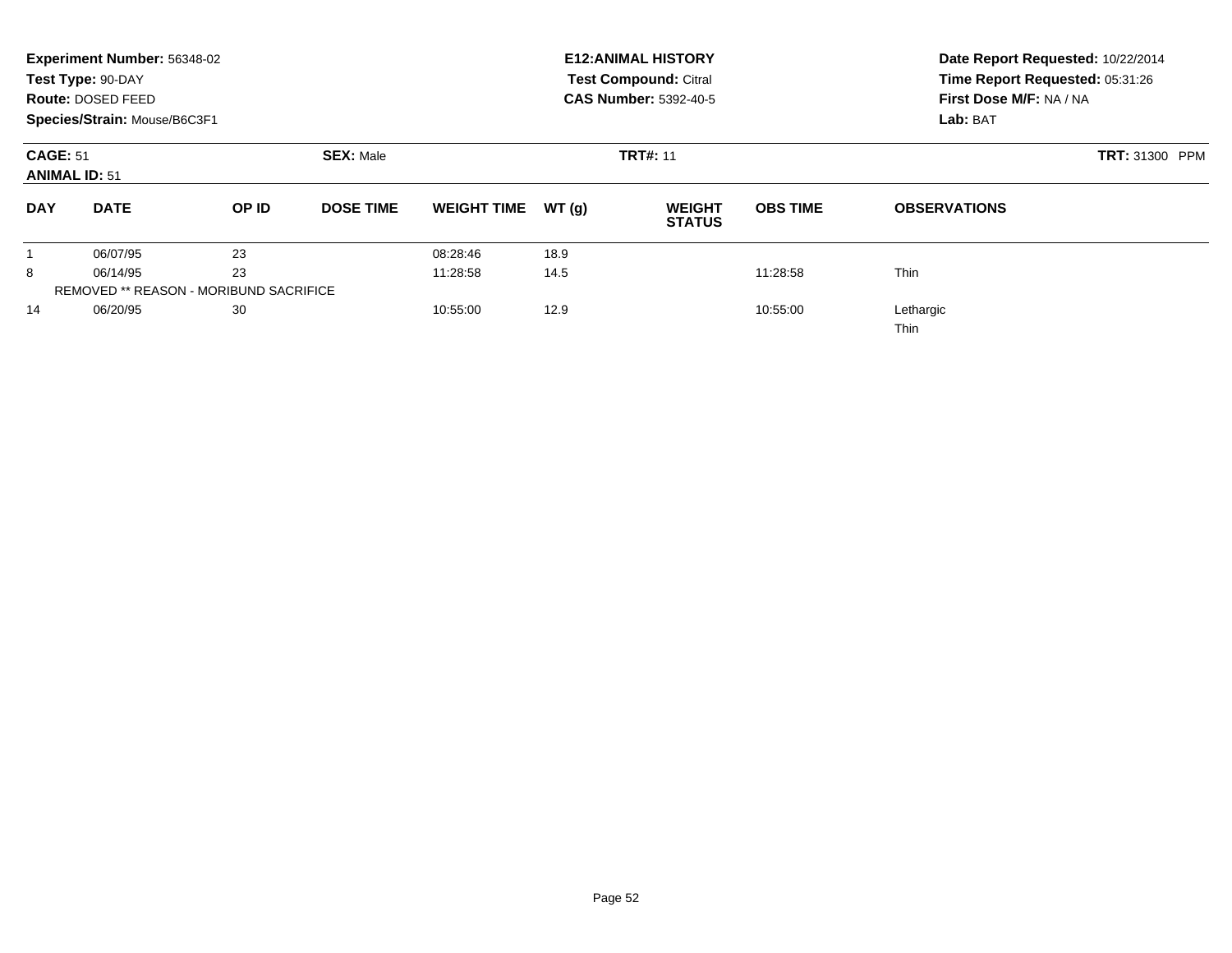|                                                             | Experiment Number: 56348-02<br>Test Type: 90-DAY<br>Route: DOSED FEED<br>Species/Strain: Mouse/B6C3F1 |                                               |                  |                    |                 | <b>E12: ANIMAL HISTORY</b><br><b>Test Compound: Citral</b><br><b>CAS Number: 5392-40-5</b> | Date Report Requested: 10/22/2014<br>Time Report Requested: 05:31:26<br>First Dose M/F: NA / NA<br>Lab: BAT |                          |
|-------------------------------------------------------------|-------------------------------------------------------------------------------------------------------|-----------------------------------------------|------------------|--------------------|-----------------|--------------------------------------------------------------------------------------------|-------------------------------------------------------------------------------------------------------------|--------------------------|
| <b>CAGE: 51</b><br><b>SEX: Male</b><br><b>ANIMAL ID: 51</b> |                                                                                                       |                                               |                  |                    | <b>TRT#: 11</b> | <b>TRT: 31300 PPM</b>                                                                      |                                                                                                             |                          |
| <b>DAY</b>                                                  | <b>DATE</b>                                                                                           | OP ID                                         | <b>DOSE TIME</b> | <b>WEIGHT TIME</b> | WT(q)           | <b>WEIGHT</b><br><b>STATUS</b>                                                             | <b>OBS TIME</b>                                                                                             | <b>OBSERVATIONS</b>      |
|                                                             | 06/07/95                                                                                              | 23                                            |                  | 08:28:46           | 18.9            |                                                                                            |                                                                                                             |                          |
| 8                                                           | 06/14/95                                                                                              | 23                                            |                  | 11:28:58           | 14.5            |                                                                                            | 11:28:58                                                                                                    | <b>Thin</b>              |
|                                                             |                                                                                                       | <b>REMOVED ** REASON - MORIBUND SACRIFICE</b> |                  |                    |                 |                                                                                            |                                                                                                             |                          |
| 14                                                          | 06/20/95                                                                                              | 30                                            |                  | 10:55:00           | 12.9            |                                                                                            | 10:55:00                                                                                                    | Lethargic<br><b>Thin</b> |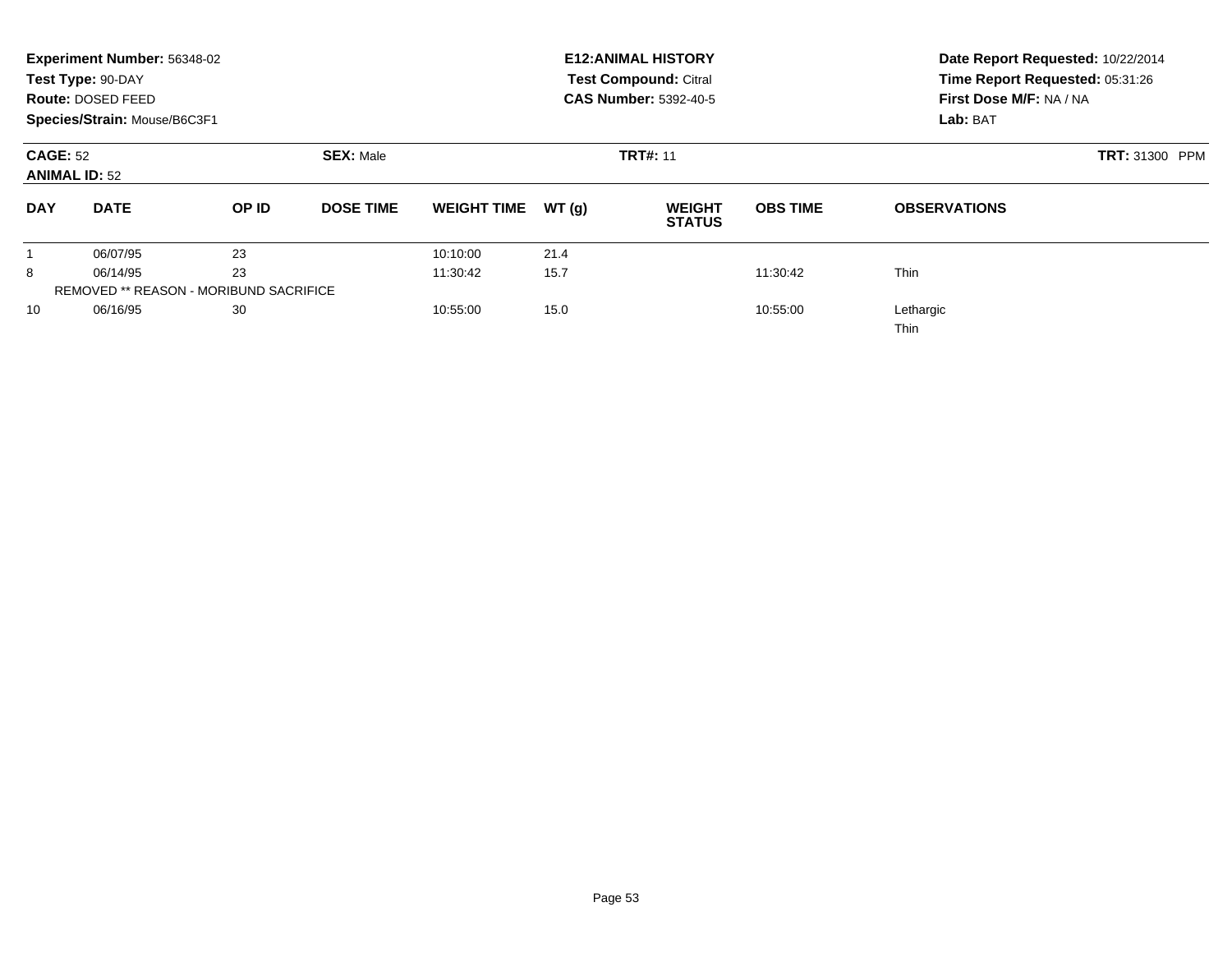|                                                             | Experiment Number: 56348-02<br>Test Type: 90-DAY<br><b>Route: DOSED FEED</b><br>Species/Strain: Mouse/B6C3F1 |                                               |                  |                    |                 | <b>E12: ANIMAL HISTORY</b><br><b>Test Compound: Citral</b><br><b>CAS Number: 5392-40-5</b> | Date Report Requested: 10/22/2014<br>Time Report Requested: 05:31:26<br>First Dose M/F: NA / NA<br>Lab: BAT |                          |
|-------------------------------------------------------------|--------------------------------------------------------------------------------------------------------------|-----------------------------------------------|------------------|--------------------|-----------------|--------------------------------------------------------------------------------------------|-------------------------------------------------------------------------------------------------------------|--------------------------|
| <b>SEX: Male</b><br><b>CAGE: 52</b><br><b>ANIMAL ID: 52</b> |                                                                                                              |                                               |                  |                    | <b>TRT#: 11</b> | <b>TRT: 31300 PPM</b>                                                                      |                                                                                                             |                          |
| <b>DAY</b>                                                  | <b>DATE</b>                                                                                                  | OP ID                                         | <b>DOSE TIME</b> | <b>WEIGHT TIME</b> | WT(g)           | <b>WEIGHT</b><br><b>STATUS</b>                                                             | <b>OBS TIME</b>                                                                                             | <b>OBSERVATIONS</b>      |
|                                                             | 06/07/95                                                                                                     | 23                                            |                  | 10:10:00           | 21.4            |                                                                                            |                                                                                                             |                          |
| 8                                                           | 06/14/95                                                                                                     | 23                                            |                  | 11:30:42           | 15.7            |                                                                                            | 11:30:42                                                                                                    | <b>Thin</b>              |
|                                                             |                                                                                                              | <b>REMOVED ** REASON - MORIBUND SACRIFICE</b> |                  |                    |                 |                                                                                            |                                                                                                             |                          |
| 10                                                          | 06/16/95                                                                                                     | 30                                            |                  | 10:55:00           | 15.0            |                                                                                            | 10:55:00                                                                                                    | Lethargic<br><b>Thin</b> |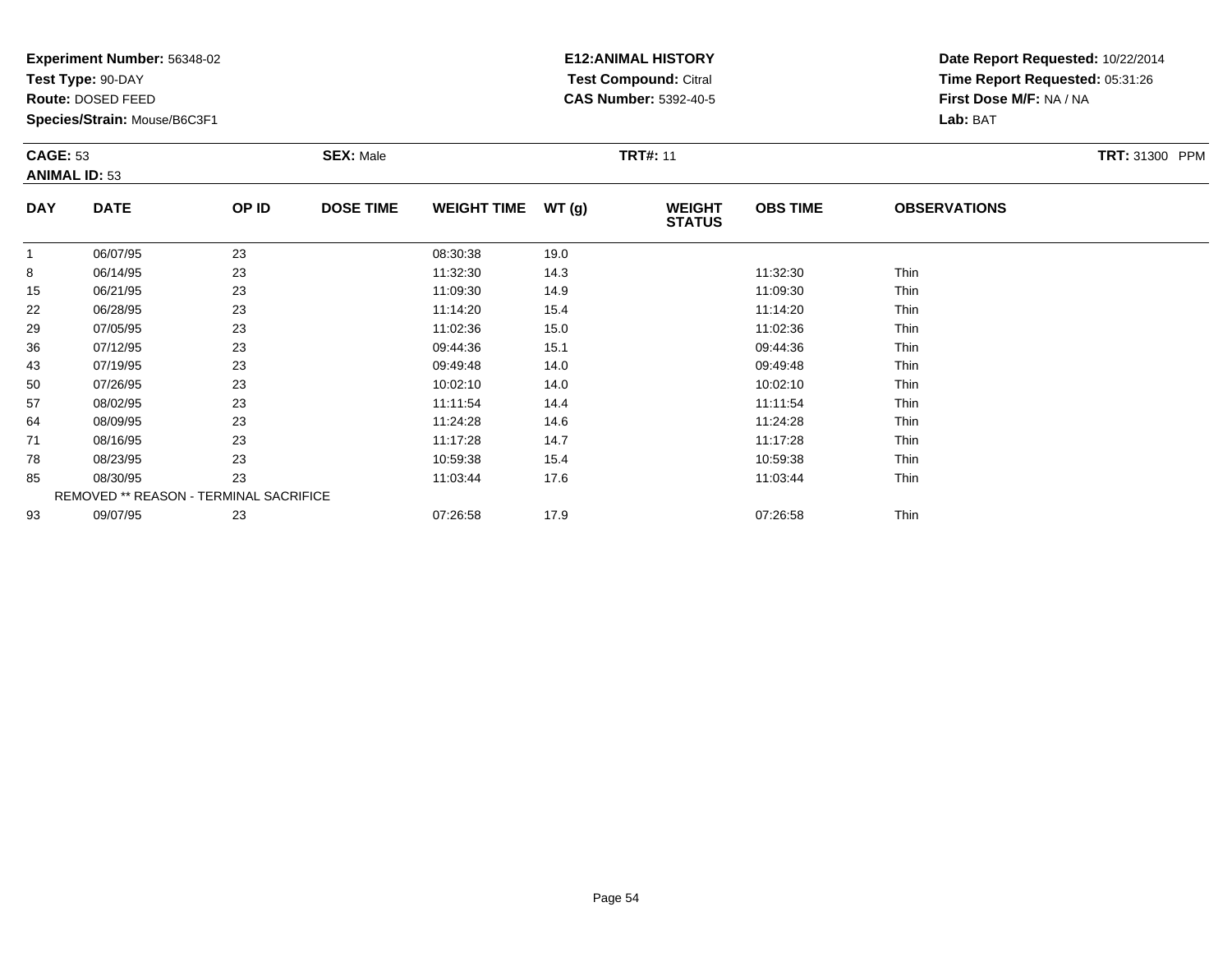**Test Type:** 90-DAY

**Route:** DOSED FEED

78

85

93

**Species/Strain:** Mouse/B6C3F1

REMOVED \*\* REASON - TERMINAL SACRIFICE

## **E12:ANIMAL HISTORY Test Compound:** Citral **CAS Number:** 5392-40-5

**Date Report Requested:** 10/22/2014**Time Report Requested:** 05:31:26**First Dose M/F:** NA / NA**Lab:** BAT

| <b>CAGE: 53</b><br><b>ANIMAL ID: 53</b> |             |       | <b>SEX: Male</b> |                    |       | <b>TRT#: 11</b>                | TRT: 31300 PPM  |                     |  |
|-----------------------------------------|-------------|-------|------------------|--------------------|-------|--------------------------------|-----------------|---------------------|--|
| <b>DAY</b>                              | <b>DATE</b> | OP ID | <b>DOSE TIME</b> | <b>WEIGHT TIME</b> | WT(g) | <b>WEIGHT</b><br><b>STATUS</b> | <b>OBS TIME</b> | <b>OBSERVATIONS</b> |  |
| 1                                       | 06/07/95    | 23    |                  | 08:30:38           | 19.0  |                                |                 |                     |  |
| 8                                       | 06/14/95    | 23    |                  | 11:32:30           | 14.3  |                                | 11:32:30        | Thin                |  |
| 15                                      | 06/21/95    | 23    |                  | 11:09:30           | 14.9  |                                | 11:09:30        | Thin                |  |
| 22                                      | 06/28/95    | 23    |                  | 11:14:20           | 15.4  |                                | 11:14:20        | Thin                |  |
| 29                                      | 07/05/95    | 23    |                  | 11:02:36           | 15.0  |                                | 11:02:36        | Thin                |  |
| 36                                      | 07/12/95    | 23    |                  | 09:44:36           | 15.1  |                                | 09:44:36        | Thin                |  |
| 43                                      | 07/19/95    | 23    |                  | 09:49:48           | 14.0  |                                | 09:49:48        | Thin                |  |
| 50                                      | 07/26/95    | 23    |                  | 10:02:10           | 14.0  |                                | 10:02:10        | Thin                |  |
| 57                                      | 08/02/95    | 23    |                  | 11:11:54           | 14.4  |                                | 11:11:54        | Thin                |  |
| 64                                      | 08/09/95    | 23    |                  | 11:24:28           | 14.6  |                                | 11:24:28        | Thin                |  |
| 71                                      | 08/16/95    | 23    |                  | 11:17:28           | 14.7  |                                | 11:17:28        | <b>Thin</b>         |  |

8 08/23/95 23 23 10:59:38 15.4 15.4 15.4 10:59:38 15.4

08/30/95 <sup>23</sup> 11:03:44 17.6 11:03:44 Thin

09/07/95 <sup>23</sup> 07:26:58 17.9 07:26:58 Thin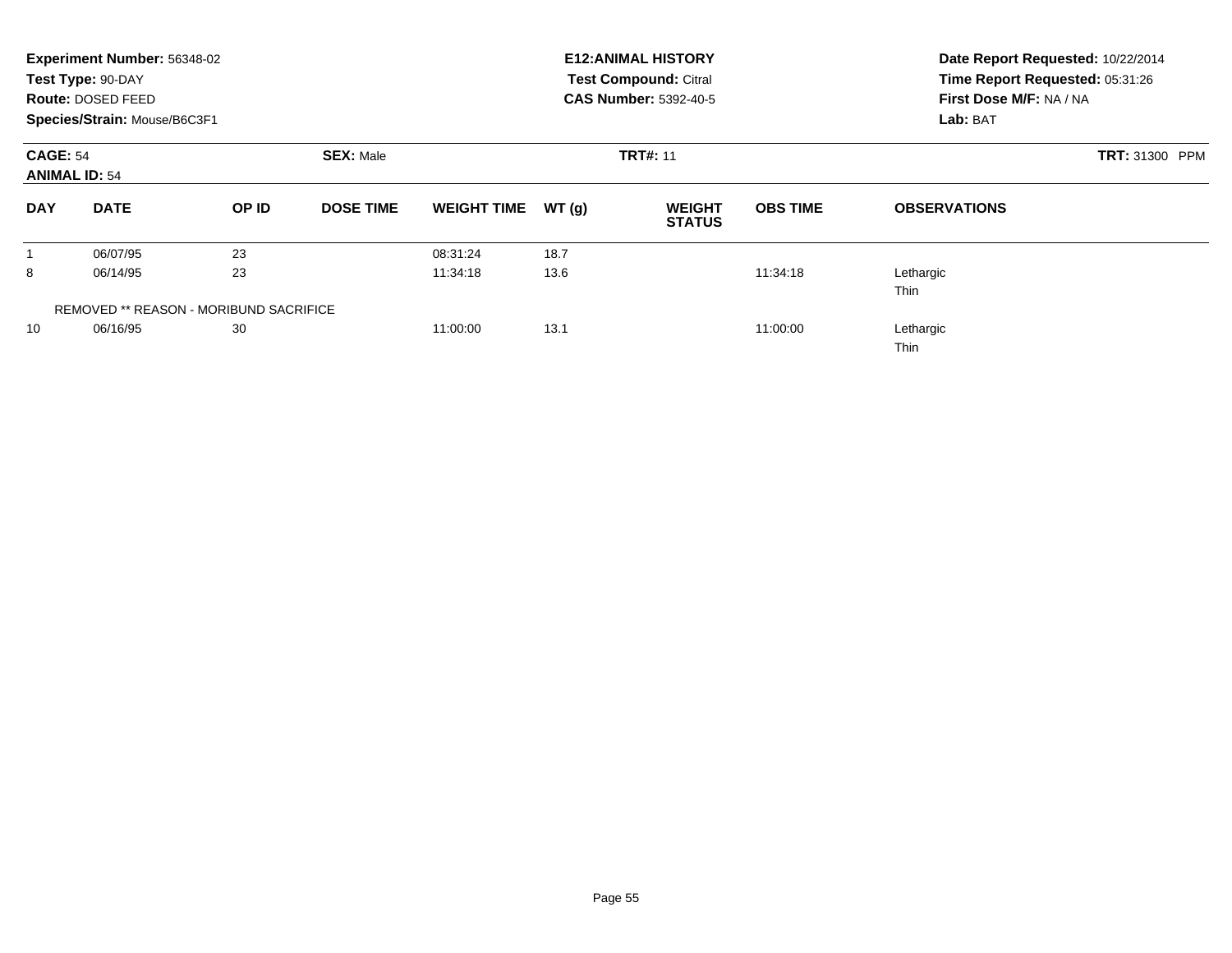|                                         | Experiment Number: 56348-02<br>Test Type: 90-DAY<br><b>Route: DOSED FEED</b><br>Species/Strain: Mouse/B6C3F1 |                                               |                  |                    |       | <b>E12: ANIMAL HISTORY</b><br><b>Test Compound: Citral</b><br><b>CAS Number: 5392-40-5</b> | Date Report Requested: 10/22/2014<br>Time Report Requested: 05:31:26<br>First Dose M/F: NA / NA<br>Lab: BAT |                          |  |
|-----------------------------------------|--------------------------------------------------------------------------------------------------------------|-----------------------------------------------|------------------|--------------------|-------|--------------------------------------------------------------------------------------------|-------------------------------------------------------------------------------------------------------------|--------------------------|--|
| <b>CAGE: 54</b><br><b>ANIMAL ID: 54</b> |                                                                                                              |                                               | <b>SEX: Male</b> |                    |       | <b>TRT#: 11</b>                                                                            |                                                                                                             | <b>TRT: 31300 PPM</b>    |  |
| <b>DAY</b>                              | <b>DATE</b>                                                                                                  | OP ID                                         | <b>DOSE TIME</b> | <b>WEIGHT TIME</b> | WT(g) | <b>WEIGHT</b><br><b>STATUS</b>                                                             | <b>OBS TIME</b>                                                                                             | <b>OBSERVATIONS</b>      |  |
|                                         | 06/07/95                                                                                                     | 23                                            |                  | 08:31:24           | 18.7  |                                                                                            |                                                                                                             |                          |  |
| 8                                       | 06/14/95                                                                                                     | 23                                            |                  | 11:34:18           | 13.6  |                                                                                            | 11:34:18                                                                                                    | Lethargic<br><b>Thin</b> |  |
|                                         |                                                                                                              | <b>REMOVED ** REASON - MORIBUND SACRIFICE</b> |                  |                    |       |                                                                                            |                                                                                                             |                          |  |
| 10                                      | 06/16/95                                                                                                     | 30                                            |                  | 11:00:00           | 13.1  |                                                                                            | 11:00:00                                                                                                    | Lethargic<br><b>Thin</b> |  |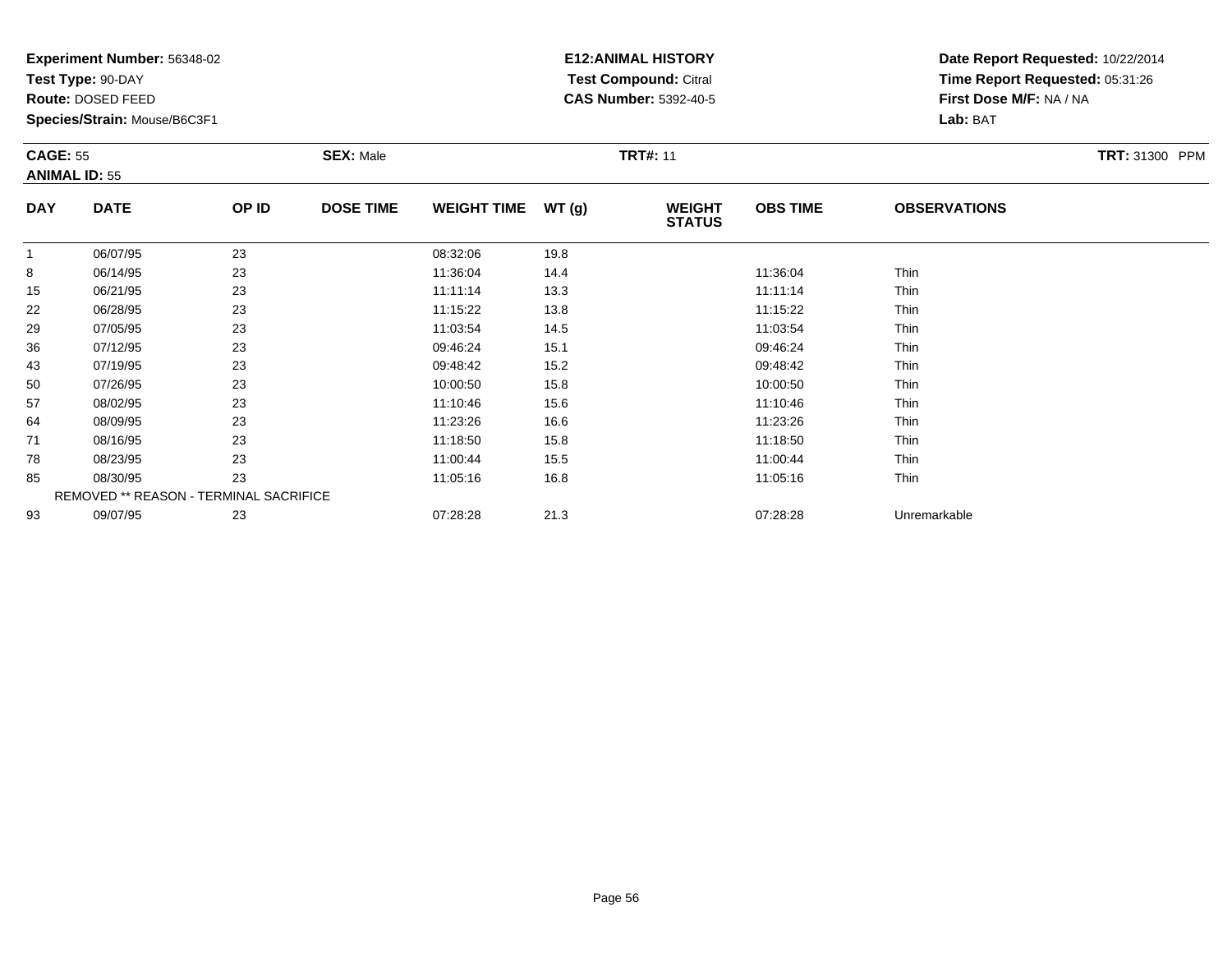**Test Type:** 90-DAY

**Route:** DOSED FEED

50

57

64

71

78

85

93

**Species/Strain:** Mouse/B6C3F1

REMOVED \*\* REASON - TERMINAL SACRIFICE

## **E12:ANIMAL HISTORY Test Compound:** Citral **CAS Number:** 5392-40-5

**Date Report Requested:** 10/22/2014**Time Report Requested:** 05:31:26**First Dose M/F:** NA / NA**Lab:** BAT

| <b>CAGE: 55</b><br><b>ANIMAL ID: 55</b> |             |       | <b>SEX: Male</b> |                    |       | <b>TRT#: 11</b>                |                 |                     | <b>TRT: 31300 PPM</b> |
|-----------------------------------------|-------------|-------|------------------|--------------------|-------|--------------------------------|-----------------|---------------------|-----------------------|
| <b>DAY</b>                              | <b>DATE</b> | OP ID | <b>DOSE TIME</b> | <b>WEIGHT TIME</b> | WT(g) | <b>WEIGHT</b><br><b>STATUS</b> | <b>OBS TIME</b> | <b>OBSERVATIONS</b> |                       |
|                                         | 06/07/95    | 23    |                  | 08:32:06           | 19.8  |                                |                 |                     |                       |
| 8                                       | 06/14/95    | 23    |                  | 11:36:04           | 14.4  |                                | 11:36:04        | <b>Thin</b>         |                       |
| 15                                      | 06/21/95    | 23    |                  | 11:11:14           | 13.3  |                                | 11:11:14        | <b>Thin</b>         |                       |
| 22                                      | 06/28/95    | 23    |                  | 11:15:22           | 13.8  |                                | 11:15:22        | <b>Thin</b>         |                       |
| 29                                      | 07/05/95    | 23    |                  | 11:03:54           | 14.5  |                                | 11:03:54        | Thin                |                       |
| 36                                      | 07/12/95    | 23    |                  | 09:46:24           | 15.1  |                                | 09:46:24        | Thin                |                       |
| 43                                      | 07/19/95    | 23    |                  | 09:48:42           | 15.2  |                                | 09:48:42        | <b>Thin</b>         |                       |

0 07/26/95 23 23 10:00:50 15.8 15.8 10:00:50 15.8

08/02/95 <sup>23</sup> 11:10:46 15.6 11:10:46 Thin

08/09/95 <sup>23</sup> 11:23:26 16.6 11:23:26 Thin

1 08/16/95 23 23 11:18:50 15.8 15.8 11:18:50 11:18:50 Thin

8 08/23/95 23 23 11:00:44 15.5 15.5 11:00:44 15.5

5 08/30/95 23 23 11:05:16 16.8 16.8 11:05 16.8 11:05:16 16.8

09/07/95 <sup>23</sup> 07:28:28 21.3 07:28:28 Unremarkable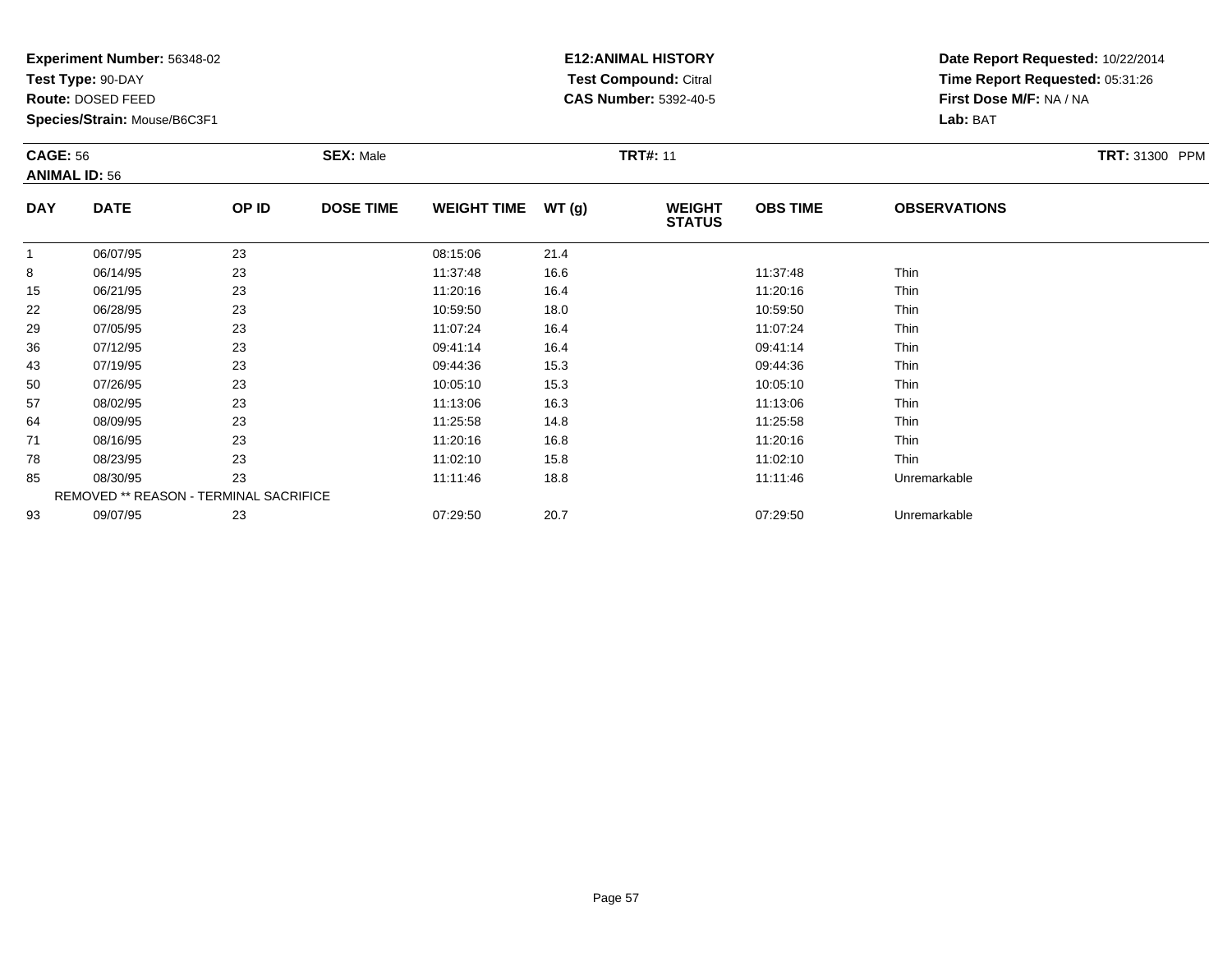**Test Type:** 90-DAY

**Route:** DOSED FEED

78

85

93

**Species/Strain:** Mouse/B6C3F1

REMOVED \*\* REASON - TERMINAL SACRIFICE

## **E12:ANIMAL HISTORY Test Compound:** Citral **CAS Number:** 5392-40-5

**Date Report Requested:** 10/22/2014**Time Report Requested:** 05:31:26**First Dose M/F:** NA / NA**Lab:** BAT

| <b>CAGE: 56</b><br><b>ANIMAL ID: 56</b> |             |       | <b>SEX: Male</b> |                    | <b>TRT#: 11</b> |                                |                 |                     |  |  |
|-----------------------------------------|-------------|-------|------------------|--------------------|-----------------|--------------------------------|-----------------|---------------------|--|--|
| <b>DAY</b>                              | <b>DATE</b> | OP ID | <b>DOSE TIME</b> | <b>WEIGHT TIME</b> | WT(g)           | <b>WEIGHT</b><br><b>STATUS</b> | <b>OBS TIME</b> | <b>OBSERVATIONS</b> |  |  |
| 1                                       | 06/07/95    | 23    |                  | 08:15:06           | 21.4            |                                |                 |                     |  |  |
| 8                                       | 06/14/95    | 23    |                  | 11:37:48           | 16.6            |                                | 11:37:48        | Thin                |  |  |
| 15                                      | 06/21/95    | 23    |                  | 11:20:16           | 16.4            |                                | 11:20:16        | Thin                |  |  |
| 22                                      | 06/28/95    | 23    |                  | 10:59:50           | 18.0            |                                | 10:59:50        | Thin                |  |  |
| 29                                      | 07/05/95    | 23    |                  | 11:07:24           | 16.4            |                                | 11:07:24        | Thin                |  |  |
| 36                                      | 07/12/95    | 23    |                  | 09:41:14           | 16.4            |                                | 09:41:14        | Thin                |  |  |
| 43                                      | 07/19/95    | 23    |                  | 09:44:36           | 15.3            |                                | 09:44:36        | Thin                |  |  |
| 50                                      | 07/26/95    | 23    |                  | 10:05:10           | 15.3            |                                | 10:05:10        | Thin                |  |  |
| 57                                      | 08/02/95    | 23    |                  | 11:13:06           | 16.3            |                                | 11:13:06        | Thin                |  |  |
| 64                                      | 08/09/95    | 23    |                  | 11:25:58           | 14.8            |                                | 11:25:58        | Thin                |  |  |
| 71                                      | 08/16/95    | 23    |                  | 11:20:16           | 16.8            |                                | 11:20:16        | Thin                |  |  |

8 08/23/95 23 23 11:02:10 15.8 15.8 11:02:10 15.8

08/30/95 <sup>23</sup> 11:11:46 18.8 11:11:46 Unremarkable

09/07/95 <sup>23</sup> 07:29:50 20.7 07:29:50 Unremarkable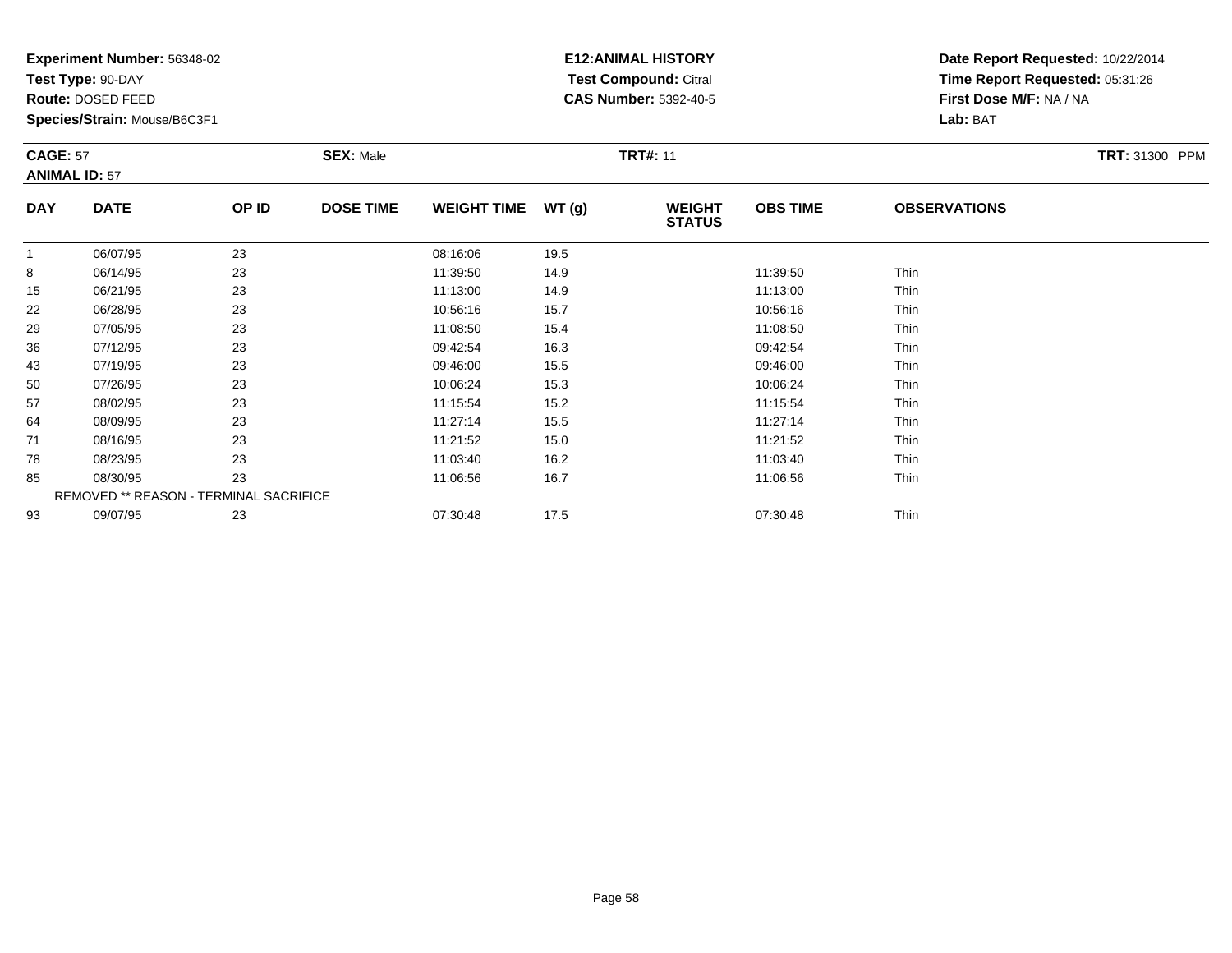**Test Type:** 90-DAY

**Route:** DOSED FEED

**Species/Strain:** Mouse/B6C3F1

# **E12:ANIMAL HISTORY Test Compound:** Citral **CAS Number:** 5392-40-5

|            | <b>CAGE: 57</b><br><b>ANIMAL ID: 57</b> |       |                  | <b>SEX: Male</b><br><b>TRT#: 11</b> |             |                                |                 |                     |  |  |
|------------|-----------------------------------------|-------|------------------|-------------------------------------|-------------|--------------------------------|-----------------|---------------------|--|--|
| <b>DAY</b> | <b>DATE</b>                             | OP ID | <b>DOSE TIME</b> | WEIGHT TIME $WT(g)$                 |             | <b>WEIGHT</b><br><b>STATUS</b> | <b>OBS TIME</b> | <b>OBSERVATIONS</b> |  |  |
|            | 06/07/95                                | 23    |                  | 08:16:06                            | 19.5        |                                |                 |                     |  |  |
| 8          | 06/14/95                                | 23    |                  | 11:39:50                            | 14.9        |                                | 11:39:50        | Thin                |  |  |
| 15         | 06/21/95                                | 23    |                  | 11:13:00                            | 14.9        |                                | 11:13:00        | Thin                |  |  |
| __         | --------                                | $ -$  |                  | .                                   | $\sim$ $ -$ |                                | .               | $- \cdot$ .         |  |  |

| ັ  | 0011100  | ້                                             | 1.00.00  | $\mathbf{r}$ | 1.00.00  | .           |
|----|----------|-----------------------------------------------|----------|--------------|----------|-------------|
| 15 | 06/21/95 | 23                                            | 11:13:00 | 14.9         | 11:13:00 | Thin        |
| 22 | 06/28/95 | 23                                            | 10:56:16 | 15.7         | 10:56:16 | <b>Thin</b> |
| 29 | 07/05/95 | 23                                            | 11:08:50 | 15.4         | 11:08:50 | Thin        |
| 36 | 07/12/95 | 23                                            | 09:42:54 | 16.3         | 09:42:54 | Thin        |
| 43 | 07/19/95 | 23                                            | 09:46:00 | 15.5         | 09:46:00 | Thin        |
| 50 | 07/26/95 | 23                                            | 10:06:24 | 15.3         | 10:06:24 | Thin        |
| 57 | 08/02/95 | 23                                            | 11:15:54 | 15.2         | 11:15:54 | <b>Thin</b> |
| 64 | 08/09/95 | 23                                            | 11:27:14 | 15.5         | 11:27:14 | Thin        |
| 71 | 08/16/95 | 23                                            | 11:21:52 | 15.0         | 11:21:52 | Thin        |
| 78 | 08/23/95 | 23                                            | 11:03:40 | 16.2         | 11:03:40 | Thin        |
| 85 | 08/30/95 | 23                                            | 11:06:56 | 16.7         | 11:06:56 | Thin        |
|    |          | <b>REMOVED ** REASON - TERMINAL SACRIFICE</b> |          |              |          |             |
| 93 | 09/07/95 | 23                                            | 07:30:48 | 17.5         | 07:30:48 | Thin        |
|    |          |                                               |          |              |          |             |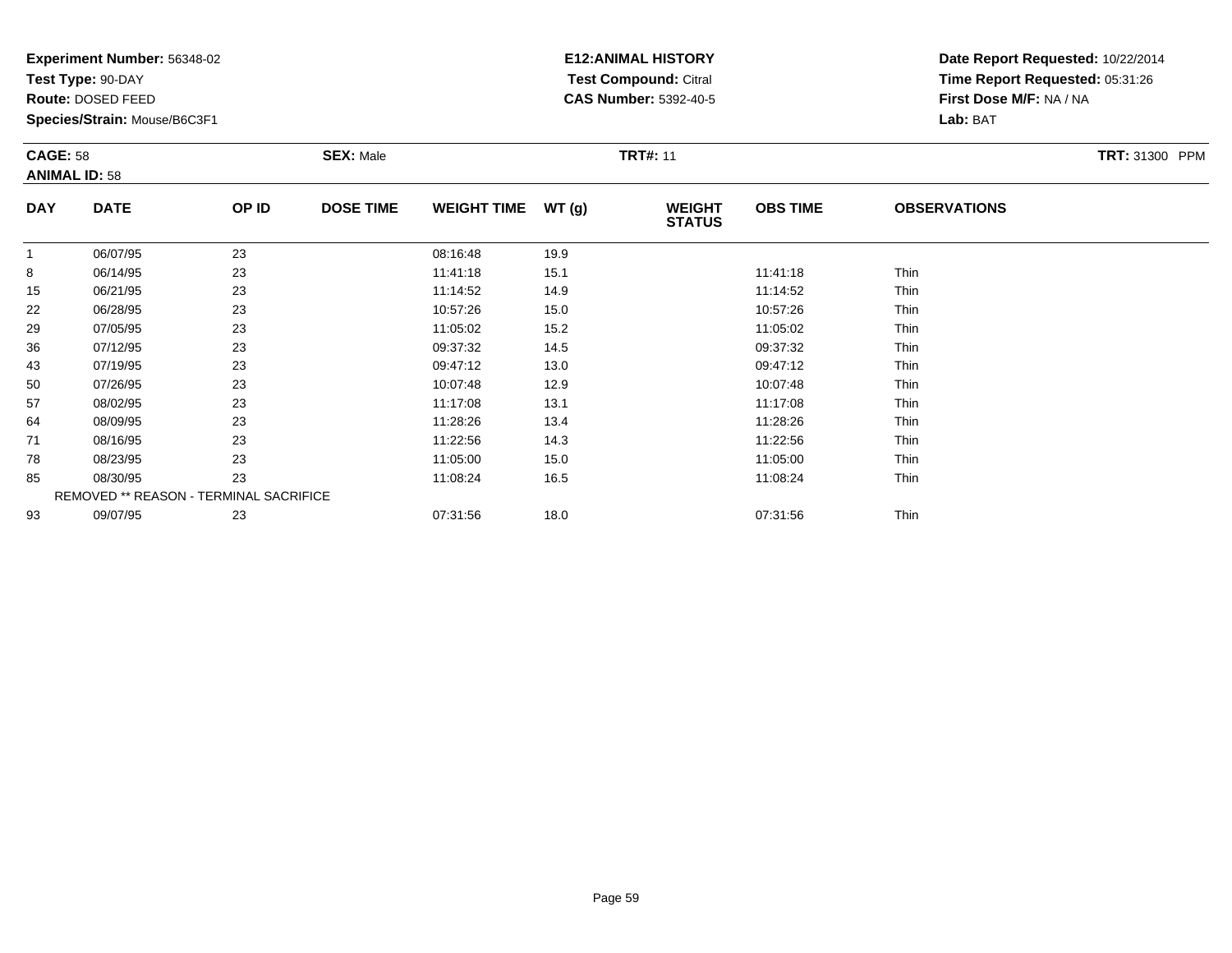**Test Type:** 90-DAY

**Route:** DOSED FEED

64

71

78

85

93

**Species/Strain:** Mouse/B6C3F1

REMOVED \*\* REASON - TERMINAL SACRIFICE

## **E12:ANIMAL HISTORY Test Compound:** Citral **CAS Number:** 5392-40-5

**Date Report Requested:** 10/22/2014**Time Report Requested:** 05:31:26**First Dose M/F:** NA / NA**Lab:** BAT

| <b>CAGE: 58</b><br><b>ANIMAL ID: 58</b> |             |       | <b>SEX: Male</b> |                    |       | <b>TRT#: 11</b>                |                 | TRT: 31300 PPM      |  |
|-----------------------------------------|-------------|-------|------------------|--------------------|-------|--------------------------------|-----------------|---------------------|--|
| <b>DAY</b>                              | <b>DATE</b> | OP ID | <b>DOSE TIME</b> | <b>WEIGHT TIME</b> | WT(g) | <b>WEIGHT</b><br><b>STATUS</b> | <b>OBS TIME</b> | <b>OBSERVATIONS</b> |  |
|                                         | 06/07/95    | 23    |                  | 08:16:48           | 19.9  |                                |                 |                     |  |
| 8                                       | 06/14/95    | 23    |                  | 11:41:18           | 15.1  |                                | 11:41:18        | <b>Thin</b>         |  |
| 15                                      | 06/21/95    | 23    |                  | 11:14:52           | 14.9  |                                | 11:14:52        | Thin                |  |
| 22                                      | 06/28/95    | 23    |                  | 10:57:26           | 15.0  |                                | 10:57:26        | <b>Thin</b>         |  |
| 29                                      | 07/05/95    | 23    |                  | 11:05:02           | 15.2  |                                | 11:05:02        | Thin                |  |
| 36                                      | 07/12/95    | 23    |                  | 09:37:32           | 14.5  |                                | 09:37:32        | <b>Thin</b>         |  |
| 43                                      | 07/19/95    | 23    |                  | 09:47:12           | 13.0  |                                | 09:47:12        | Thin                |  |
| 50                                      | 07/26/95    | 23    |                  | 10:07:48           | 12.9  |                                | 10:07:48        | Thin                |  |
| 57                                      | 08/02/95    | 23    |                  | 11:17:08           | 13.1  |                                | 11:17:08        | Thin                |  |

08/09/95 <sup>23</sup> 11:28:26 13.4 11:28:26 Thin

1 08/16/95 23 23 11:22:56 14.3 14.3 11:22:56 14.3

8 08/23/95 23 23 11:05:00 15.0 15.0 15.0 11:05:00 15.0

08/30/95 <sup>23</sup> 11:08:24 16.5 11:08:24 Thin

09/07/95 <sup>23</sup> 07:31:56 18.0 07:31:56 Thin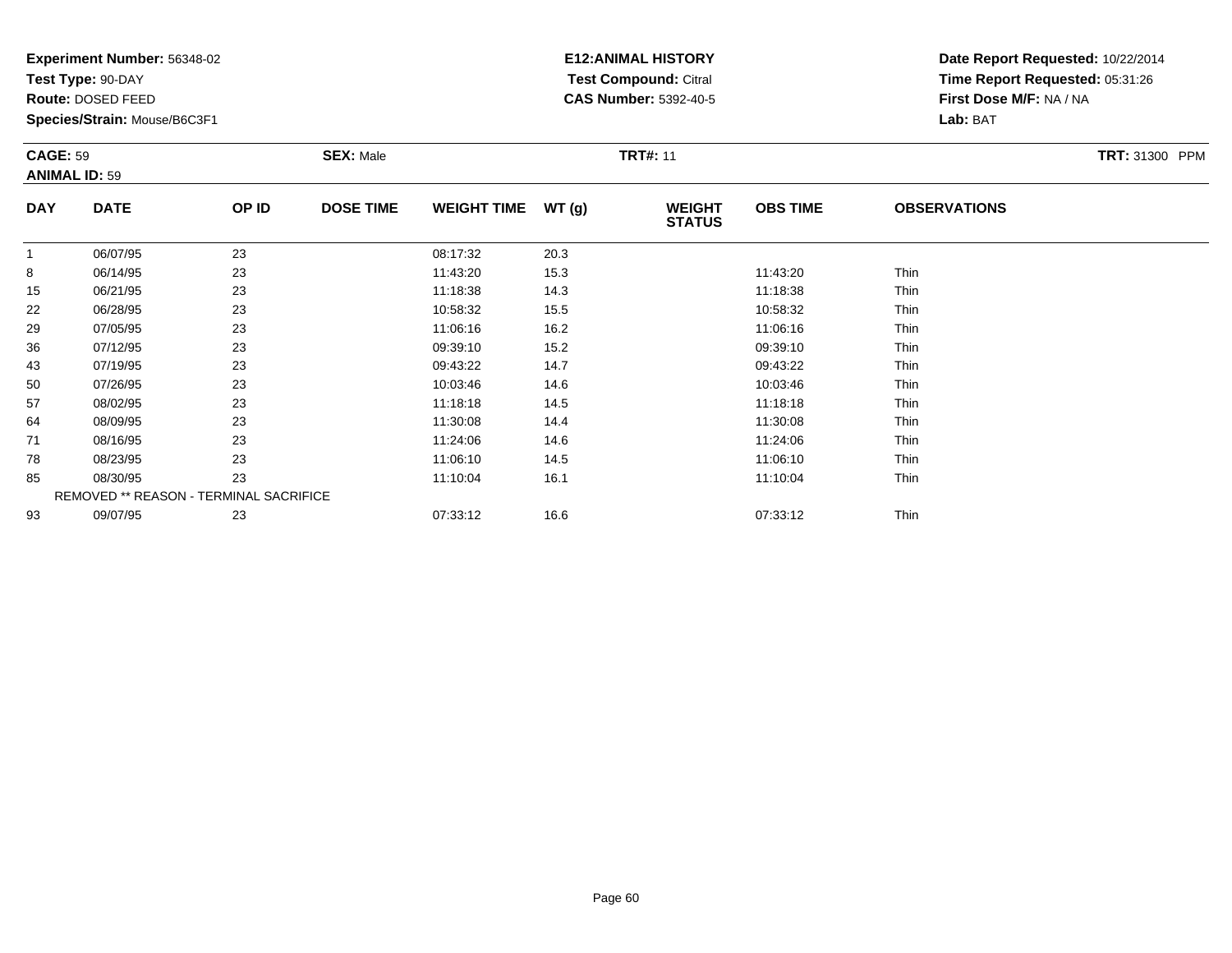**Test Type:** 90-DAY

**Route:** DOSED FEED

71

78

85

93

**Species/Strain:** Mouse/B6C3F1

REMOVED \*\* REASON - TERMINAL SACRIFICE

## **E12:ANIMAL HISTORY Test Compound:** Citral **CAS Number:** 5392-40-5

**Date Report Requested:** 10/22/2014**Time Report Requested:** 05:31:26**First Dose M/F:** NA / NA**Lab:** BAT

| <b>CAGE: 59</b><br><b>ANIMAL ID: 59</b> |             |       | <b>SEX: Male</b> |                    |       | <b>TRT#: 11</b>                |                 | TRT: 31300 PPM      |  |
|-----------------------------------------|-------------|-------|------------------|--------------------|-------|--------------------------------|-----------------|---------------------|--|
| <b>DAY</b>                              | <b>DATE</b> | OP ID | <b>DOSE TIME</b> | <b>WEIGHT TIME</b> | WT(g) | <b>WEIGHT</b><br><b>STATUS</b> | <b>OBS TIME</b> | <b>OBSERVATIONS</b> |  |
|                                         | 06/07/95    | 23    |                  | 08:17:32           | 20.3  |                                |                 |                     |  |
| 8                                       | 06/14/95    | 23    |                  | 11:43:20           | 15.3  |                                | 11:43:20        | Thin                |  |
| 15                                      | 06/21/95    | 23    |                  | 11:18:38           | 14.3  |                                | 11:18:38        | Thin                |  |
| 22                                      | 06/28/95    | 23    |                  | 10:58:32           | 15.5  |                                | 10:58:32        | Thin                |  |
| 29                                      | 07/05/95    | 23    |                  | 11:06:16           | 16.2  |                                | 11:06:16        | Thin                |  |
| 36                                      | 07/12/95    | 23    |                  | 09:39:10           | 15.2  |                                | 09:39:10        | Thin                |  |
| 43                                      | 07/19/95    | 23    |                  | 09:43:22           | 14.7  |                                | 09:43:22        | Thin                |  |
| 50                                      | 07/26/95    | 23    |                  | 10:03:46           | 14.6  |                                | 10:03:46        | Thin                |  |
| 57                                      | 08/02/95    | 23    |                  | 11:18:18           | 14.5  |                                | 11:18:18        | Thin                |  |
| 64                                      | 08/09/95    | 23    |                  | 11:30:08           | 14.4  |                                | 11:30:08        | <b>Thin</b>         |  |

1 08/16/95 23 23 11:24:06 14.6 14.6 11:24:06 15 11:24:06 Thin

8 08/23/95 23 23 11:06:10 14.5 15 11:06:10 15 11:06:10

5 08/30/95 23 23 11:10:04 16.1 16.1 11:10:04 16.1

09/07/95 <sup>23</sup> 07:33:12 16.6 07:33:12 Thin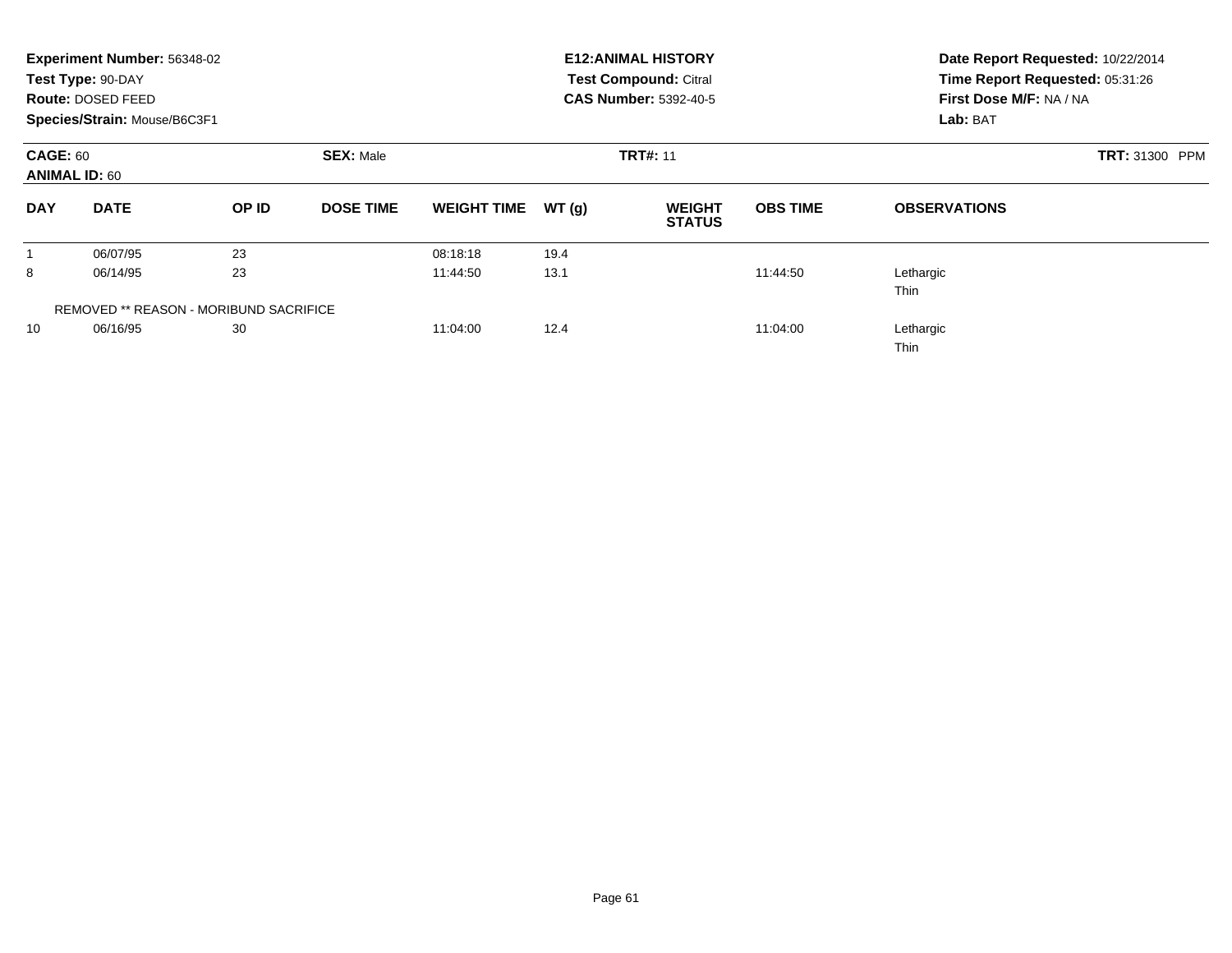|                                         | Experiment Number: 56348-02<br>Test Type: 90-DAY<br><b>Route: DOSED FEED</b><br>Species/Strain: Mouse/B6C3F1 |                                               |                  |                    |       | <b>E12: ANIMAL HISTORY</b><br><b>Test Compound: Citral</b><br><b>CAS Number: 5392-40-5</b> | Date Report Requested: 10/22/2014<br>Time Report Requested: 05:31:26<br>First Dose M/F: NA / NA<br>Lab: BAT |                          |
|-----------------------------------------|--------------------------------------------------------------------------------------------------------------|-----------------------------------------------|------------------|--------------------|-------|--------------------------------------------------------------------------------------------|-------------------------------------------------------------------------------------------------------------|--------------------------|
| <b>CAGE: 60</b><br><b>ANIMAL ID: 60</b> |                                                                                                              |                                               | <b>SEX: Male</b> |                    |       | <b>TRT#: 11</b>                                                                            |                                                                                                             | <b>TRT: 31300 PPM</b>    |
| <b>DAY</b>                              | <b>DATE</b>                                                                                                  | OP ID                                         | <b>DOSE TIME</b> | <b>WEIGHT TIME</b> | WT(g) | <b>WEIGHT</b><br><b>STATUS</b>                                                             | <b>OBS TIME</b>                                                                                             | <b>OBSERVATIONS</b>      |
|                                         | 06/07/95                                                                                                     | 23                                            |                  | 08:18:18           | 19.4  |                                                                                            |                                                                                                             |                          |
| 8                                       | 06/14/95                                                                                                     | 23                                            |                  | 11:44:50           | 13.1  |                                                                                            | 11:44:50                                                                                                    | Lethargic<br><b>Thin</b> |
|                                         |                                                                                                              | <b>REMOVED ** REASON - MORIBUND SACRIFICE</b> |                  |                    |       |                                                                                            |                                                                                                             |                          |
| 10                                      | 06/16/95                                                                                                     | 30                                            |                  | 11:04:00           | 12.4  |                                                                                            | 11:04:00                                                                                                    | Lethargic<br><b>Thin</b> |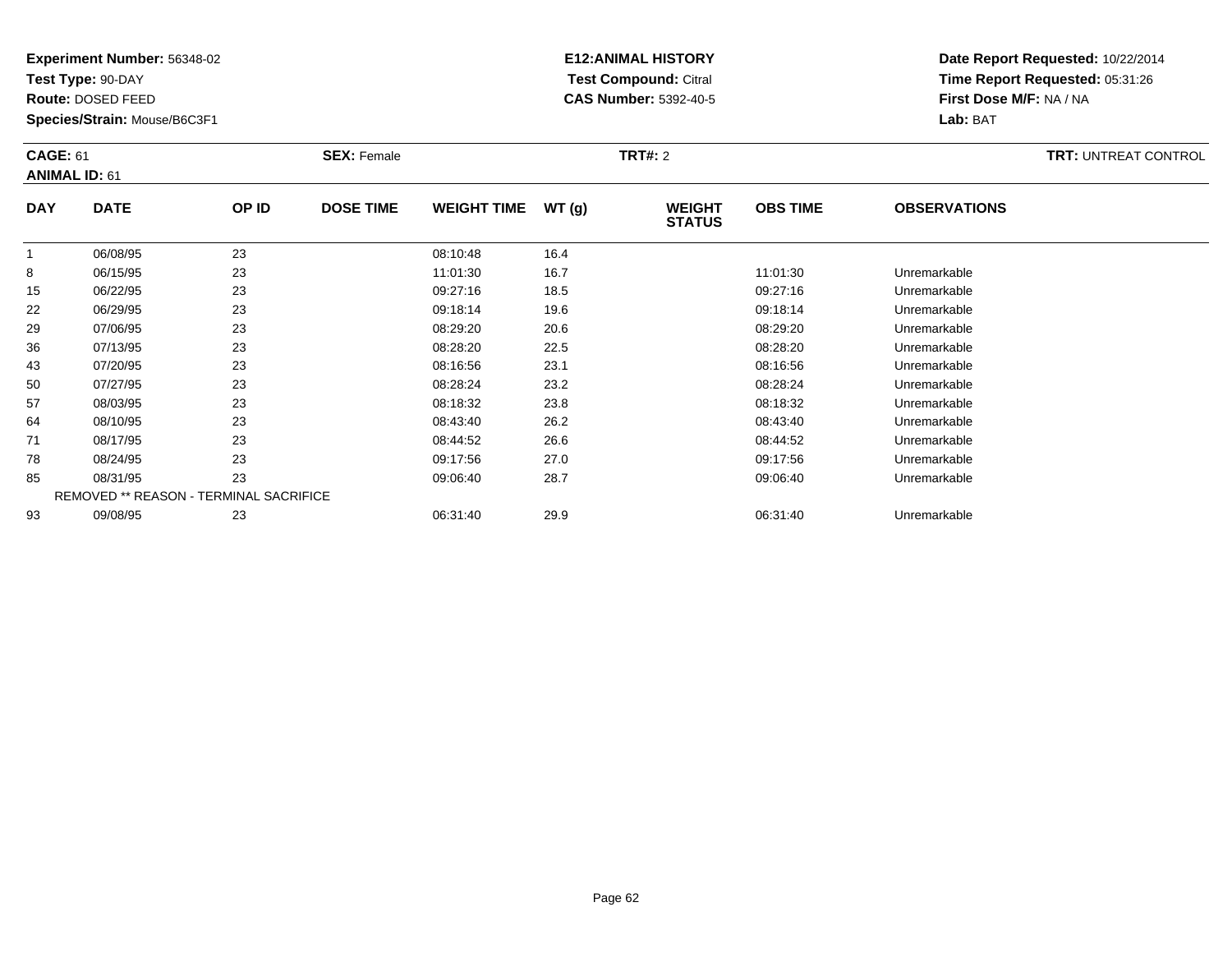**Test Type:** 90-DAY

**Route:** DOSED FEED

**Species/Strain:** Mouse/B6C3F1

# **E12:ANIMAL HISTORY Test Compound:** Citral **CAS Number:** 5392-40-5

| <b>CAGE: 61</b><br><b>ANIMAL ID: 61</b> |                                        | <b>SEX: Female</b> |                  |                    | <b>TRT#: 2</b> | <b>TRT: UNTREAT CONTROL</b>    |                 |                     |  |
|-----------------------------------------|----------------------------------------|--------------------|------------------|--------------------|----------------|--------------------------------|-----------------|---------------------|--|
| <b>DAY</b>                              | <b>DATE</b>                            | OP ID              | <b>DOSE TIME</b> | <b>WEIGHT TIME</b> | WT(g)          | <b>WEIGHT</b><br><b>STATUS</b> | <b>OBS TIME</b> | <b>OBSERVATIONS</b> |  |
|                                         | 06/08/95                               | 23                 |                  | 08:10:48           | 16.4           |                                |                 |                     |  |
| 8                                       | 06/15/95                               | 23                 |                  | 11:01:30           | 16.7           |                                | 11:01:30        | Unremarkable        |  |
| 15                                      | 06/22/95                               | 23                 |                  | 09:27:16           | 18.5           |                                | 09:27:16        | Unremarkable        |  |
| 22                                      | 06/29/95                               | 23                 |                  | 09:18:14           | 19.6           |                                | 09:18:14        | Unremarkable        |  |
| 29                                      | 07/06/95                               | 23                 |                  | 08:29:20           | 20.6           |                                | 08:29:20        | Unremarkable        |  |
| 36                                      | 07/13/95                               | 23                 |                  | 08:28:20           | 22.5           |                                | 08:28:20        | Unremarkable        |  |
| 43                                      | 07/20/95                               | 23                 |                  | 08:16:56           | 23.1           |                                | 08:16:56        | Unremarkable        |  |
| 50                                      | 07/27/95                               | 23                 |                  | 08:28:24           | 23.2           |                                | 08:28:24        | Unremarkable        |  |
| 57                                      | 08/03/95                               | 23                 |                  | 08:18:32           | 23.8           |                                | 08:18:32        | Unremarkable        |  |
| 64                                      | 08/10/95                               | 23                 |                  | 08:43:40           | 26.2           |                                | 08:43:40        | Unremarkable        |  |
| 71                                      | 08/17/95                               | 23                 |                  | 08:44:52           | 26.6           |                                | 08:44:52        | Unremarkable        |  |
| 78                                      | 08/24/95                               | 23                 |                  | 09:17:56           | 27.0           |                                | 09:17:56        | Unremarkable        |  |
| 85                                      | 08/31/95                               | 23                 |                  | 09:06:40           | 28.7           |                                | 09:06:40        | Unremarkable        |  |
|                                         | REMOVED ** REASON - TERMINAL SACRIFICE |                    |                  |                    |                |                                |                 |                     |  |
| 93                                      | 09/08/95                               | 23                 |                  | 06:31:40           | 29.9           |                                | 06:31:40        | Unremarkable        |  |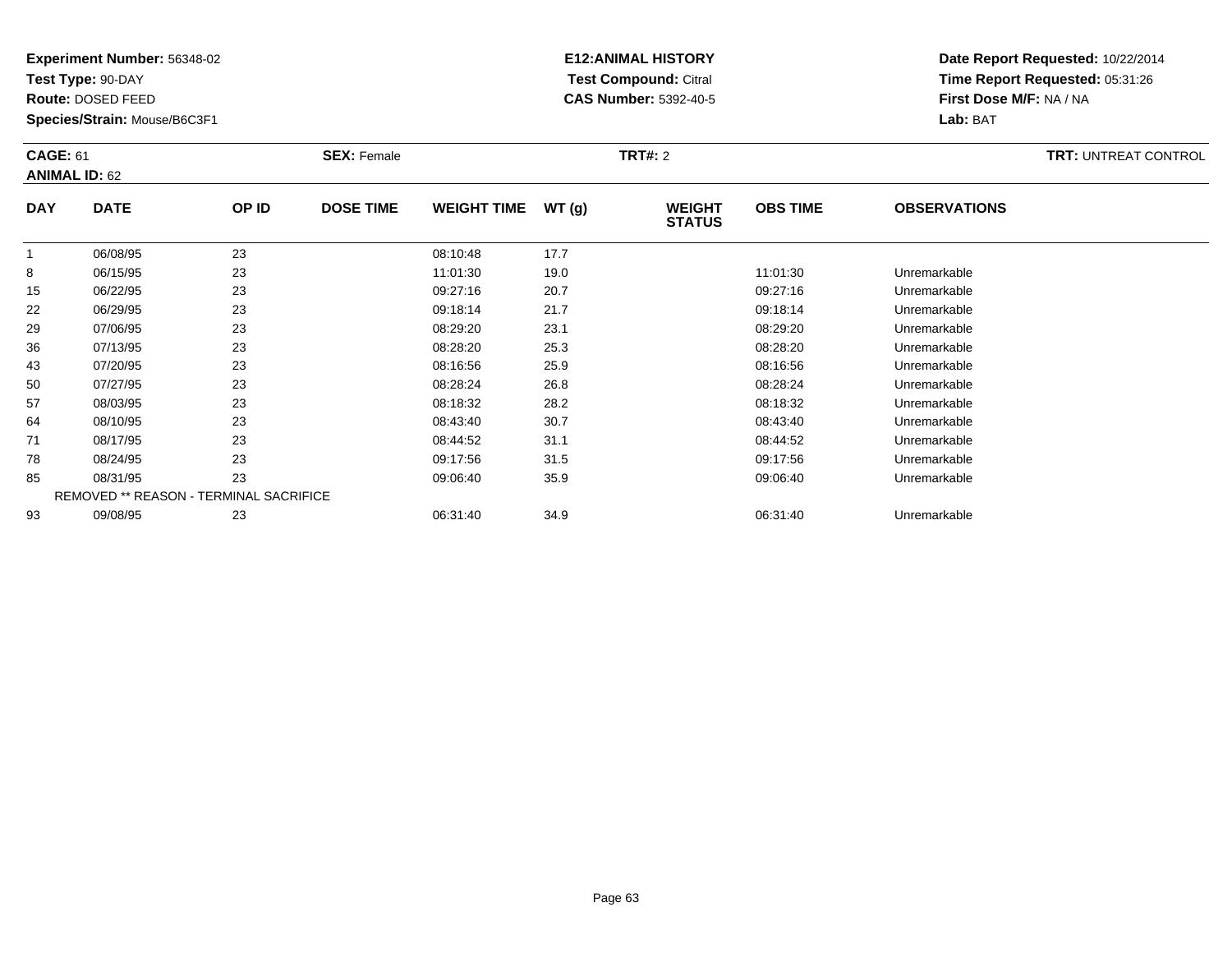**Test Type:** 90-DAY

**Route:** DOSED FEED

93

**Species/Strain:** Mouse/B6C3F1

# **E12:ANIMAL HISTORY Test Compound:** Citral **CAS Number:** 5392-40-5

**Date Report Requested:** 10/22/2014**Time Report Requested:** 05:31:26**First Dose M/F:** NA / NA**Lab:** BAT

| <b>CAGE: 61</b><br><b>ANIMAL ID: 62</b> |                                               | <b>SEX: Female</b> |                  |                    | <b>TRT#: 2</b> | <b>TRT: UNTREAT CONTROL</b>    |                 |                     |  |
|-----------------------------------------|-----------------------------------------------|--------------------|------------------|--------------------|----------------|--------------------------------|-----------------|---------------------|--|
| <b>DAY</b>                              | <b>DATE</b>                                   | OP ID              | <b>DOSE TIME</b> | <b>WEIGHT TIME</b> | WT(g)          | <b>WEIGHT</b><br><b>STATUS</b> | <b>OBS TIME</b> | <b>OBSERVATIONS</b> |  |
|                                         | 06/08/95                                      | 23                 |                  | 08:10:48           | 17.7           |                                |                 |                     |  |
| 8                                       | 06/15/95                                      | 23                 |                  | 11:01:30           | 19.0           |                                | 11:01:30        | Unremarkable        |  |
| 15                                      | 06/22/95                                      | 23                 |                  | 09:27:16           | 20.7           |                                | 09:27:16        | Unremarkable        |  |
| 22                                      | 06/29/95                                      | 23                 |                  | 09:18:14           | 21.7           |                                | 09:18:14        | Unremarkable        |  |
| 29                                      | 07/06/95                                      | 23                 |                  | 08:29:20           | 23.1           |                                | 08:29:20        | Unremarkable        |  |
| 36                                      | 07/13/95                                      | 23                 |                  | 08:28:20           | 25.3           |                                | 08:28:20        | Unremarkable        |  |
| 43                                      | 07/20/95                                      | 23                 |                  | 08:16:56           | 25.9           |                                | 08:16:56        | Unremarkable        |  |
| 50                                      | 07/27/95                                      | 23                 |                  | 08:28:24           | 26.8           |                                | 08:28:24        | Unremarkable        |  |
| 57                                      | 08/03/95                                      | 23                 |                  | 08:18:32           | 28.2           |                                | 08:18:32        | Unremarkable        |  |
| 64                                      | 08/10/95                                      | 23                 |                  | 08:43:40           | 30.7           |                                | 08:43:40        | Unremarkable        |  |
| 71                                      | 08/17/95                                      | 23                 |                  | 08:44:52           | 31.1           |                                | 08:44:52        | Unremarkable        |  |
| 78                                      | 08/24/95                                      | 23                 |                  | 09:17:56           | 31.5           |                                | 09:17:56        | Unremarkable        |  |
| 85                                      | 08/31/95                                      | 23                 |                  | 09:06:40           | 35.9           |                                | 09:06:40        | Unremarkable        |  |
|                                         | <b>REMOVED ** REASON - TERMINAL SACRIFICE</b> |                    |                  |                    |                |                                |                 |                     |  |

09/08/95 <sup>23</sup> 06:31:40 34.9 06:31:40 Unremarkable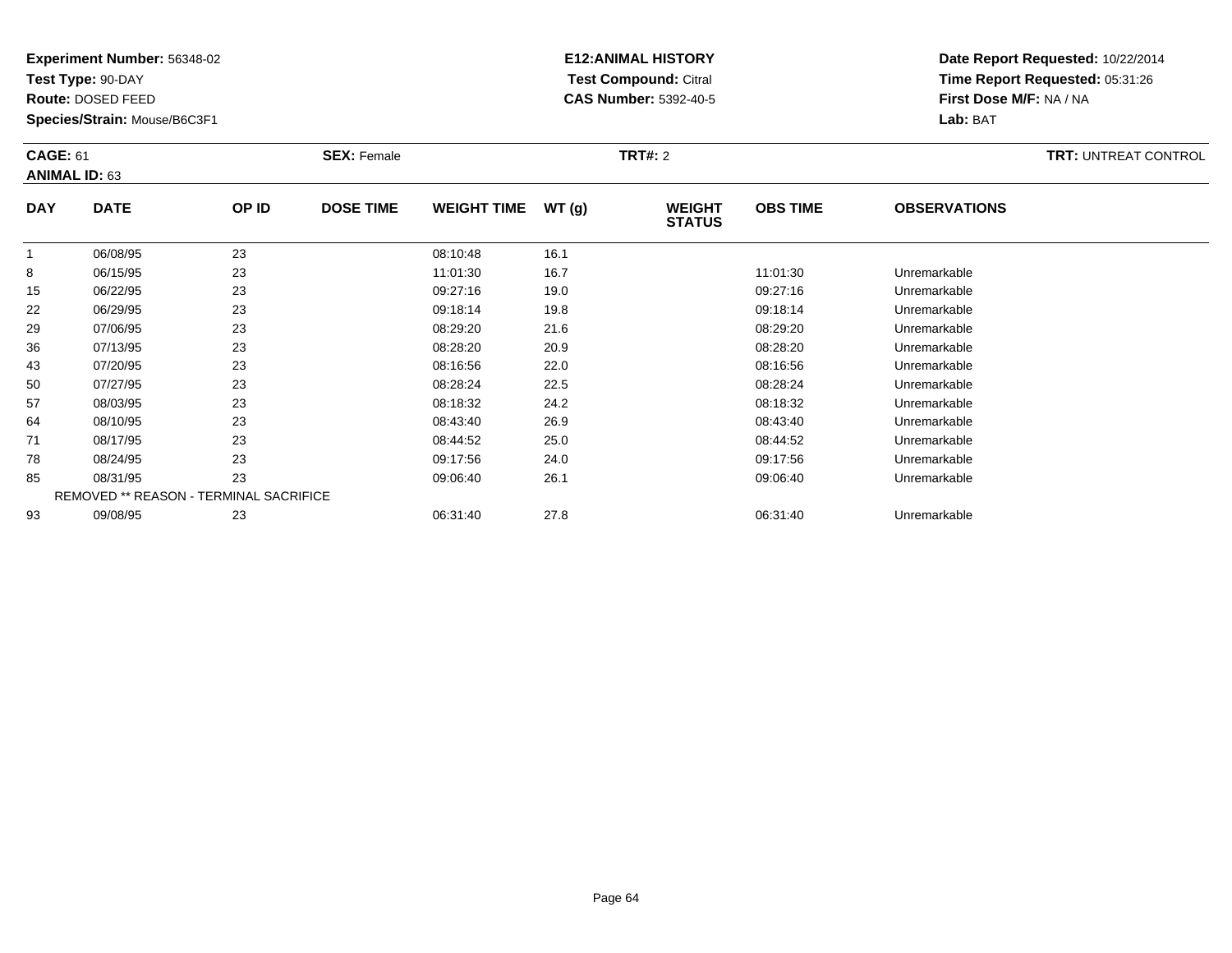**Test Type:** 90-DAY

**Route:** DOSED FEED

**Species/Strain:** Mouse/B6C3F1

# **E12:ANIMAL HISTORY Test Compound:** Citral **CAS Number:** 5392-40-5

| <b>CAGE: 61</b><br><b>ANIMAL ID: 63</b> |                                               | <b>SEX: Female</b> |                  |                    | <b>TRT#: 2</b> | <b>TRT: UNTREAT CONTROL</b>    |                 |                     |  |
|-----------------------------------------|-----------------------------------------------|--------------------|------------------|--------------------|----------------|--------------------------------|-----------------|---------------------|--|
| <b>DAY</b>                              | <b>DATE</b>                                   | OP ID              | <b>DOSE TIME</b> | <b>WEIGHT TIME</b> | WT(g)          | <b>WEIGHT</b><br><b>STATUS</b> | <b>OBS TIME</b> | <b>OBSERVATIONS</b> |  |
|                                         | 06/08/95                                      | 23                 |                  | 08:10:48           | 16.1           |                                |                 |                     |  |
| 8                                       | 06/15/95                                      | 23                 |                  | 11:01:30           | 16.7           |                                | 11:01:30        | Unremarkable        |  |
| 15                                      | 06/22/95                                      | 23                 |                  | 09:27:16           | 19.0           |                                | 09:27:16        | Unremarkable        |  |
| 22                                      | 06/29/95                                      | 23                 |                  | 09:18:14           | 19.8           |                                | 09:18:14        | Unremarkable        |  |
| 29                                      | 07/06/95                                      | 23                 |                  | 08:29:20           | 21.6           |                                | 08:29:20        | Unremarkable        |  |
| 36                                      | 07/13/95                                      | 23                 |                  | 08:28:20           | 20.9           |                                | 08:28:20        | Unremarkable        |  |
| 43                                      | 07/20/95                                      | 23                 |                  | 08:16:56           | 22.0           |                                | 08:16:56        | Unremarkable        |  |
| 50                                      | 07/27/95                                      | 23                 |                  | 08:28:24           | 22.5           |                                | 08:28:24        | Unremarkable        |  |
| 57                                      | 08/03/95                                      | 23                 |                  | 08:18:32           | 24.2           |                                | 08:18:32        | Unremarkable        |  |
| 64                                      | 08/10/95                                      | 23                 |                  | 08:43:40           | 26.9           |                                | 08:43:40        | Unremarkable        |  |
| 71                                      | 08/17/95                                      | 23                 |                  | 08:44:52           | 25.0           |                                | 08:44:52        | Unremarkable        |  |
| 78                                      | 08/24/95                                      | 23                 |                  | 09:17:56           | 24.0           |                                | 09:17:56        | Unremarkable        |  |
| 85                                      | 08/31/95                                      | 23                 |                  | 09:06:40           | 26.1           |                                | 09:06:40        | Unremarkable        |  |
|                                         | <b>REMOVED ** REASON - TERMINAL SACRIFICE</b> |                    |                  |                    |                |                                |                 |                     |  |
| 93                                      | 09/08/95                                      | 23                 |                  | 06:31:40           | 27.8           |                                | 06:31:40        | Unremarkable        |  |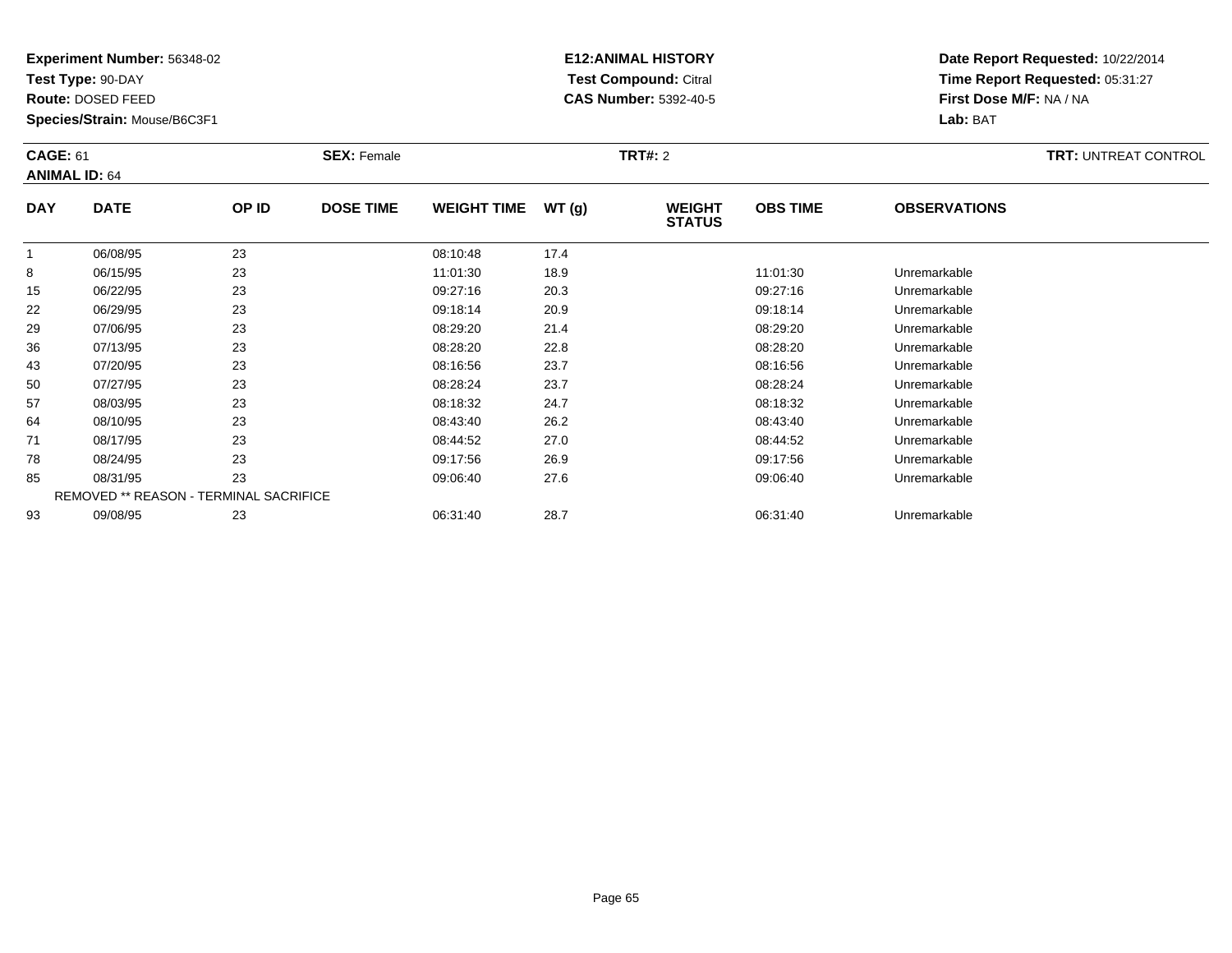**Test Type:** 90-DAY

**Route:** DOSED FEED

**Species/Strain:** Mouse/B6C3F1

# **E12:ANIMAL HISTORY Test Compound:** Citral **CAS Number:** 5392-40-5

**Date Report Requested:** 10/22/2014**Time Report Requested:** 05:31:27**First Dose M/F:** NA / NA**Lab:** BAT

| <b>CAGE: 61</b><br><b>ANIMAL ID: 64</b> |                                               |       | <b>SEX: Female</b> |                    |       | <b>TRT#: 2</b>                 |                 |                     | <b>TRT: UNTREAT CONTROL</b> |
|-----------------------------------------|-----------------------------------------------|-------|--------------------|--------------------|-------|--------------------------------|-----------------|---------------------|-----------------------------|
| <b>DAY</b>                              | <b>DATE</b>                                   | OP ID | <b>DOSE TIME</b>   | <b>WEIGHT TIME</b> | WT(g) | <b>WEIGHT</b><br><b>STATUS</b> | <b>OBS TIME</b> | <b>OBSERVATIONS</b> |                             |
|                                         | 06/08/95                                      | 23    |                    | 08:10:48           | 17.4  |                                |                 |                     |                             |
| 8                                       | 06/15/95                                      | 23    |                    | 11:01:30           | 18.9  |                                | 11:01:30        | Unremarkable        |                             |
| 15                                      | 06/22/95                                      | 23    |                    | 09:27:16           | 20.3  |                                | 09:27:16        | Unremarkable        |                             |
| 22                                      | 06/29/95                                      | 23    |                    | 09:18:14           | 20.9  |                                | 09:18:14        | Unremarkable        |                             |
| 29                                      | 07/06/95                                      | 23    |                    | 08:29:20           | 21.4  |                                | 08:29:20        | Unremarkable        |                             |
| 36                                      | 07/13/95                                      | 23    |                    | 08:28:20           | 22.8  |                                | 08:28:20        | Unremarkable        |                             |
| 43                                      | 07/20/95                                      | 23    |                    | 08:16:56           | 23.7  |                                | 08:16:56        | Unremarkable        |                             |
| 50                                      | 07/27/95                                      | 23    |                    | 08:28:24           | 23.7  |                                | 08:28:24        | Unremarkable        |                             |
| 57                                      | 08/03/95                                      | 23    |                    | 08:18:32           | 24.7  |                                | 08:18:32        | Unremarkable        |                             |
| 64                                      | 08/10/95                                      | 23    |                    | 08:43:40           | 26.2  |                                | 08:43:40        | Unremarkable        |                             |
| 71                                      | 08/17/95                                      | 23    |                    | 08:44:52           | 27.0  |                                | 08:44:52        | Unremarkable        |                             |
| 78                                      | 08/24/95                                      | 23    |                    | 09:17:56           | 26.9  |                                | 09:17:56        | Unremarkable        |                             |
| 85                                      | 08/31/95                                      | 23    |                    | 09:06:40           | 27.6  |                                | 09:06:40        | Unremarkable        |                             |
|                                         | <b>REMOVED ** REASON - TERMINAL SACRIFICE</b> |       |                    |                    |       |                                |                 |                     |                             |
| 93                                      | 09/08/95                                      | 23    |                    | 06:31:40           | 28.7  |                                | 06:31:40        | Unremarkable        |                             |

09/08/95 <sup>23</sup> 06:31:40 28.7 06:31:40 Unremarkable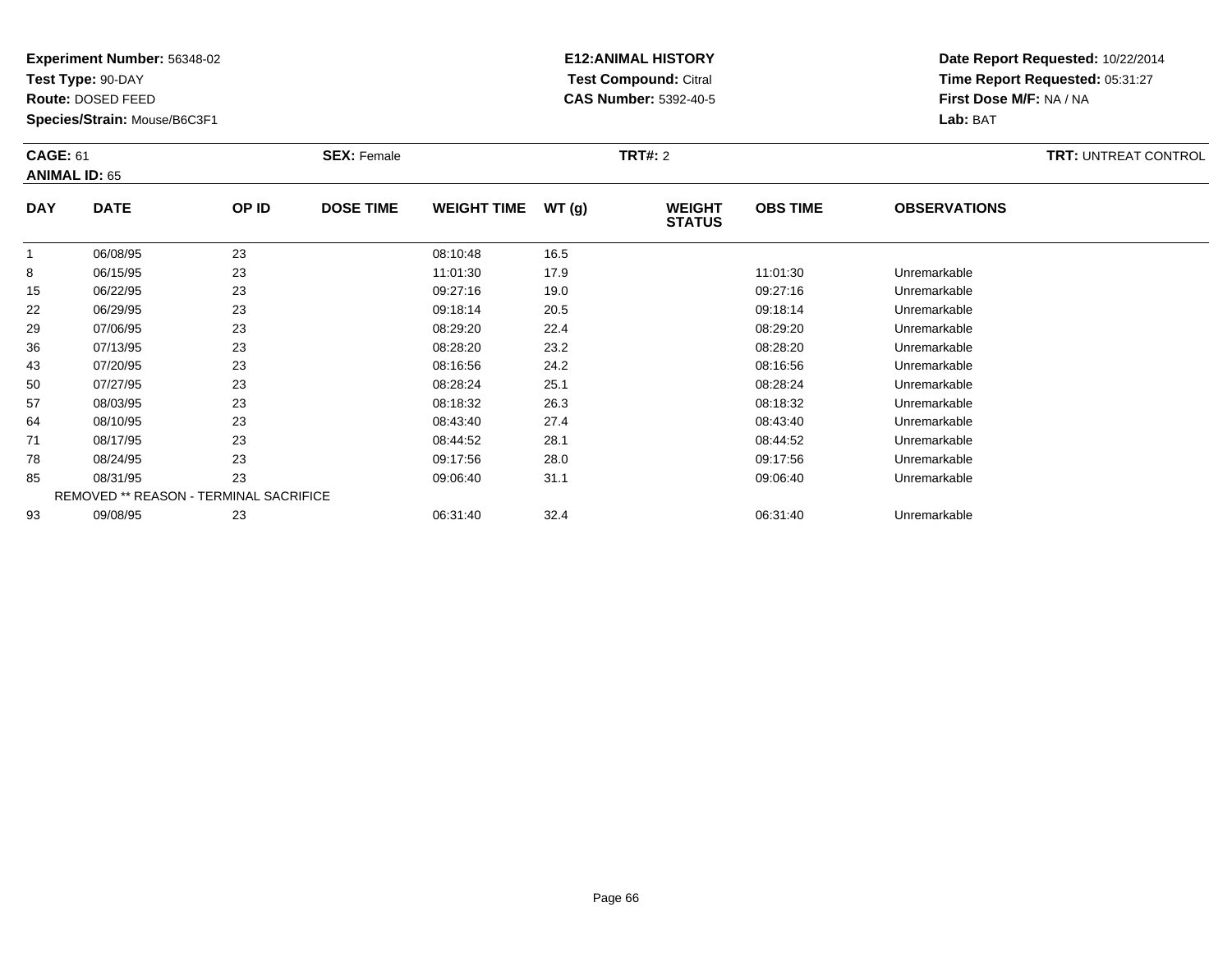**Test Type:** 90-DAY

**Route:** DOSED FEED

**Species/Strain:** Mouse/B6C3F1

# **E12:ANIMAL HISTORY Test Compound:** Citral **CAS Number:** 5392-40-5

| <b>CAGE: 61</b><br><b>ANIMAL ID: 65</b> |                                        | <b>SEX: Female</b> |                  |                    | <b>TRT#: 2</b> |                                |                 | <b>TRT: UNTREAT CONTROL</b> |  |
|-----------------------------------------|----------------------------------------|--------------------|------------------|--------------------|----------------|--------------------------------|-----------------|-----------------------------|--|
| <b>DAY</b>                              | <b>DATE</b>                            | OP ID              | <b>DOSE TIME</b> | <b>WEIGHT TIME</b> | WT(g)          | <b>WEIGHT</b><br><b>STATUS</b> | <b>OBS TIME</b> | <b>OBSERVATIONS</b>         |  |
|                                         | 06/08/95                               | 23                 |                  | 08:10:48           | 16.5           |                                |                 |                             |  |
| 8                                       | 06/15/95                               | 23                 |                  | 11:01:30           | 17.9           |                                | 11:01:30        | Unremarkable                |  |
| 15                                      | 06/22/95                               | 23                 |                  | 09:27:16           | 19.0           |                                | 09:27:16        | Unremarkable                |  |
| 22                                      | 06/29/95                               | 23                 |                  | 09:18:14           | 20.5           |                                | 09:18:14        | Unremarkable                |  |
| 29                                      | 07/06/95                               | 23                 |                  | 08:29:20           | 22.4           |                                | 08:29:20        | Unremarkable                |  |
| 36                                      | 07/13/95                               | 23                 |                  | 08:28:20           | 23.2           |                                | 08:28:20        | Unremarkable                |  |
| 43                                      | 07/20/95                               | 23                 |                  | 08:16:56           | 24.2           |                                | 08:16:56        | Unremarkable                |  |
| 50                                      | 07/27/95                               | 23                 |                  | 08:28:24           | 25.1           |                                | 08:28:24        | Unremarkable                |  |
| 57                                      | 08/03/95                               | 23                 |                  | 08:18:32           | 26.3           |                                | 08:18:32        | Unremarkable                |  |
| 64                                      | 08/10/95                               | 23                 |                  | 08:43:40           | 27.4           |                                | 08:43:40        | Unremarkable                |  |
| 71                                      | 08/17/95                               | 23                 |                  | 08:44:52           | 28.1           |                                | 08:44:52        | Unremarkable                |  |
| 78                                      | 08/24/95                               | 23                 |                  | 09:17:56           | 28.0           |                                | 09:17:56        | Unremarkable                |  |
| 85                                      | 08/31/95                               | 23                 |                  | 09:06:40           | 31.1           |                                | 09:06:40        | Unremarkable                |  |
|                                         | REMOVED ** REASON - TERMINAL SACRIFICE |                    |                  |                    |                |                                |                 |                             |  |
| 93                                      | 09/08/95                               | 23                 |                  | 06:31:40           | 32.4           |                                | 06:31:40        | Unremarkable                |  |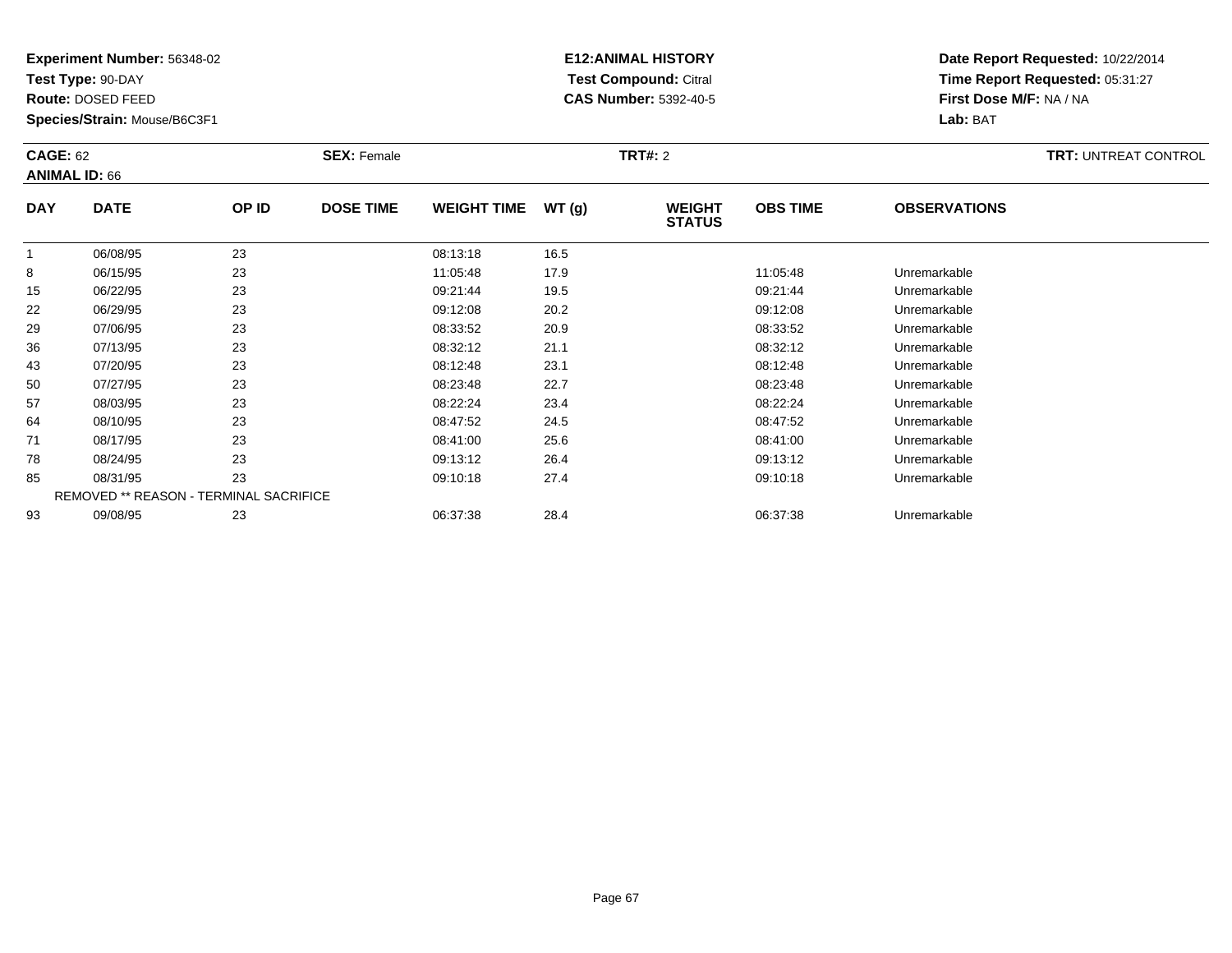**Test Type:** 90-DAY

**Route:** DOSED FEED

**Species/Strain:** Mouse/B6C3F1

# **E12:ANIMAL HISTORY Test Compound:** Citral **CAS Number:** 5392-40-5

| <b>CAGE: 62</b><br><b>ANIMAL ID: 66</b> |                                        | <b>SEX: Female</b> |                  |                    | <b>TRT#: 2</b> |                                |                 | <b>TRT: UNTREAT CONTROL</b> |  |
|-----------------------------------------|----------------------------------------|--------------------|------------------|--------------------|----------------|--------------------------------|-----------------|-----------------------------|--|
| <b>DAY</b>                              | <b>DATE</b>                            | OP ID              | <b>DOSE TIME</b> | <b>WEIGHT TIME</b> | WT(g)          | <b>WEIGHT</b><br><b>STATUS</b> | <b>OBS TIME</b> | <b>OBSERVATIONS</b>         |  |
|                                         | 06/08/95                               | 23                 |                  | 08:13:18           | 16.5           |                                |                 |                             |  |
| 8                                       | 06/15/95                               | 23                 |                  | 11:05:48           | 17.9           |                                | 11:05:48        | Unremarkable                |  |
| 15                                      | 06/22/95                               | 23                 |                  | 09:21:44           | 19.5           |                                | 09:21:44        | Unremarkable                |  |
| 22                                      | 06/29/95                               | 23                 |                  | 09:12:08           | 20.2           |                                | 09:12:08        | Unremarkable                |  |
| 29                                      | 07/06/95                               | 23                 |                  | 08:33:52           | 20.9           |                                | 08:33:52        | Unremarkable                |  |
| 36                                      | 07/13/95                               | 23                 |                  | 08:32:12           | 21.1           |                                | 08:32:12        | Unremarkable                |  |
| 43                                      | 07/20/95                               | 23                 |                  | 08:12:48           | 23.1           |                                | 08:12:48        | Unremarkable                |  |
| 50                                      | 07/27/95                               | 23                 |                  | 08:23:48           | 22.7           |                                | 08:23:48        | Unremarkable                |  |
| 57                                      | 08/03/95                               | 23                 |                  | 08:22:24           | 23.4           |                                | 08:22:24        | Unremarkable                |  |
| 64                                      | 08/10/95                               | 23                 |                  | 08:47:52           | 24.5           |                                | 08:47:52        | Unremarkable                |  |
| 71                                      | 08/17/95                               | 23                 |                  | 08:41:00           | 25.6           |                                | 08:41:00        | Unremarkable                |  |
| 78                                      | 08/24/95                               | 23                 |                  | 09:13:12           | 26.4           |                                | 09:13:12        | Unremarkable                |  |
| 85                                      | 08/31/95                               | 23                 |                  | 09:10:18           | 27.4           |                                | 09:10:18        | Unremarkable                |  |
|                                         | REMOVED ** REASON - TERMINAL SACRIFICE |                    |                  |                    |                |                                |                 |                             |  |
| 93                                      | 09/08/95                               | 23                 |                  | 06:37:38           | 28.4           |                                | 06:37:38        | Unremarkable                |  |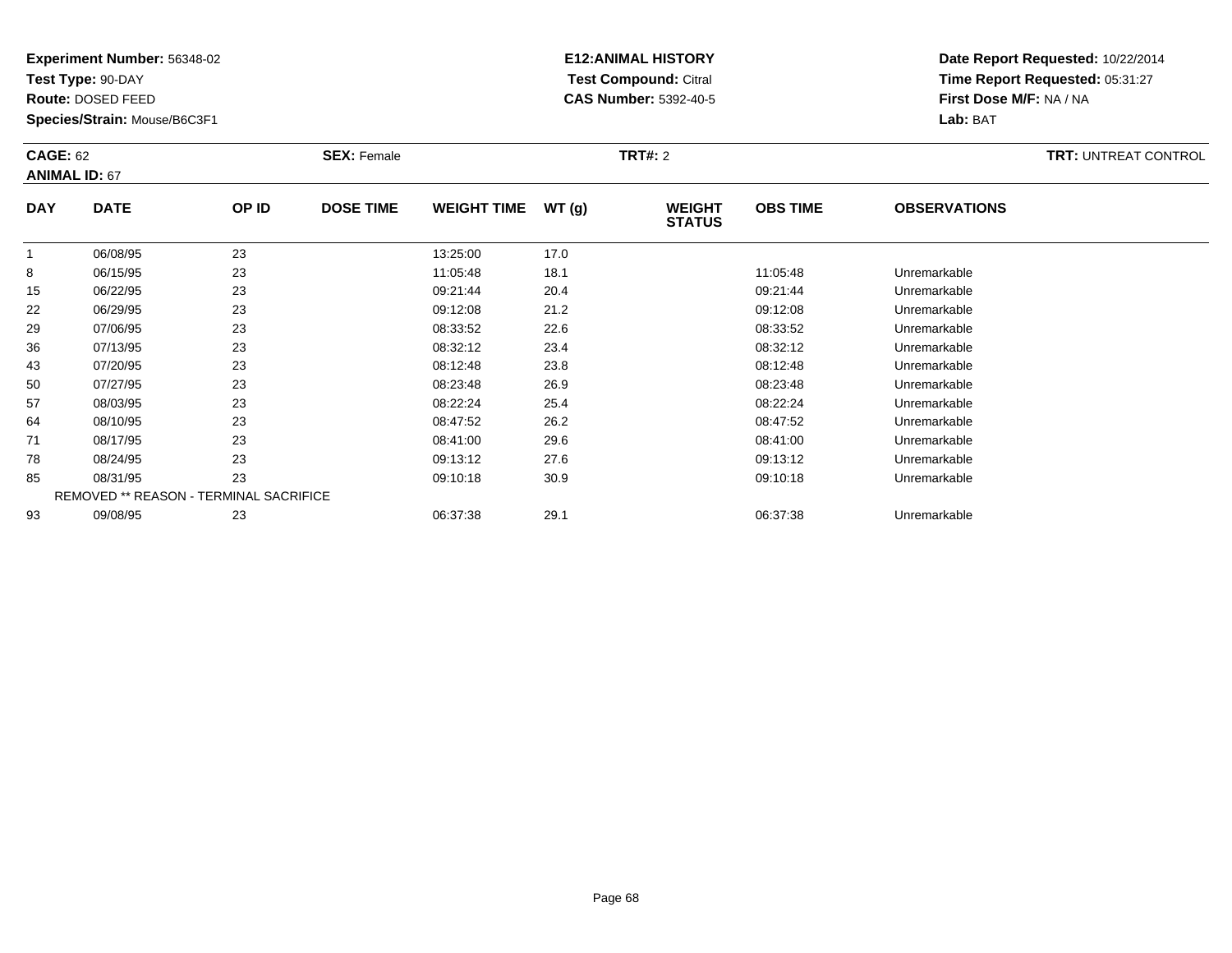**Test Type:** 90-DAY

**Route:** DOSED FEED

**Species/Strain:** Mouse/B6C3F1

# **E12:ANIMAL HISTORY Test Compound:** Citral **CAS Number:** 5392-40-5

| <b>CAGE: 62</b><br><b>ANIMAL ID: 67</b> |                                               | <b>SEX: Female</b> |                  |                    | <b>TRT#: 2</b> | <b>TRT: UNTREAT CONTROL</b>    |                 |                     |  |
|-----------------------------------------|-----------------------------------------------|--------------------|------------------|--------------------|----------------|--------------------------------|-----------------|---------------------|--|
| <b>DAY</b>                              | <b>DATE</b>                                   | OP ID              | <b>DOSE TIME</b> | <b>WEIGHT TIME</b> | WT(g)          | <b>WEIGHT</b><br><b>STATUS</b> | <b>OBS TIME</b> | <b>OBSERVATIONS</b> |  |
|                                         | 06/08/95                                      | 23                 |                  | 13:25:00           | 17.0           |                                |                 |                     |  |
| 8                                       | 06/15/95                                      | 23                 |                  | 11:05:48           | 18.1           |                                | 11:05:48        | Unremarkable        |  |
| 15                                      | 06/22/95                                      | 23                 |                  | 09:21:44           | 20.4           |                                | 09:21:44        | Unremarkable        |  |
| 22                                      | 06/29/95                                      | 23                 |                  | 09:12:08           | 21.2           |                                | 09:12:08        | Unremarkable        |  |
| 29                                      | 07/06/95                                      | 23                 |                  | 08:33:52           | 22.6           |                                | 08:33:52        | Unremarkable        |  |
| 36                                      | 07/13/95                                      | 23                 |                  | 08:32:12           | 23.4           |                                | 08:32:12        | Unremarkable        |  |
| 43                                      | 07/20/95                                      | 23                 |                  | 08:12:48           | 23.8           |                                | 08:12:48        | Unremarkable        |  |
| 50                                      | 07/27/95                                      | 23                 |                  | 08:23:48           | 26.9           |                                | 08:23:48        | Unremarkable        |  |
| 57                                      | 08/03/95                                      | 23                 |                  | 08:22:24           | 25.4           |                                | 08:22:24        | Unremarkable        |  |
| 64                                      | 08/10/95                                      | 23                 |                  | 08:47:52           | 26.2           |                                | 08:47:52        | Unremarkable        |  |
| 71                                      | 08/17/95                                      | 23                 |                  | 08:41:00           | 29.6           |                                | 08:41:00        | Unremarkable        |  |
| 78                                      | 08/24/95                                      | 23                 |                  | 09:13:12           | 27.6           |                                | 09:13:12        | Unremarkable        |  |
| 85                                      | 08/31/95                                      | 23                 |                  | 09:10:18           | 30.9           |                                | 09:10:18        | Unremarkable        |  |
|                                         | <b>REMOVED ** REASON - TERMINAL SACRIFICE</b> |                    |                  |                    |                |                                |                 |                     |  |
| 93                                      | 09/08/95                                      | 23                 |                  | 06:37:38           | 29.1           |                                | 06:37:38        | Unremarkable        |  |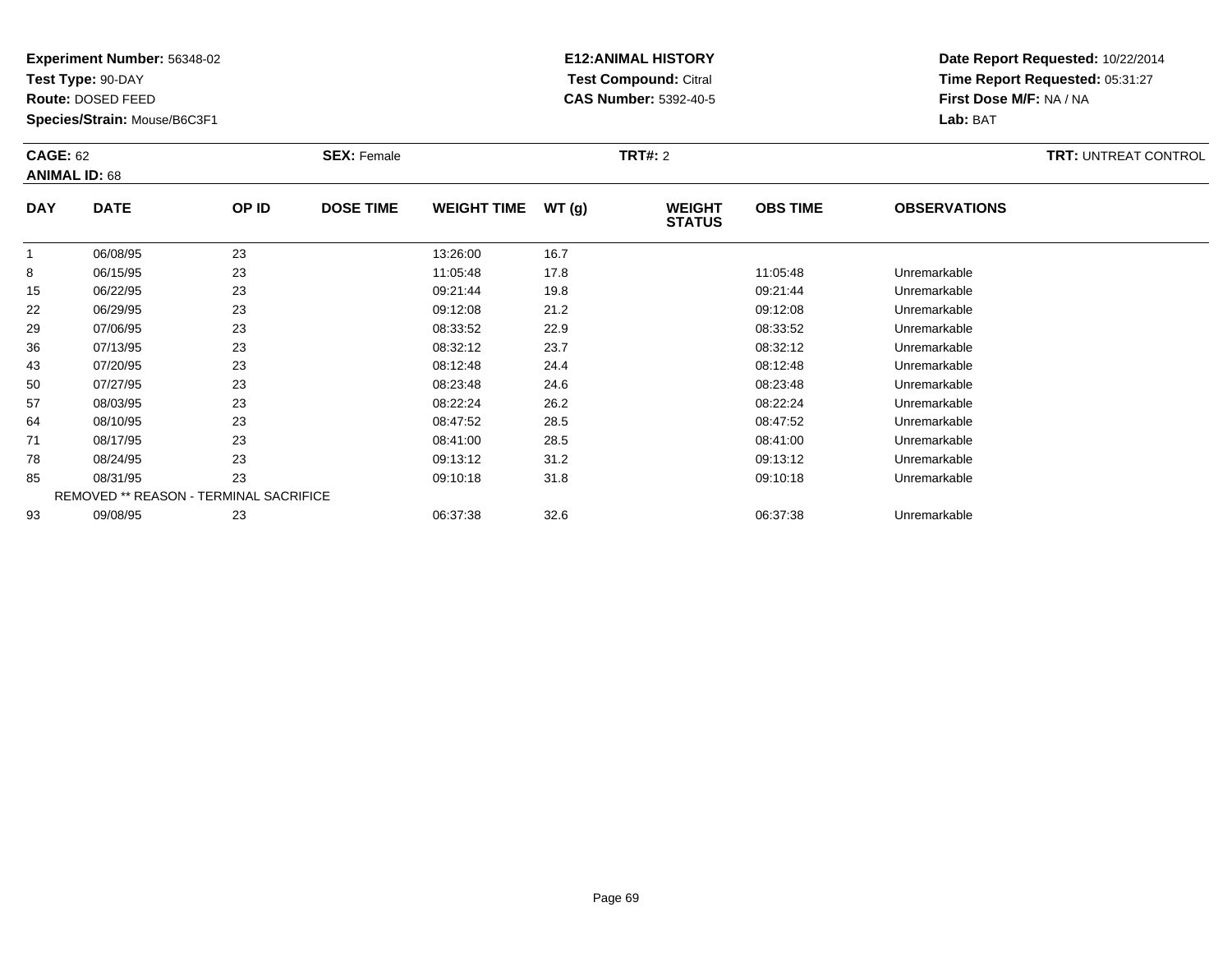**Test Type:** 90-DAY

**Route:** DOSED FEED

**Species/Strain:** Mouse/B6C3F1

# **E12:ANIMAL HISTORY Test Compound:** Citral **CAS Number:** 5392-40-5

| <b>CAGE: 62</b><br><b>ANIMAL ID: 68</b> |                                        | <b>SEX: Female</b> |                  |                    | <b>TRT#: 2</b> | <b>TRT: UNTREAT CONTROL</b>    |                 |                     |  |
|-----------------------------------------|----------------------------------------|--------------------|------------------|--------------------|----------------|--------------------------------|-----------------|---------------------|--|
| <b>DAY</b>                              | <b>DATE</b>                            | OP ID              | <b>DOSE TIME</b> | <b>WEIGHT TIME</b> | WT(g)          | <b>WEIGHT</b><br><b>STATUS</b> | <b>OBS TIME</b> | <b>OBSERVATIONS</b> |  |
| $\overline{1}$                          | 06/08/95                               | 23                 |                  | 13:26:00           | 16.7           |                                |                 |                     |  |
| 8                                       | 06/15/95                               | 23                 |                  | 11:05:48           | 17.8           |                                | 11:05:48        | Unremarkable        |  |
| 15                                      | 06/22/95                               | 23                 |                  | 09:21:44           | 19.8           |                                | 09:21:44        | Unremarkable        |  |
| 22                                      | 06/29/95                               | 23                 |                  | 09:12:08           | 21.2           |                                | 09:12:08        | Unremarkable        |  |
| 29                                      | 07/06/95                               | 23                 |                  | 08:33:52           | 22.9           |                                | 08:33:52        | Unremarkable        |  |
| 36                                      | 07/13/95                               | 23                 |                  | 08:32:12           | 23.7           |                                | 08:32:12        | Unremarkable        |  |
| 43                                      | 07/20/95                               | 23                 |                  | 08:12:48           | 24.4           |                                | 08:12:48        | Unremarkable        |  |
| 50                                      | 07/27/95                               | 23                 |                  | 08:23:48           | 24.6           |                                | 08:23:48        | Unremarkable        |  |
| 57                                      | 08/03/95                               | 23                 |                  | 08:22:24           | 26.2           |                                | 08:22:24        | Unremarkable        |  |
| 64                                      | 08/10/95                               | 23                 |                  | 08:47:52           | 28.5           |                                | 08:47:52        | Unremarkable        |  |
| 71                                      | 08/17/95                               | 23                 |                  | 08:41:00           | 28.5           |                                | 08:41:00        | Unremarkable        |  |
| 78                                      | 08/24/95                               | 23                 |                  | 09:13:12           | 31.2           |                                | 09:13:12        | Unremarkable        |  |
| 85                                      | 08/31/95                               | 23                 |                  | 09:10:18           | 31.8           |                                | 09:10:18        | Unremarkable        |  |
|                                         | REMOVED ** REASON - TERMINAL SACRIFICE |                    |                  |                    |                |                                |                 |                     |  |
| 93                                      | 09/08/95                               | 23                 |                  | 06:37:38           | 32.6           |                                | 06:37:38        | Unremarkable        |  |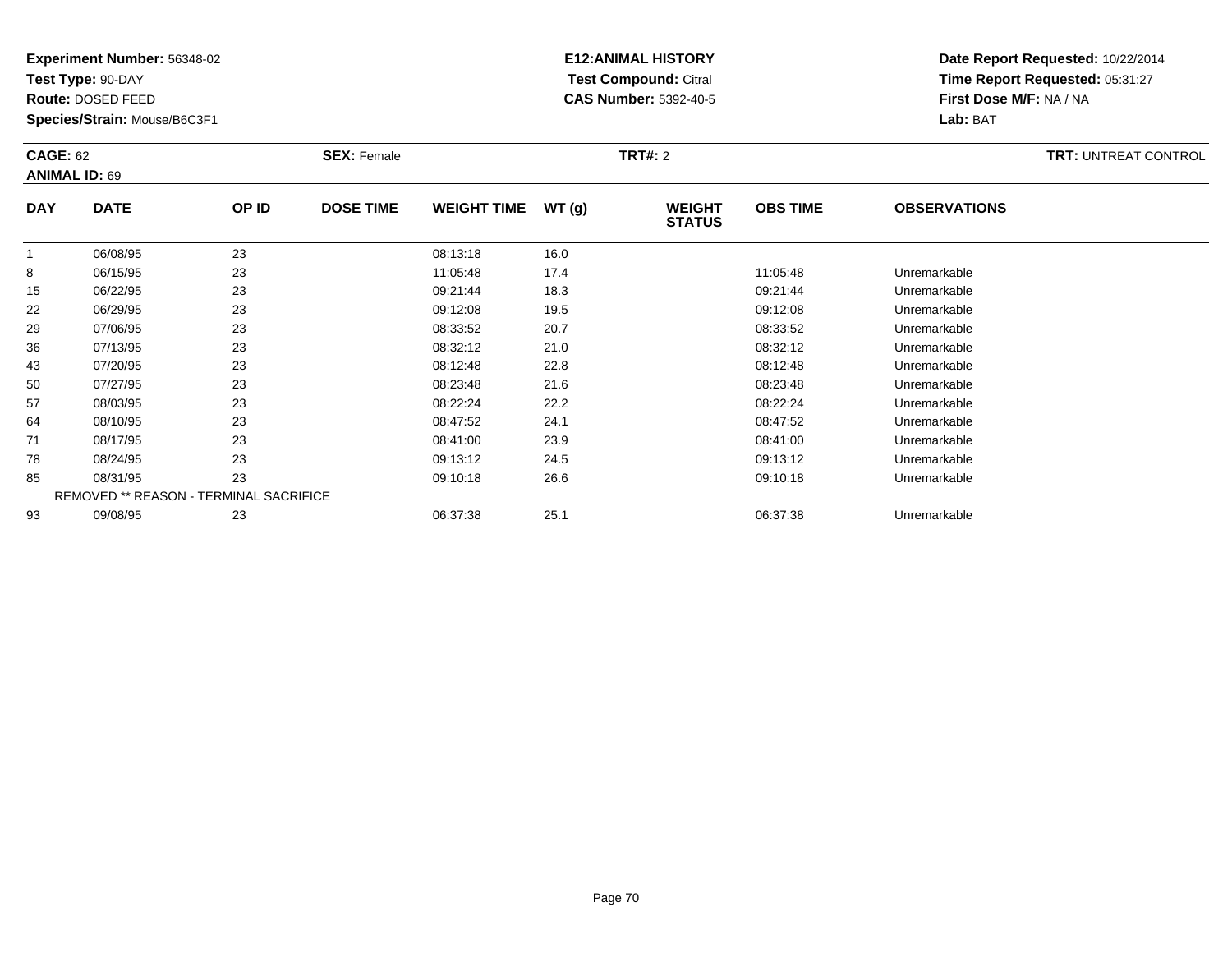**Test Type:** 90-DAY

**Route:** DOSED FEED

**Species/Strain:** Mouse/B6C3F1

# **E12:ANIMAL HISTORY Test Compound:** Citral **CAS Number:** 5392-40-5

| <b>CAGE: 62</b><br><b>ANIMAL ID: 69</b> |                                        | <b>SEX: Female</b> |                  |                    | <b>TRT#: 2</b> | <b>TRT: UNTREAT CONTROL</b>    |                 |                     |  |
|-----------------------------------------|----------------------------------------|--------------------|------------------|--------------------|----------------|--------------------------------|-----------------|---------------------|--|
| <b>DAY</b>                              | <b>DATE</b>                            | OP ID              | <b>DOSE TIME</b> | <b>WEIGHT TIME</b> | WT(g)          | <b>WEIGHT</b><br><b>STATUS</b> | <b>OBS TIME</b> | <b>OBSERVATIONS</b> |  |
|                                         | 06/08/95                               | 23                 |                  | 08:13:18           | 16.0           |                                |                 |                     |  |
| 8                                       | 06/15/95                               | 23                 |                  | 11:05:48           | 17.4           |                                | 11:05:48        | Unremarkable        |  |
| 15                                      | 06/22/95                               | 23                 |                  | 09:21:44           | 18.3           |                                | 09:21:44        | Unremarkable        |  |
| 22                                      | 06/29/95                               | 23                 |                  | 09:12:08           | 19.5           |                                | 09:12:08        | Unremarkable        |  |
| 29                                      | 07/06/95                               | 23                 |                  | 08:33:52           | 20.7           |                                | 08:33:52        | Unremarkable        |  |
| 36                                      | 07/13/95                               | 23                 |                  | 08:32:12           | 21.0           |                                | 08:32:12        | Unremarkable        |  |
| 43                                      | 07/20/95                               | 23                 |                  | 08:12:48           | 22.8           |                                | 08:12:48        | Unremarkable        |  |
| 50                                      | 07/27/95                               | 23                 |                  | 08:23:48           | 21.6           |                                | 08:23:48        | Unremarkable        |  |
| 57                                      | 08/03/95                               | 23                 |                  | 08:22:24           | 22.2           |                                | 08:22:24        | Unremarkable        |  |
| 64                                      | 08/10/95                               | 23                 |                  | 08:47:52           | 24.1           |                                | 08:47:52        | Unremarkable        |  |
| 71                                      | 08/17/95                               | 23                 |                  | 08:41:00           | 23.9           |                                | 08:41:00        | Unremarkable        |  |
| 78                                      | 08/24/95                               | 23                 |                  | 09:13:12           | 24.5           |                                | 09:13:12        | Unremarkable        |  |
| 85                                      | 08/31/95                               | 23                 |                  | 09:10:18           | 26.6           |                                | 09:10:18        | Unremarkable        |  |
|                                         | REMOVED ** REASON - TERMINAL SACRIFICE |                    |                  |                    |                |                                |                 |                     |  |
| 93                                      | 09/08/95                               | 23                 |                  | 06:37:38           | 25.1           |                                | 06:37:38        | Unremarkable        |  |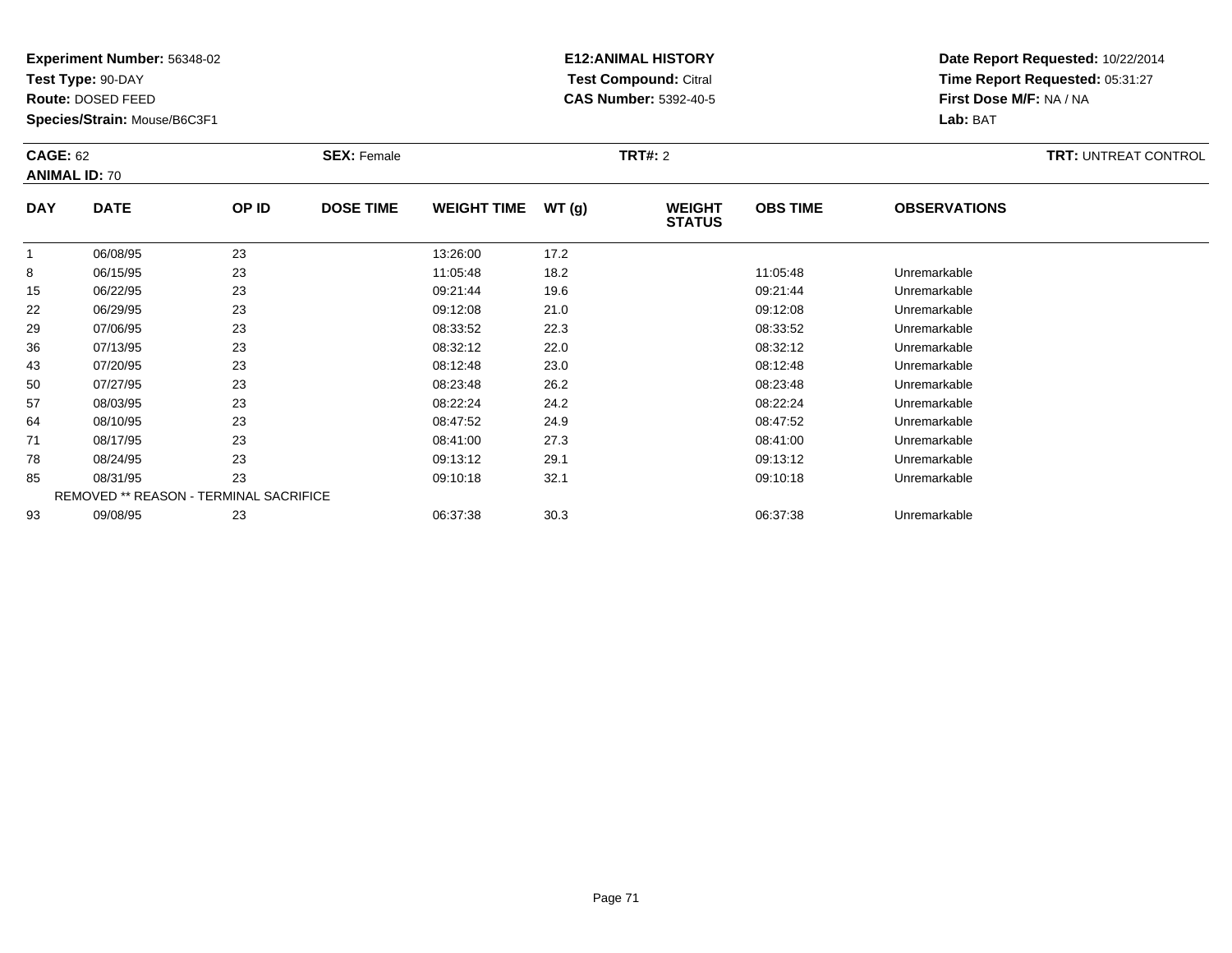**Test Type:** 90-DAY

**Route:** DOSED FEED

**Species/Strain:** Mouse/B6C3F1

# **E12:ANIMAL HISTORY Test Compound:** Citral **CAS Number:** 5392-40-5

| <b>CAGE: 62</b><br><b>ANIMAL ID: 70</b> |                                               | <b>SEX: Female</b> |                  |                    | <b>TRT#: 2</b> |                                |                 | <b>TRT: UNTREAT CONTROL</b> |  |
|-----------------------------------------|-----------------------------------------------|--------------------|------------------|--------------------|----------------|--------------------------------|-----------------|-----------------------------|--|
| <b>DAY</b>                              | <b>DATE</b>                                   | OP ID              | <b>DOSE TIME</b> | <b>WEIGHT TIME</b> | WT(g)          | <b>WEIGHT</b><br><b>STATUS</b> | <b>OBS TIME</b> | <b>OBSERVATIONS</b>         |  |
| 1                                       | 06/08/95                                      | 23                 |                  | 13:26:00           | 17.2           |                                |                 |                             |  |
| 8                                       | 06/15/95                                      | 23                 |                  | 11:05:48           | 18.2           |                                | 11:05:48        | Unremarkable                |  |
| 15                                      | 06/22/95                                      | 23                 |                  | 09:21:44           | 19.6           |                                | 09:21:44        | Unremarkable                |  |
| 22                                      | 06/29/95                                      | 23                 |                  | 09:12:08           | 21.0           |                                | 09:12:08        | Unremarkable                |  |
| 29                                      | 07/06/95                                      | 23                 |                  | 08:33:52           | 22.3           |                                | 08:33:52        | Unremarkable                |  |
| 36                                      | 07/13/95                                      | 23                 |                  | 08:32:12           | 22.0           |                                | 08:32:12        | Unremarkable                |  |
| 43                                      | 07/20/95                                      | 23                 |                  | 08:12:48           | 23.0           |                                | 08:12:48        | Unremarkable                |  |
| 50                                      | 07/27/95                                      | 23                 |                  | 08:23:48           | 26.2           |                                | 08:23:48        | Unremarkable                |  |
| 57                                      | 08/03/95                                      | 23                 |                  | 08:22:24           | 24.2           |                                | 08:22:24        | Unremarkable                |  |
| 64                                      | 08/10/95                                      | 23                 |                  | 08:47:52           | 24.9           |                                | 08:47:52        | Unremarkable                |  |
| 71                                      | 08/17/95                                      | 23                 |                  | 08:41:00           | 27.3           |                                | 08:41:00        | Unremarkable                |  |
| 78                                      | 08/24/95                                      | 23                 |                  | 09:13:12           | 29.1           |                                | 09:13:12        | Unremarkable                |  |
| 85                                      | 08/31/95                                      | 23                 |                  | 09:10:18           | 32.1           |                                | 09:10:18        | Unremarkable                |  |
|                                         | <b>REMOVED ** REASON - TERMINAL SACRIFICE</b> |                    |                  |                    |                |                                |                 |                             |  |
| 93                                      | 09/08/95                                      | 23                 |                  | 06:37:38           | 30.3           |                                | 06:37:38        | Unremarkable                |  |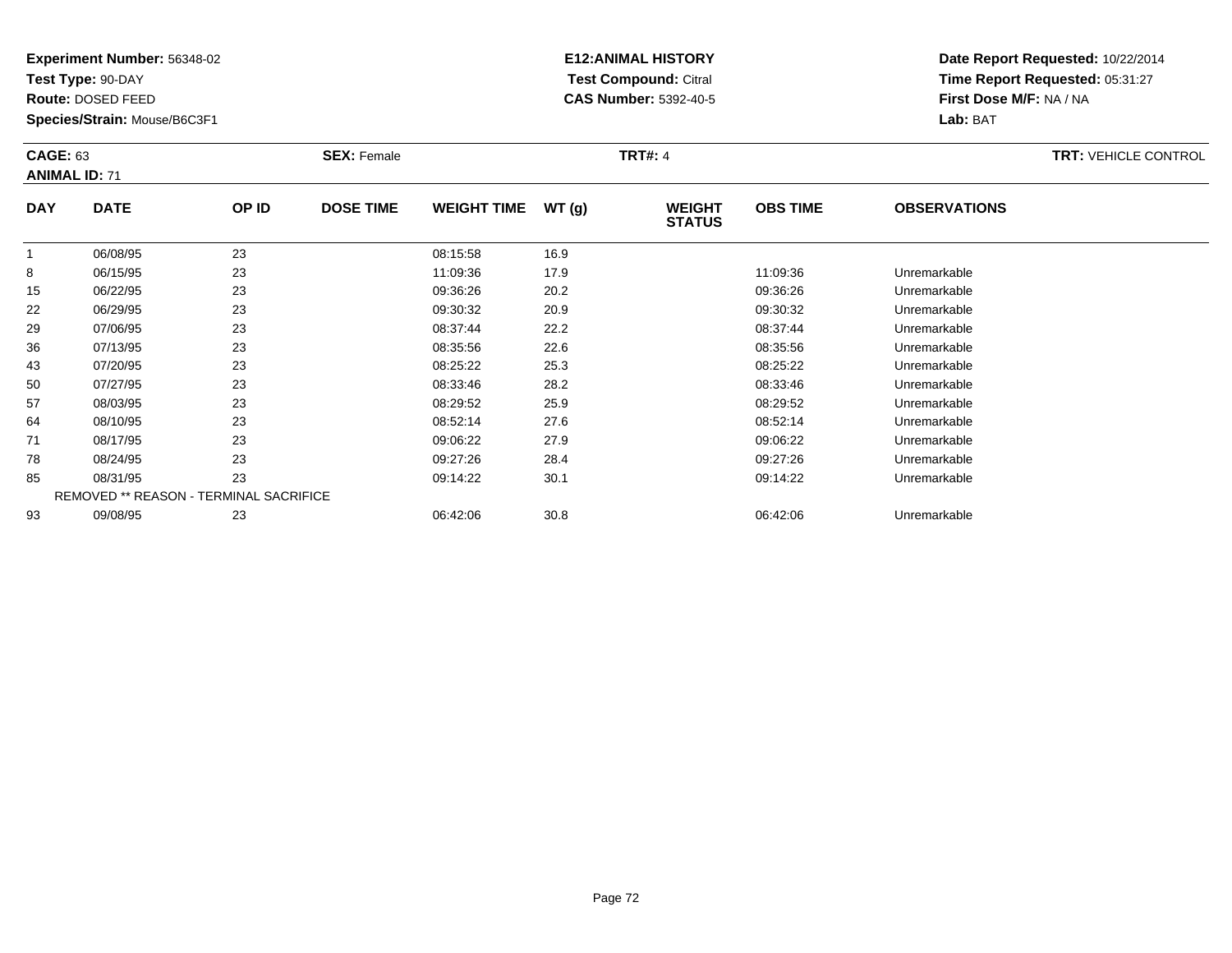**Test Type:** 90-DAY

**Route:** DOSED FEED

93

**Species/Strain:** Mouse/B6C3F1

# **E12:ANIMAL HISTORY Test Compound:** Citral **CAS Number:** 5392-40-5

**Date Report Requested:** 10/22/2014**Time Report Requested:** 05:31:27**First Dose M/F:** NA / NA**Lab:** BAT

| <b>CAGE: 63</b><br><b>ANIMAL ID: 71</b> |                                               | <b>SEX: Female</b> |                  |                    | <b>TRT#: 4</b> | <b>TRT: VEHICLE CONTROL</b>    |                 |                     |  |
|-----------------------------------------|-----------------------------------------------|--------------------|------------------|--------------------|----------------|--------------------------------|-----------------|---------------------|--|
| <b>DAY</b>                              | <b>DATE</b>                                   | OP ID              | <b>DOSE TIME</b> | <b>WEIGHT TIME</b> | WT(g)          | <b>WEIGHT</b><br><b>STATUS</b> | <b>OBS TIME</b> | <b>OBSERVATIONS</b> |  |
|                                         | 06/08/95                                      | 23                 |                  | 08:15:58           | 16.9           |                                |                 |                     |  |
| 8                                       | 06/15/95                                      | 23                 |                  | 11:09:36           | 17.9           |                                | 11:09:36        | Unremarkable        |  |
| 15                                      | 06/22/95                                      | 23                 |                  | 09:36:26           | 20.2           |                                | 09:36:26        | Unremarkable        |  |
| 22                                      | 06/29/95                                      | 23                 |                  | 09:30:32           | 20.9           |                                | 09:30:32        | Unremarkable        |  |
| 29                                      | 07/06/95                                      | 23                 |                  | 08:37:44           | 22.2           |                                | 08:37:44        | Unremarkable        |  |
| 36                                      | 07/13/95                                      | 23                 |                  | 08:35:56           | 22.6           |                                | 08:35:56        | Unremarkable        |  |
| 43                                      | 07/20/95                                      | 23                 |                  | 08:25:22           | 25.3           |                                | 08:25:22        | Unremarkable        |  |
| 50                                      | 07/27/95                                      | 23                 |                  | 08:33:46           | 28.2           |                                | 08:33:46        | Unremarkable        |  |
| 57                                      | 08/03/95                                      | 23                 |                  | 08:29:52           | 25.9           |                                | 08:29:52        | Unremarkable        |  |
| 64                                      | 08/10/95                                      | 23                 |                  | 08:52:14           | 27.6           |                                | 08:52:14        | Unremarkable        |  |
| 71                                      | 08/17/95                                      | 23                 |                  | 09:06:22           | 27.9           |                                | 09:06:22        | Unremarkable        |  |
| 78                                      | 08/24/95                                      | 23                 |                  | 09:27:26           | 28.4           |                                | 09:27:26        | Unremarkable        |  |
| 85                                      | 08/31/95                                      | 23                 |                  | 09:14:22           | 30.1           |                                | 09:14:22        | Unremarkable        |  |
|                                         | <b>REMOVED ** REASON - TERMINAL SACRIFICE</b> |                    |                  |                    |                |                                |                 |                     |  |

09/08/95 <sup>23</sup> 06:42:06 30.8 06:42:06 Unremarkable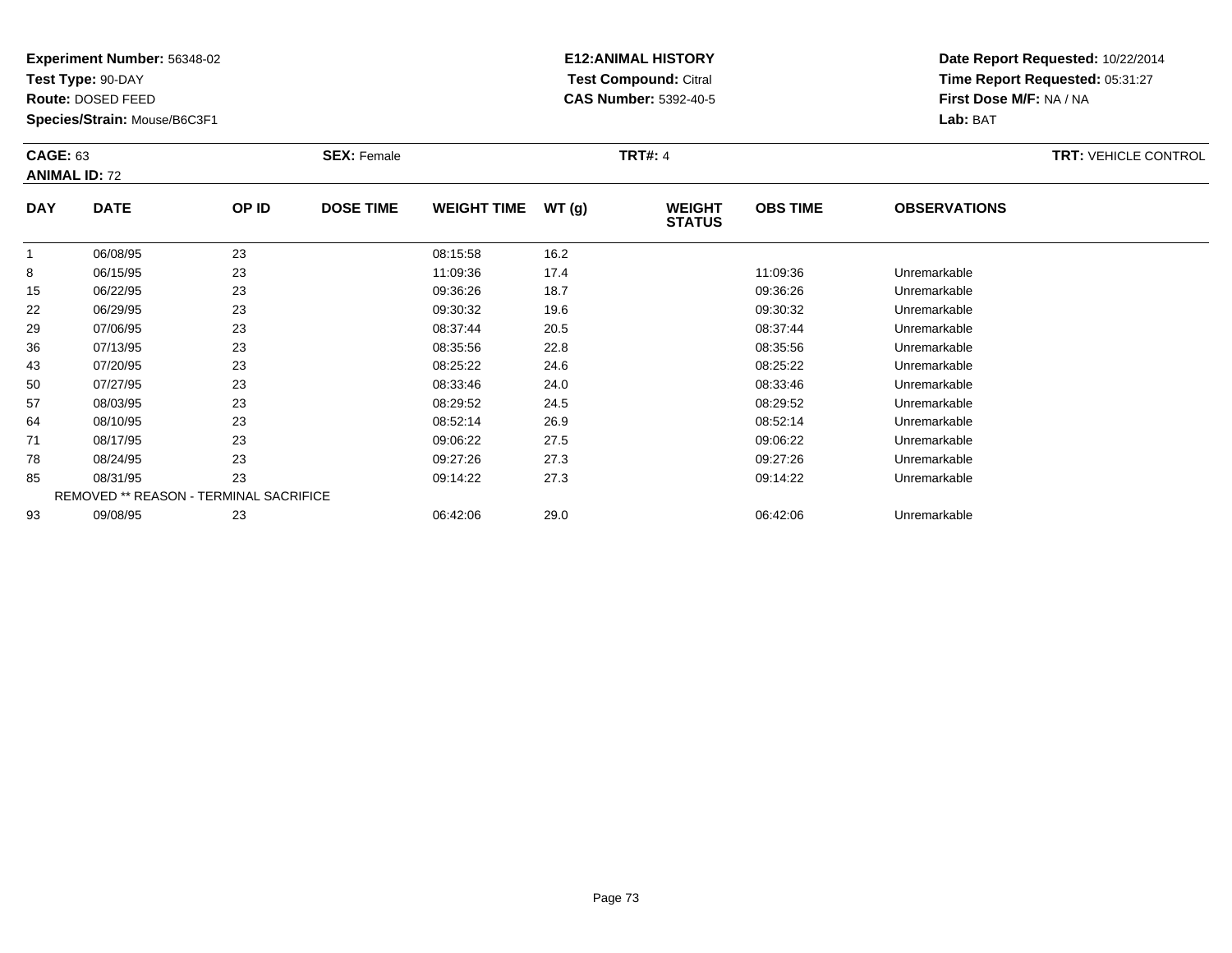**Test Type:** 90-DAY

**Route:** DOSED FEED

**Species/Strain:** Mouse/B6C3F1

# **E12:ANIMAL HISTORY Test Compound:** Citral **CAS Number:** 5392-40-5

| <b>CAGE: 63</b> | <b>ANIMAL ID: 72</b>                   |       | <b>SEX: Female</b> |                    |       | <b>TRT#: 4</b>                 |                 |                     | <b>TRT: VEHICLE CONTROL</b> |
|-----------------|----------------------------------------|-------|--------------------|--------------------|-------|--------------------------------|-----------------|---------------------|-----------------------------|
| <b>DAY</b>      | <b>DATE</b>                            | OP ID | <b>DOSE TIME</b>   | <b>WEIGHT TIME</b> | WT(g) | <b>WEIGHT</b><br><b>STATUS</b> | <b>OBS TIME</b> | <b>OBSERVATIONS</b> |                             |
| 1               | 06/08/95                               | 23    |                    | 08:15:58           | 16.2  |                                |                 |                     |                             |
| 8               | 06/15/95                               | 23    |                    | 11:09:36           | 17.4  |                                | 11:09:36        | Unremarkable        |                             |
| 15              | 06/22/95                               | 23    |                    | 09:36:26           | 18.7  |                                | 09:36:26        | Unremarkable        |                             |
| 22              | 06/29/95                               | 23    |                    | 09:30:32           | 19.6  |                                | 09:30:32        | Unremarkable        |                             |
| 29              | 07/06/95                               | 23    |                    | 08:37:44           | 20.5  |                                | 08:37:44        | Unremarkable        |                             |
| 36              | 07/13/95                               | 23    |                    | 08:35:56           | 22.8  |                                | 08:35:56        | Unremarkable        |                             |
| 43              | 07/20/95                               | 23    |                    | 08:25:22           | 24.6  |                                | 08:25:22        | Unremarkable        |                             |
| 50              | 07/27/95                               | 23    |                    | 08:33:46           | 24.0  |                                | 08:33:46        | Unremarkable        |                             |
| 57              | 08/03/95                               | 23    |                    | 08:29:52           | 24.5  |                                | 08:29:52        | Unremarkable        |                             |
| 64              | 08/10/95                               | 23    |                    | 08:52:14           | 26.9  |                                | 08:52:14        | Unremarkable        |                             |
| 71              | 08/17/95                               | 23    |                    | 09:06:22           | 27.5  |                                | 09:06:22        | Unremarkable        |                             |
| 78              | 08/24/95                               | 23    |                    | 09:27:26           | 27.3  |                                | 09:27:26        | Unremarkable        |                             |
| 85              | 08/31/95                               | 23    |                    | 09:14:22           | 27.3  |                                | 09:14:22        | Unremarkable        |                             |
|                 | REMOVED ** REASON - TERMINAL SACRIFICE |       |                    |                    |       |                                |                 |                     |                             |
| 93              | 09/08/95                               | 23    |                    | 06:42:06           | 29.0  |                                | 06:42:06        | Unremarkable        |                             |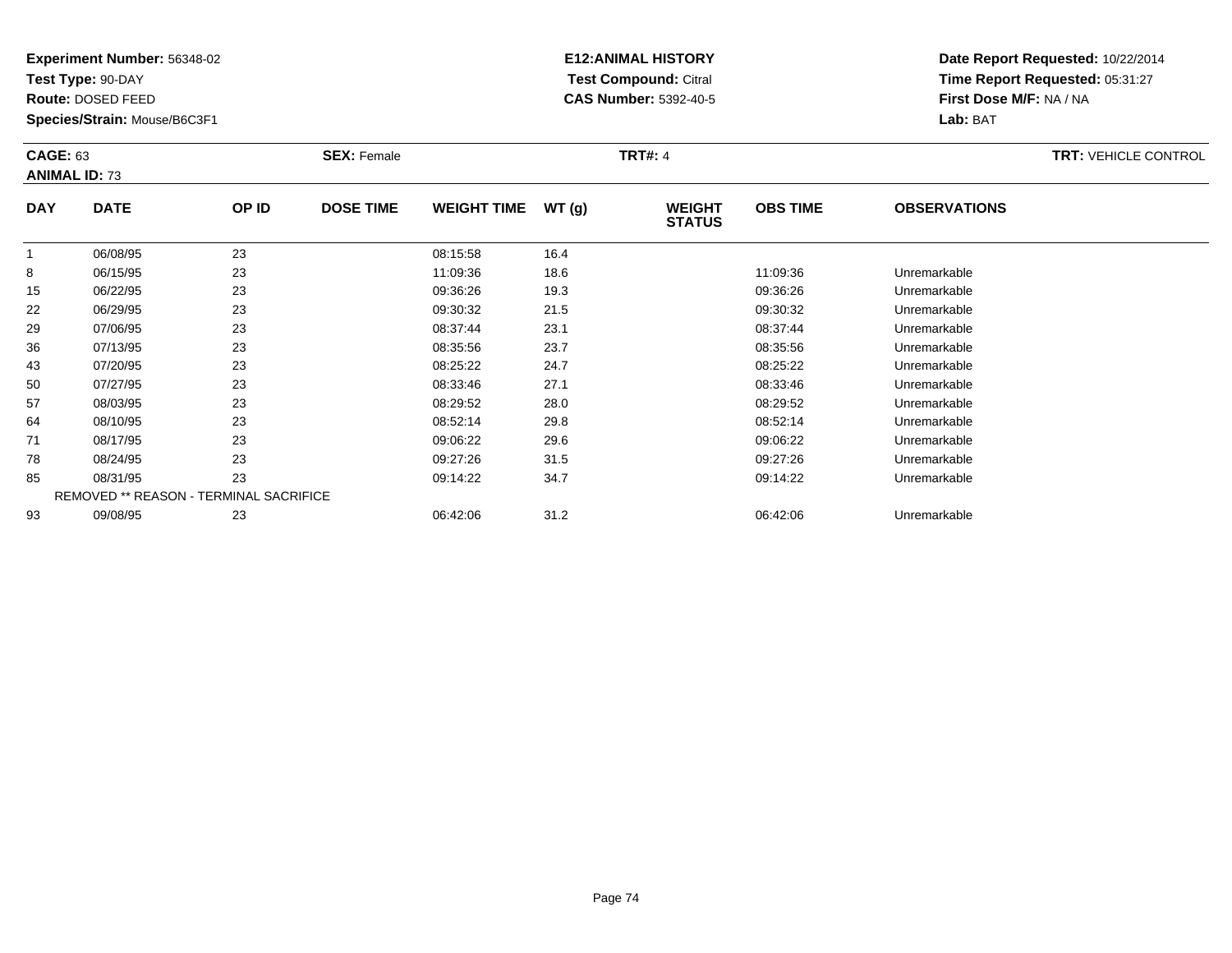**Test Type:** 90-DAY

**Route:** DOSED FEED

**Species/Strain:** Mouse/B6C3F1

# **E12:ANIMAL HISTORY Test Compound:** Citral **CAS Number:** 5392-40-5

| <b>CAGE: 63</b><br><b>ANIMAL ID: 73</b> |                                               |       | <b>SEX: Female</b> |                    |       | <b>TRT#: 4</b>                 |                 |                     | <b>TRT: VEHICLE CONTROL</b> |
|-----------------------------------------|-----------------------------------------------|-------|--------------------|--------------------|-------|--------------------------------|-----------------|---------------------|-----------------------------|
| <b>DAY</b>                              | <b>DATE</b>                                   | OP ID | <b>DOSE TIME</b>   | <b>WEIGHT TIME</b> | WT(g) | <b>WEIGHT</b><br><b>STATUS</b> | <b>OBS TIME</b> | <b>OBSERVATIONS</b> |                             |
| 1                                       | 06/08/95                                      | 23    |                    | 08:15:58           | 16.4  |                                |                 |                     |                             |
| 8                                       | 06/15/95                                      | 23    |                    | 11:09:36           | 18.6  |                                | 11:09:36        | Unremarkable        |                             |
| 15                                      | 06/22/95                                      | 23    |                    | 09:36:26           | 19.3  |                                | 09:36:26        | Unremarkable        |                             |
| 22                                      | 06/29/95                                      | 23    |                    | 09:30:32           | 21.5  |                                | 09:30:32        | Unremarkable        |                             |
| 29                                      | 07/06/95                                      | 23    |                    | 08:37:44           | 23.1  |                                | 08:37:44        | Unremarkable        |                             |
| 36                                      | 07/13/95                                      | 23    |                    | 08:35:56           | 23.7  |                                | 08:35:56        | Unremarkable        |                             |
| 43                                      | 07/20/95                                      | 23    |                    | 08:25:22           | 24.7  |                                | 08:25:22        | Unremarkable        |                             |
| 50                                      | 07/27/95                                      | 23    |                    | 08:33:46           | 27.1  |                                | 08:33:46        | Unremarkable        |                             |
| 57                                      | 08/03/95                                      | 23    |                    | 08:29:52           | 28.0  |                                | 08:29:52        | Unremarkable        |                             |
| 64                                      | 08/10/95                                      | 23    |                    | 08:52:14           | 29.8  |                                | 08:52:14        | Unremarkable        |                             |
| 71                                      | 08/17/95                                      | 23    |                    | 09:06:22           | 29.6  |                                | 09:06:22        | Unremarkable        |                             |
| 78                                      | 08/24/95                                      | 23    |                    | 09:27:26           | 31.5  |                                | 09:27:26        | Unremarkable        |                             |
| 85                                      | 08/31/95                                      | 23    |                    | 09:14:22           | 34.7  |                                | 09:14:22        | Unremarkable        |                             |
|                                         | <b>REMOVED ** REASON - TERMINAL SACRIFICE</b> |       |                    |                    |       |                                |                 |                     |                             |
| 93                                      | 09/08/95                                      | 23    |                    | 06:42:06           | 31.2  |                                | 06:42:06        | Unremarkable        |                             |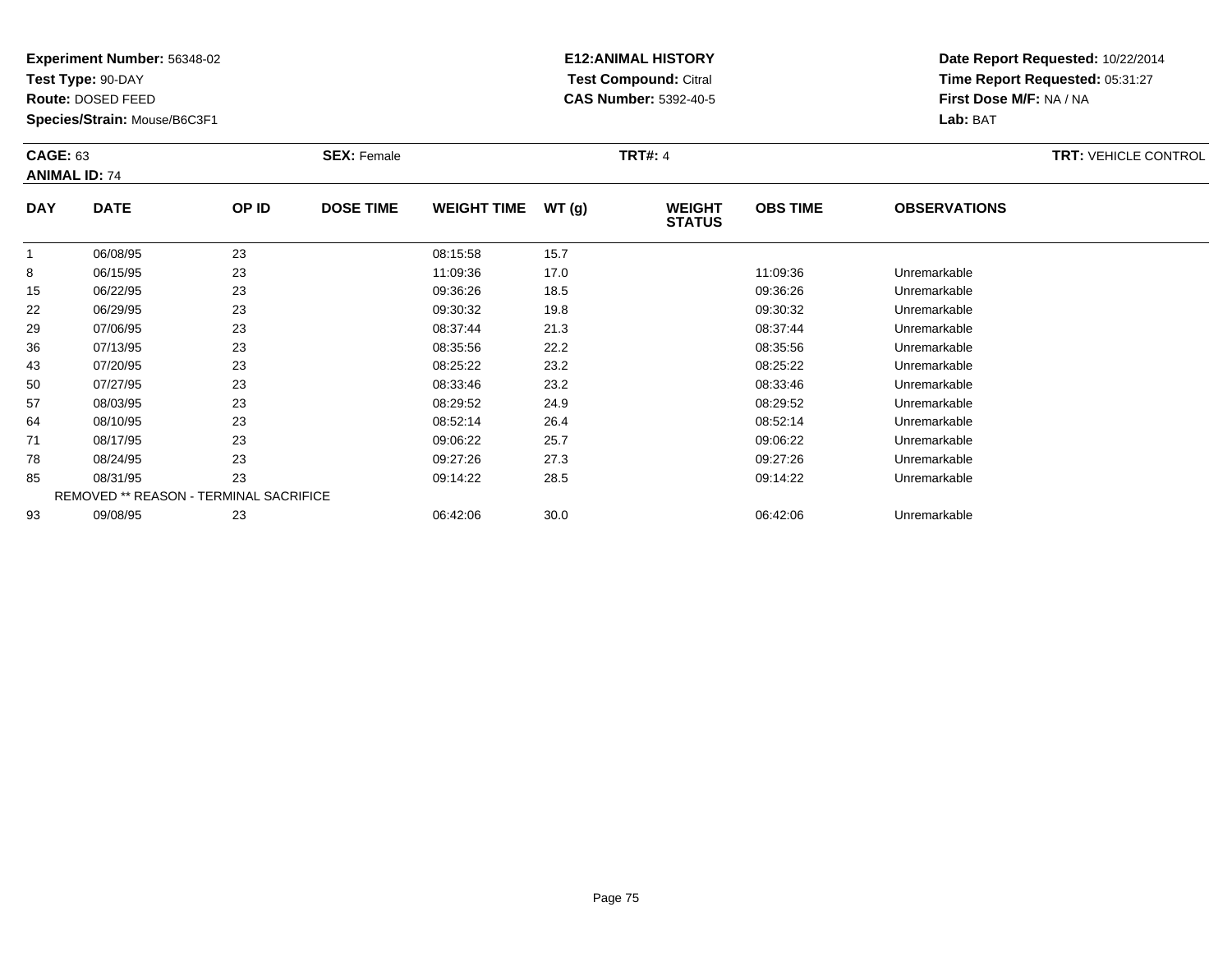**Test Type:** 90-DAY

**Route:** DOSED FEED

**Species/Strain:** Mouse/B6C3F1

# **E12:ANIMAL HISTORY Test Compound:** Citral **CAS Number:** 5392-40-5

| <b>CAGE: 63</b><br><b>ANIMAL ID: 74</b> |                                               |       | <b>SEX: Female</b> |                    |       | <b>TRT#: 4</b>                 |                 |                     | <b>TRT: VEHICLE CONTROL</b> |
|-----------------------------------------|-----------------------------------------------|-------|--------------------|--------------------|-------|--------------------------------|-----------------|---------------------|-----------------------------|
| <b>DAY</b>                              | <b>DATE</b>                                   | OP ID | <b>DOSE TIME</b>   | <b>WEIGHT TIME</b> | WT(g) | <b>WEIGHT</b><br><b>STATUS</b> | <b>OBS TIME</b> | <b>OBSERVATIONS</b> |                             |
| 1                                       | 06/08/95                                      | 23    |                    | 08:15:58           | 15.7  |                                |                 |                     |                             |
| 8                                       | 06/15/95                                      | 23    |                    | 11:09:36           | 17.0  |                                | 11:09:36        | Unremarkable        |                             |
| 15                                      | 06/22/95                                      | 23    |                    | 09:36:26           | 18.5  |                                | 09:36:26        | Unremarkable        |                             |
| 22                                      | 06/29/95                                      | 23    |                    | 09:30:32           | 19.8  |                                | 09:30:32        | Unremarkable        |                             |
| 29                                      | 07/06/95                                      | 23    |                    | 08:37:44           | 21.3  |                                | 08:37:44        | Unremarkable        |                             |
| 36                                      | 07/13/95                                      | 23    |                    | 08:35:56           | 22.2  |                                | 08:35:56        | Unremarkable        |                             |
| 43                                      | 07/20/95                                      | 23    |                    | 08:25:22           | 23.2  |                                | 08:25:22        | Unremarkable        |                             |
| 50                                      | 07/27/95                                      | 23    |                    | 08:33:46           | 23.2  |                                | 08:33:46        | Unremarkable        |                             |
| 57                                      | 08/03/95                                      | 23    |                    | 08:29:52           | 24.9  |                                | 08:29:52        | Unremarkable        |                             |
| 64                                      | 08/10/95                                      | 23    |                    | 08:52:14           | 26.4  |                                | 08:52:14        | Unremarkable        |                             |
| 71                                      | 08/17/95                                      | 23    |                    | 09:06:22           | 25.7  |                                | 09:06:22        | Unremarkable        |                             |
| 78                                      | 08/24/95                                      | 23    |                    | 09:27:26           | 27.3  |                                | 09:27:26        | Unremarkable        |                             |
| 85                                      | 08/31/95                                      | 23    |                    | 09:14:22           | 28.5  |                                | 09:14:22        | Unremarkable        |                             |
|                                         | <b>REMOVED ** REASON - TERMINAL SACRIFICE</b> |       |                    |                    |       |                                |                 |                     |                             |
| 93                                      | 09/08/95                                      | 23    |                    | 06:42:06           | 30.0  |                                | 06:42:06        | Unremarkable        |                             |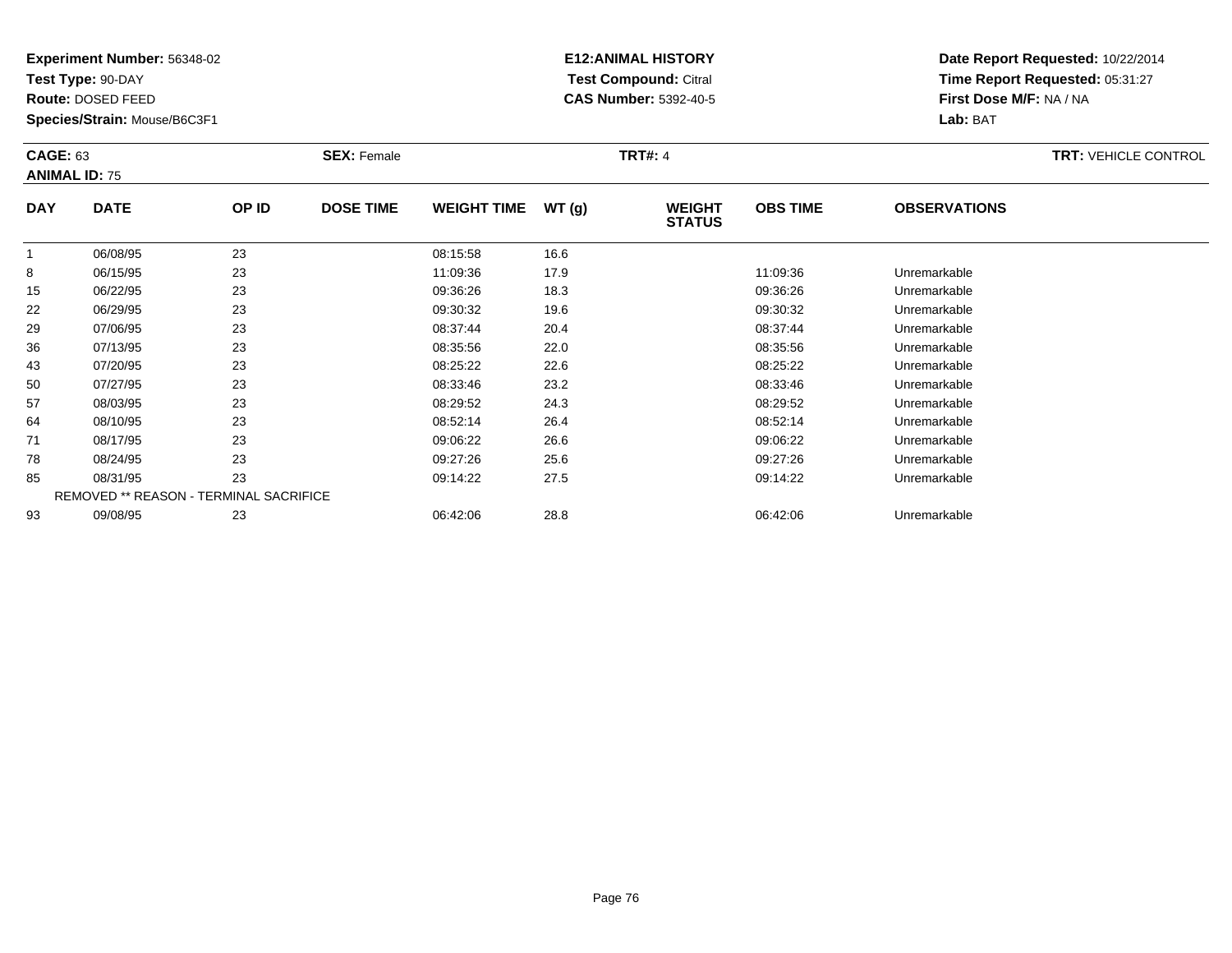**Test Type:** 90-DAY

**Route:** DOSED FEED

**Species/Strain:** Mouse/B6C3F1

# **E12:ANIMAL HISTORY Test Compound:** Citral **CAS Number:** 5392-40-5

| <b>CAGE: 63</b><br><b>ANIMAL ID: 75</b> |                                        |       | <b>SEX: Female</b> |                    |       | <b>TRT#: 4</b>                 |                 |                     | <b>TRT: VEHICLE CONTROL</b> |
|-----------------------------------------|----------------------------------------|-------|--------------------|--------------------|-------|--------------------------------|-----------------|---------------------|-----------------------------|
| <b>DAY</b>                              | <b>DATE</b>                            | OP ID | <b>DOSE TIME</b>   | <b>WEIGHT TIME</b> | WT(g) | <b>WEIGHT</b><br><b>STATUS</b> | <b>OBS TIME</b> | <b>OBSERVATIONS</b> |                             |
|                                         | 06/08/95                               | 23    |                    | 08:15:58           | 16.6  |                                |                 |                     |                             |
| 8                                       | 06/15/95                               | 23    |                    | 11:09:36           | 17.9  |                                | 11:09:36        | Unremarkable        |                             |
| 15                                      | 06/22/95                               | 23    |                    | 09:36:26           | 18.3  |                                | 09:36:26        | Unremarkable        |                             |
| 22                                      | 06/29/95                               | 23    |                    | 09:30:32           | 19.6  |                                | 09:30:32        | Unremarkable        |                             |
| 29                                      | 07/06/95                               | 23    |                    | 08:37:44           | 20.4  |                                | 08:37:44        | Unremarkable        |                             |
| 36                                      | 07/13/95                               | 23    |                    | 08:35:56           | 22.0  |                                | 08:35:56        | Unremarkable        |                             |
| 43                                      | 07/20/95                               | 23    |                    | 08:25:22           | 22.6  |                                | 08:25:22        | Unremarkable        |                             |
| 50                                      | 07/27/95                               | 23    |                    | 08:33:46           | 23.2  |                                | 08:33:46        | Unremarkable        |                             |
| 57                                      | 08/03/95                               | 23    |                    | 08:29:52           | 24.3  |                                | 08:29:52        | Unremarkable        |                             |
| 64                                      | 08/10/95                               | 23    |                    | 08:52:14           | 26.4  |                                | 08:52:14        | Unremarkable        |                             |
| 71                                      | 08/17/95                               | 23    |                    | 09:06:22           | 26.6  |                                | 09:06:22        | Unremarkable        |                             |
| 78                                      | 08/24/95                               | 23    |                    | 09:27:26           | 25.6  |                                | 09:27:26        | Unremarkable        |                             |
| 85                                      | 08/31/95                               | 23    |                    | 09:14:22           | 27.5  |                                | 09:14:22        | Unremarkable        |                             |
|                                         | REMOVED ** REASON - TERMINAL SACRIFICE |       |                    |                    |       |                                |                 |                     |                             |
| 93                                      | 09/08/95                               | 23    |                    | 06:42:06           | 28.8  |                                | 06:42:06        | Unremarkable        |                             |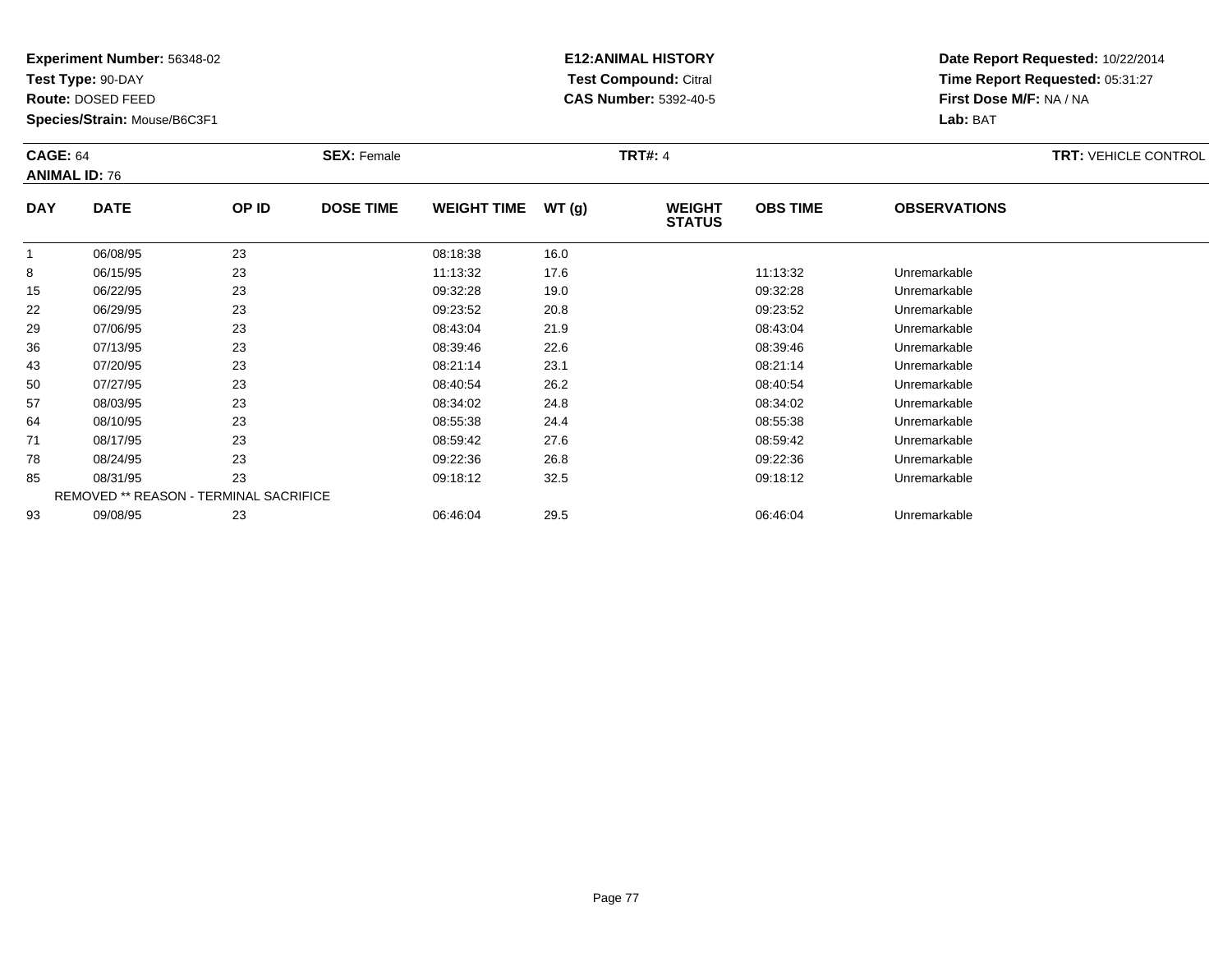**Test Type:** 90-DAY

**Route:** DOSED FEED

**Species/Strain:** Mouse/B6C3F1

# **E12:ANIMAL HISTORY Test Compound:** Citral **CAS Number:** 5392-40-5

| <b>CAGE: 64</b> | <b>ANIMAL ID: 76</b>                   |       | <b>SEX: Female</b> |                    |       | <b>TRT#: 4</b>                 |                 |                     | <b>TRT: VEHICLE CONTROL</b> |
|-----------------|----------------------------------------|-------|--------------------|--------------------|-------|--------------------------------|-----------------|---------------------|-----------------------------|
| <b>DAY</b>      | <b>DATE</b>                            | OP ID | <b>DOSE TIME</b>   | <b>WEIGHT TIME</b> | WT(g) | <b>WEIGHT</b><br><b>STATUS</b> | <b>OBS TIME</b> | <b>OBSERVATIONS</b> |                             |
|                 | 06/08/95                               | 23    |                    | 08:18:38           | 16.0  |                                |                 |                     |                             |
| 8               | 06/15/95                               | 23    |                    | 11:13:32           | 17.6  |                                | 11:13:32        | Unremarkable        |                             |
| 15              | 06/22/95                               | 23    |                    | 09:32:28           | 19.0  |                                | 09:32:28        | Unremarkable        |                             |
| 22              | 06/29/95                               | 23    |                    | 09:23:52           | 20.8  |                                | 09:23:52        | Unremarkable        |                             |
| 29              | 07/06/95                               | 23    |                    | 08:43:04           | 21.9  |                                | 08:43:04        | Unremarkable        |                             |
| 36              | 07/13/95                               | 23    |                    | 08:39:46           | 22.6  |                                | 08:39:46        | Unremarkable        |                             |
| 43              | 07/20/95                               | 23    |                    | 08:21:14           | 23.1  |                                | 08:21:14        | Unremarkable        |                             |
| 50              | 07/27/95                               | 23    |                    | 08:40:54           | 26.2  |                                | 08:40:54        | Unremarkable        |                             |
| 57              | 08/03/95                               | 23    |                    | 08:34:02           | 24.8  |                                | 08:34:02        | Unremarkable        |                             |
| 64              | 08/10/95                               | 23    |                    | 08:55:38           | 24.4  |                                | 08.55.38        | Unremarkable        |                             |
| 71              | 08/17/95                               | 23    |                    | 08:59:42           | 27.6  |                                | 08:59:42        | Unremarkable        |                             |
| 78              | 08/24/95                               | 23    |                    | 09:22:36           | 26.8  |                                | 09:22:36        | Unremarkable        |                             |
| 85              | 08/31/95                               | 23    |                    | 09:18:12           | 32.5  |                                | 09:18:12        | Unremarkable        |                             |
|                 | REMOVED ** REASON - TERMINAL SACRIFICE |       |                    |                    |       |                                |                 |                     |                             |
| 93              | 09/08/95                               | 23    |                    | 06:46:04           | 29.5  |                                | 06:46:04        | Unremarkable        |                             |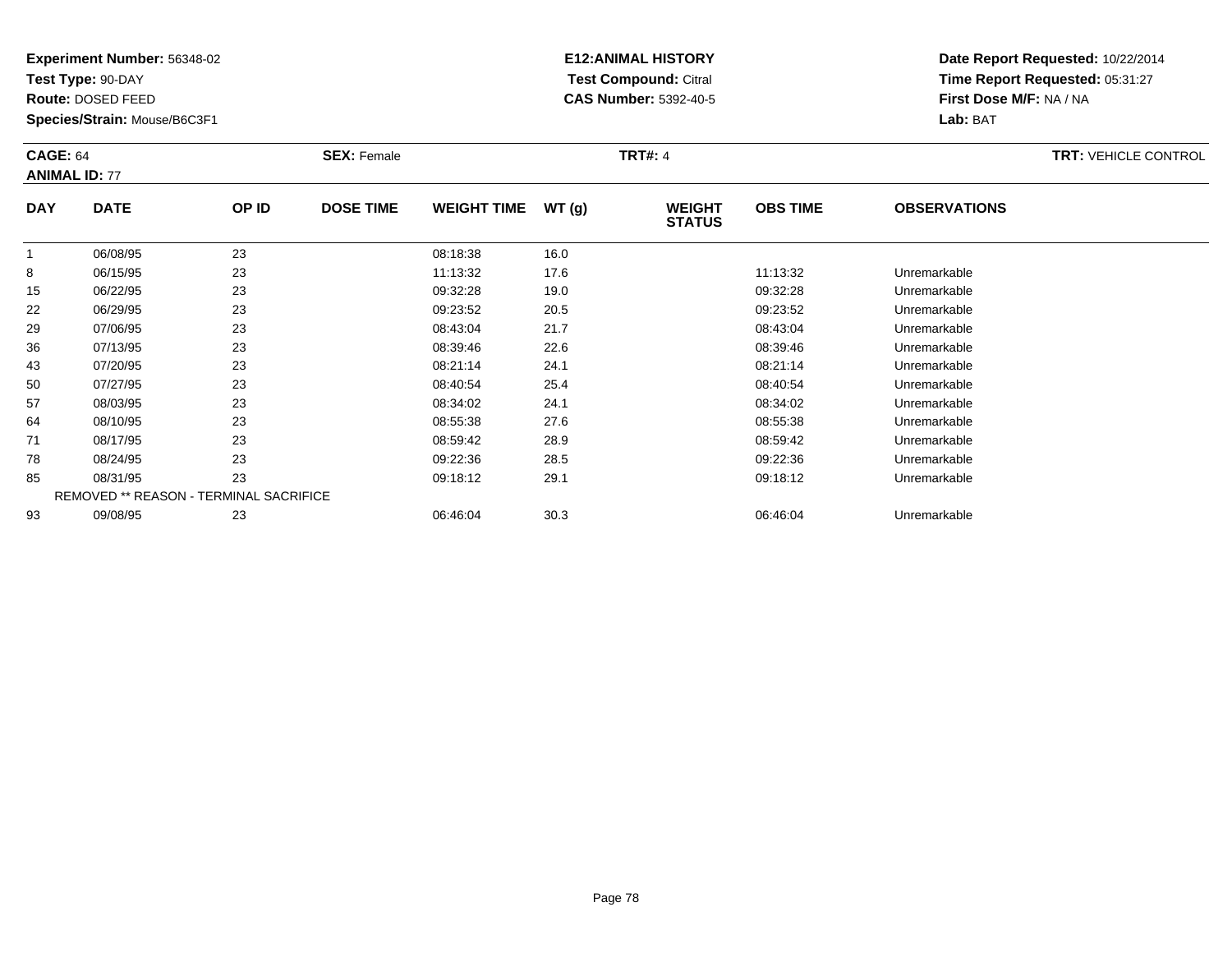**Test Type:** 90-DAY

**Route:** DOSED FEED

93

**Species/Strain:** Mouse/B6C3F1

# **E12:ANIMAL HISTORY Test Compound:** Citral **CAS Number:** 5392-40-5

**Date Report Requested:** 10/22/2014**Time Report Requested:** 05:31:27**First Dose M/F:** NA / NA**Lab:** BAT

|            | <b>CAGE: 64</b><br><b>ANIMAL ID: 77</b>       |       | <b>SEX: Female</b> |                    |       | <b>TRT#: 4</b>                 | <b>TRT: VEHICLE CONTROL</b> |                     |  |
|------------|-----------------------------------------------|-------|--------------------|--------------------|-------|--------------------------------|-----------------------------|---------------------|--|
| <b>DAY</b> | <b>DATE</b>                                   | OP ID | <b>DOSE TIME</b>   | <b>WEIGHT TIME</b> | WT(g) | <b>WEIGHT</b><br><b>STATUS</b> | <b>OBS TIME</b>             | <b>OBSERVATIONS</b> |  |
|            | 06/08/95                                      | 23    |                    | 08:18:38           | 16.0  |                                |                             |                     |  |
| 8          | 06/15/95                                      | 23    |                    | 11:13:32           | 17.6  |                                | 11:13:32                    | Unremarkable        |  |
| 15         | 06/22/95                                      | 23    |                    | 09:32:28           | 19.0  |                                | 09:32:28                    | Unremarkable        |  |
| 22         | 06/29/95                                      | 23    |                    | 09:23:52           | 20.5  |                                | 09:23:52                    | Unremarkable        |  |
| 29         | 07/06/95                                      | 23    |                    | 08:43:04           | 21.7  |                                | 08:43:04                    | Unremarkable        |  |
| 36         | 07/13/95                                      | 23    |                    | 08:39:46           | 22.6  |                                | 08:39:46                    | Unremarkable        |  |
| 43         | 07/20/95                                      | 23    |                    | 08:21:14           | 24.1  |                                | 08:21:14                    | Unremarkable        |  |
| 50         | 07/27/95                                      | 23    |                    | 08:40:54           | 25.4  |                                | 08:40:54                    | Unremarkable        |  |
| 57         | 08/03/95                                      | 23    |                    | 08:34:02           | 24.1  |                                | 08:34:02                    | Unremarkable        |  |
| 64         | 08/10/95                                      | 23    |                    | 08:55:38           | 27.6  |                                | 08.55.38                    | Unremarkable        |  |
| 71         | 08/17/95                                      | 23    |                    | 08:59:42           | 28.9  |                                | 08:59:42                    | Unremarkable        |  |
| 78         | 08/24/95                                      | 23    |                    | 09:22:36           | 28.5  |                                | 09:22:36                    | Unremarkable        |  |
| 85         | 08/31/95                                      | 23    |                    | 09:18:12           | 29.1  |                                | 09:18:12                    | Unremarkable        |  |
|            | <b>REMOVED ** REASON - TERMINAL SACRIFICE</b> |       |                    |                    |       |                                |                             |                     |  |

09/08/95 <sup>23</sup> 06:46:04 30.3 06:46:04 Unremarkable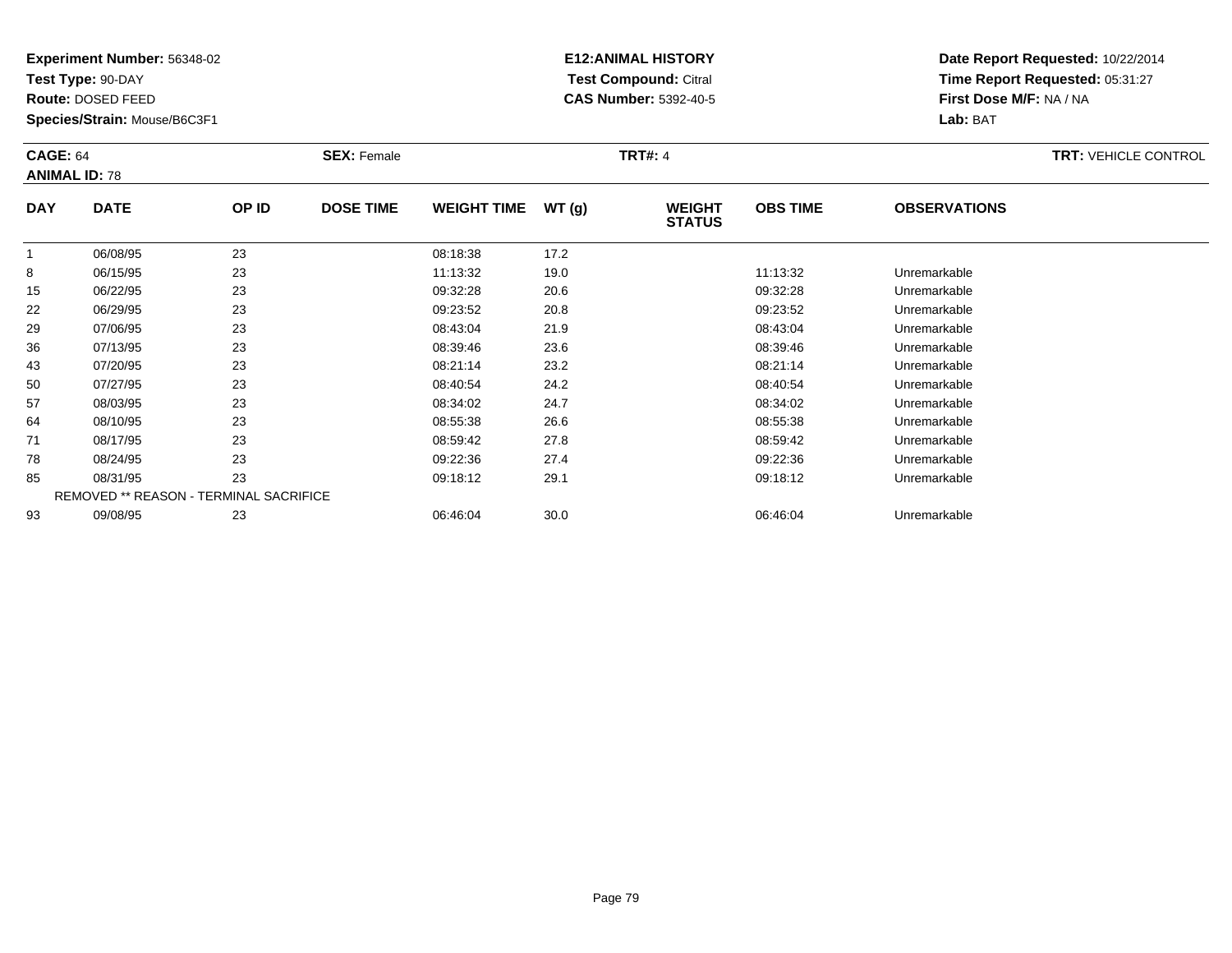**Test Type:** 90-DAY

**Route:** DOSED FEED

**Species/Strain:** Mouse/B6C3F1

# **E12:ANIMAL HISTORY Test Compound:** Citral **CAS Number:** 5392-40-5

| <b>CAGE: 64</b> | <b>ANIMAL ID: 78</b> |                                        | <b>SEX: Female</b> |                    |       | <b>TRT#: 4</b>                 |                 |                     | <b>TRT: VEHICLE CONTROL</b> |
|-----------------|----------------------|----------------------------------------|--------------------|--------------------|-------|--------------------------------|-----------------|---------------------|-----------------------------|
| <b>DAY</b>      | <b>DATE</b>          | OP ID                                  | <b>DOSE TIME</b>   | <b>WEIGHT TIME</b> | WT(g) | <b>WEIGHT</b><br><b>STATUS</b> | <b>OBS TIME</b> | <b>OBSERVATIONS</b> |                             |
|                 | 06/08/95             | 23                                     |                    | 08:18:38           | 17.2  |                                |                 |                     |                             |
| 8               | 06/15/95             | 23                                     |                    | 11:13:32           | 19.0  |                                | 11:13:32        | Unremarkable        |                             |
| 15              | 06/22/95             | 23                                     |                    | 09:32:28           | 20.6  |                                | 09:32:28        | Unremarkable        |                             |
| 22              | 06/29/95             | 23                                     |                    | 09:23:52           | 20.8  |                                | 09:23:52        | Unremarkable        |                             |
| 29              | 07/06/95             | 23                                     |                    | 08:43:04           | 21.9  |                                | 08:43:04        | Unremarkable        |                             |
| 36              | 07/13/95             | 23                                     |                    | 08:39:46           | 23.6  |                                | 08:39:46        | Unremarkable        |                             |
| 43              | 07/20/95             | 23                                     |                    | 08:21:14           | 23.2  |                                | 08:21:14        | Unremarkable        |                             |
| 50              | 07/27/95             | 23                                     |                    | 08:40:54           | 24.2  |                                | 08:40:54        | Unremarkable        |                             |
| 57              | 08/03/95             | 23                                     |                    | 08:34:02           | 24.7  |                                | 08:34:02        | Unremarkable        |                             |
| 64              | 08/10/95             | 23                                     |                    | 08:55:38           | 26.6  |                                | 08:55:38        | Unremarkable        |                             |
| 71              | 08/17/95             | 23                                     |                    | 08:59:42           | 27.8  |                                | 08:59:42        | Unremarkable        |                             |
| 78              | 08/24/95             | 23                                     |                    | 09:22:36           | 27.4  |                                | 09:22:36        | Unremarkable        |                             |
| 85              | 08/31/95             | 23                                     |                    | 09:18:12           | 29.1  |                                | 09:18:12        | Unremarkable        |                             |
|                 |                      | REMOVED ** REASON - TERMINAL SACRIFICE |                    |                    |       |                                |                 |                     |                             |
| 93              | 09/08/95             | 23                                     |                    | 06:46:04           | 30.0  |                                | 06:46:04        | Unremarkable        |                             |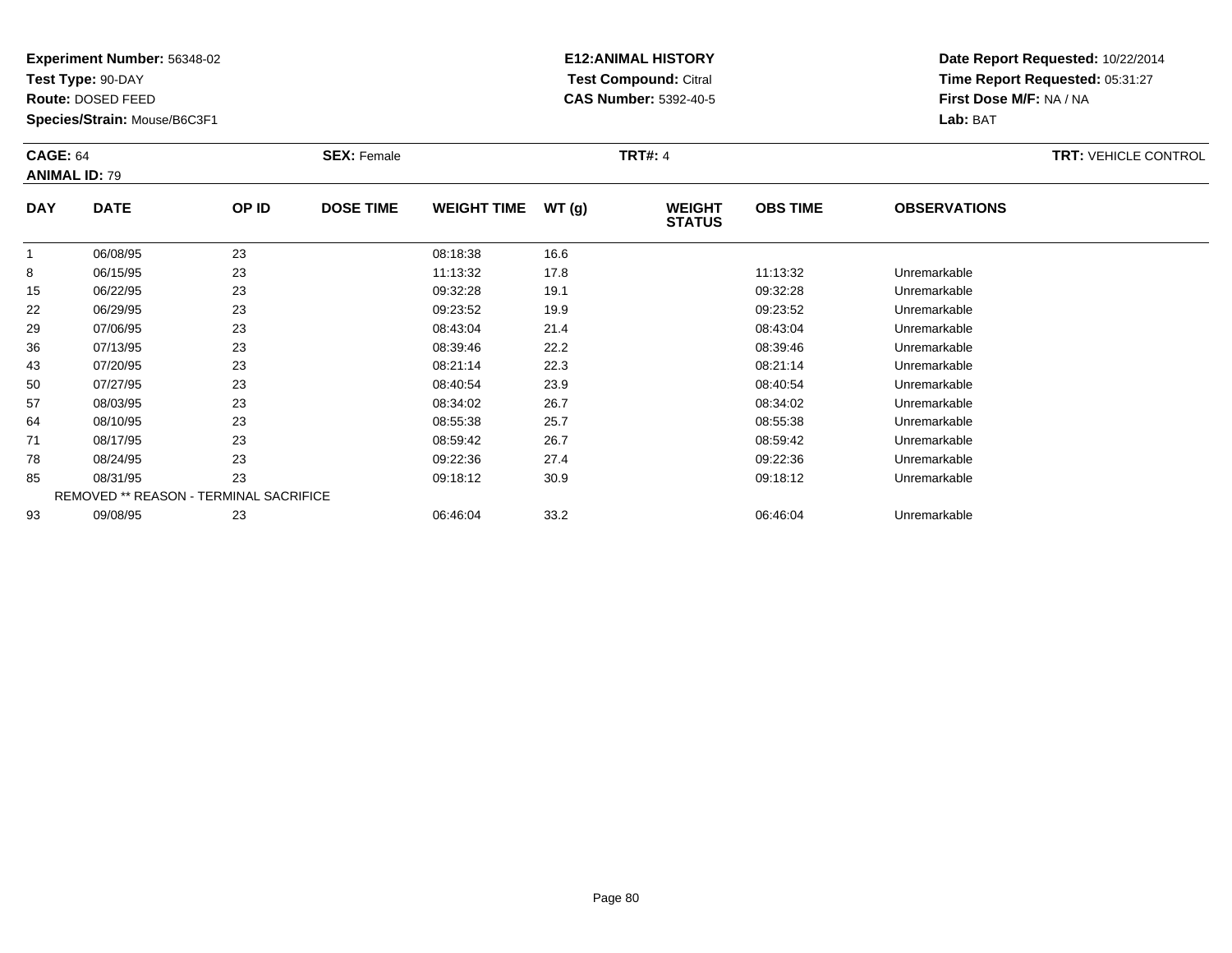**Test Type:** 90-DAY

**Route:** DOSED FEED

**Species/Strain:** Mouse/B6C3F1

# **E12:ANIMAL HISTORY Test Compound:** Citral **CAS Number:** 5392-40-5

| <b>CAGE: 64</b><br><b>ANIMAL ID: 79</b> |                                        |       | <b>SEX: Female</b> |                    |       | <b>TRT#: 4</b>                 |                 |                     | <b>TRT: VEHICLE CONTROL</b> |
|-----------------------------------------|----------------------------------------|-------|--------------------|--------------------|-------|--------------------------------|-----------------|---------------------|-----------------------------|
| <b>DAY</b>                              | <b>DATE</b>                            | OP ID | <b>DOSE TIME</b>   | <b>WEIGHT TIME</b> | WT(g) | <b>WEIGHT</b><br><b>STATUS</b> | <b>OBS TIME</b> | <b>OBSERVATIONS</b> |                             |
|                                         | 06/08/95                               | 23    |                    | 08:18:38           | 16.6  |                                |                 |                     |                             |
| 8                                       | 06/15/95                               | 23    |                    | 11:13:32           | 17.8  |                                | 11:13:32        | Unremarkable        |                             |
| 15                                      | 06/22/95                               | 23    |                    | 09:32:28           | 19.1  |                                | 09:32:28        | Unremarkable        |                             |
| 22                                      | 06/29/95                               | 23    |                    | 09:23:52           | 19.9  |                                | 09:23:52        | Unremarkable        |                             |
| 29                                      | 07/06/95                               | 23    |                    | 08:43:04           | 21.4  |                                | 08:43:04        | Unremarkable        |                             |
| 36                                      | 07/13/95                               | 23    |                    | 08:39:46           | 22.2  |                                | 08:39:46        | Unremarkable        |                             |
| 43                                      | 07/20/95                               | 23    |                    | 08:21:14           | 22.3  |                                | 08:21:14        | Unremarkable        |                             |
| 50                                      | 07/27/95                               | 23    |                    | 08:40:54           | 23.9  |                                | 08:40:54        | Unremarkable        |                             |
| 57                                      | 08/03/95                               | 23    |                    | 08:34:02           | 26.7  |                                | 08:34:02        | Unremarkable        |                             |
| 64                                      | 08/10/95                               | 23    |                    | 08:55:38           | 25.7  |                                | 08:55:38        | Unremarkable        |                             |
| 71                                      | 08/17/95                               | 23    |                    | 08:59:42           | 26.7  |                                | 08:59:42        | Unremarkable        |                             |
| 78                                      | 08/24/95                               | 23    |                    | 09:22:36           | 27.4  |                                | 09:22:36        | Unremarkable        |                             |
| 85                                      | 08/31/95                               | 23    |                    | 09:18:12           | 30.9  |                                | 09:18:12        | Unremarkable        |                             |
|                                         | REMOVED ** REASON - TERMINAL SACRIFICE |       |                    |                    |       |                                |                 |                     |                             |
| 93                                      | 09/08/95                               | 23    |                    | 06:46:04           | 33.2  |                                | 06:46:04        | Unremarkable        |                             |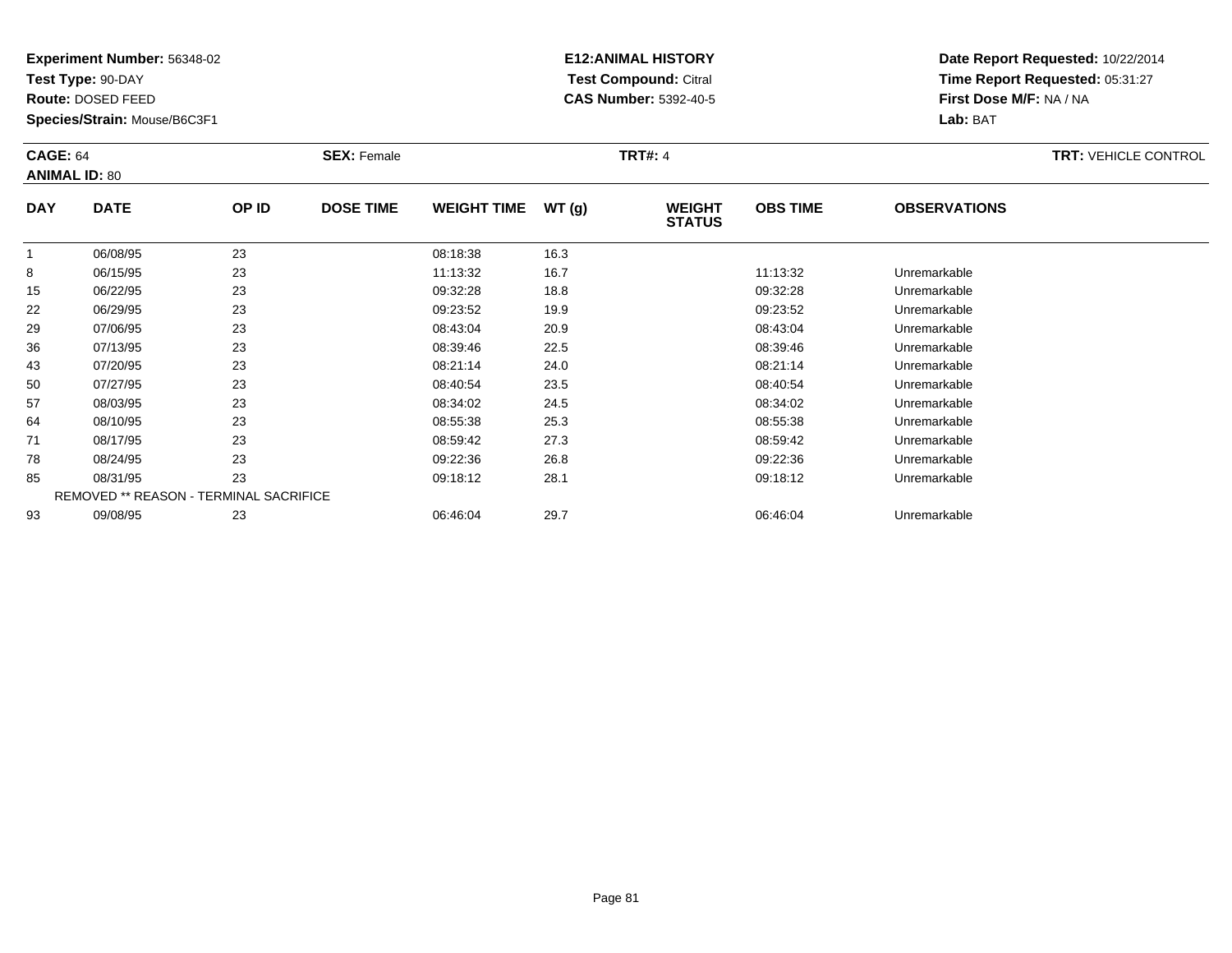**Test Type:** 90-DAY

**Route:** DOSED FEED

**Species/Strain:** Mouse/B6C3F1

# **E12:ANIMAL HISTORY Test Compound:** Citral **CAS Number:** 5392-40-5

| <b>CAGE: 64</b><br><b>ANIMAL ID: 80</b> |                                        |       | <b>SEX: Female</b> |                    |       | <b>TRT#: 4</b>                 |                 |                     | <b>TRT: VEHICLE CONTROL</b> |
|-----------------------------------------|----------------------------------------|-------|--------------------|--------------------|-------|--------------------------------|-----------------|---------------------|-----------------------------|
| <b>DAY</b>                              | <b>DATE</b>                            | OP ID | <b>DOSE TIME</b>   | <b>WEIGHT TIME</b> | WT(g) | <b>WEIGHT</b><br><b>STATUS</b> | <b>OBS TIME</b> | <b>OBSERVATIONS</b> |                             |
|                                         | 06/08/95                               | 23    |                    | 08:18:38           | 16.3  |                                |                 |                     |                             |
| 8                                       | 06/15/95                               | 23    |                    | 11:13:32           | 16.7  |                                | 11:13:32        | Unremarkable        |                             |
| 15                                      | 06/22/95                               | 23    |                    | 09:32:28           | 18.8  |                                | 09:32:28        | Unremarkable        |                             |
| 22                                      | 06/29/95                               | 23    |                    | 09:23:52           | 19.9  |                                | 09:23:52        | Unremarkable        |                             |
| 29                                      | 07/06/95                               | 23    |                    | 08:43:04           | 20.9  |                                | 08:43:04        | Unremarkable        |                             |
| 36                                      | 07/13/95                               | 23    |                    | 08:39:46           | 22.5  |                                | 08:39:46        | Unremarkable        |                             |
| 43                                      | 07/20/95                               | 23    |                    | 08:21:14           | 24.0  |                                | 08:21:14        | Unremarkable        |                             |
| 50                                      | 07/27/95                               | 23    |                    | 08:40:54           | 23.5  |                                | 08:40:54        | Unremarkable        |                             |
| 57                                      | 08/03/95                               | 23    |                    | 08:34:02           | 24.5  |                                | 08:34:02        | Unremarkable        |                             |
| 64                                      | 08/10/95                               | 23    |                    | 08:55:38           | 25.3  |                                | 08.55.38        | Unremarkable        |                             |
| 71                                      | 08/17/95                               | 23    |                    | 08:59:42           | 27.3  |                                | 08:59:42        | Unremarkable        |                             |
| 78                                      | 08/24/95                               | 23    |                    | 09:22:36           | 26.8  |                                | 09:22:36        | Unremarkable        |                             |
| 85                                      | 08/31/95                               | 23    |                    | 09:18:12           | 28.1  |                                | 09:18:12        | Unremarkable        |                             |
|                                         | REMOVED ** REASON - TERMINAL SACRIFICE |       |                    |                    |       |                                |                 |                     |                             |
| 93                                      | 09/08/95                               | 23    |                    | 06:46:04           | 29.7  |                                | 06:46:04        | Unremarkable        |                             |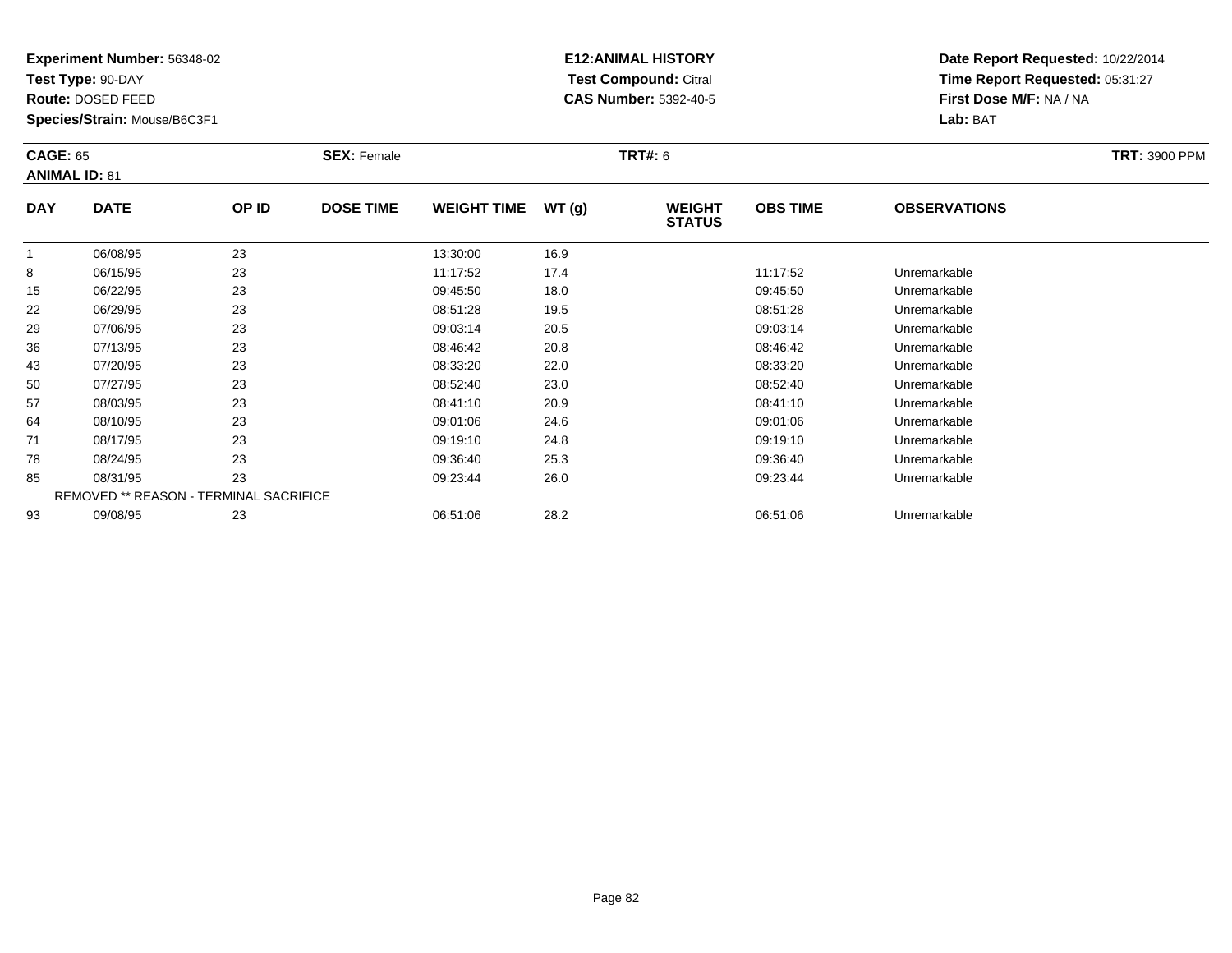**Test Type:** 90-DAY

**Route:** DOSED FEED

**Species/Strain:** Mouse/B6C3F1

# **E12:ANIMAL HISTORY Test Compound:** Citral **CAS Number:** 5392-40-5

|              | <b>CAGE: 65</b><br><b>ANIMAL ID: 81</b> |       | <b>SEX: Female</b> | <b>TRT#: 6</b>     |       |                                |                 |                     |  |
|--------------|-----------------------------------------|-------|--------------------|--------------------|-------|--------------------------------|-----------------|---------------------|--|
|              |                                         |       |                    |                    |       |                                |                 |                     |  |
| <b>DAY</b>   | <b>DATE</b>                             | OP ID | <b>DOSE TIME</b>   | <b>WEIGHT TIME</b> | WT(g) | <b>WEIGHT</b><br><b>STATUS</b> | <b>OBS TIME</b> | <b>OBSERVATIONS</b> |  |
| $\mathbf{1}$ | 06/08/95                                | 23    |                    | 13:30:00           | 16.9  |                                |                 |                     |  |
| 8            | 06/15/95                                | 23    |                    | 11:17:52           | 17.4  |                                | 11:17:52        | Unremarkable        |  |
| 15           | 06/22/95                                | 23    |                    | 09:45:50           | 18.0  |                                | 09:45:50        | Unremarkable        |  |
| 22           | 06/29/95                                | 23    |                    | 08:51:28           | 19.5  |                                | 08:51:28        | Unremarkable        |  |
| 29           | 07/06/95                                | 23    |                    | 09:03:14           | 20.5  |                                | 09:03:14        | Unremarkable        |  |
| 36           | 07/13/95                                | 23    |                    | 08:46:42           | 20.8  |                                | 08:46:42        | Unremarkable        |  |
| 43           | 07/20/95                                | 23    |                    | 08:33:20           | 22.0  |                                | 08:33:20        | Unremarkable        |  |
| 50           | 07/27/95                                | 23    |                    | 08:52:40           | 23.0  |                                | 08:52:40        | Unremarkable        |  |
| 57           | 08/03/95                                | 23    |                    | 08:41:10           | 20.9  |                                | 08:41:10        | Unremarkable        |  |
| 64           | 08/10/95                                | 23    |                    | 09:01:06           | 24.6  |                                | 09:01:06        | Unremarkable        |  |
| 71           | 08/17/95                                | 23    |                    | 09:19:10           | 24.8  |                                | 09:19:10        | Unremarkable        |  |
| 78           | 08/24/95                                | 23    |                    | 09:36:40           | 25.3  |                                | 09:36:40        | Unremarkable        |  |
| 85           | 08/31/95                                | 23    |                    | 09:23:44           | 26.0  |                                | 09:23:44        | Unremarkable        |  |
|              | REMOVED ** REASON - TERMINAL SACRIFICE  |       |                    |                    |       |                                |                 |                     |  |
| 93           | 09/08/95                                | 23    |                    | 06:51:06           | 28.2  |                                | 06:51:06        | Unremarkable        |  |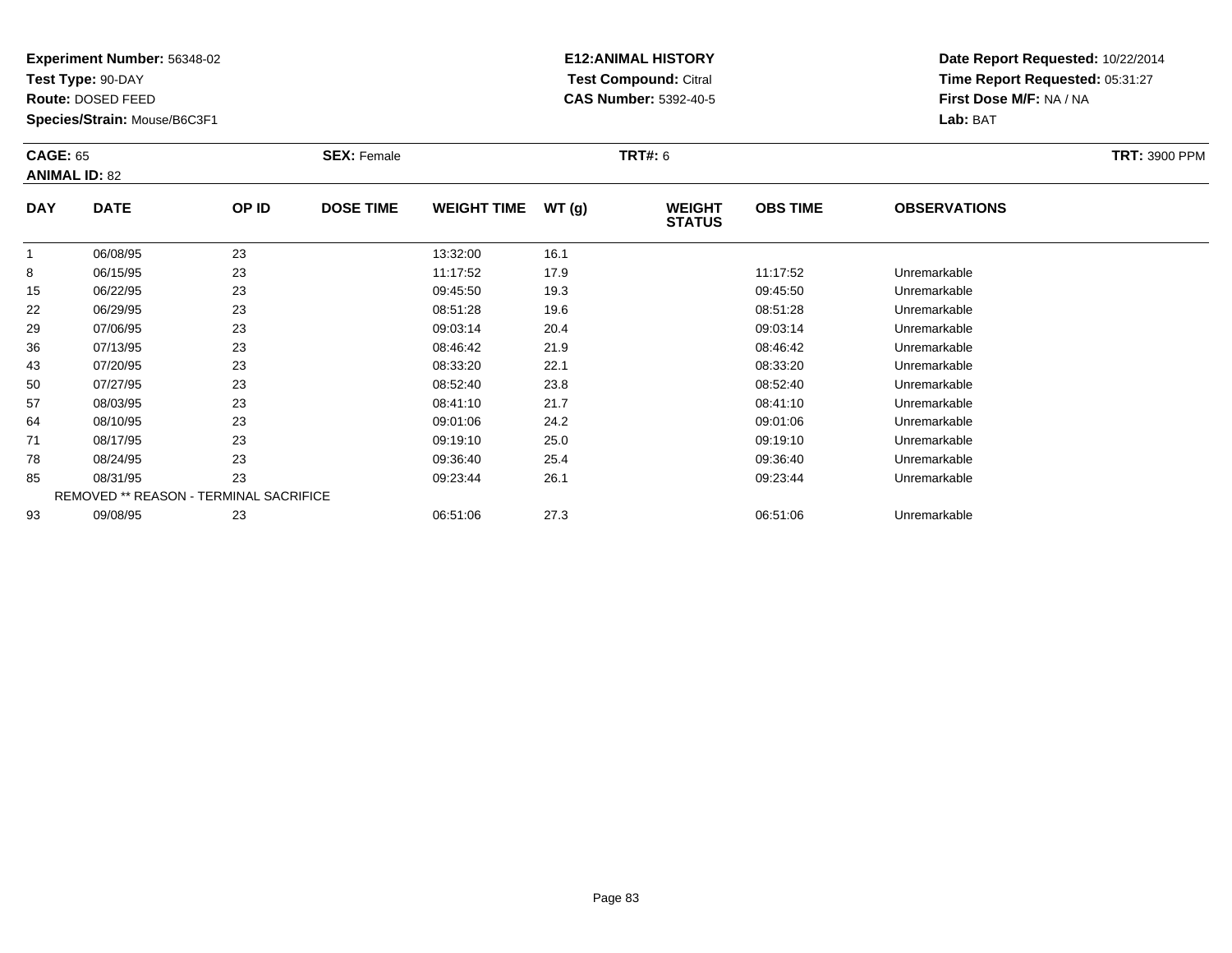**Test Type:** 90-DAY

**Route:** DOSED FEED

**Species/Strain:** Mouse/B6C3F1

# **E12:ANIMAL HISTORY Test Compound:** Citral **CAS Number:** 5392-40-5

|            | <b>CAGE: 65</b><br><b>ANIMAL ID: 82</b> |       | <b>SEX: Female</b> |                    |       | <b>TRT#: 6</b>                 |                 | <b>TRT: 3900 PPM</b> |  |
|------------|-----------------------------------------|-------|--------------------|--------------------|-------|--------------------------------|-----------------|----------------------|--|
| <b>DAY</b> | <b>DATE</b>                             | OP ID | <b>DOSE TIME</b>   | <b>WEIGHT TIME</b> | WT(g) | <b>WEIGHT</b><br><b>STATUS</b> | <b>OBS TIME</b> | <b>OBSERVATIONS</b>  |  |
| 1          | 06/08/95                                | 23    |                    | 13:32:00           | 16.1  |                                |                 |                      |  |
| 8          | 06/15/95                                | 23    |                    | 11:17:52           | 17.9  |                                | 11:17:52        | Unremarkable         |  |
| 15         | 06/22/95                                | 23    |                    | 09:45:50           | 19.3  |                                | 09:45:50        | Unremarkable         |  |
| 22         | 06/29/95                                | 23    |                    | 08:51:28           | 19.6  |                                | 08:51:28        | Unremarkable         |  |
| 29         | 07/06/95                                | 23    |                    | 09:03:14           | 20.4  |                                | 09:03:14        | Unremarkable         |  |
| 36         | 07/13/95                                | 23    |                    | 08:46:42           | 21.9  |                                | 08:46:42        | Unremarkable         |  |
| 43         | 07/20/95                                | 23    |                    | 08:33:20           | 22.1  |                                | 08:33:20        | Unremarkable         |  |
| 50         | 07/27/95                                | 23    |                    | 08:52:40           | 23.8  |                                | 08:52:40        | Unremarkable         |  |
| 57         | 08/03/95                                | 23    |                    | 08:41:10           | 21.7  |                                | 08:41:10        | Unremarkable         |  |
| 64         | 08/10/95                                | 23    |                    | 09:01:06           | 24.2  |                                | 09:01:06        | Unremarkable         |  |
| 71         | 08/17/95                                | 23    |                    | 09:19:10           | 25.0  |                                | 09:19:10        | Unremarkable         |  |
| 78         | 08/24/95                                | 23    |                    | 09:36:40           | 25.4  |                                | 09:36:40        | Unremarkable         |  |
| 85         | 08/31/95                                | 23    |                    | 09:23:44           | 26.1  |                                | 09:23:44        | Unremarkable         |  |
|            | REMOVED ** REASON - TERMINAL SACRIFICE  |       |                    |                    |       |                                |                 |                      |  |
| 93         | 09/08/95                                | 23    |                    | 06:51:06           | 27.3  |                                | 06:51:06        | Unremarkable         |  |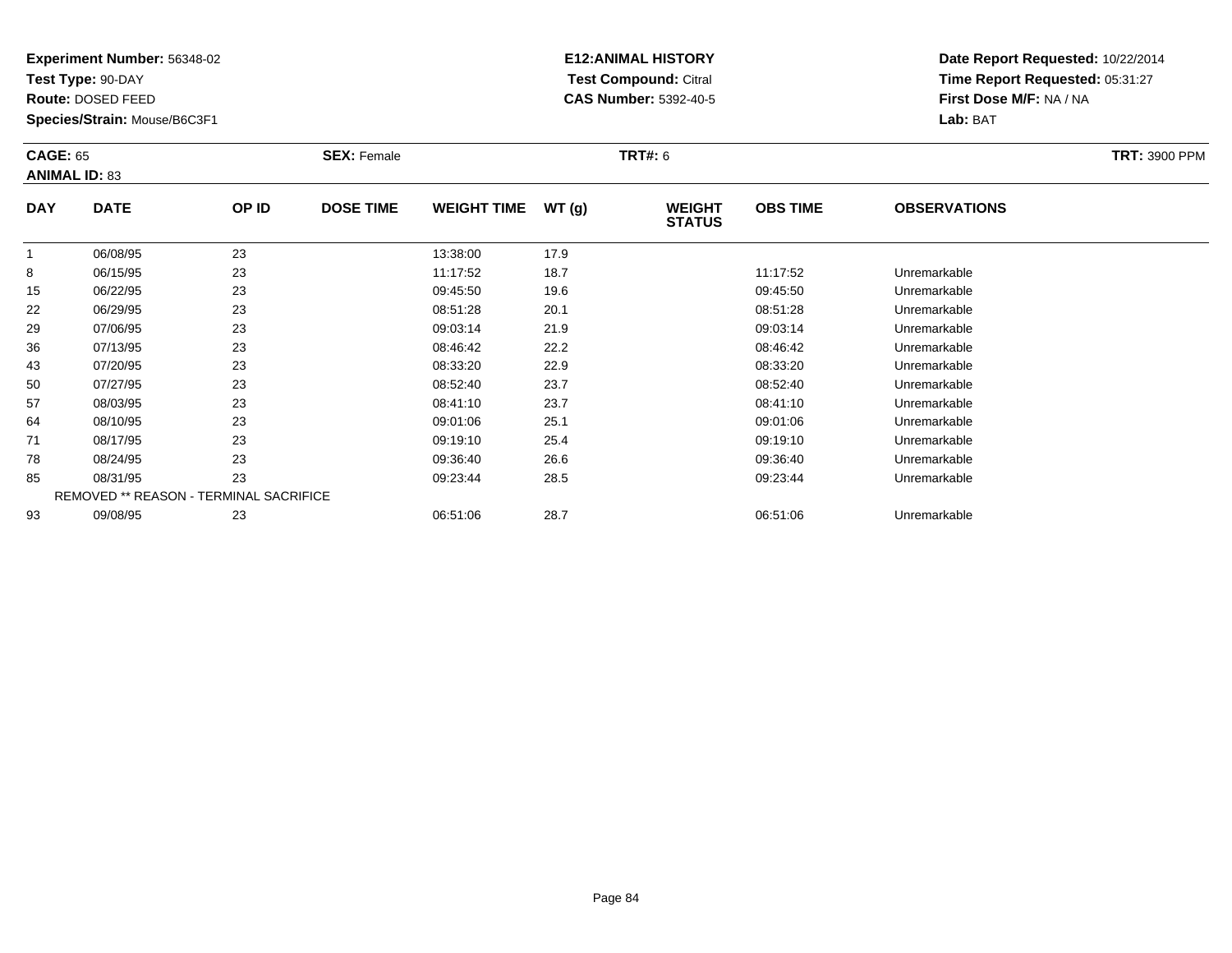**Test Type:** 90-DAY

**Route:** DOSED FEED

**Species/Strain:** Mouse/B6C3F1

# **E12:ANIMAL HISTORY Test Compound:** Citral **CAS Number:** 5392-40-5

|              | <b>CAGE: 65</b><br><b>ANIMAL ID: 83</b> |       | <b>SEX: Female</b> |                    |       |                                | <b>TRT#: 6</b>  |                     |  |  |
|--------------|-----------------------------------------|-------|--------------------|--------------------|-------|--------------------------------|-----------------|---------------------|--|--|
| <b>DAY</b>   | <b>DATE</b>                             | OP ID | <b>DOSE TIME</b>   | <b>WEIGHT TIME</b> | WT(g) | <b>WEIGHT</b><br><b>STATUS</b> | <b>OBS TIME</b> | <b>OBSERVATIONS</b> |  |  |
| $\mathbf{1}$ | 06/08/95                                | 23    |                    | 13:38:00           | 17.9  |                                |                 |                     |  |  |
| 8            | 06/15/95                                | 23    |                    | 11:17:52           | 18.7  |                                | 11:17:52        | Unremarkable        |  |  |
| 15           | 06/22/95                                | 23    |                    | 09:45:50           | 19.6  |                                | 09:45:50        | Unremarkable        |  |  |
| 22           | 06/29/95                                | 23    |                    | 08:51:28           | 20.1  |                                | 08:51:28        | Unremarkable        |  |  |
| 29           | 07/06/95                                | 23    |                    | 09:03:14           | 21.9  |                                | 09:03:14        | Unremarkable        |  |  |
| 36           | 07/13/95                                | 23    |                    | 08:46:42           | 22.2  |                                | 08:46:42        | Unremarkable        |  |  |
| 43           | 07/20/95                                | 23    |                    | 08:33:20           | 22.9  |                                | 08:33:20        | Unremarkable        |  |  |
| 50           | 07/27/95                                | 23    |                    | 08:52:40           | 23.7  |                                | 08:52:40        | Unremarkable        |  |  |
| 57           | 08/03/95                                | 23    |                    | 08:41:10           | 23.7  |                                | 08:41:10        | Unremarkable        |  |  |
| 64           | 08/10/95                                | 23    |                    | 09:01:06           | 25.1  |                                | 09:01:06        | Unremarkable        |  |  |
| 71           | 08/17/95                                | 23    |                    | 09:19:10           | 25.4  |                                | 09:19:10        | Unremarkable        |  |  |
| 78           | 08/24/95                                | 23    |                    | 09:36:40           | 26.6  |                                | 09:36:40        | Unremarkable        |  |  |
| 85           | 08/31/95                                | 23    |                    | 09:23:44           | 28.5  |                                | 09:23:44        | Unremarkable        |  |  |
|              | REMOVED ** REASON - TERMINAL SACRIFICE  |       |                    |                    |       |                                |                 |                     |  |  |
| 93           | 09/08/95                                | 23    |                    | 06:51:06           | 28.7  |                                | 06:51:06        | Unremarkable        |  |  |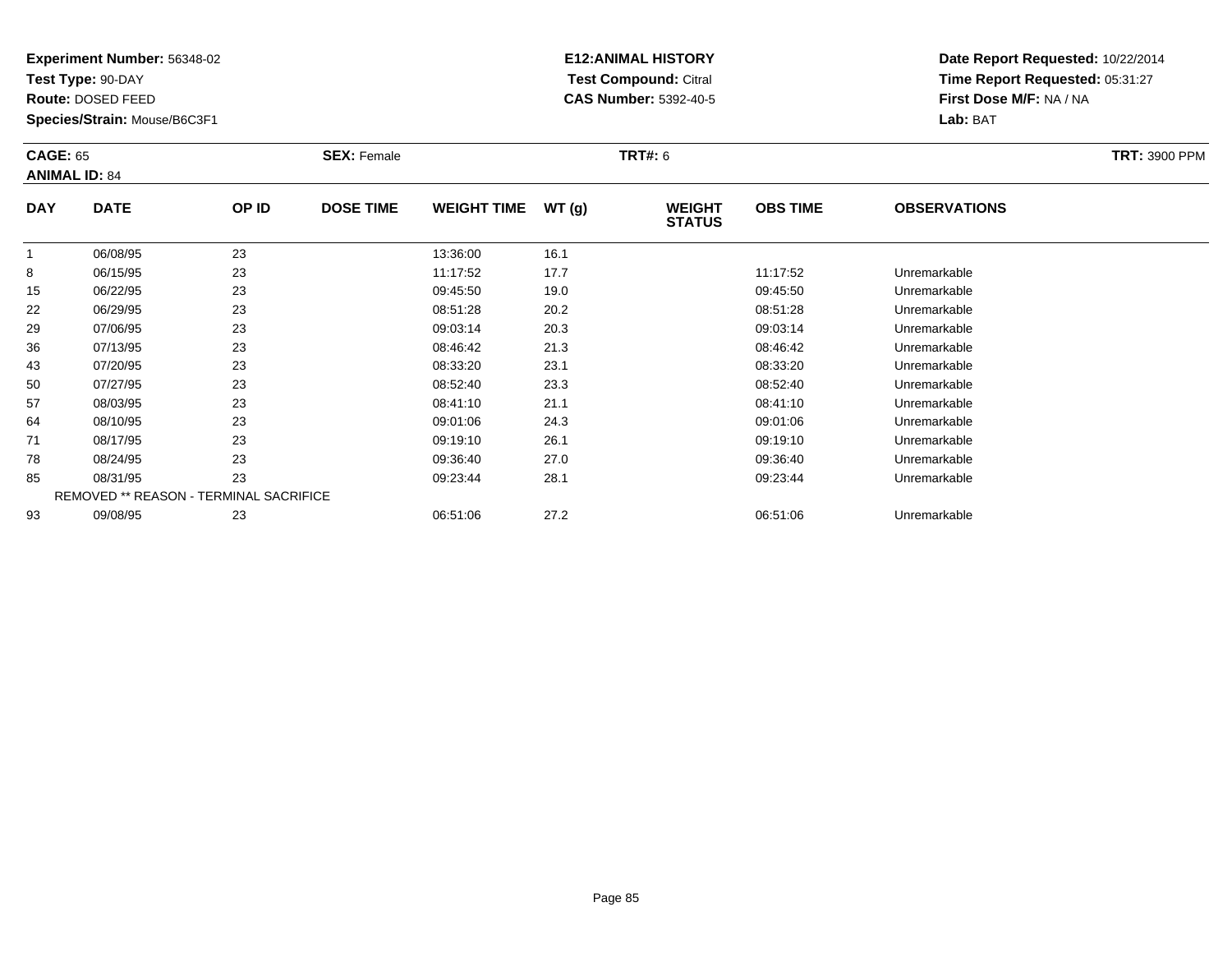**Test Type:** 90-DAY

**Route:** DOSED FEED

**Species/Strain:** Mouse/B6C3F1

# **E12:ANIMAL HISTORY Test Compound:** Citral **CAS Number:** 5392-40-5

|              | <b>CAGE: 65</b><br><b>ANIMAL ID: 84</b> |       | <b>SEX: Female</b> |                    |       | <b>TRT#: 6</b>                 |                 | <b>TRT: 3900 PPM</b> |  |
|--------------|-----------------------------------------|-------|--------------------|--------------------|-------|--------------------------------|-----------------|----------------------|--|
| <b>DAY</b>   | <b>DATE</b>                             | OP ID | <b>DOSE TIME</b>   | <b>WEIGHT TIME</b> | WT(g) | <b>WEIGHT</b><br><b>STATUS</b> | <b>OBS TIME</b> | <b>OBSERVATIONS</b>  |  |
| $\mathbf{1}$ | 06/08/95                                | 23    |                    | 13:36:00           | 16.1  |                                |                 |                      |  |
| 8            | 06/15/95                                | 23    |                    | 11:17:52           | 17.7  |                                | 11:17:52        | Unremarkable         |  |
| 15           | 06/22/95                                | 23    |                    | 09:45:50           | 19.0  |                                | 09:45:50        | Unremarkable         |  |
| 22           | 06/29/95                                | 23    |                    | 08:51:28           | 20.2  |                                | 08:51:28        | Unremarkable         |  |
| 29           | 07/06/95                                | 23    |                    | 09:03:14           | 20.3  |                                | 09:03:14        | Unremarkable         |  |
| 36           | 07/13/95                                | 23    |                    | 08:46:42           | 21.3  |                                | 08:46:42        | Unremarkable         |  |
| 43           | 07/20/95                                | 23    |                    | 08:33:20           | 23.1  |                                | 08:33:20        | Unremarkable         |  |
| 50           | 07/27/95                                | 23    |                    | 08:52:40           | 23.3  |                                | 08:52:40        | Unremarkable         |  |
| 57           | 08/03/95                                | 23    |                    | 08:41:10           | 21.1  |                                | 08:41:10        | Unremarkable         |  |
| 64           | 08/10/95                                | 23    |                    | 09:01:06           | 24.3  |                                | 09:01:06        | Unremarkable         |  |
| 71           | 08/17/95                                | 23    |                    | 09:19:10           | 26.1  |                                | 09:19:10        | Unremarkable         |  |
| 78           | 08/24/95                                | 23    |                    | 09:36:40           | 27.0  |                                | 09:36:40        | Unremarkable         |  |
| 85           | 08/31/95                                | 23    |                    | 09:23:44           | 28.1  |                                | 09:23:44        | Unremarkable         |  |
|              | REMOVED ** REASON - TERMINAL SACRIFICE  |       |                    |                    |       |                                |                 |                      |  |
| 93           | 09/08/95                                | 23    |                    | 06:51:06           | 27.2  |                                | 06:51:06        | Unremarkable         |  |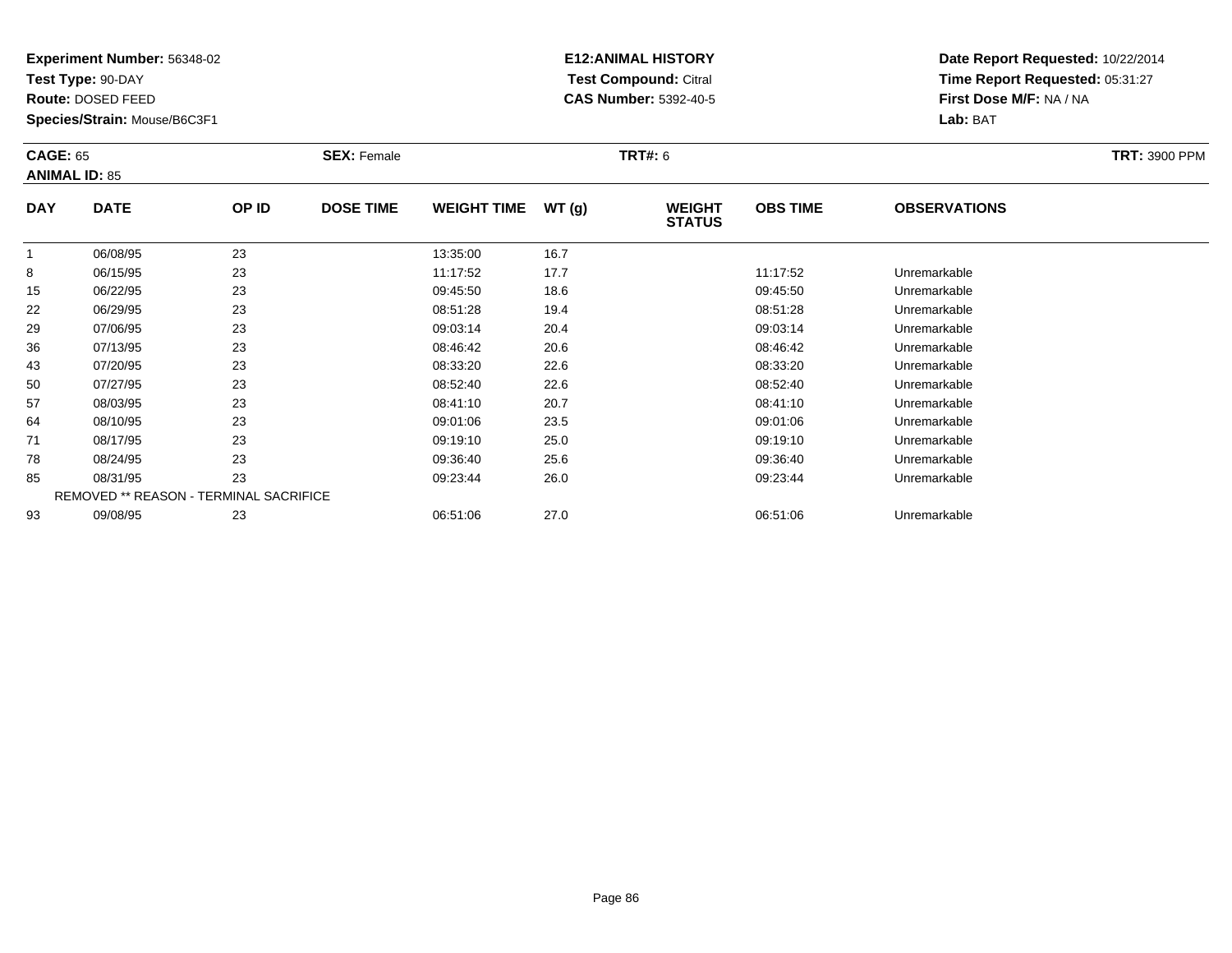**Test Type:** 90-DAY

**Route:** DOSED FEED

**Species/Strain:** Mouse/B6C3F1

# **E12:ANIMAL HISTORY Test Compound:** Citral **CAS Number:** 5392-40-5

|              | <b>CAGE: 65</b><br><b>ANIMAL ID: 85</b> |       | <b>SEX: Female</b> |                    |       | <b>TRT#: 6</b>                 | <b>TRT: 3900 PPM</b> |                     |  |
|--------------|-----------------------------------------|-------|--------------------|--------------------|-------|--------------------------------|----------------------|---------------------|--|
| <b>DAY</b>   | <b>DATE</b>                             | OP ID | <b>DOSE TIME</b>   | <b>WEIGHT TIME</b> | WT(g) | <b>WEIGHT</b><br><b>STATUS</b> | <b>OBS TIME</b>      | <b>OBSERVATIONS</b> |  |
| $\mathbf{1}$ | 06/08/95                                | 23    |                    | 13:35:00           | 16.7  |                                |                      |                     |  |
| 8            | 06/15/95                                | 23    |                    | 11:17:52           | 17.7  |                                | 11:17:52             | Unremarkable        |  |
| 15           | 06/22/95                                | 23    |                    | 09:45:50           | 18.6  |                                | 09:45:50             | Unremarkable        |  |
| 22           | 06/29/95                                | 23    |                    | 08:51:28           | 19.4  |                                | 08:51:28             | Unremarkable        |  |
| 29           | 07/06/95                                | 23    |                    | 09:03:14           | 20.4  |                                | 09:03:14             | Unremarkable        |  |
| 36           | 07/13/95                                | 23    |                    | 08:46:42           | 20.6  |                                | 08:46:42             | Unremarkable        |  |
| 43           | 07/20/95                                | 23    |                    | 08:33:20           | 22.6  |                                | 08:33:20             | Unremarkable        |  |
| 50           | 07/27/95                                | 23    |                    | 08:52:40           | 22.6  |                                | 08:52:40             | Unremarkable        |  |
| 57           | 08/03/95                                | 23    |                    | 08:41:10           | 20.7  |                                | 08:41:10             | Unremarkable        |  |
| 64           | 08/10/95                                | 23    |                    | 09:01:06           | 23.5  |                                | 09:01:06             | Unremarkable        |  |
| 71           | 08/17/95                                | 23    |                    | 09:19:10           | 25.0  |                                | 09:19:10             | Unremarkable        |  |
| 78           | 08/24/95                                | 23    |                    | 09:36:40           | 25.6  |                                | 09:36:40             | Unremarkable        |  |
| 85           | 08/31/95                                | 23    |                    | 09:23:44           | 26.0  |                                | 09:23:44             | Unremarkable        |  |
|              | REMOVED ** REASON - TERMINAL SACRIFICE  |       |                    |                    |       |                                |                      |                     |  |
| 93           | 09/08/95                                | 23    |                    | 06:51:06           | 27.0  |                                | 06:51:06             | Unremarkable        |  |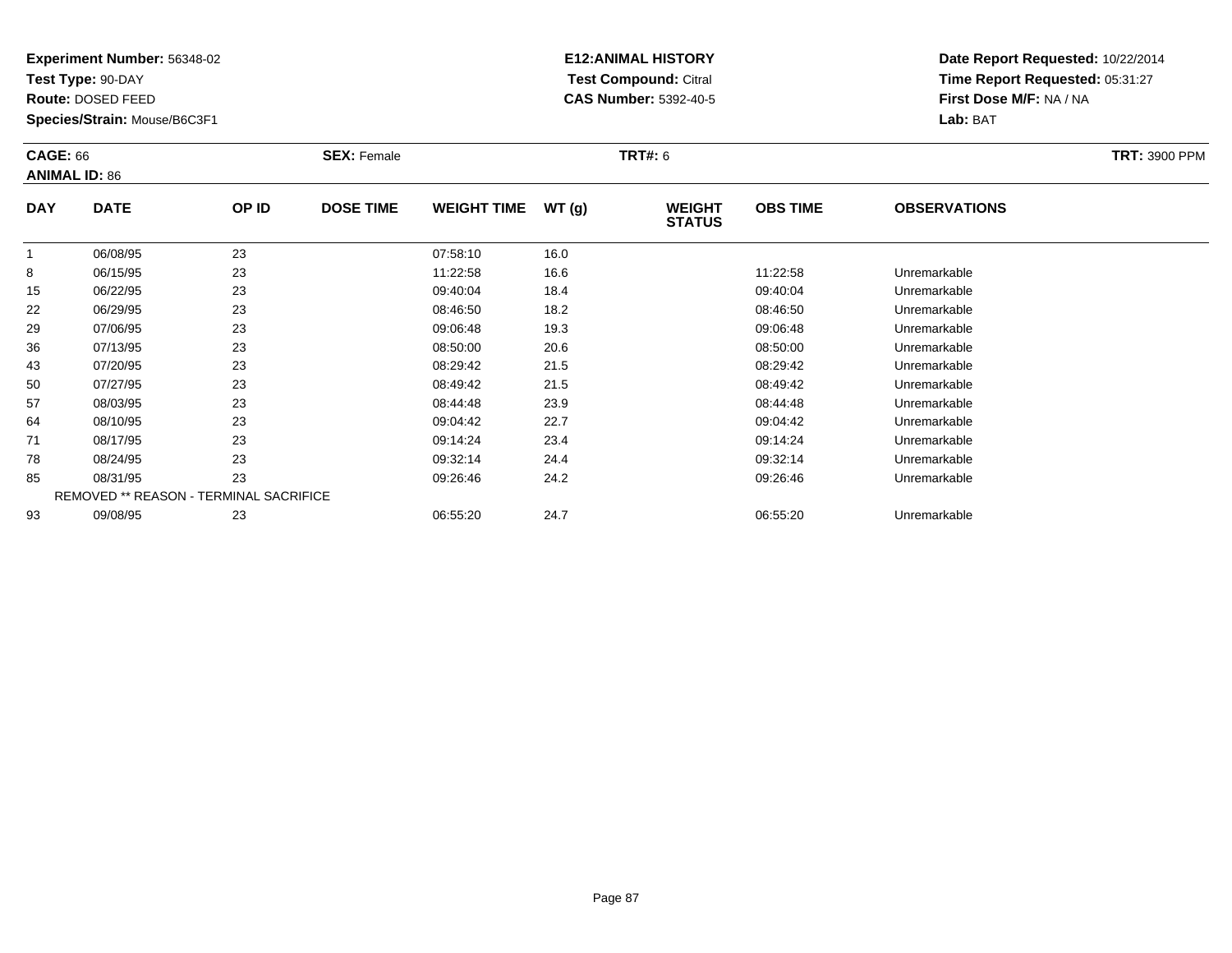**Test Type:** 90-DAY

**Route:** DOSED FEED

**Species/Strain:** Mouse/B6C3F1

# **E12:ANIMAL HISTORY Test Compound:** Citral **CAS Number:** 5392-40-5

| <b>CAGE: 66</b> | <b>ANIMAL ID: 86</b>                   |       | <b>SEX: Female</b> |                    |       | <b>TRT#: 6</b>                 |                 |                     | <b>TRT: 3900 PPM</b> |
|-----------------|----------------------------------------|-------|--------------------|--------------------|-------|--------------------------------|-----------------|---------------------|----------------------|
| <b>DAY</b>      | <b>DATE</b>                            | OP ID | <b>DOSE TIME</b>   | <b>WEIGHT TIME</b> | WT(g) | <b>WEIGHT</b><br><b>STATUS</b> | <b>OBS TIME</b> | <b>OBSERVATIONS</b> |                      |
| 1               | 06/08/95                               | 23    |                    | 07:58:10           | 16.0  |                                |                 |                     |                      |
| 8               | 06/15/95                               | 23    |                    | 11:22:58           | 16.6  |                                | 11:22:58        | Unremarkable        |                      |
| 15              | 06/22/95                               | 23    |                    | 09:40:04           | 18.4  |                                | 09:40:04        | Unremarkable        |                      |
| 22              | 06/29/95                               | 23    |                    | 08:46:50           | 18.2  |                                | 08:46:50        | Unremarkable        |                      |
| 29              | 07/06/95                               | 23    |                    | 09:06:48           | 19.3  |                                | 09:06:48        | Unremarkable        |                      |
| 36              | 07/13/95                               | 23    |                    | 08:50:00           | 20.6  |                                | 08:50:00        | Unremarkable        |                      |
| 43              | 07/20/95                               | 23    |                    | 08:29:42           | 21.5  |                                | 08:29:42        | Unremarkable        |                      |
| 50              | 07/27/95                               | 23    |                    | 08:49:42           | 21.5  |                                | 08:49:42        | Unremarkable        |                      |
| 57              | 08/03/95                               | 23    |                    | 08:44:48           | 23.9  |                                | 08:44:48        | Unremarkable        |                      |
| 64              | 08/10/95                               | 23    |                    | 09:04:42           | 22.7  |                                | 09:04:42        | Unremarkable        |                      |
| 71              | 08/17/95                               | 23    |                    | 09:14:24           | 23.4  |                                | 09:14:24        | Unremarkable        |                      |
| 78              | 08/24/95                               | 23    |                    | 09:32:14           | 24.4  |                                | 09:32:14        | Unremarkable        |                      |
| 85              | 08/31/95                               | 23    |                    | 09:26:46           | 24.2  |                                | 09:26:46        | Unremarkable        |                      |
|                 | REMOVED ** REASON - TERMINAL SACRIFICE |       |                    |                    |       |                                |                 |                     |                      |
| 93              | 09/08/95                               | 23    |                    | 06:55:20           | 24.7  |                                | 06:55:20        | Unremarkable        |                      |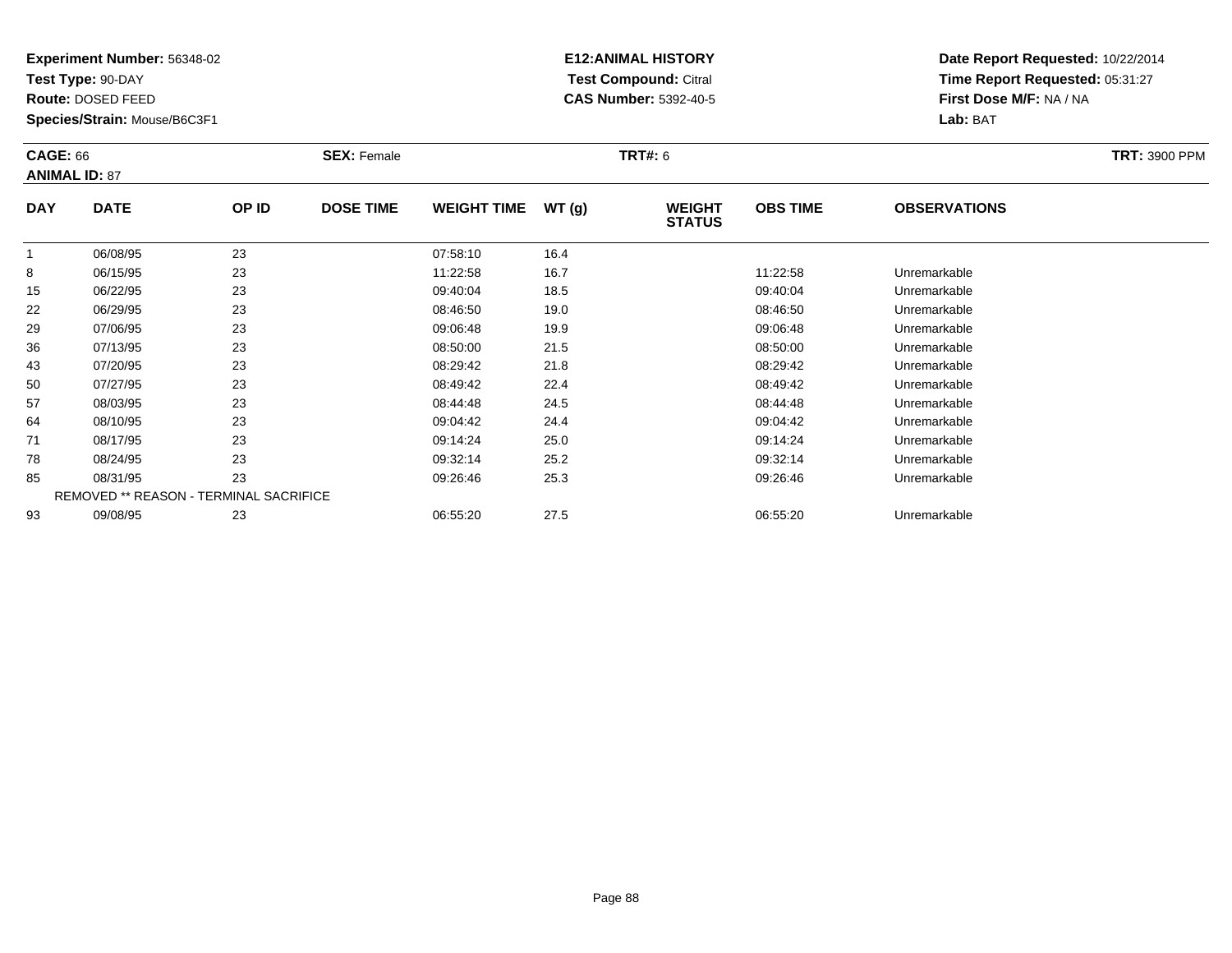**Test Type:** 90-DAY

**Route:** DOSED FEED

**Species/Strain:** Mouse/B6C3F1

# **E12:ANIMAL HISTORY Test Compound:** Citral **CAS Number:** 5392-40-5

|            | <b>CAGE: 66</b><br><b>ANIMAL ID: 87</b>       |       | <b>SEX: Female</b> |                    |       | <b>TRT#: 6</b>                 | <b>TRT: 3900 PPM</b> |                     |  |
|------------|-----------------------------------------------|-------|--------------------|--------------------|-------|--------------------------------|----------------------|---------------------|--|
| <b>DAY</b> | <b>DATE</b>                                   | OP ID | <b>DOSE TIME</b>   | <b>WEIGHT TIME</b> | WT(g) | <b>WEIGHT</b><br><b>STATUS</b> | <b>OBS TIME</b>      | <b>OBSERVATIONS</b> |  |
| -1         | 06/08/95                                      | 23    |                    | 07:58:10           | 16.4  |                                |                      |                     |  |
| 8          | 06/15/95                                      | 23    |                    | 11:22:58           | 16.7  |                                | 11:22:58             | Unremarkable        |  |
| 15         | 06/22/95                                      | 23    |                    | 09:40:04           | 18.5  |                                | 09:40:04             | Unremarkable        |  |
| 22         | 06/29/95                                      | 23    |                    | 08:46:50           | 19.0  |                                | 08:46:50             | Unremarkable        |  |
| 29         | 07/06/95                                      | 23    |                    | 09:06:48           | 19.9  |                                | 09:06:48             | Unremarkable        |  |
| 36         | 07/13/95                                      | 23    |                    | 08:50:00           | 21.5  |                                | 08:50:00             | Unremarkable        |  |
| 43         | 07/20/95                                      | 23    |                    | 08:29:42           | 21.8  |                                | 08:29:42             | Unremarkable        |  |
| 50         | 07/27/95                                      | 23    |                    | 08:49:42           | 22.4  |                                | 08:49:42             | Unremarkable        |  |
| 57         | 08/03/95                                      | 23    |                    | 08:44:48           | 24.5  |                                | 08:44:48             | Unremarkable        |  |
| 64         | 08/10/95                                      | 23    |                    | 09:04:42           | 24.4  |                                | 09:04:42             | Unremarkable        |  |
| 71         | 08/17/95                                      | 23    |                    | 09:14:24           | 25.0  |                                | 09:14:24             | Unremarkable        |  |
| 78         | 08/24/95                                      | 23    |                    | 09:32:14           | 25.2  |                                | 09:32:14             | Unremarkable        |  |
| 85         | 08/31/95                                      | 23    |                    | 09:26:46           | 25.3  |                                | 09:26:46             | Unremarkable        |  |
|            | <b>REMOVED ** REASON - TERMINAL SACRIFICE</b> |       |                    |                    |       |                                |                      |                     |  |
| 93         | 09/08/95                                      | 23    |                    | 06:55:20           | 27.5  |                                | 06:55:20             | Unremarkable        |  |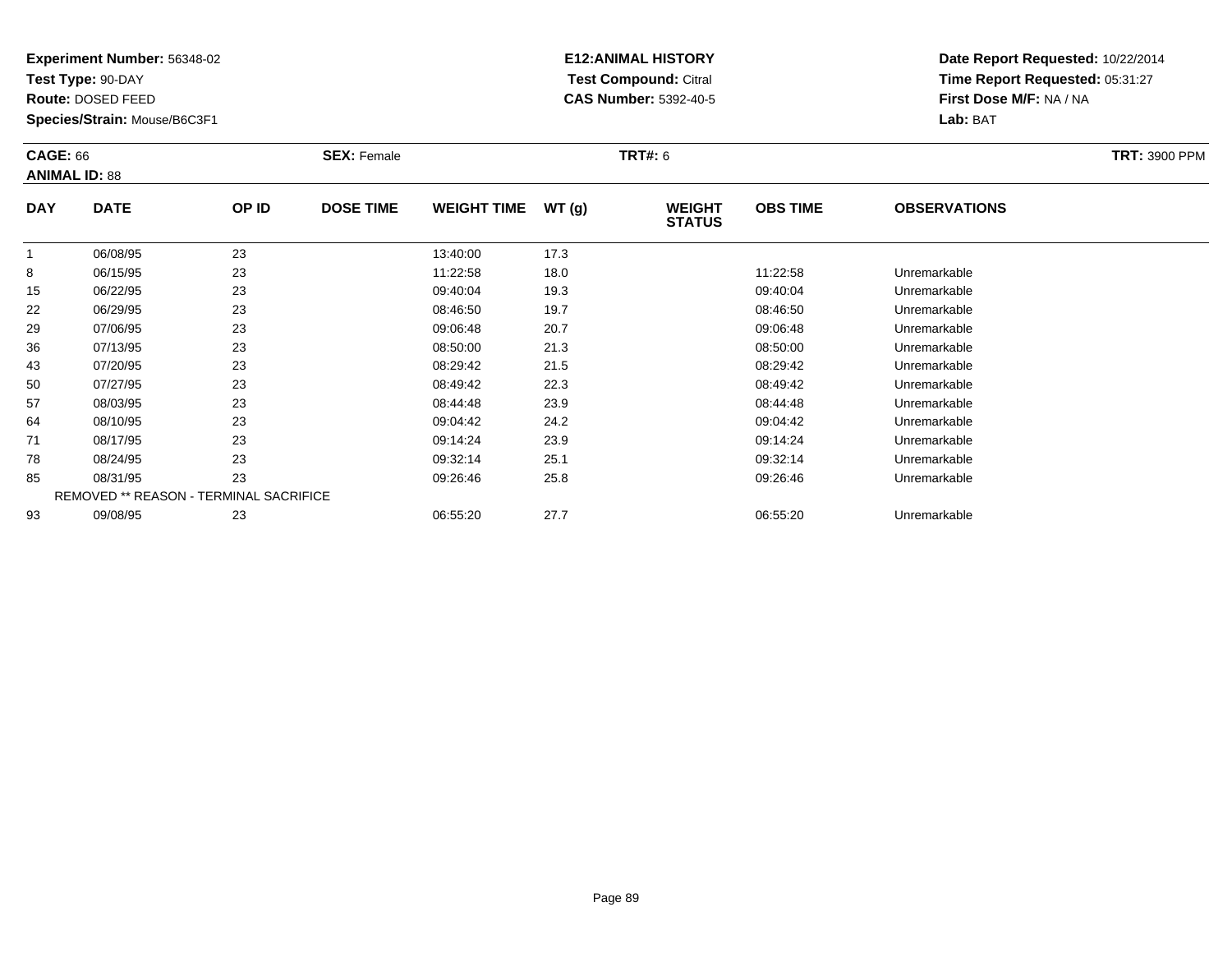**Test Type:** 90-DAY

**Route:** DOSED FEED

**Species/Strain:** Mouse/B6C3F1

# **E12:ANIMAL HISTORY Test Compound:** Citral **CAS Number:** 5392-40-5

| <b>CAGE: 66</b> | <b>ANIMAL ID: 88</b>                   |       | <b>SEX: Female</b> |                    |       | <b>TRT#: 6</b>                 |                 |                     | <b>TRT: 3900 PPM</b> |
|-----------------|----------------------------------------|-------|--------------------|--------------------|-------|--------------------------------|-----------------|---------------------|----------------------|
| <b>DAY</b>      | <b>DATE</b>                            | OP ID | <b>DOSE TIME</b>   | <b>WEIGHT TIME</b> | WT(g) | <b>WEIGHT</b><br><b>STATUS</b> | <b>OBS TIME</b> | <b>OBSERVATIONS</b> |                      |
| 1               | 06/08/95                               | 23    |                    | 13:40:00           | 17.3  |                                |                 |                     |                      |
| 8               | 06/15/95                               | 23    |                    | 11:22:58           | 18.0  |                                | 11:22:58        | Unremarkable        |                      |
| 15              | 06/22/95                               | 23    |                    | 09:40:04           | 19.3  |                                | 09:40:04        | Unremarkable        |                      |
| 22              | 06/29/95                               | 23    |                    | 08:46:50           | 19.7  |                                | 08:46:50        | Unremarkable        |                      |
| 29              | 07/06/95                               | 23    |                    | 09:06:48           | 20.7  |                                | 09:06:48        | Unremarkable        |                      |
| 36              | 07/13/95                               | 23    |                    | 08:50:00           | 21.3  |                                | 08:50:00        | Unremarkable        |                      |
| 43              | 07/20/95                               | 23    |                    | 08:29:42           | 21.5  |                                | 08:29:42        | Unremarkable        |                      |
| 50              | 07/27/95                               | 23    |                    | 08:49:42           | 22.3  |                                | 08:49:42        | Unremarkable        |                      |
| 57              | 08/03/95                               | 23    |                    | 08:44:48           | 23.9  |                                | 08:44:48        | Unremarkable        |                      |
| 64              | 08/10/95                               | 23    |                    | 09:04:42           | 24.2  |                                | 09:04:42        | Unremarkable        |                      |
| 71              | 08/17/95                               | 23    |                    | 09:14:24           | 23.9  |                                | 09:14:24        | Unremarkable        |                      |
| 78              | 08/24/95                               | 23    |                    | 09:32:14           | 25.1  |                                | 09:32:14        | Unremarkable        |                      |
| 85              | 08/31/95                               | 23    |                    | 09:26:46           | 25.8  |                                | 09:26:46        | Unremarkable        |                      |
|                 | REMOVED ** REASON - TERMINAL SACRIFICE |       |                    |                    |       |                                |                 |                     |                      |
| 93              | 09/08/95                               | 23    |                    | 06:55:20           | 27.7  |                                | 06:55:20        | Unremarkable        |                      |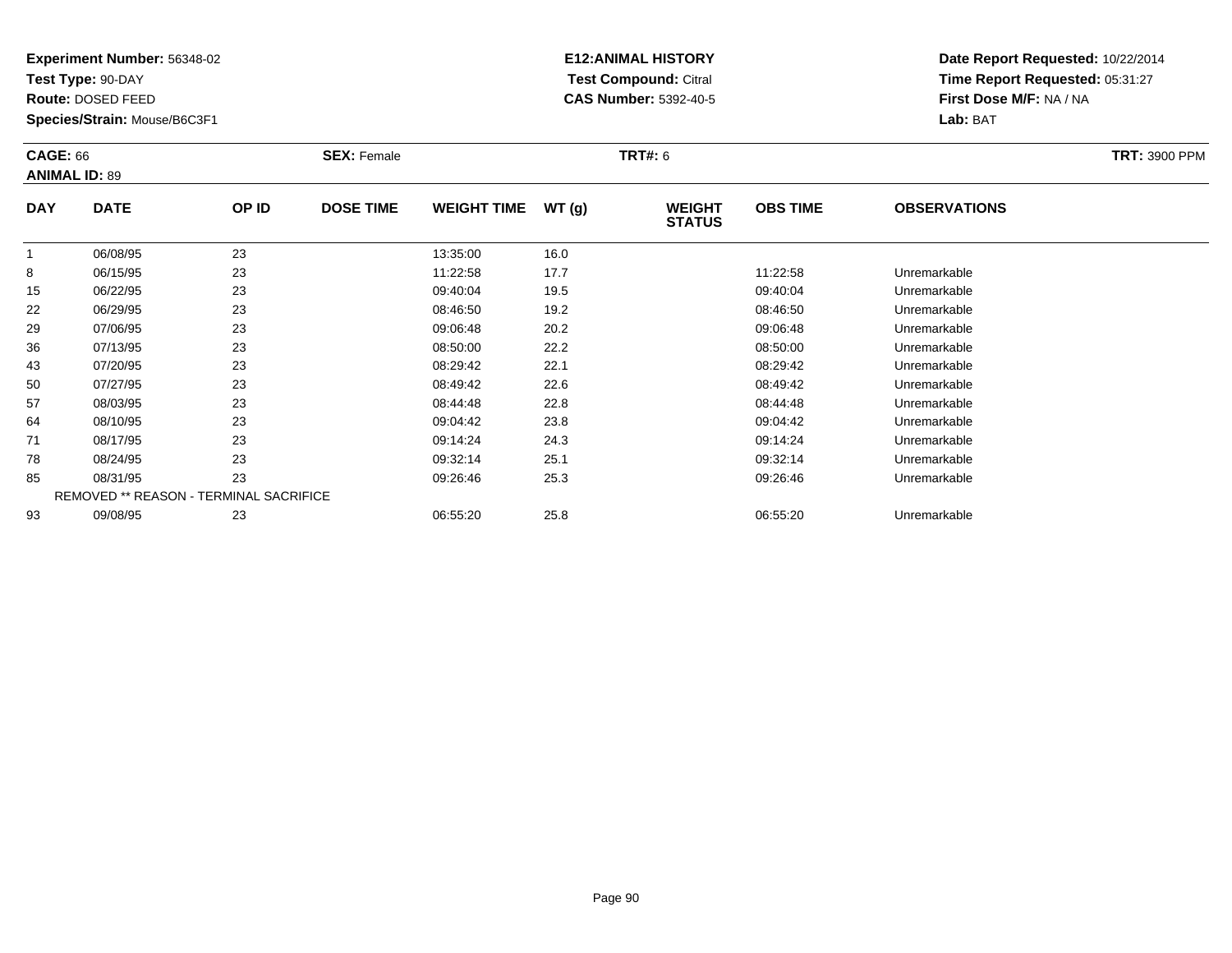**Test Type:** 90-DAY

**Route:** DOSED FEED

**Species/Strain:** Mouse/B6C3F1

# **E12:ANIMAL HISTORY Test Compound:** Citral **CAS Number:** 5392-40-5

| <b>CAGE: 66</b> | <b>ANIMAL ID: 89</b>                   |       | <b>SEX: Female</b> |                    |       | TRT#: 6                        |                 |                     | <b>TRT: 3900 PPM</b> |
|-----------------|----------------------------------------|-------|--------------------|--------------------|-------|--------------------------------|-----------------|---------------------|----------------------|
| <b>DAY</b>      | <b>DATE</b>                            | OP ID | <b>DOSE TIME</b>   | <b>WEIGHT TIME</b> | WT(g) | <b>WEIGHT</b><br><b>STATUS</b> | <b>OBS TIME</b> | <b>OBSERVATIONS</b> |                      |
| $\mathbf{1}$    | 06/08/95                               | 23    |                    | 13:35:00           | 16.0  |                                |                 |                     |                      |
| 8               | 06/15/95                               | 23    |                    | 11:22:58           | 17.7  |                                | 11:22:58        | Unremarkable        |                      |
| 15              | 06/22/95                               | 23    |                    | 09:40:04           | 19.5  |                                | 09:40:04        | Unremarkable        |                      |
| 22              | 06/29/95                               | 23    |                    | 08:46:50           | 19.2  |                                | 08:46:50        | Unremarkable        |                      |
| 29              | 07/06/95                               | 23    |                    | 09:06:48           | 20.2  |                                | 09:06:48        | Unremarkable        |                      |
| 36              | 07/13/95                               | 23    |                    | 08:50:00           | 22.2  |                                | 08:50:00        | Unremarkable        |                      |
| 43              | 07/20/95                               | 23    |                    | 08:29:42           | 22.1  |                                | 08:29:42        | Unremarkable        |                      |
| 50              | 07/27/95                               | 23    |                    | 08:49:42           | 22.6  |                                | 08:49:42        | Unremarkable        |                      |
| 57              | 08/03/95                               | 23    |                    | 08:44:48           | 22.8  |                                | 08:44:48        | Unremarkable        |                      |
| 64              | 08/10/95                               | 23    |                    | 09:04:42           | 23.8  |                                | 09:04:42        | Unremarkable        |                      |
| 71              | 08/17/95                               | 23    |                    | 09:14:24           | 24.3  |                                | 09:14:24        | Unremarkable        |                      |
| 78              | 08/24/95                               | 23    |                    | 09:32:14           | 25.1  |                                | 09:32:14        | Unremarkable        |                      |
| 85              | 08/31/95                               | 23    |                    | 09:26:46           | 25.3  |                                | 09:26:46        | Unremarkable        |                      |
|                 | REMOVED ** REASON - TERMINAL SACRIFICE |       |                    |                    |       |                                |                 |                     |                      |
| 93              | 09/08/95                               | 23    |                    | 06:55:20           | 25.8  |                                | 06:55:20        | Unremarkable        |                      |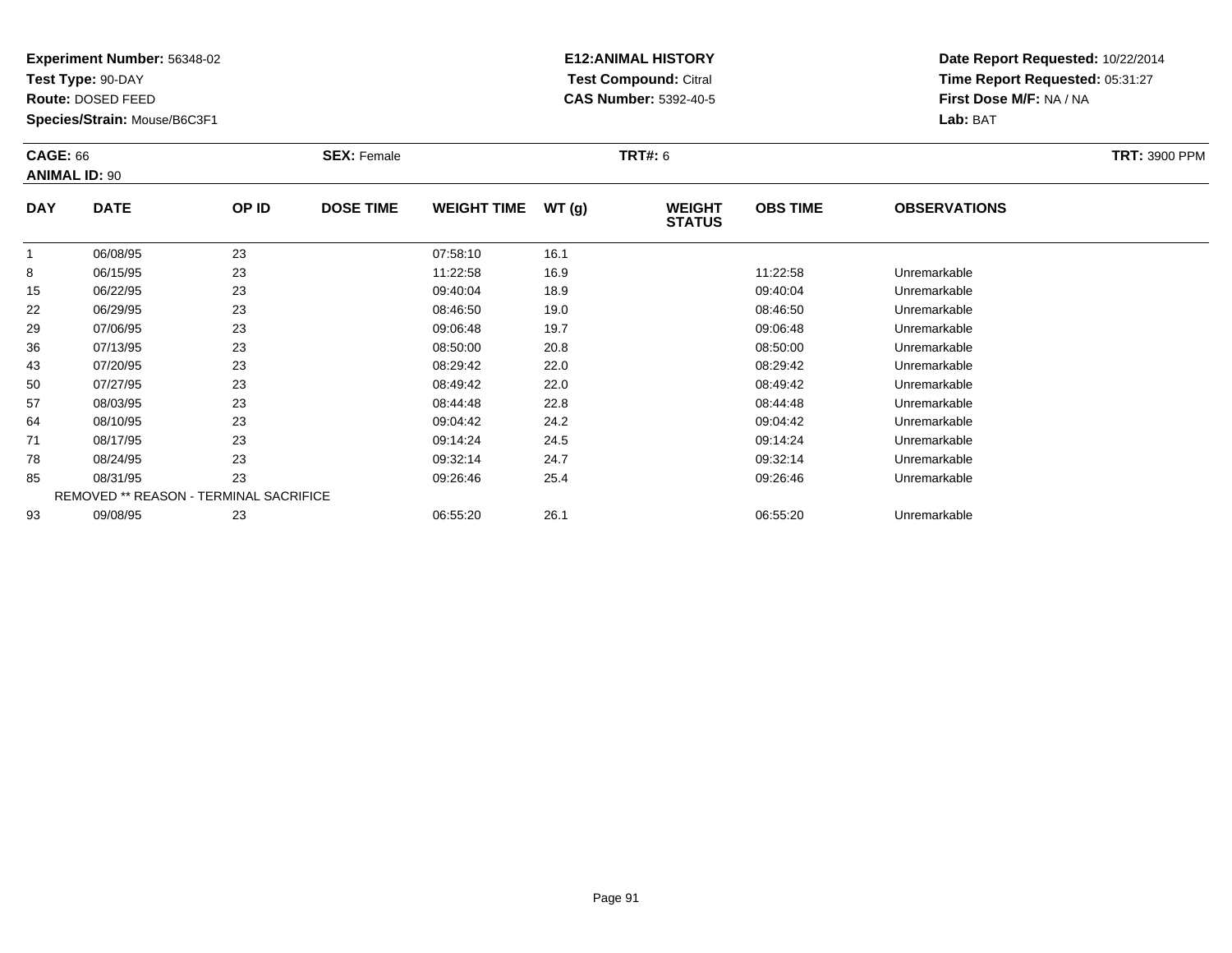**Test Type:** 90-DAY

**Route:** DOSED FEED

**Species/Strain:** Mouse/B6C3F1

# **E12:ANIMAL HISTORY Test Compound:** Citral **CAS Number:** 5392-40-5

| <b>CAGE: 66</b> | <b>ANIMAL ID: 90</b>                   |       | <b>SEX: Female</b> |                    |       | <b>TRT#: 6</b>                 |                 |                     | <b>TRT: 3900 PPM</b> |
|-----------------|----------------------------------------|-------|--------------------|--------------------|-------|--------------------------------|-----------------|---------------------|----------------------|
| <b>DAY</b>      | <b>DATE</b>                            | OP ID | <b>DOSE TIME</b>   | <b>WEIGHT TIME</b> | WT(g) | <b>WEIGHT</b><br><b>STATUS</b> | <b>OBS TIME</b> | <b>OBSERVATIONS</b> |                      |
| 1               | 06/08/95                               | 23    |                    | 07:58:10           | 16.1  |                                |                 |                     |                      |
| 8               | 06/15/95                               | 23    |                    | 11:22:58           | 16.9  |                                | 11:22:58        | Unremarkable        |                      |
| 15              | 06/22/95                               | 23    |                    | 09:40:04           | 18.9  |                                | 09:40:04        | Unremarkable        |                      |
| 22              | 06/29/95                               | 23    |                    | 08:46:50           | 19.0  |                                | 08:46:50        | Unremarkable        |                      |
| 29              | 07/06/95                               | 23    |                    | 09:06:48           | 19.7  |                                | 09:06:48        | Unremarkable        |                      |
| 36              | 07/13/95                               | 23    |                    | 08:50:00           | 20.8  |                                | 08:50:00        | Unremarkable        |                      |
| 43              | 07/20/95                               | 23    |                    | 08:29:42           | 22.0  |                                | 08:29:42        | Unremarkable        |                      |
| 50              | 07/27/95                               | 23    |                    | 08:49:42           | 22.0  |                                | 08:49:42        | Unremarkable        |                      |
| 57              | 08/03/95                               | 23    |                    | 08:44:48           | 22.8  |                                | 08:44:48        | Unremarkable        |                      |
| 64              | 08/10/95                               | 23    |                    | 09:04:42           | 24.2  |                                | 09:04:42        | Unremarkable        |                      |
| 71              | 08/17/95                               | 23    |                    | 09:14:24           | 24.5  |                                | 09:14:24        | Unremarkable        |                      |
| 78              | 08/24/95                               | 23    |                    | 09:32:14           | 24.7  |                                | 09:32:14        | Unremarkable        |                      |
| 85              | 08/31/95                               | 23    |                    | 09:26:46           | 25.4  |                                | 09:26:46        | Unremarkable        |                      |
|                 | REMOVED ** REASON - TERMINAL SACRIFICE |       |                    |                    |       |                                |                 |                     |                      |
| 93              | 09/08/95                               | 23    |                    | 06:55:20           | 26.1  |                                | 06:55:20        | Unremarkable        |                      |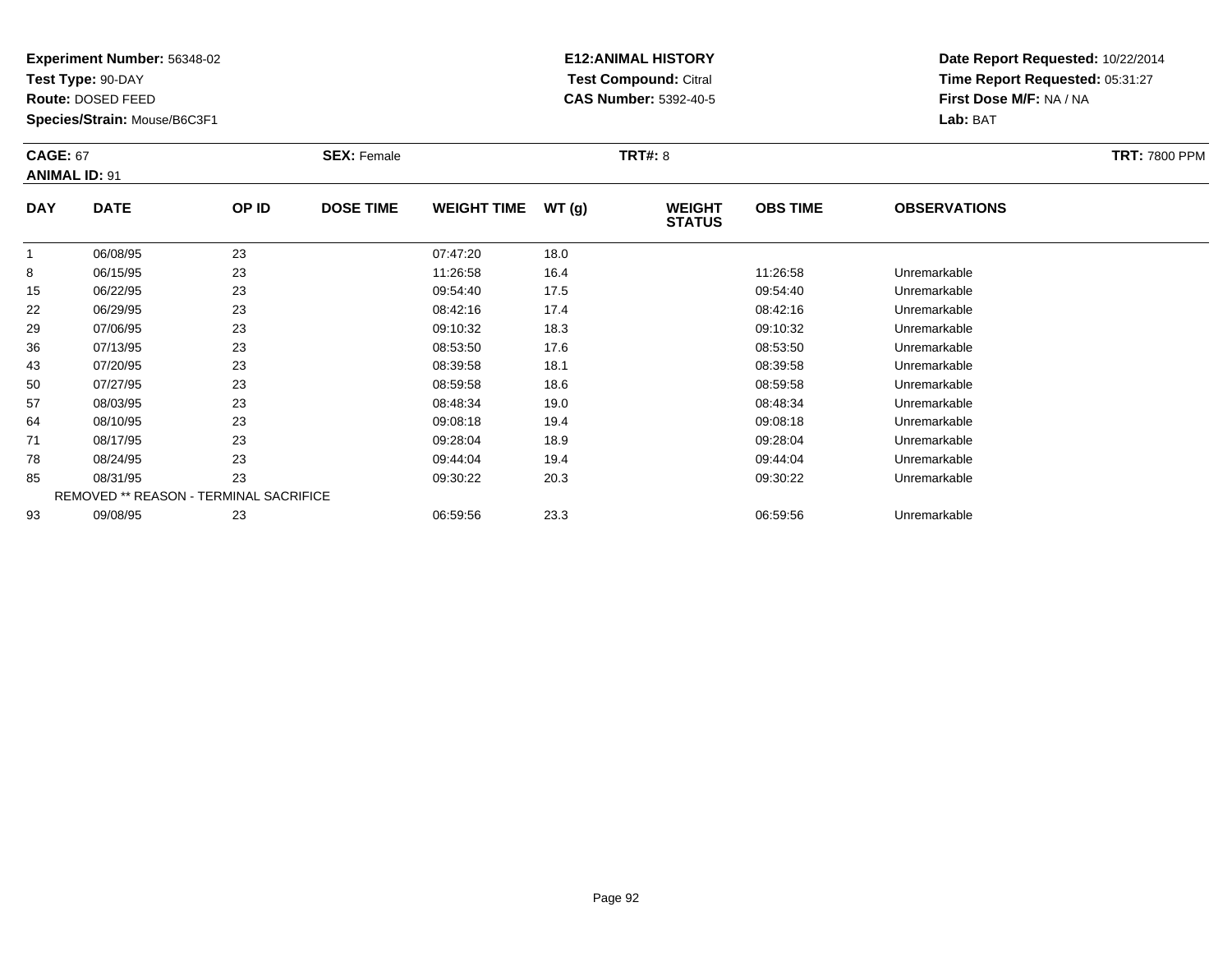**Test Type:** 90-DAY

**Route:** DOSED FEED

**Species/Strain:** Mouse/B6C3F1

# **E12:ANIMAL HISTORY Test Compound:** Citral **CAS Number:** 5392-40-5

|            | <b>CAGE: 67</b><br><b>ANIMAL ID: 91</b>       |       | <b>SEX: Female</b> |                    |       | <b>TRT#: 8</b>                 | <b>TRT: 7800 PPM</b> |                     |  |
|------------|-----------------------------------------------|-------|--------------------|--------------------|-------|--------------------------------|----------------------|---------------------|--|
| <b>DAY</b> | <b>DATE</b>                                   | OP ID | <b>DOSE TIME</b>   | <b>WEIGHT TIME</b> | WT(g) | <b>WEIGHT</b><br><b>STATUS</b> | <b>OBS TIME</b>      | <b>OBSERVATIONS</b> |  |
| -1         | 06/08/95                                      | 23    |                    | 07:47:20           | 18.0  |                                |                      |                     |  |
| 8          | 06/15/95                                      | 23    |                    | 11:26:58           | 16.4  |                                | 11:26:58             | Unremarkable        |  |
| 15         | 06/22/95                                      | 23    |                    | 09:54:40           | 17.5  |                                | 09:54:40             | Unremarkable        |  |
| 22         | 06/29/95                                      | 23    |                    | 08:42:16           | 17.4  |                                | 08:42:16             | Unremarkable        |  |
| 29         | 07/06/95                                      | 23    |                    | 09:10:32           | 18.3  |                                | 09:10:32             | Unremarkable        |  |
| 36         | 07/13/95                                      | 23    |                    | 08:53:50           | 17.6  |                                | 08:53:50             | Unremarkable        |  |
| 43         | 07/20/95                                      | 23    |                    | 08:39:58           | 18.1  |                                | 08:39:58             | Unremarkable        |  |
| 50         | 07/27/95                                      | 23    |                    | 08:59:58           | 18.6  |                                | 08:59:58             | Unremarkable        |  |
| 57         | 08/03/95                                      | 23    |                    | 08:48:34           | 19.0  |                                | 08:48:34             | Unremarkable        |  |
| 64         | 08/10/95                                      | 23    |                    | 09:08:18           | 19.4  |                                | 09:08:18             | Unremarkable        |  |
| 71         | 08/17/95                                      | 23    |                    | 09:28:04           | 18.9  |                                | 09:28:04             | Unremarkable        |  |
| 78         | 08/24/95                                      | 23    |                    | 09:44:04           | 19.4  |                                | 09:44:04             | Unremarkable        |  |
| 85         | 08/31/95                                      | 23    |                    | 09:30:22           | 20.3  |                                | 09:30:22             | Unremarkable        |  |
|            | <b>REMOVED ** REASON - TERMINAL SACRIFICE</b> |       |                    |                    |       |                                |                      |                     |  |
| 93         | 09/08/95                                      | 23    |                    | 06:59:56           | 23.3  |                                | 06:59:56             | Unremarkable        |  |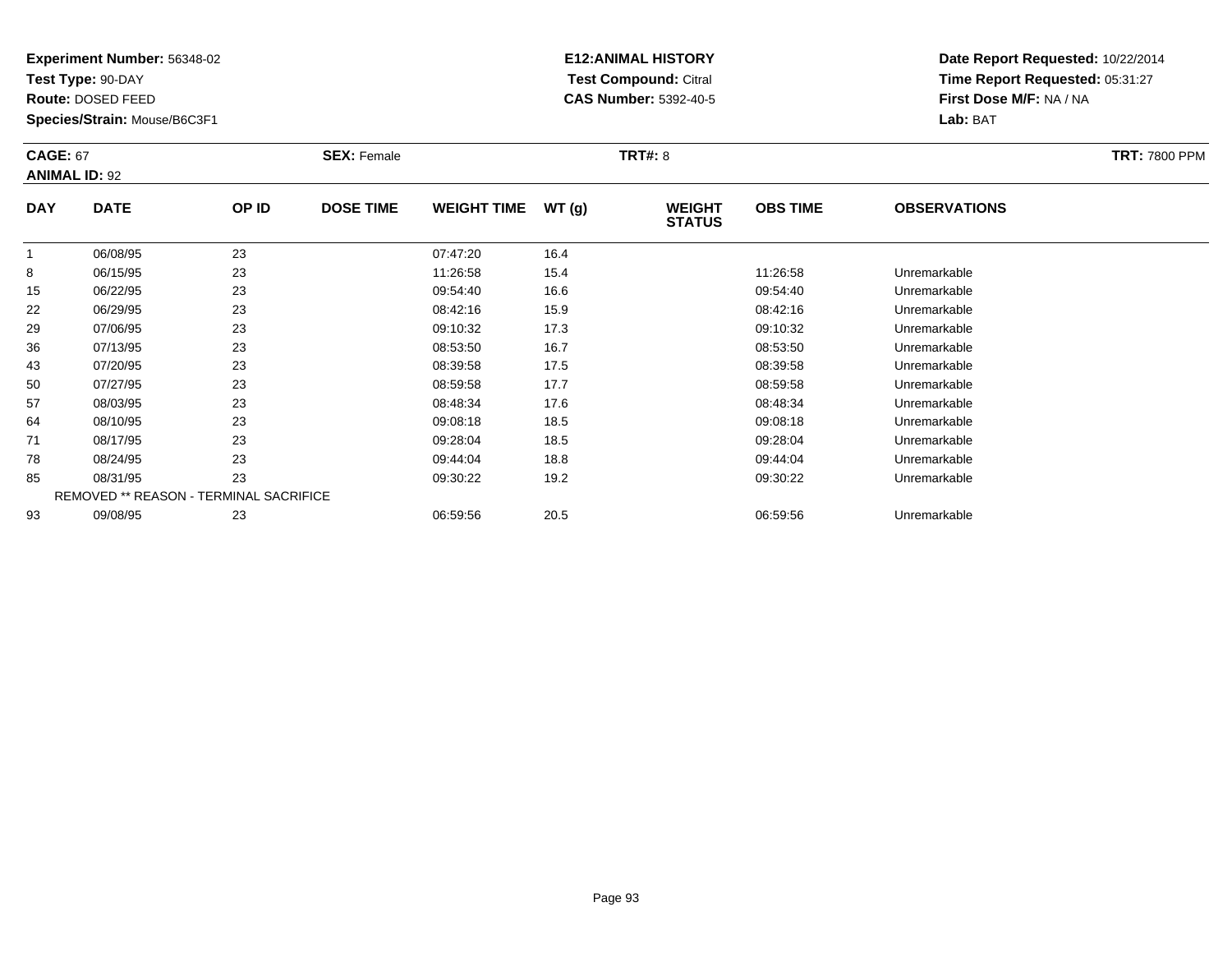**Test Type:** 90-DAY

**Route:** DOSED FEED

**Species/Strain:** Mouse/B6C3F1

# **E12:ANIMAL HISTORY Test Compound:** Citral **CAS Number:** 5392-40-5

|            | <b>CAGE: 67</b><br><b>ANIMAL ID: 92</b>       |       | <b>SEX: Female</b> |                    |       | <b>TRT#: 8</b>                 | <b>TRT: 7800 PPM</b> |                     |  |
|------------|-----------------------------------------------|-------|--------------------|--------------------|-------|--------------------------------|----------------------|---------------------|--|
| <b>DAY</b> | <b>DATE</b>                                   | OP ID | <b>DOSE TIME</b>   | <b>WEIGHT TIME</b> | WT(g) | <b>WEIGHT</b><br><b>STATUS</b> | <b>OBS TIME</b>      | <b>OBSERVATIONS</b> |  |
| -1         | 06/08/95                                      | 23    |                    | 07:47:20           | 16.4  |                                |                      |                     |  |
| 8          | 06/15/95                                      | 23    |                    | 11:26:58           | 15.4  |                                | 11:26:58             | Unremarkable        |  |
| 15         | 06/22/95                                      | 23    |                    | 09:54:40           | 16.6  |                                | 09:54:40             | Unremarkable        |  |
| 22         | 06/29/95                                      | 23    |                    | 08:42:16           | 15.9  |                                | 08:42:16             | Unremarkable        |  |
| 29         | 07/06/95                                      | 23    |                    | 09:10:32           | 17.3  |                                | 09:10:32             | Unremarkable        |  |
| 36         | 07/13/95                                      | 23    |                    | 08:53:50           | 16.7  |                                | 08:53:50             | Unremarkable        |  |
| 43         | 07/20/95                                      | 23    |                    | 08:39:58           | 17.5  |                                | 08:39:58             | Unremarkable        |  |
| 50         | 07/27/95                                      | 23    |                    | 08:59:58           | 17.7  |                                | 08:59:58             | Unremarkable        |  |
| 57         | 08/03/95                                      | 23    |                    | 08:48:34           | 17.6  |                                | 08:48:34             | Unremarkable        |  |
| 64         | 08/10/95                                      | 23    |                    | 09:08:18           | 18.5  |                                | 09:08:18             | Unremarkable        |  |
| 71         | 08/17/95                                      | 23    |                    | 09:28:04           | 18.5  |                                | 09:28:04             | Unremarkable        |  |
| 78         | 08/24/95                                      | 23    |                    | 09:44:04           | 18.8  |                                | 09:44:04             | Unremarkable        |  |
| 85         | 08/31/95                                      | 23    |                    | 09:30:22           | 19.2  |                                | 09:30:22             | Unremarkable        |  |
|            | <b>REMOVED ** REASON - TERMINAL SACRIFICE</b> |       |                    |                    |       |                                |                      |                     |  |
| 93         | 09/08/95                                      | 23    |                    | 06:59:56           | 20.5  |                                | 06:59:56             | Unremarkable        |  |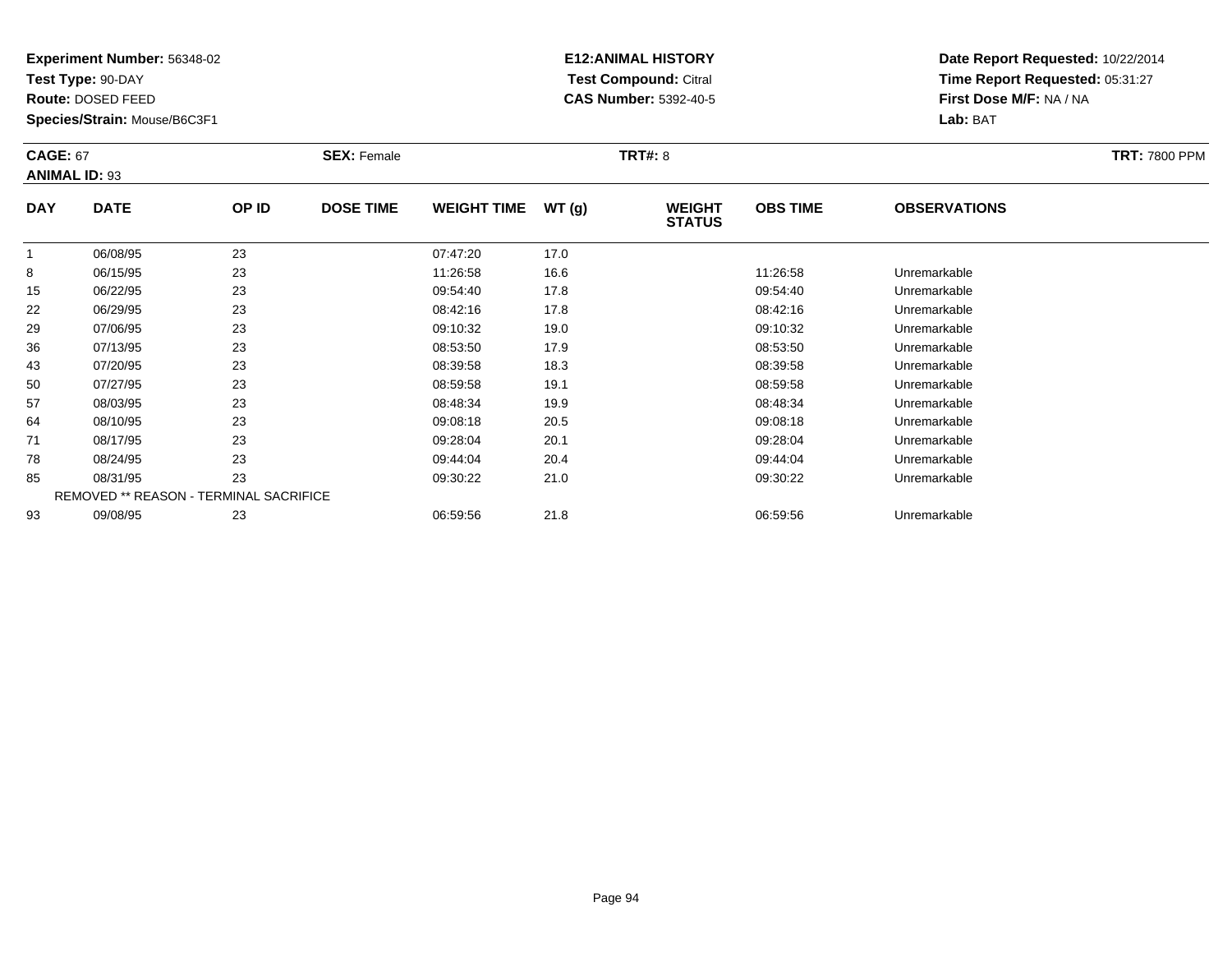**Test Type:** 90-DAY

**Route:** DOSED FEED

**Species/Strain:** Mouse/B6C3F1

# **E12:ANIMAL HISTORY Test Compound:** Citral **CAS Number:** 5392-40-5

|            | <b>CAGE: 67</b><br><b>ANIMAL ID: 93</b> |       | <b>SEX: Female</b> |                    |       | <b>TRT#: 8</b>                 | <b>TRT: 7800 PPM</b> |                     |  |
|------------|-----------------------------------------|-------|--------------------|--------------------|-------|--------------------------------|----------------------|---------------------|--|
| <b>DAY</b> | <b>DATE</b>                             | OP ID | <b>DOSE TIME</b>   | <b>WEIGHT TIME</b> | WT(g) | <b>WEIGHT</b><br><b>STATUS</b> | <b>OBS TIME</b>      | <b>OBSERVATIONS</b> |  |
|            | 06/08/95                                | 23    |                    | 07:47:20           | 17.0  |                                |                      |                     |  |
| 8          | 06/15/95                                | 23    |                    | 11:26:58           | 16.6  |                                | 11:26:58             | Unremarkable        |  |
| 15         | 06/22/95                                | 23    |                    | 09:54:40           | 17.8  |                                | 09:54:40             | Unremarkable        |  |
| 22         | 06/29/95                                | 23    |                    | 08:42:16           | 17.8  |                                | 08:42:16             | Unremarkable        |  |
| 29         | 07/06/95                                | 23    |                    | 09:10:32           | 19.0  |                                | 09:10:32             | Unremarkable        |  |
| 36         | 07/13/95                                | 23    |                    | 08:53:50           | 17.9  |                                | 08:53:50             | Unremarkable        |  |
| 43         | 07/20/95                                | 23    |                    | 08:39:58           | 18.3  |                                | 08:39:58             | Unremarkable        |  |
| 50         | 07/27/95                                | 23    |                    | 08:59:58           | 19.1  |                                | 08:59:58             | Unremarkable        |  |
| 57         | 08/03/95                                | 23    |                    | 08:48:34           | 19.9  |                                | 08:48:34             | Unremarkable        |  |
| 64         | 08/10/95                                | 23    |                    | 09:08:18           | 20.5  |                                | 09:08:18             | Unremarkable        |  |
| 71         | 08/17/95                                | 23    |                    | 09:28:04           | 20.1  |                                | 09:28:04             | Unremarkable        |  |
| 78         | 08/24/95                                | 23    |                    | 09:44:04           | 20.4  |                                | 09:44:04             | Unremarkable        |  |
| 85         | 08/31/95                                | 23    |                    | 09:30:22           | 21.0  |                                | 09:30:22             | Unremarkable        |  |
|            | REMOVED ** REASON - TERMINAL SACRIFICE  |       |                    |                    |       |                                |                      |                     |  |
| 93         | 09/08/95                                | 23    |                    | 06:59:56           | 21.8  |                                | 06:59:56             | Unremarkable        |  |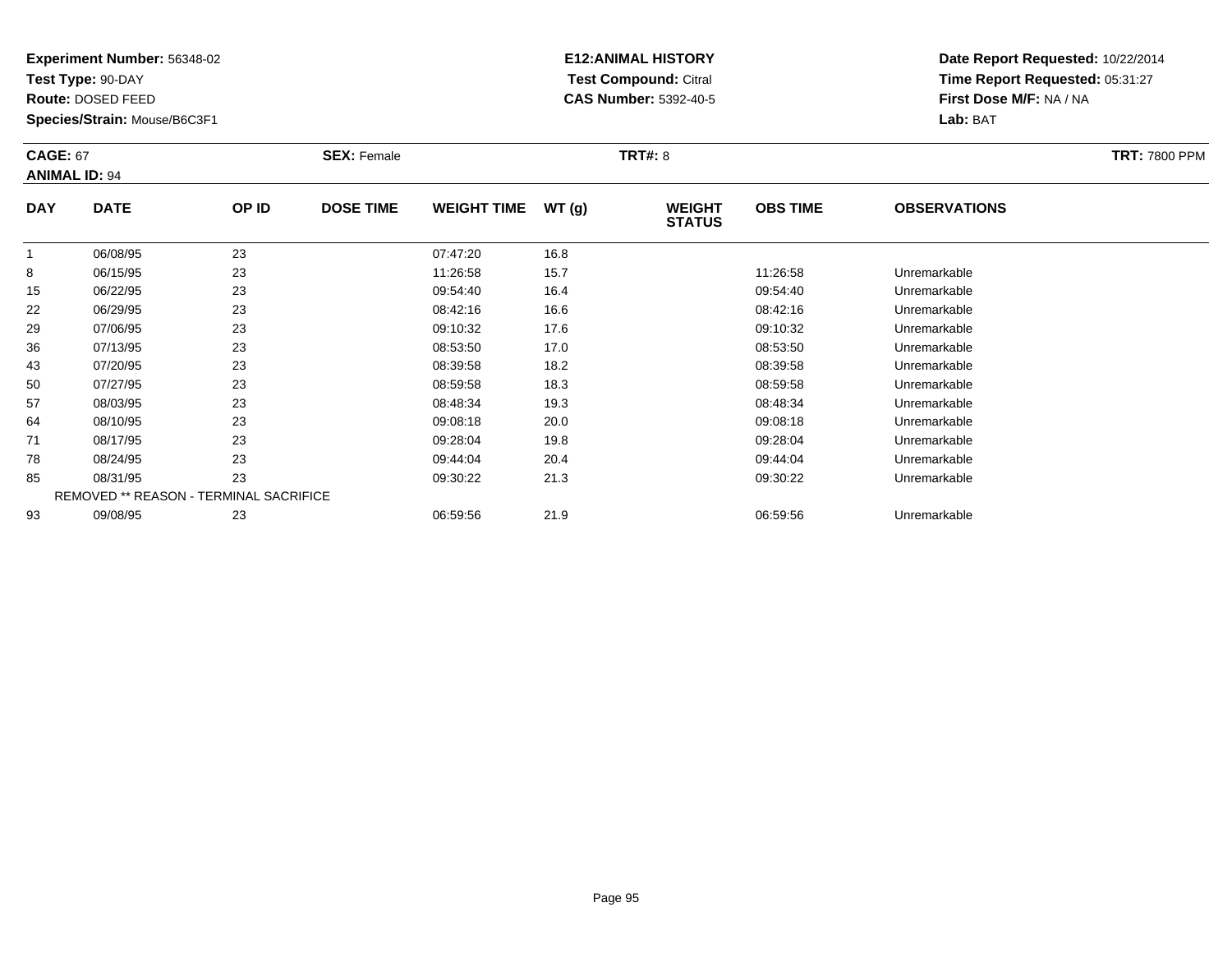**Test Type:** 90-DAY

**Route:** DOSED FEED

**Species/Strain:** Mouse/B6C3F1

# **E12:ANIMAL HISTORY Test Compound:** Citral **CAS Number:** 5392-40-5

| <b>CAGE: 67</b><br><b>ANIMAL ID: 94</b> |                                        |       | <b>SEX: Female</b> |                    |       | <b>TRT#: 8</b>                 |                 |                     | <b>TRT: 7800 PPM</b> |
|-----------------------------------------|----------------------------------------|-------|--------------------|--------------------|-------|--------------------------------|-----------------|---------------------|----------------------|
| <b>DAY</b>                              | <b>DATE</b>                            | OP ID | <b>DOSE TIME</b>   | <b>WEIGHT TIME</b> | WT(g) | <b>WEIGHT</b><br><b>STATUS</b> | <b>OBS TIME</b> | <b>OBSERVATIONS</b> |                      |
| $\overline{1}$                          | 06/08/95                               | 23    |                    | 07:47:20           | 16.8  |                                |                 |                     |                      |
| 8                                       | 06/15/95                               | 23    |                    | 11:26:58           | 15.7  |                                | 11:26:58        | Unremarkable        |                      |
| 15                                      | 06/22/95                               | 23    |                    | 09:54:40           | 16.4  |                                | 09:54:40        | Unremarkable        |                      |
| 22                                      | 06/29/95                               | 23    |                    | 08:42:16           | 16.6  |                                | 08:42:16        | Unremarkable        |                      |
| 29                                      | 07/06/95                               | 23    |                    | 09:10:32           | 17.6  |                                | 09:10:32        | Unremarkable        |                      |
| 36                                      | 07/13/95                               | 23    |                    | 08:53:50           | 17.0  |                                | 08:53:50        | Unremarkable        |                      |
| 43                                      | 07/20/95                               | 23    |                    | 08:39:58           | 18.2  |                                | 08:39:58        | Unremarkable        |                      |
| 50                                      | 07/27/95                               | 23    |                    | 08:59:58           | 18.3  |                                | 08:59:58        | Unremarkable        |                      |
| 57                                      | 08/03/95                               | 23    |                    | 08:48:34           | 19.3  |                                | 08:48:34        | Unremarkable        |                      |
| 64                                      | 08/10/95                               | 23    |                    | 09:08:18           | 20.0  |                                | 09:08:18        | Unremarkable        |                      |
| 71                                      | 08/17/95                               | 23    |                    | 09:28:04           | 19.8  |                                | 09:28:04        | Unremarkable        |                      |
| 78                                      | 08/24/95                               | 23    |                    | 09:44:04           | 20.4  |                                | 09:44:04        | Unremarkable        |                      |
| 85                                      | 08/31/95                               | 23    |                    | 09:30:22           | 21.3  |                                | 09:30:22        | Unremarkable        |                      |
|                                         | REMOVED ** REASON - TERMINAL SACRIFICE |       |                    |                    |       |                                |                 |                     |                      |
| 93                                      | 09/08/95                               | 23    |                    | 06:59:56           | 21.9  |                                | 06:59:56        | Unremarkable        |                      |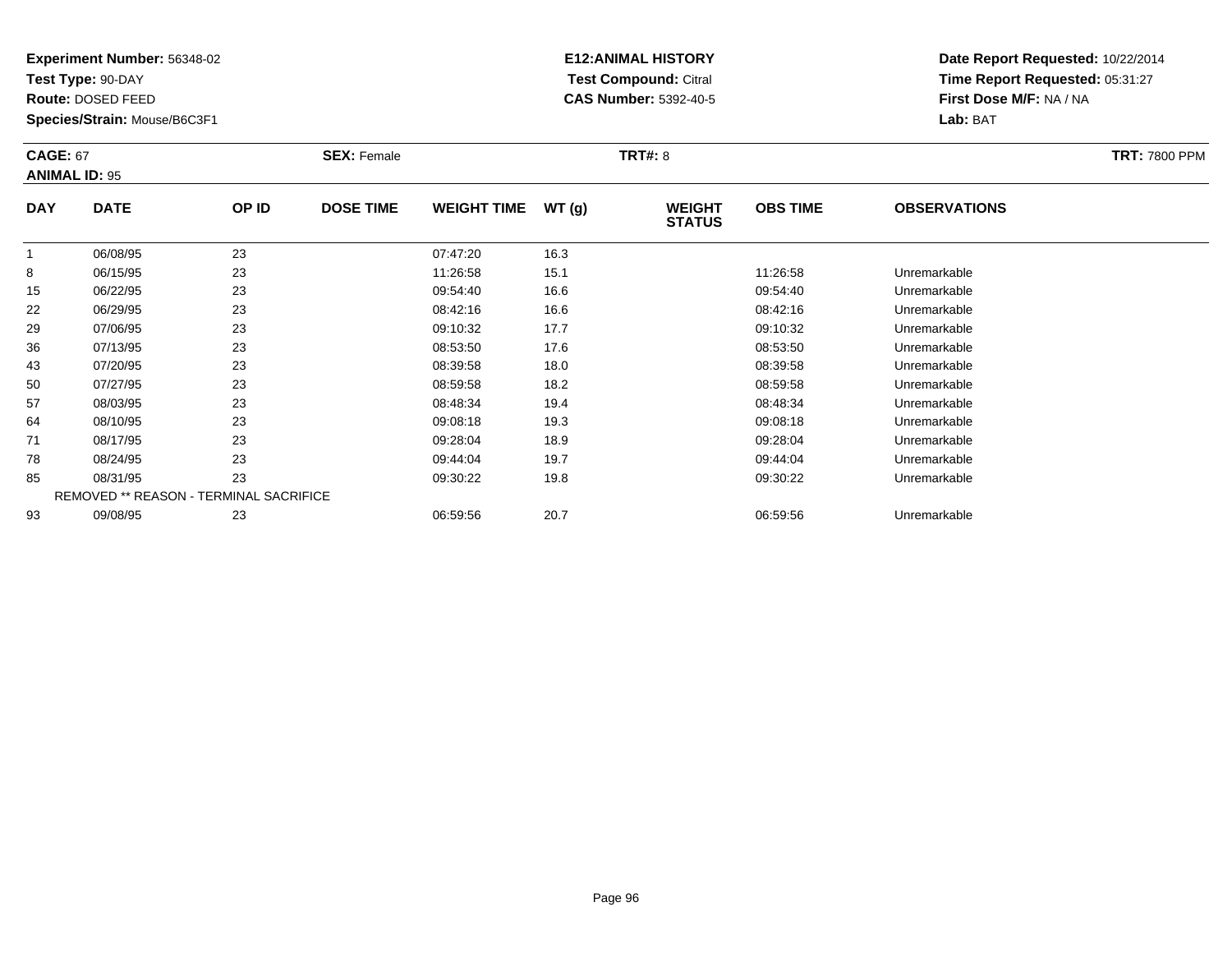**Test Type:** 90-DAY

**Route:** DOSED FEED

**Species/Strain:** Mouse/B6C3F1

# **E12:ANIMAL HISTORY Test Compound:** Citral **CAS Number:** 5392-40-5

|            | <b>CAGE: 67</b><br><b>ANIMAL ID: 95</b> |       | <b>SEX: Female</b> |                    |       | <b>TRT#: 8</b>                 | <b>TRT: 7800 PPM</b> |                     |  |
|------------|-----------------------------------------|-------|--------------------|--------------------|-------|--------------------------------|----------------------|---------------------|--|
| <b>DAY</b> | <b>DATE</b>                             | OP ID | <b>DOSE TIME</b>   | <b>WEIGHT TIME</b> | WT(g) | <b>WEIGHT</b><br><b>STATUS</b> | <b>OBS TIME</b>      | <b>OBSERVATIONS</b> |  |
| 1          | 06/08/95                                | 23    |                    | 07:47:20           | 16.3  |                                |                      |                     |  |
| 8          | 06/15/95                                | 23    |                    | 11:26:58           | 15.1  |                                | 11:26:58             | Unremarkable        |  |
| 15         | 06/22/95                                | 23    |                    | 09:54:40           | 16.6  |                                | 09:54:40             | Unremarkable        |  |
| 22         | 06/29/95                                | 23    |                    | 08:42:16           | 16.6  |                                | 08:42:16             | Unremarkable        |  |
| 29         | 07/06/95                                | 23    |                    | 09:10:32           | 17.7  |                                | 09:10:32             | Unremarkable        |  |
| 36         | 07/13/95                                | 23    |                    | 08:53:50           | 17.6  |                                | 08:53:50             | Unremarkable        |  |
| 43         | 07/20/95                                | 23    |                    | 08:39:58           | 18.0  |                                | 08:39:58             | Unremarkable        |  |
| 50         | 07/27/95                                | 23    |                    | 08:59:58           | 18.2  |                                | 08:59:58             | Unremarkable        |  |
| 57         | 08/03/95                                | 23    |                    | 08:48:34           | 19.4  |                                | 08:48:34             | Unremarkable        |  |
| 64         | 08/10/95                                | 23    |                    | 09:08:18           | 19.3  |                                | 09:08:18             | Unremarkable        |  |
| 71         | 08/17/95                                | 23    |                    | 09:28:04           | 18.9  |                                | 09:28:04             | Unremarkable        |  |
| 78         | 08/24/95                                | 23    |                    | 09:44:04           | 19.7  |                                | 09:44:04             | Unremarkable        |  |
| 85         | 08/31/95                                | 23    |                    | 09:30:22           | 19.8  |                                | 09:30:22             | Unremarkable        |  |
|            | REMOVED ** REASON - TERMINAL SACRIFICE  |       |                    |                    |       |                                |                      |                     |  |
| 93         | 09/08/95                                | 23    |                    | 06:59:56           | 20.7  |                                | 06:59:56             | Unremarkable        |  |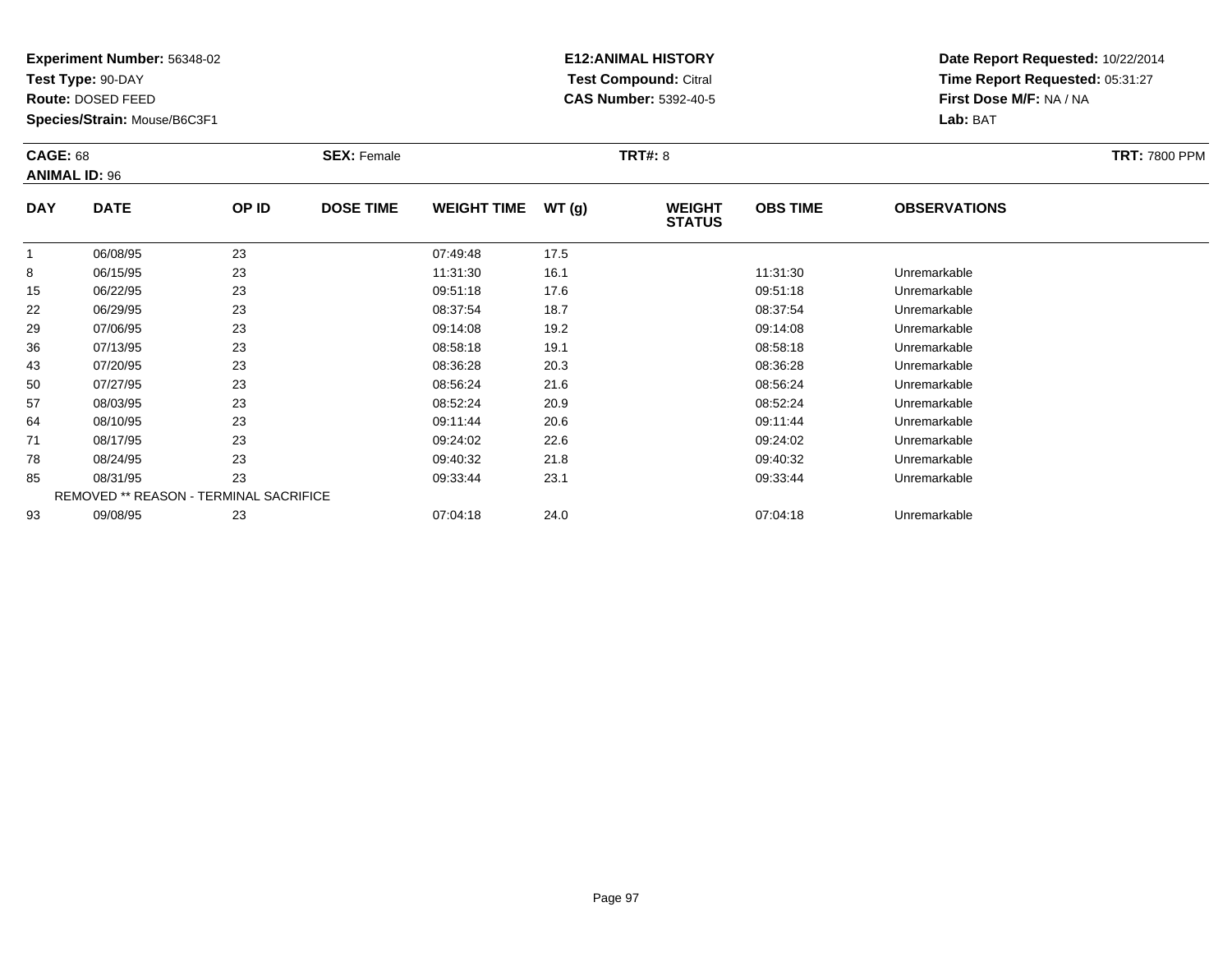**Test Type:** 90-DAY

**Route:** DOSED FEED

**Species/Strain:** Mouse/B6C3F1

# **E12:ANIMAL HISTORY Test Compound:** Citral **CAS Number:** 5392-40-5

| <b>CAGE: 68</b> | <b>ANIMAL ID: 96</b>                   |       | <b>SEX: Female</b> |                    |       | <b>TRT#: 8</b>                 |                 |                     | <b>TRT: 7800 PPM</b> |
|-----------------|----------------------------------------|-------|--------------------|--------------------|-------|--------------------------------|-----------------|---------------------|----------------------|
| <b>DAY</b>      | <b>DATE</b>                            | OP ID | <b>DOSE TIME</b>   | <b>WEIGHT TIME</b> | WT(g) | <b>WEIGHT</b><br><b>STATUS</b> | <b>OBS TIME</b> | <b>OBSERVATIONS</b> |                      |
|                 | 06/08/95                               | 23    |                    | 07:49:48           | 17.5  |                                |                 |                     |                      |
| 8               | 06/15/95                               | 23    |                    | 11:31:30           | 16.1  |                                | 11:31:30        | Unremarkable        |                      |
| 15              | 06/22/95                               | 23    |                    | 09:51:18           | 17.6  |                                | 09:51:18        | Unremarkable        |                      |
| 22              | 06/29/95                               | 23    |                    | 08:37:54           | 18.7  |                                | 08:37:54        | Unremarkable        |                      |
| 29              | 07/06/95                               | 23    |                    | 09:14:08           | 19.2  |                                | 09:14:08        | Unremarkable        |                      |
| 36              | 07/13/95                               | 23    |                    | 08:58:18           | 19.1  |                                | 08:58:18        | Unremarkable        |                      |
| 43              | 07/20/95                               | 23    |                    | 08:36:28           | 20.3  |                                | 08:36:28        | Unremarkable        |                      |
| 50              | 07/27/95                               | 23    |                    | 08:56:24           | 21.6  |                                | 08:56:24        | Unremarkable        |                      |
| 57              | 08/03/95                               | 23    |                    | 08:52:24           | 20.9  |                                | 08:52:24        | Unremarkable        |                      |
| 64              | 08/10/95                               | 23    |                    | 09:11:44           | 20.6  |                                | 09:11:44        | Unremarkable        |                      |
| 71              | 08/17/95                               | 23    |                    | 09:24:02           | 22.6  |                                | 09:24:02        | Unremarkable        |                      |
| 78              | 08/24/95                               | 23    |                    | 09:40:32           | 21.8  |                                | 09:40:32        | Unremarkable        |                      |
| 85              | 08/31/95                               | 23    |                    | 09:33:44           | 23.1  |                                | 09:33:44        | Unremarkable        |                      |
|                 | REMOVED ** REASON - TERMINAL SACRIFICE |       |                    |                    |       |                                |                 |                     |                      |
| 93              | 09/08/95                               | 23    |                    | 07:04:18           | 24.0  |                                | 07:04:18        | Unremarkable        |                      |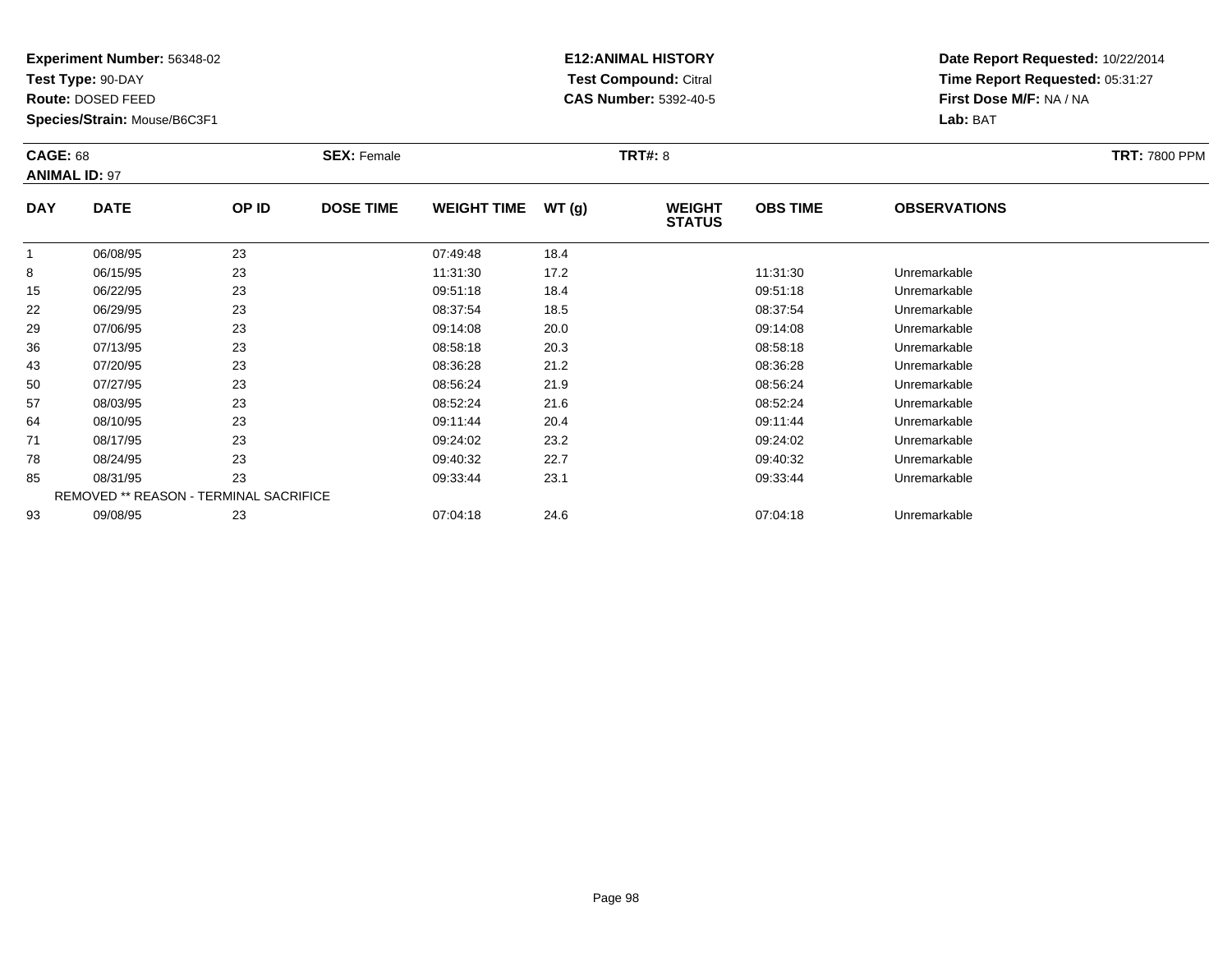**Test Type:** 90-DAY

**Route:** DOSED FEED

**Species/Strain:** Mouse/B6C3F1

# **E12:ANIMAL HISTORY Test Compound:** Citral **CAS Number:** 5392-40-5

| <b>CAGE: 68</b><br><b>ANIMAL ID: 97</b> |             |                                        | <b>SEX: Female</b> |                    |       | <b>TRT#: 8</b>                 |                 |                     | <b>TRT: 7800 PPM</b> |
|-----------------------------------------|-------------|----------------------------------------|--------------------|--------------------|-------|--------------------------------|-----------------|---------------------|----------------------|
| <b>DAY</b>                              | <b>DATE</b> | OP ID                                  | <b>DOSE TIME</b>   | <b>WEIGHT TIME</b> | WT(g) | <b>WEIGHT</b><br><b>STATUS</b> | <b>OBS TIME</b> | <b>OBSERVATIONS</b> |                      |
|                                         | 06/08/95    | 23                                     |                    | 07:49:48           | 18.4  |                                |                 |                     |                      |
| 8                                       | 06/15/95    | 23                                     |                    | 11:31:30           | 17.2  |                                | 11:31:30        | Unremarkable        |                      |
| 15                                      | 06/22/95    | 23                                     |                    | 09:51:18           | 18.4  |                                | 09:51:18        | Unremarkable        |                      |
| 22                                      | 06/29/95    | 23                                     |                    | 08:37:54           | 18.5  |                                | 08:37:54        | Unremarkable        |                      |
| 29                                      | 07/06/95    | 23                                     |                    | 09:14:08           | 20.0  |                                | 09:14:08        | Unremarkable        |                      |
| 36                                      | 07/13/95    | 23                                     |                    | 08:58:18           | 20.3  |                                | 08:58:18        | Unremarkable        |                      |
| 43                                      | 07/20/95    | 23                                     |                    | 08:36:28           | 21.2  |                                | 08:36:28        | Unremarkable        |                      |
| 50                                      | 07/27/95    | 23                                     |                    | 08:56:24           | 21.9  |                                | 08:56:24        | Unremarkable        |                      |
| 57                                      | 08/03/95    | 23                                     |                    | 08:52:24           | 21.6  |                                | 08:52:24        | Unremarkable        |                      |
| 64                                      | 08/10/95    | 23                                     |                    | 09:11:44           | 20.4  |                                | 09:11:44        | Unremarkable        |                      |
| 71                                      | 08/17/95    | 23                                     |                    | 09:24:02           | 23.2  |                                | 09:24:02        | Unremarkable        |                      |
| 78                                      | 08/24/95    | 23                                     |                    | 09:40:32           | 22.7  |                                | 09:40:32        | Unremarkable        |                      |
| 85                                      | 08/31/95    | 23                                     |                    | 09:33:44           | 23.1  |                                | 09:33:44        | Unremarkable        |                      |
|                                         |             | REMOVED ** REASON - TERMINAL SACRIFICE |                    |                    |       |                                |                 |                     |                      |
| 93                                      | 09/08/95    | 23                                     |                    | 07:04:18           | 24.6  |                                | 07:04:18        | Unremarkable        |                      |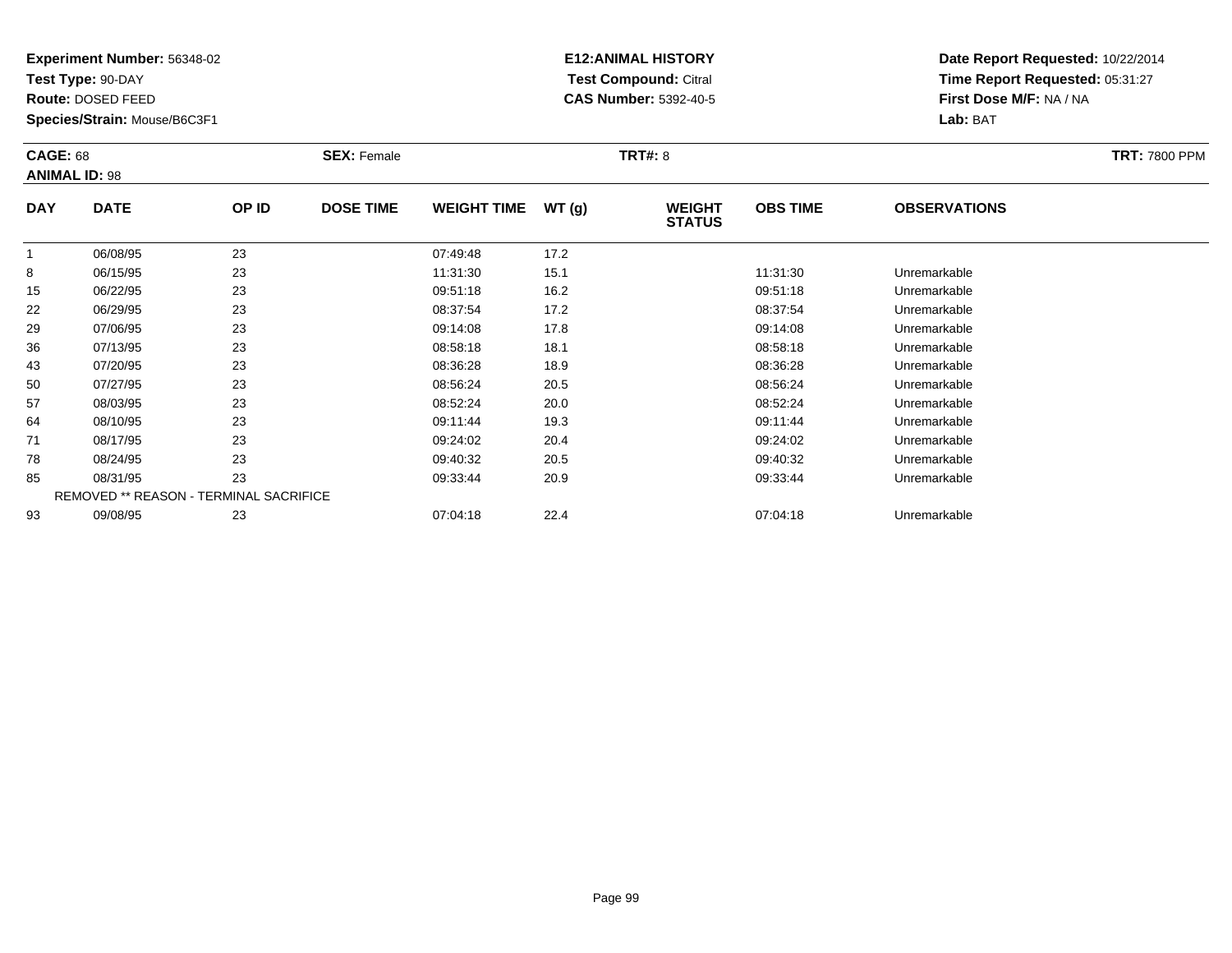**Test Type:** 90-DAY

**Route:** DOSED FEED

**Species/Strain:** Mouse/B6C3F1

# **E12:ANIMAL HISTORY Test Compound:** Citral **CAS Number:** 5392-40-5

| <b>CAGE: 68</b> |                                        |       | <b>SEX: Female</b> |                    |       | <b>TRT#: 8</b>                 |                 |                     | <b>TRT: 7800 PPM</b> |
|-----------------|----------------------------------------|-------|--------------------|--------------------|-------|--------------------------------|-----------------|---------------------|----------------------|
|                 | <b>ANIMAL ID: 98</b>                   |       |                    |                    |       |                                |                 |                     |                      |
| <b>DAY</b>      | <b>DATE</b>                            | OP ID | <b>DOSE TIME</b>   | <b>WEIGHT TIME</b> | WT(g) | <b>WEIGHT</b><br><b>STATUS</b> | <b>OBS TIME</b> | <b>OBSERVATIONS</b> |                      |
| $\mathbf{1}$    | 06/08/95                               | 23    |                    | 07:49:48           | 17.2  |                                |                 |                     |                      |
| 8               | 06/15/95                               | 23    |                    | 11:31:30           | 15.1  |                                | 11:31:30        | Unremarkable        |                      |
| 15              | 06/22/95                               | 23    |                    | 09:51:18           | 16.2  |                                | 09:51:18        | Unremarkable        |                      |
| 22              | 06/29/95                               | 23    |                    | 08:37:54           | 17.2  |                                | 08:37:54        | Unremarkable        |                      |
| 29              | 07/06/95                               | 23    |                    | 09:14:08           | 17.8  |                                | 09:14:08        | Unremarkable        |                      |
| 36              | 07/13/95                               | 23    |                    | 08:58:18           | 18.1  |                                | 08:58:18        | Unremarkable        |                      |
| 43              | 07/20/95                               | 23    |                    | 08:36:28           | 18.9  |                                | 08:36:28        | Unremarkable        |                      |
| 50              | 07/27/95                               | 23    |                    | 08:56:24           | 20.5  |                                | 08:56:24        | Unremarkable        |                      |
| 57              | 08/03/95                               | 23    |                    | 08:52:24           | 20.0  |                                | 08:52:24        | Unremarkable        |                      |
| 64              | 08/10/95                               | 23    |                    | 09:11:44           | 19.3  |                                | 09:11:44        | Unremarkable        |                      |
| 71              | 08/17/95                               | 23    |                    | 09:24:02           | 20.4  |                                | 09:24:02        | Unremarkable        |                      |
| 78              | 08/24/95                               | 23    |                    | 09:40:32           | 20.5  |                                | 09:40:32        | Unremarkable        |                      |
| 85              | 08/31/95                               | 23    |                    | 09:33:44           | 20.9  |                                | 09:33:44        | Unremarkable        |                      |
|                 | REMOVED ** REASON - TERMINAL SACRIFICE |       |                    |                    |       |                                |                 |                     |                      |
| 93              | 09/08/95                               | 23    |                    | 07:04:18           | 22.4  |                                | 07:04:18        | Unremarkable        |                      |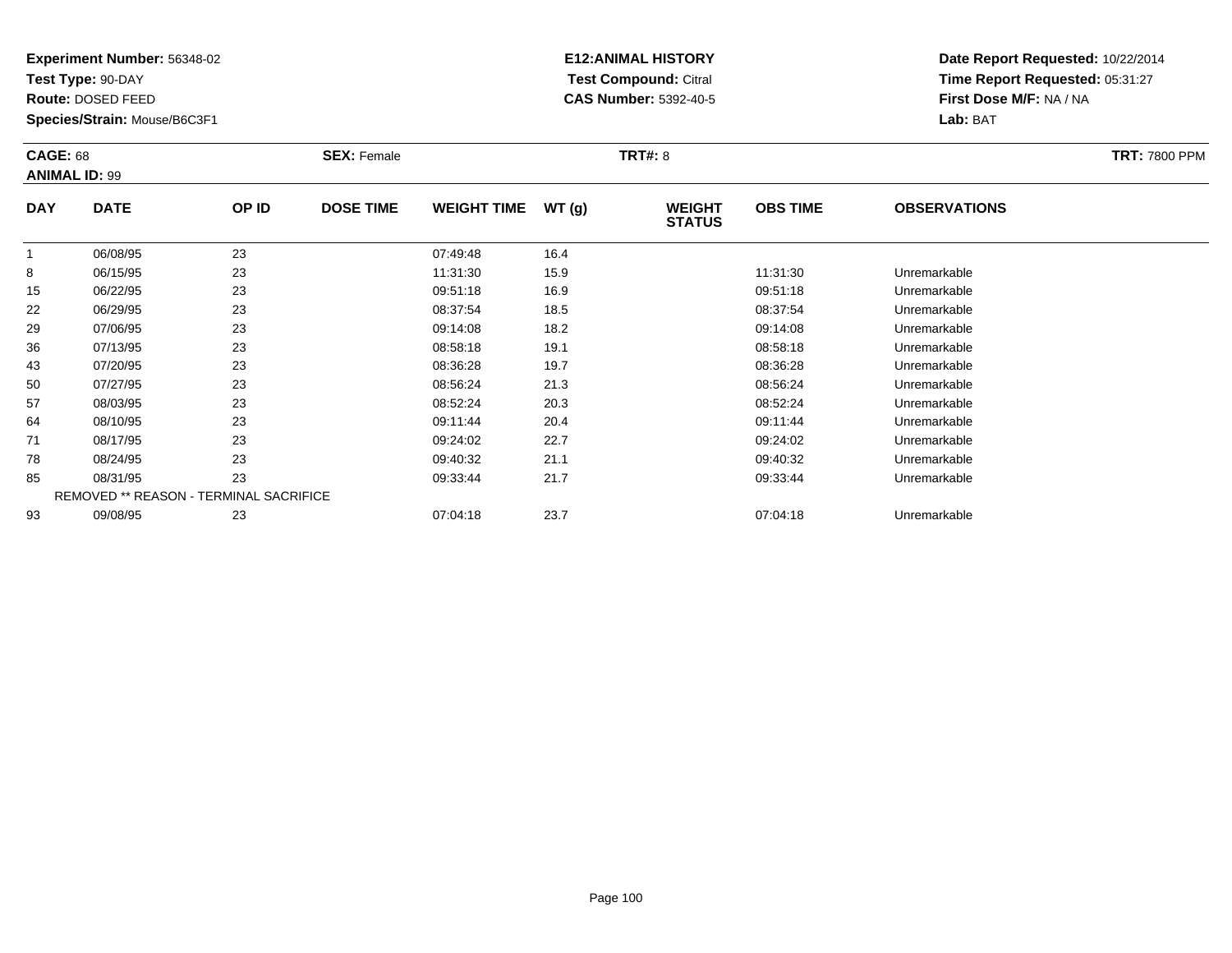**Test Type:** 90-DAY

**Route:** DOSED FEED

**Species/Strain:** Mouse/B6C3F1

# **E12:ANIMAL HISTORY Test Compound:** Citral **CAS Number:** 5392-40-5

| <b>CAGE: 68</b> | <b>ANIMAL ID: 99</b>                   |       | <b>SEX: Female</b> |                    |       | <b>TRT#: 8</b>                 |                 |                     | <b>TRT: 7800 PPM</b> |
|-----------------|----------------------------------------|-------|--------------------|--------------------|-------|--------------------------------|-----------------|---------------------|----------------------|
| <b>DAY</b>      | <b>DATE</b>                            | OP ID | <b>DOSE TIME</b>   | <b>WEIGHT TIME</b> | WT(g) | <b>WEIGHT</b><br><b>STATUS</b> | <b>OBS TIME</b> | <b>OBSERVATIONS</b> |                      |
| $\mathbf{1}$    | 06/08/95                               | 23    |                    | 07:49:48           | 16.4  |                                |                 |                     |                      |
| 8               | 06/15/95                               | 23    |                    | 11:31:30           | 15.9  |                                | 11:31:30        | Unremarkable        |                      |
| 15              | 06/22/95                               | 23    |                    | 09:51:18           | 16.9  |                                | 09:51:18        | Unremarkable        |                      |
| 22              | 06/29/95                               | 23    |                    | 08:37:54           | 18.5  |                                | 08:37:54        | Unremarkable        |                      |
| 29              | 07/06/95                               | 23    |                    | 09:14:08           | 18.2  |                                | 09:14:08        | Unremarkable        |                      |
| 36              | 07/13/95                               | 23    |                    | 08:58:18           | 19.1  |                                | 08:58:18        | Unremarkable        |                      |
| 43              | 07/20/95                               | 23    |                    | 08:36:28           | 19.7  |                                | 08:36:28        | Unremarkable        |                      |
| 50              | 07/27/95                               | 23    |                    | 08:56:24           | 21.3  |                                | 08:56:24        | Unremarkable        |                      |
| 57              | 08/03/95                               | 23    |                    | 08:52:24           | 20.3  |                                | 08:52:24        | Unremarkable        |                      |
| 64              | 08/10/95                               | 23    |                    | 09:11:44           | 20.4  |                                | 09:11:44        | Unremarkable        |                      |
| 71              | 08/17/95                               | 23    |                    | 09:24:02           | 22.7  |                                | 09:24:02        | Unremarkable        |                      |
| 78              | 08/24/95                               | 23    |                    | 09:40:32           | 21.1  |                                | 09:40:32        | Unremarkable        |                      |
| 85              | 08/31/95                               | 23    |                    | 09:33:44           | 21.7  |                                | 09:33:44        | Unremarkable        |                      |
|                 | REMOVED ** REASON - TERMINAL SACRIFICE |       |                    |                    |       |                                |                 |                     |                      |
| 93              | 09/08/95                               | 23    |                    | 07:04:18           | 23.7  |                                | 07:04:18        | Unremarkable        |                      |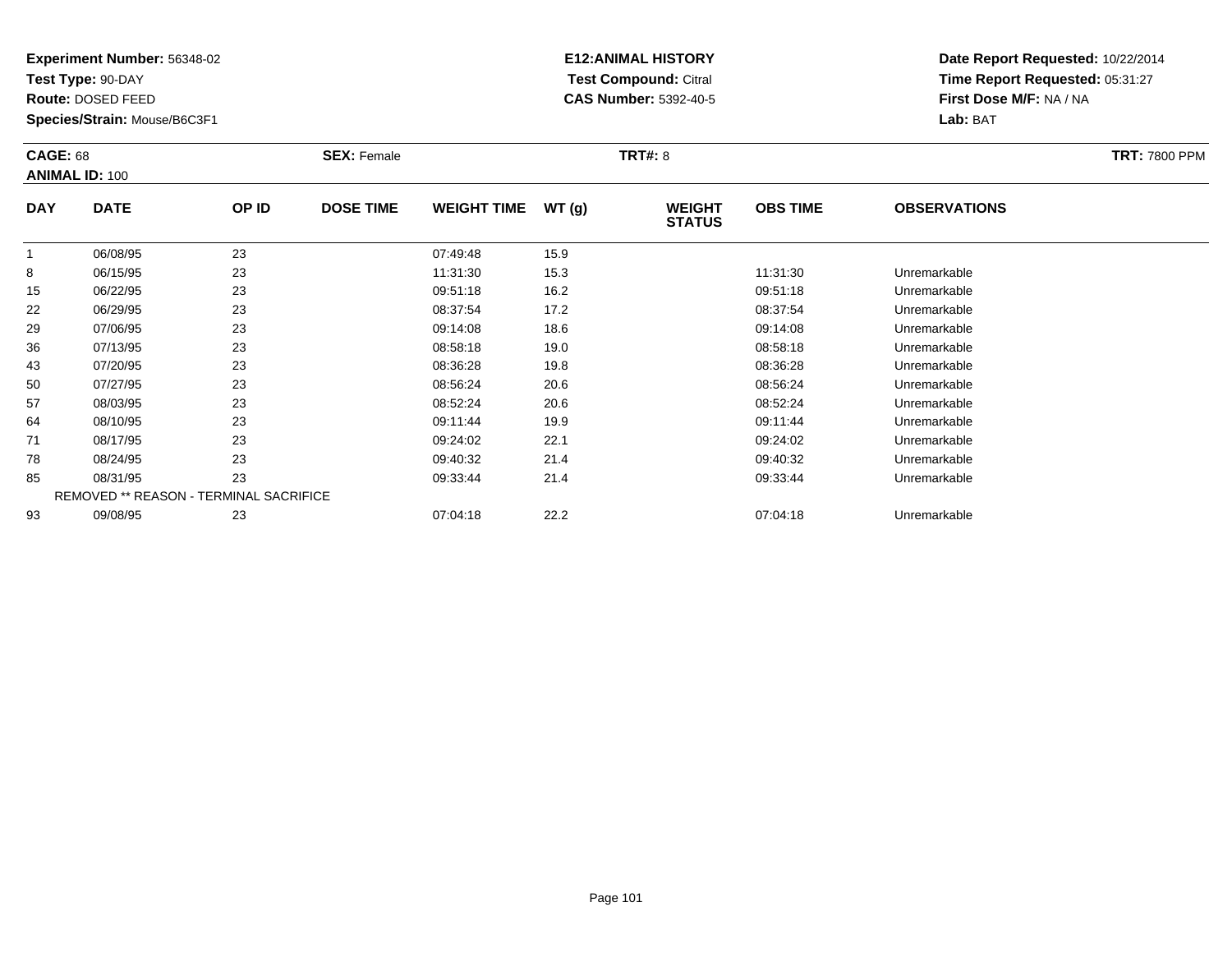**Test Type:** 90-DAY

**Route:** DOSED FEED

**Species/Strain:** Mouse/B6C3F1

# **E12:ANIMAL HISTORY Test Compound:** Citral **CAS Number:** 5392-40-5

| <b>CAGE: 68</b> | <b>ANIMAL ID: 100</b>                  |       | <b>SEX: Female</b> |                    |       | <b>TRT#: 8</b>                 |                 |                     | <b>TRT: 7800 PPM</b> |
|-----------------|----------------------------------------|-------|--------------------|--------------------|-------|--------------------------------|-----------------|---------------------|----------------------|
| <b>DAY</b>      | <b>DATE</b>                            | OP ID | <b>DOSE TIME</b>   | <b>WEIGHT TIME</b> | WT(g) | <b>WEIGHT</b><br><b>STATUS</b> | <b>OBS TIME</b> | <b>OBSERVATIONS</b> |                      |
| $\mathbf{1}$    | 06/08/95                               | 23    |                    | 07:49:48           | 15.9  |                                |                 |                     |                      |
| 8               | 06/15/95                               | 23    |                    | 11:31:30           | 15.3  |                                | 11:31:30        | Unremarkable        |                      |
| 15              | 06/22/95                               | 23    |                    | 09:51:18           | 16.2  |                                | 09:51:18        | Unremarkable        |                      |
| 22              | 06/29/95                               | 23    |                    | 08:37:54           | 17.2  |                                | 08:37:54        | Unremarkable        |                      |
| 29              | 07/06/95                               | 23    |                    | 09:14:08           | 18.6  |                                | 09:14:08        | Unremarkable        |                      |
| 36              | 07/13/95                               | 23    |                    | 08:58:18           | 19.0  |                                | 08:58:18        | Unremarkable        |                      |
| 43              | 07/20/95                               | 23    |                    | 08:36:28           | 19.8  |                                | 08:36:28        | Unremarkable        |                      |
| 50              | 07/27/95                               | 23    |                    | 08:56:24           | 20.6  |                                | 08:56:24        | Unremarkable        |                      |
| 57              | 08/03/95                               | 23    |                    | 08:52:24           | 20.6  |                                | 08:52:24        | Unremarkable        |                      |
| 64              | 08/10/95                               | 23    |                    | 09:11:44           | 19.9  |                                | 09:11:44        | Unremarkable        |                      |
| 71              | 08/17/95                               | 23    |                    | 09:24:02           | 22.1  |                                | 09:24:02        | Unremarkable        |                      |
| 78              | 08/24/95                               | 23    |                    | 09:40:32           | 21.4  |                                | 09:40:32        | Unremarkable        |                      |
| 85              | 08/31/95                               | 23    |                    | 09:33:44           | 21.4  |                                | 09:33:44        | Unremarkable        |                      |
|                 | REMOVED ** REASON - TERMINAL SACRIFICE |       |                    |                    |       |                                |                 |                     |                      |
| 93              | 09/08/95                               | 23    |                    | 07:04:18           | 22.2  |                                | 07:04:18        | Unremarkable        |                      |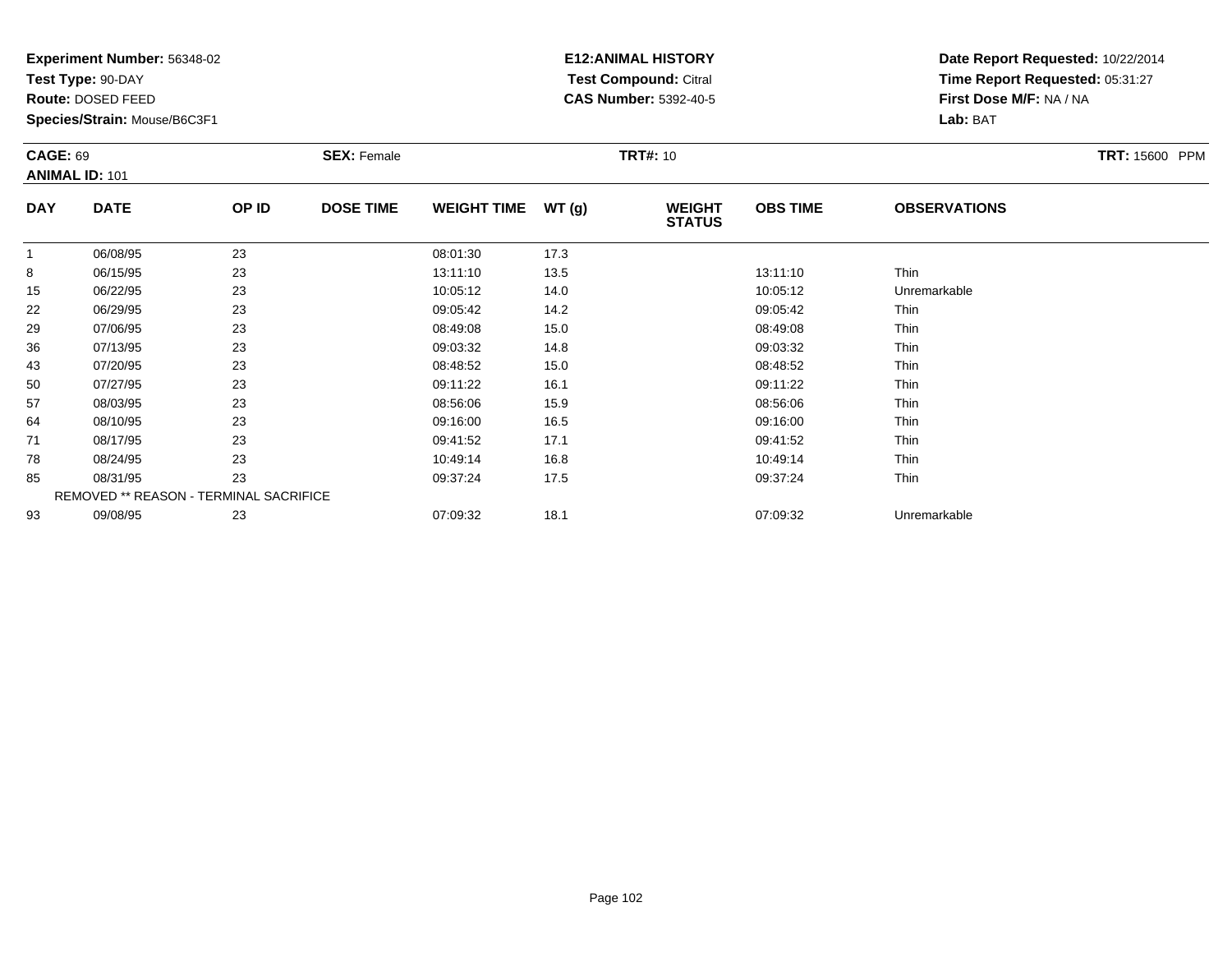**Test Type:** 90-DAY

**Route:** DOSED FEED

**Species/Strain:** Mouse/B6C3F1

# **E12:ANIMAL HISTORY Test Compound:** Citral **CAS Number:** 5392-40-5

| <b>CAGE: 69</b> | <b>ANIMAL ID: 101</b>                  |       | <b>SEX: Female</b> |                    |       | <b>TRT#: 10</b>                |                 |                     | TRT: 15600 PPM |
|-----------------|----------------------------------------|-------|--------------------|--------------------|-------|--------------------------------|-----------------|---------------------|----------------|
| <b>DAY</b>      | <b>DATE</b>                            | OP ID | <b>DOSE TIME</b>   | <b>WEIGHT TIME</b> | WT(g) | <b>WEIGHT</b><br><b>STATUS</b> | <b>OBS TIME</b> | <b>OBSERVATIONS</b> |                |
|                 | 06/08/95                               | 23    |                    | 08:01:30           | 17.3  |                                |                 |                     |                |
| 8               | 06/15/95                               | 23    |                    | 13:11:10           | 13.5  |                                | 13:11:10        | Thin                |                |
| 15              | 06/22/95                               | 23    |                    | 10:05:12           | 14.0  |                                | 10:05:12        | Unremarkable        |                |
| 22              | 06/29/95                               | 23    |                    | 09:05:42           | 14.2  |                                | 09:05:42        | Thin                |                |
| 29              | 07/06/95                               | 23    |                    | 08:49:08           | 15.0  |                                | 08:49:08        | Thin                |                |
| 36              | 07/13/95                               | 23    |                    | 09:03:32           | 14.8  |                                | 09:03:32        | Thin                |                |
| 43              | 07/20/95                               | 23    |                    | 08:48:52           | 15.0  |                                | 08:48:52        | Thin                |                |
| 50              | 07/27/95                               | 23    |                    | 09:11:22           | 16.1  |                                | 09:11:22        | Thin                |                |
| 57              | 08/03/95                               | 23    |                    | 08:56:06           | 15.9  |                                | 08:56:06        | Thin                |                |
| 64              | 08/10/95                               | 23    |                    | 09:16:00           | 16.5  |                                | 09:16:00        | Thin                |                |
| 71              | 08/17/95                               | 23    |                    | 09:41:52           | 17.1  |                                | 09:41:52        | Thin                |                |
| 78              | 08/24/95                               | 23    |                    | 10:49:14           | 16.8  |                                | 10:49:14        | Thin                |                |
| 85              | 08/31/95                               | 23    |                    | 09:37:24           | 17.5  |                                | 09:37:24        | Thin                |                |
|                 | REMOVED ** REASON - TERMINAL SACRIFICE |       |                    |                    |       |                                |                 |                     |                |
| 93              | 09/08/95                               | 23    |                    | 07:09:32           | 18.1  |                                | 07:09:32        | Unremarkable        |                |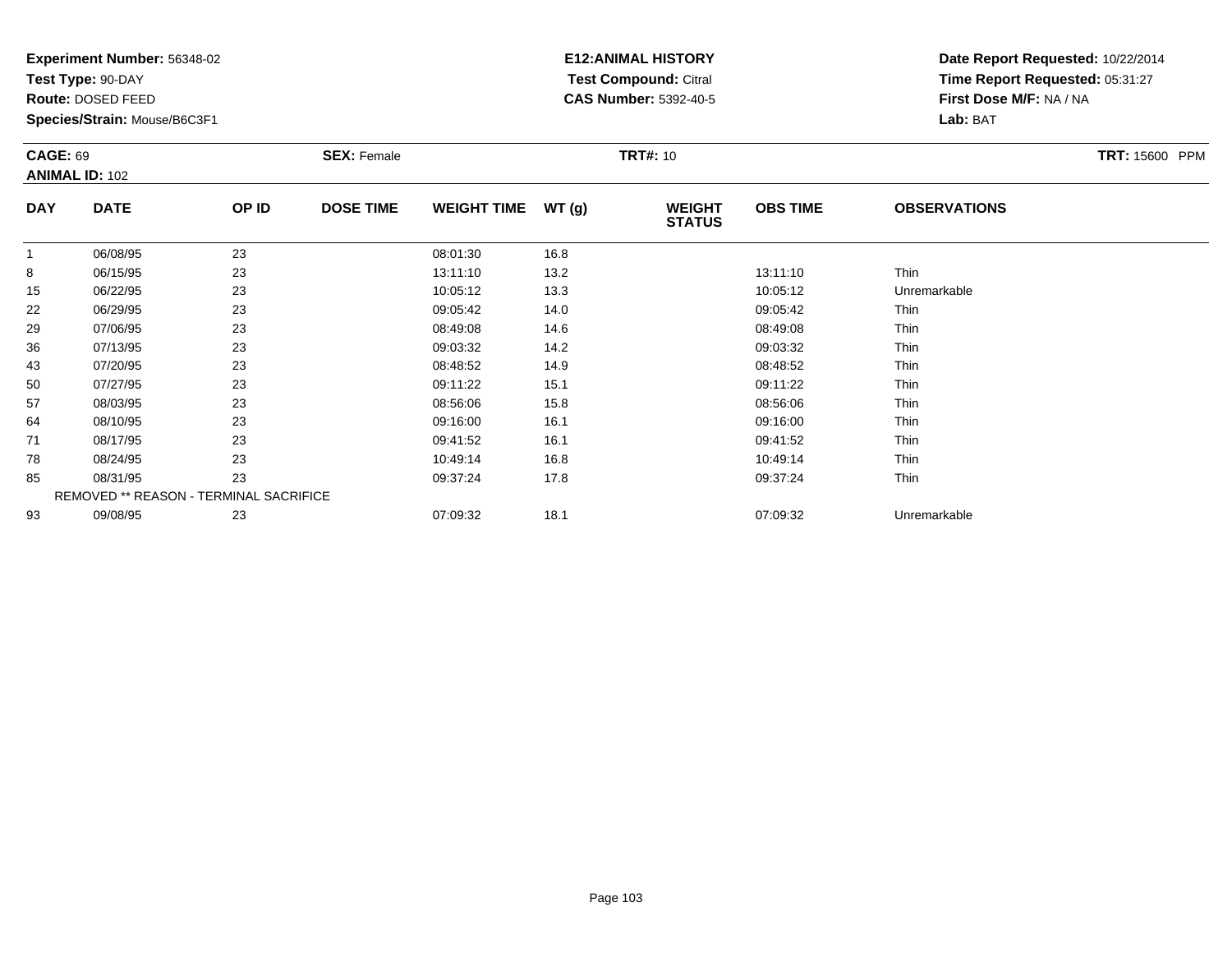**Test Type:** 90-DAY

**Route:** DOSED FEED

**Species/Strain:** Mouse/B6C3F1

# **E12:ANIMAL HISTORY Test Compound:** Citral **CAS Number:** 5392-40-5

| <b>CAGE: 69</b> | <b>ANIMAL ID: 102</b>                  |       | <b>SEX: Female</b> |                    |       | <b>TRT#: 10</b>                |                 |                     | <b>TRT: 15600 PPM</b> |
|-----------------|----------------------------------------|-------|--------------------|--------------------|-------|--------------------------------|-----------------|---------------------|-----------------------|
| <b>DAY</b>      | <b>DATE</b>                            | OP ID | <b>DOSE TIME</b>   | <b>WEIGHT TIME</b> | WT(g) | <b>WEIGHT</b><br><b>STATUS</b> | <b>OBS TIME</b> | <b>OBSERVATIONS</b> |                       |
|                 | 06/08/95                               | 23    |                    | 08:01:30           | 16.8  |                                |                 |                     |                       |
| 8               | 06/15/95                               | 23    |                    | 13:11:10           | 13.2  |                                | 13:11:10        | Thin                |                       |
| 15              | 06/22/95                               | 23    |                    | 10:05:12           | 13.3  |                                | 10:05:12        | Unremarkable        |                       |
| 22              | 06/29/95                               | 23    |                    | 09:05:42           | 14.0  |                                | 09:05:42        | Thin                |                       |
| 29              | 07/06/95                               | 23    |                    | 08:49:08           | 14.6  |                                | 08:49:08        | Thin                |                       |
| 36              | 07/13/95                               | 23    |                    | 09:03:32           | 14.2  |                                | 09:03:32        | Thin                |                       |
| 43              | 07/20/95                               | 23    |                    | 08:48:52           | 14.9  |                                | 08:48:52        | Thin                |                       |
| 50              | 07/27/95                               | 23    |                    | 09:11:22           | 15.1  |                                | 09:11:22        | Thin                |                       |
| 57              | 08/03/95                               | 23    |                    | 08:56:06           | 15.8  |                                | 08:56:06        | Thin                |                       |
| 64              | 08/10/95                               | 23    |                    | 09:16:00           | 16.1  |                                | 09:16:00        | Thin                |                       |
| 71              | 08/17/95                               | 23    |                    | 09:41:52           | 16.1  |                                | 09:41:52        | Thin                |                       |
| 78              | 08/24/95                               | 23    |                    | 10:49:14           | 16.8  |                                | 10:49:14        | Thin                |                       |
| 85              | 08/31/95                               | 23    |                    | 09:37:24           | 17.8  |                                | 09:37:24        | Thin                |                       |
|                 | REMOVED ** REASON - TERMINAL SACRIFICE |       |                    |                    |       |                                |                 |                     |                       |
| 93              | 09/08/95                               | 23    |                    | 07:09:32           | 18.1  |                                | 07:09:32        | Unremarkable        |                       |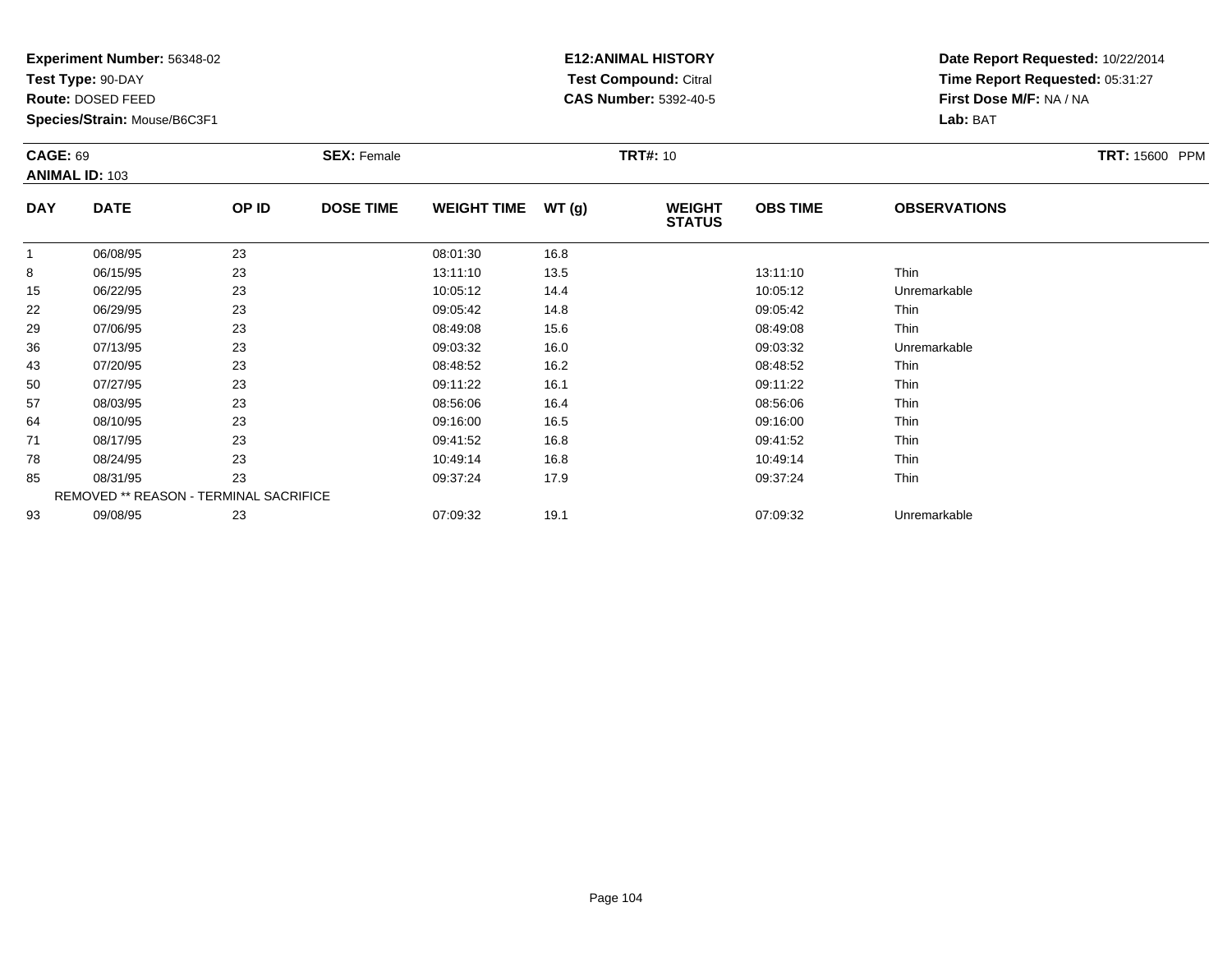**Test Type:** 90-DAY

**Route:** DOSED FEED

**Species/Strain:** Mouse/B6C3F1

# **E12:ANIMAL HISTORY Test Compound:** Citral **CAS Number:** 5392-40-5

| <b>CAGE: 69</b> | <b>ANIMAL ID: 103</b>                  |       | <b>SEX: Female</b> |                    |       | <b>TRT#: 10</b>                |                 |                     | <b>TRT: 15600 PPM</b> |
|-----------------|----------------------------------------|-------|--------------------|--------------------|-------|--------------------------------|-----------------|---------------------|-----------------------|
| <b>DAY</b>      | <b>DATE</b>                            | OP ID | <b>DOSE TIME</b>   | <b>WEIGHT TIME</b> | WT(g) | <b>WEIGHT</b><br><b>STATUS</b> | <b>OBS TIME</b> | <b>OBSERVATIONS</b> |                       |
|                 | 06/08/95                               | 23    |                    | 08:01:30           | 16.8  |                                |                 |                     |                       |
| 8               | 06/15/95                               | 23    |                    | 13:11:10           | 13.5  |                                | 13:11:10        | Thin                |                       |
| 15              | 06/22/95                               | 23    |                    | 10:05:12           | 14.4  |                                | 10:05:12        | Unremarkable        |                       |
| 22              | 06/29/95                               | 23    |                    | 09:05:42           | 14.8  |                                | 09:05:42        | Thin                |                       |
| 29              | 07/06/95                               | 23    |                    | 08:49:08           | 15.6  |                                | 08:49:08        | Thin                |                       |
| 36              | 07/13/95                               | 23    |                    | 09:03:32           | 16.0  |                                | 09:03:32        | Unremarkable        |                       |
| 43              | 07/20/95                               | 23    |                    | 08:48:52           | 16.2  |                                | 08:48:52        | Thin                |                       |
| 50              | 07/27/95                               | 23    |                    | 09:11:22           | 16.1  |                                | 09:11:22        | Thin                |                       |
| 57              | 08/03/95                               | 23    |                    | 08:56:06           | 16.4  |                                | 08:56:06        | Thin                |                       |
| 64              | 08/10/95                               | 23    |                    | 09:16:00           | 16.5  |                                | 09:16:00        | Thin                |                       |
| 71              | 08/17/95                               | 23    |                    | 09:41:52           | 16.8  |                                | 09:41:52        | Thin                |                       |
| 78              | 08/24/95                               | 23    |                    | 10:49:14           | 16.8  |                                | 10:49:14        | Thin                |                       |
| 85              | 08/31/95                               | 23    |                    | 09:37:24           | 17.9  |                                | 09:37:24        | Thin                |                       |
|                 | REMOVED ** REASON - TERMINAL SACRIFICE |       |                    |                    |       |                                |                 |                     |                       |
| 93              | 09/08/95                               | 23    |                    | 07:09:32           | 19.1  |                                | 07:09:32        | Unremarkable        |                       |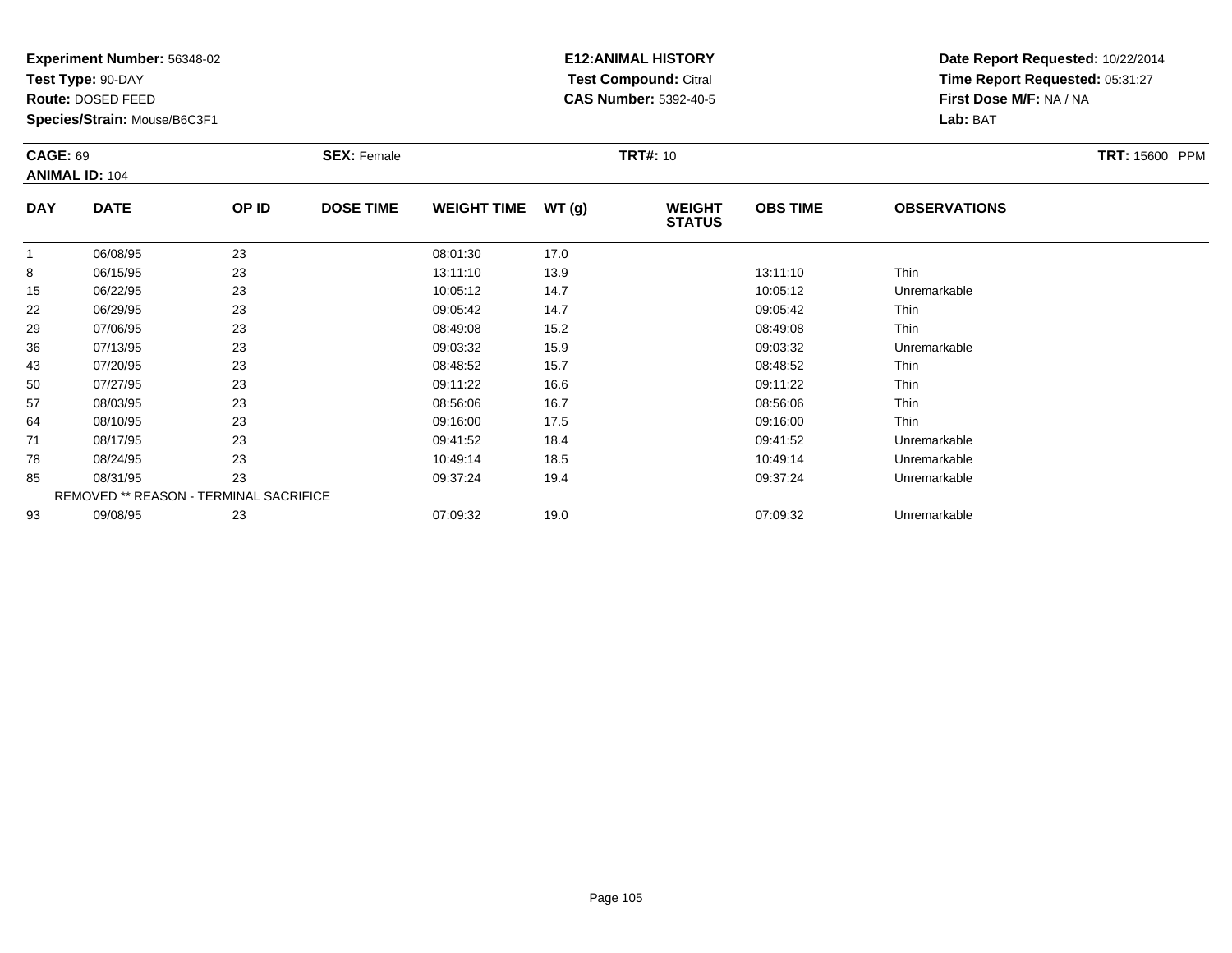**Test Type:** 90-DAY

**Route:** DOSED FEED

**Species/Strain:** Mouse/B6C3F1

# **E12:ANIMAL HISTORY Test Compound:** Citral **CAS Number:** 5392-40-5

| <b>CAGE: 69</b> |                       |                                        | <b>SEX: Female</b> |                    |       | <b>TRT#: 10</b>                |                 |                     | <b>TRT: 15600 PPM</b> |
|-----------------|-----------------------|----------------------------------------|--------------------|--------------------|-------|--------------------------------|-----------------|---------------------|-----------------------|
|                 | <b>ANIMAL ID: 104</b> |                                        |                    |                    |       |                                |                 |                     |                       |
| <b>DAY</b>      | <b>DATE</b>           | OP ID                                  | <b>DOSE TIME</b>   | <b>WEIGHT TIME</b> | WT(g) | <b>WEIGHT</b><br><b>STATUS</b> | <b>OBS TIME</b> | <b>OBSERVATIONS</b> |                       |
| $\mathbf{1}$    | 06/08/95              | 23                                     |                    | 08:01:30           | 17.0  |                                |                 |                     |                       |
| 8               | 06/15/95              | 23                                     |                    | 13:11:10           | 13.9  |                                | 13:11:10        | Thin                |                       |
| 15              | 06/22/95              | 23                                     |                    | 10:05:12           | 14.7  |                                | 10:05:12        | Unremarkable        |                       |
| 22              | 06/29/95              | 23                                     |                    | 09:05:42           | 14.7  |                                | 09:05:42        | Thin                |                       |
| 29              | 07/06/95              | 23                                     |                    | 08:49:08           | 15.2  |                                | 08:49:08        | Thin                |                       |
| 36              | 07/13/95              | 23                                     |                    | 09:03:32           | 15.9  |                                | 09:03:32        | Unremarkable        |                       |
| 43              | 07/20/95              | 23                                     |                    | 08:48:52           | 15.7  |                                | 08:48:52        | Thin                |                       |
| 50              | 07/27/95              | 23                                     |                    | 09:11:22           | 16.6  |                                | 09:11:22        | Thin                |                       |
| 57              | 08/03/95              | 23                                     |                    | 08:56:06           | 16.7  |                                | 08.56.06        | Thin                |                       |
| 64              | 08/10/95              | 23                                     |                    | 09:16:00           | 17.5  |                                | 09:16:00        | Thin                |                       |
| 71              | 08/17/95              | 23                                     |                    | 09:41:52           | 18.4  |                                | 09:41:52        | Unremarkable        |                       |
| 78              | 08/24/95              | 23                                     |                    | 10:49:14           | 18.5  |                                | 10:49:14        | Unremarkable        |                       |
| 85              | 08/31/95              | 23                                     |                    | 09:37:24           | 19.4  |                                | 09:37:24        | Unremarkable        |                       |
|                 |                       | REMOVED ** REASON - TERMINAL SACRIFICE |                    |                    |       |                                |                 |                     |                       |
| 93              | 09/08/95              | 23                                     |                    | 07:09:32           | 19.0  |                                | 07:09:32        | Unremarkable        |                       |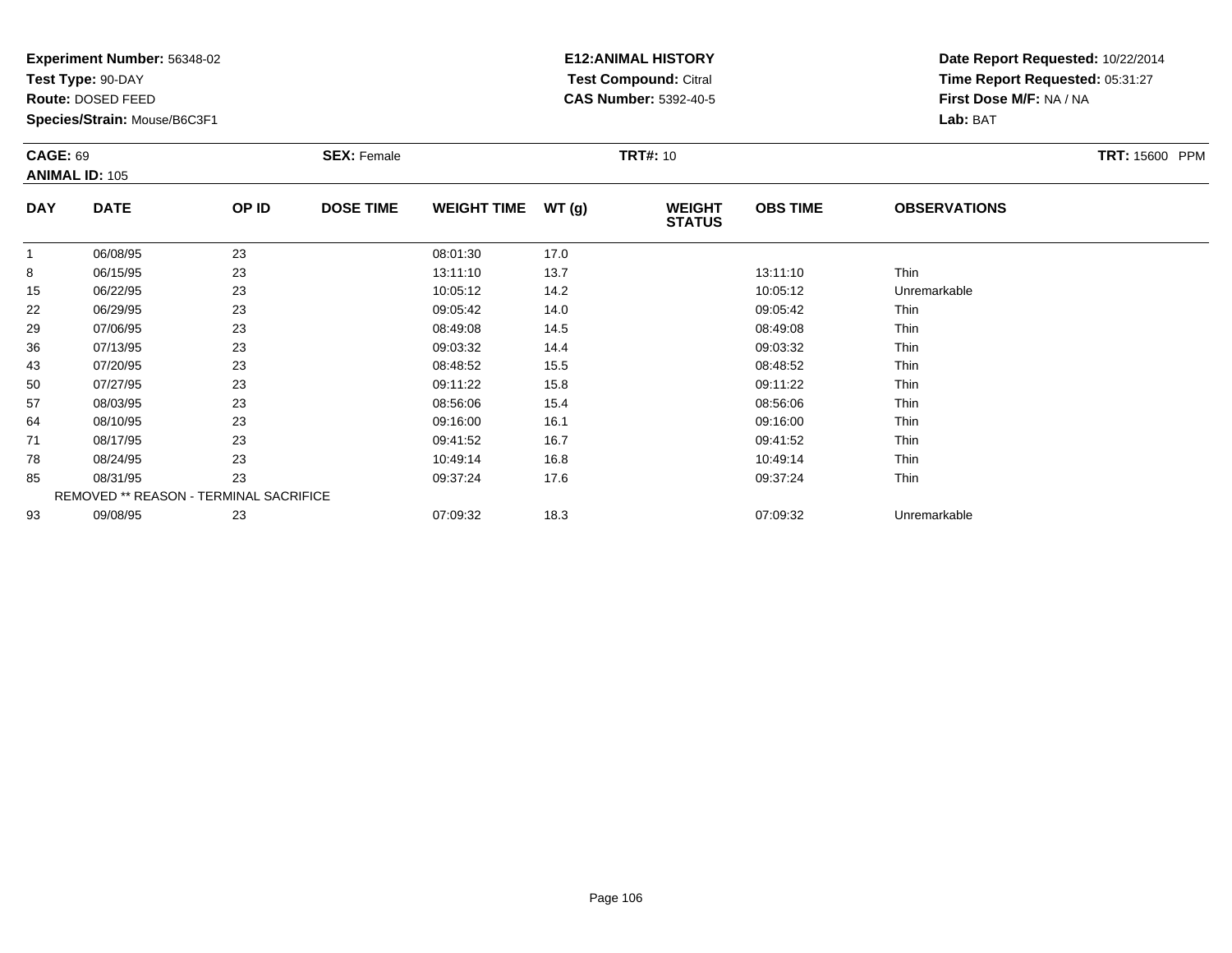**Test Type:** 90-DAY

**Route:** DOSED FEED

**Species/Strain:** Mouse/B6C3F1

# **E12:ANIMAL HISTORY Test Compound:** Citral **CAS Number:** 5392-40-5

| <b>CAGE: 69</b> | <b>ANIMAL ID: 105</b>                  |       | <b>SEX: Female</b> |                    |       | <b>TRT#: 10</b>                |                 |                     | TRT: 15600 PPM |
|-----------------|----------------------------------------|-------|--------------------|--------------------|-------|--------------------------------|-----------------|---------------------|----------------|
| <b>DAY</b>      | <b>DATE</b>                            | OP ID | <b>DOSE TIME</b>   | <b>WEIGHT TIME</b> | WT(g) | <b>WEIGHT</b><br><b>STATUS</b> | <b>OBS TIME</b> | <b>OBSERVATIONS</b> |                |
| $\mathbf{1}$    | 06/08/95                               | 23    |                    | 08:01:30           | 17.0  |                                |                 |                     |                |
| 8               | 06/15/95                               | 23    |                    | 13:11:10           | 13.7  |                                | 13:11:10        | Thin                |                |
| 15              | 06/22/95                               | 23    |                    | 10:05:12           | 14.2  |                                | 10:05:12        | Unremarkable        |                |
| 22              | 06/29/95                               | 23    |                    | 09:05:42           | 14.0  |                                | 09:05:42        | Thin                |                |
| 29              | 07/06/95                               | 23    |                    | 08:49:08           | 14.5  |                                | 08:49:08        | Thin                |                |
| 36              | 07/13/95                               | 23    |                    | 09:03:32           | 14.4  |                                | 09:03:32        | Thin                |                |
| 43              | 07/20/95                               | 23    |                    | 08:48:52           | 15.5  |                                | 08:48:52        | Thin                |                |
| 50              | 07/27/95                               | 23    |                    | 09:11:22           | 15.8  |                                | 09:11:22        | Thin                |                |
| 57              | 08/03/95                               | 23    |                    | 08:56:06           | 15.4  |                                | 08:56:06        | Thin                |                |
| 64              | 08/10/95                               | 23    |                    | 09:16:00           | 16.1  |                                | 09:16:00        | Thin                |                |
| 71              | 08/17/95                               | 23    |                    | 09:41:52           | 16.7  |                                | 09:41:52        | Thin                |                |
| 78              | 08/24/95                               | 23    |                    | 10:49:14           | 16.8  |                                | 10:49:14        | Thin                |                |
| 85              | 08/31/95                               | 23    |                    | 09:37:24           | 17.6  |                                | 09:37:24        | Thin                |                |
|                 | REMOVED ** REASON - TERMINAL SACRIFICE |       |                    |                    |       |                                |                 |                     |                |
| 93              | 09/08/95                               | 23    |                    | 07:09:32           | 18.3  |                                | 07:09:32        | Unremarkable        |                |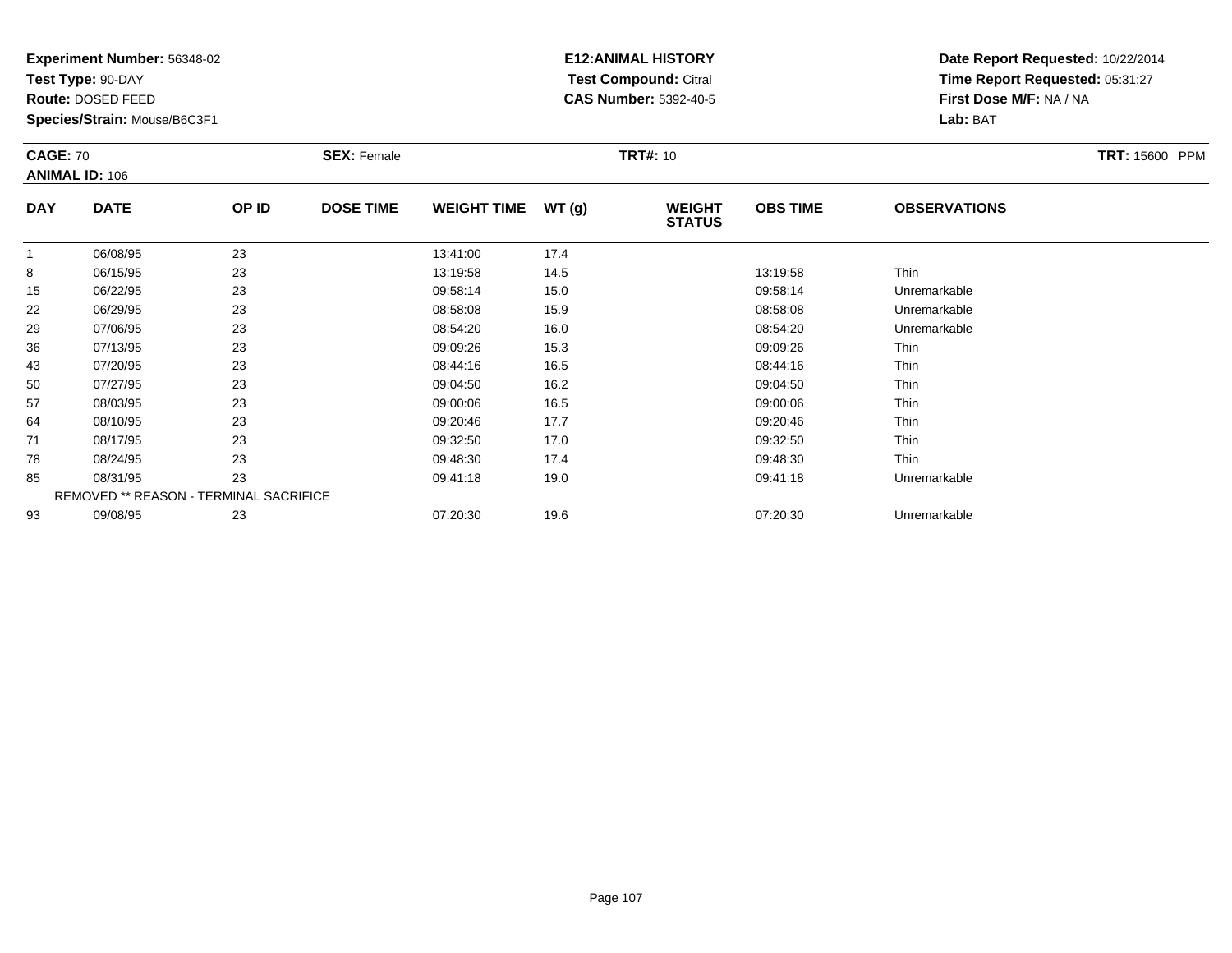**Test Type:** 90-DAY

**Route:** DOSED FEED

**Species/Strain:** Mouse/B6C3F1

# **E12:ANIMAL HISTORY Test Compound:** Citral **CAS Number:** 5392-40-5

| <b>CAGE: 70</b> | <b>ANIMAL ID: 106</b>                  |       | <b>SEX: Female</b> |                    |       | <b>TRT#: 10</b>                |                 |                     | TRT: 15600 PPM |
|-----------------|----------------------------------------|-------|--------------------|--------------------|-------|--------------------------------|-----------------|---------------------|----------------|
| <b>DAY</b>      | <b>DATE</b>                            | OP ID | <b>DOSE TIME</b>   | <b>WEIGHT TIME</b> | WT(g) | <b>WEIGHT</b><br><b>STATUS</b> | <b>OBS TIME</b> | <b>OBSERVATIONS</b> |                |
|                 | 06/08/95                               | 23    |                    | 13:41:00           | 17.4  |                                |                 |                     |                |
| 8               | 06/15/95                               | 23    |                    | 13:19:58           | 14.5  |                                | 13:19:58        | Thin                |                |
| 15              | 06/22/95                               | 23    |                    | 09:58:14           | 15.0  |                                | 09:58:14        | Unremarkable        |                |
| 22              | 06/29/95                               | 23    |                    | 08:58:08           | 15.9  |                                | 08:58:08        | Unremarkable        |                |
| 29              | 07/06/95                               | 23    |                    | 08:54:20           | 16.0  |                                | 08:54:20        | Unremarkable        |                |
| 36              | 07/13/95                               | 23    |                    | 09:09:26           | 15.3  |                                | 09:09:26        | Thin                |                |
| 43              | 07/20/95                               | 23    |                    | 08:44:16           | 16.5  |                                | 08:44:16        | Thin                |                |
| 50              | 07/27/95                               | 23    |                    | 09:04:50           | 16.2  |                                | 09:04:50        | Thin                |                |
| 57              | 08/03/95                               | 23    |                    | 09:00:06           | 16.5  |                                | 09:00:06        | Thin                |                |
| 64              | 08/10/95                               | 23    |                    | 09:20:46           | 17.7  |                                | 09:20:46        | Thin                |                |
| 71              | 08/17/95                               | 23    |                    | 09:32:50           | 17.0  |                                | 09:32:50        | Thin                |                |
| 78              | 08/24/95                               | 23    |                    | 09:48:30           | 17.4  |                                | 09:48:30        | Thin                |                |
| 85              | 08/31/95                               | 23    |                    | 09:41:18           | 19.0  |                                | 09:41:18        | Unremarkable        |                |
|                 | REMOVED ** REASON - TERMINAL SACRIFICE |       |                    |                    |       |                                |                 |                     |                |
| 93              | 09/08/95                               | 23    |                    | 07:20:30           | 19.6  |                                | 07:20:30        | Unremarkable        |                |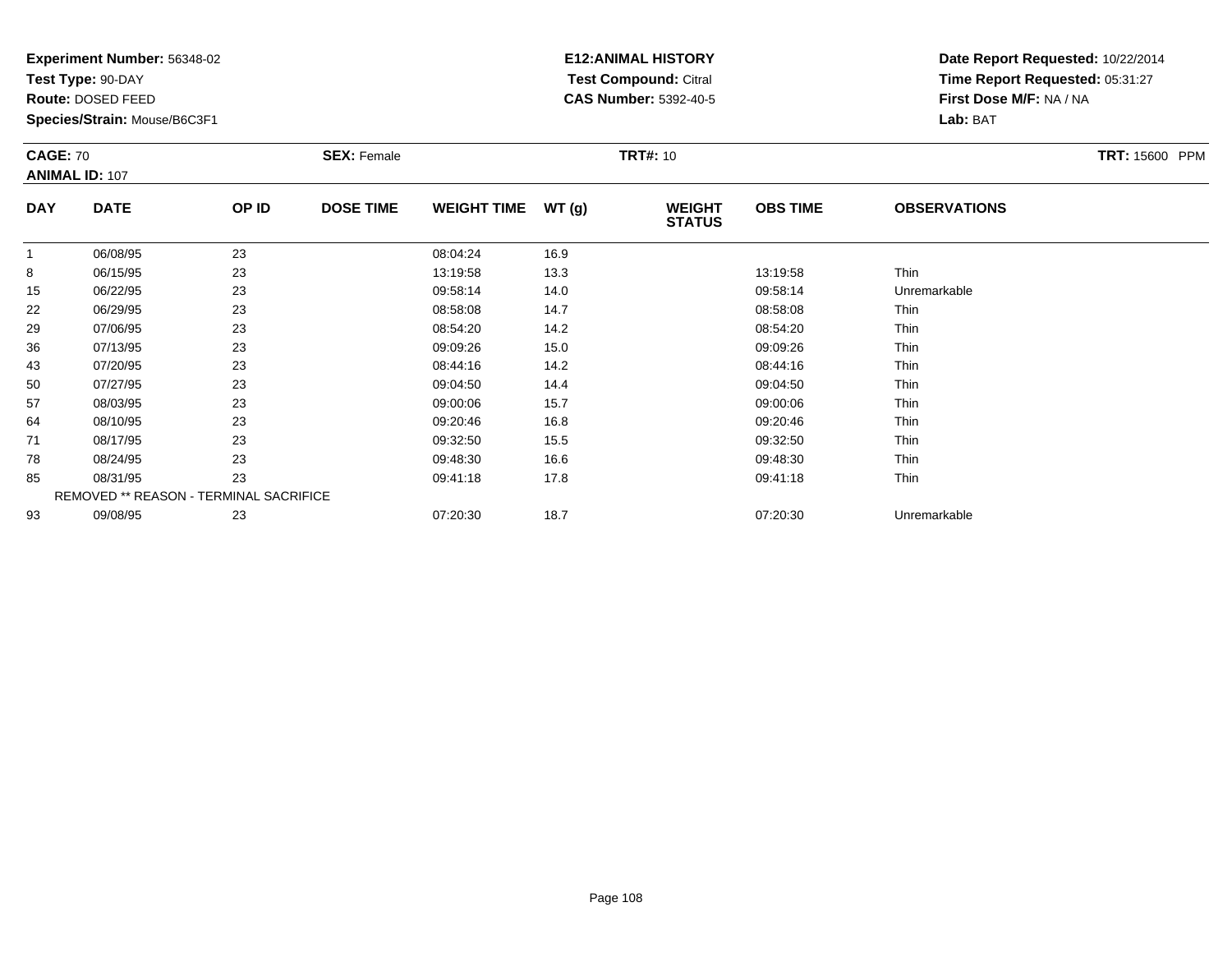**Test Type:** 90-DAY

**Route:** DOSED FEED

**Species/Strain:** Mouse/B6C3F1

# **E12:ANIMAL HISTORY Test Compound:** Citral **CAS Number:** 5392-40-5

| <b>CAGE: 70</b> | <b>ANIMAL ID: 107</b>                  |       | <b>SEX: Female</b> |                    |       | <b>TRT#: 10</b>                |                 |                     | <b>TRT: 15600 PPM</b> |
|-----------------|----------------------------------------|-------|--------------------|--------------------|-------|--------------------------------|-----------------|---------------------|-----------------------|
| <b>DAY</b>      | <b>DATE</b>                            | OP ID | <b>DOSE TIME</b>   | <b>WEIGHT TIME</b> | WT(g) | <b>WEIGHT</b><br><b>STATUS</b> | <b>OBS TIME</b> | <b>OBSERVATIONS</b> |                       |
| $\mathbf{1}$    | 06/08/95                               | 23    |                    | 08:04:24           | 16.9  |                                |                 |                     |                       |
| 8               | 06/15/95                               | 23    |                    | 13:19:58           | 13.3  |                                | 13:19:58        | Thin                |                       |
| 15              | 06/22/95                               | 23    |                    | 09:58:14           | 14.0  |                                | 09:58:14        | Unremarkable        |                       |
| 22              | 06/29/95                               | 23    |                    | 08:58:08           | 14.7  |                                | 08:58:08        | Thin                |                       |
| 29              | 07/06/95                               | 23    |                    | 08:54:20           | 14.2  |                                | 08:54:20        | Thin                |                       |
| 36              | 07/13/95                               | 23    |                    | 09:09:26           | 15.0  |                                | 09:09:26        | Thin                |                       |
| 43              | 07/20/95                               | 23    |                    | 08:44:16           | 14.2  |                                | 08:44:16        | Thin                |                       |
| 50              | 07/27/95                               | 23    |                    | 09:04:50           | 14.4  |                                | 09:04:50        | Thin                |                       |
| 57              | 08/03/95                               | 23    |                    | 09:00:06           | 15.7  |                                | 09:00:06        | Thin                |                       |
| 64              | 08/10/95                               | 23    |                    | 09:20:46           | 16.8  |                                | 09:20:46        | Thin                |                       |
| 71              | 08/17/95                               | 23    |                    | 09:32:50           | 15.5  |                                | 09:32:50        | Thin                |                       |
| 78              | 08/24/95                               | 23    |                    | 09:48:30           | 16.6  |                                | 09:48:30        | Thin                |                       |
| 85              | 08/31/95                               | 23    |                    | 09:41:18           | 17.8  |                                | 09:41:18        | Thin                |                       |
|                 | REMOVED ** REASON - TERMINAL SACRIFICE |       |                    |                    |       |                                |                 |                     |                       |
| 93              | 09/08/95                               | 23    |                    | 07:20:30           | 18.7  |                                | 07:20:30        | Unremarkable        |                       |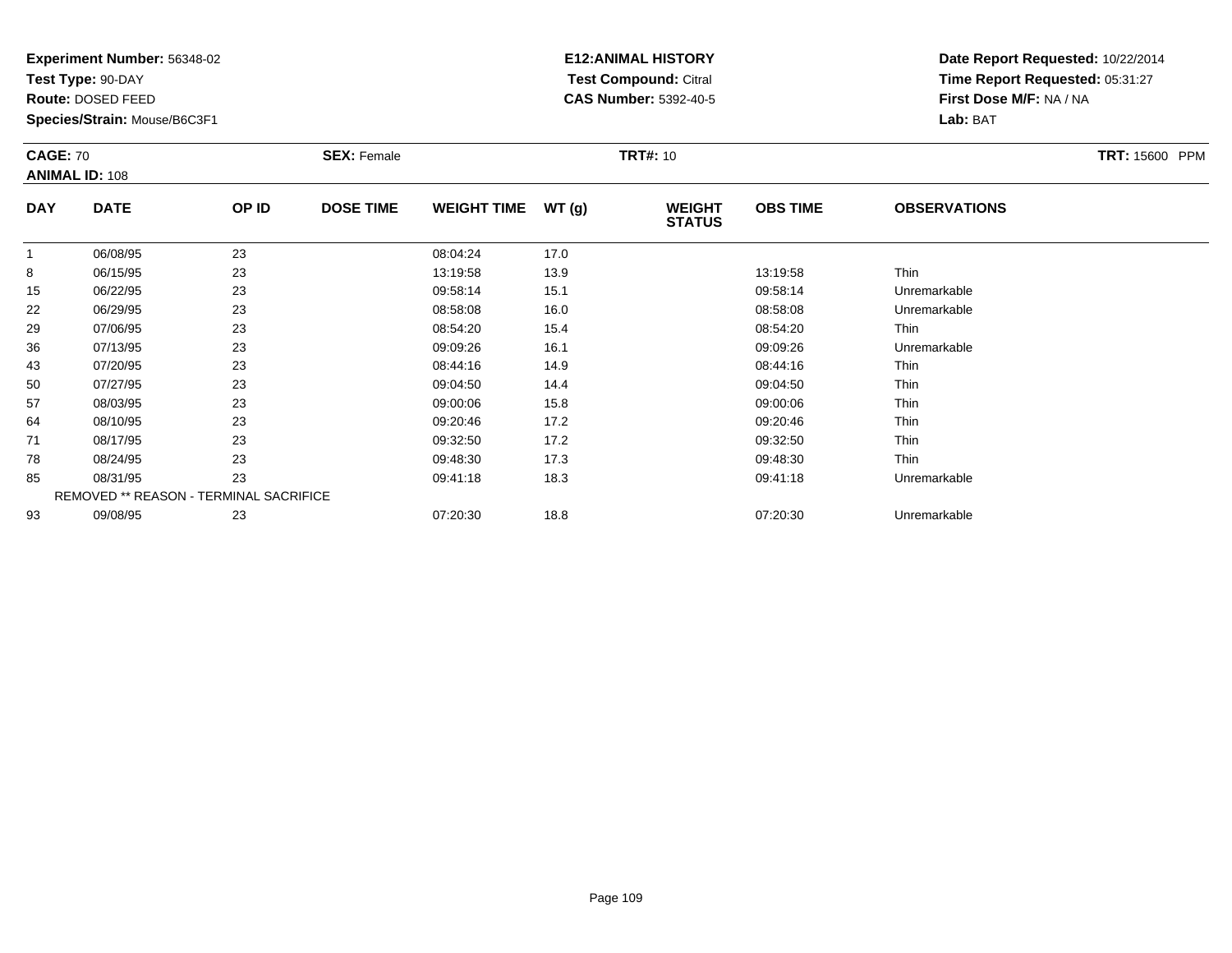**Test Type:** 90-DAY

**Route:** DOSED FEED

**Species/Strain:** Mouse/B6C3F1

# **E12:ANIMAL HISTORY Test Compound:** Citral **CAS Number:** 5392-40-5

| <b>CAGE: 70</b> |                       |                                        | <b>SEX: Female</b> |                    |       | <b>TRT#: 10</b>                |                 |                     | TRT: 15600 PPM |
|-----------------|-----------------------|----------------------------------------|--------------------|--------------------|-------|--------------------------------|-----------------|---------------------|----------------|
|                 | <b>ANIMAL ID: 108</b> |                                        |                    |                    |       |                                |                 |                     |                |
| <b>DAY</b>      | <b>DATE</b>           | OP ID                                  | <b>DOSE TIME</b>   | <b>WEIGHT TIME</b> | WT(g) | <b>WEIGHT</b><br><b>STATUS</b> | <b>OBS TIME</b> | <b>OBSERVATIONS</b> |                |
| $\mathbf{1}$    | 06/08/95              | 23                                     |                    | 08:04:24           | 17.0  |                                |                 |                     |                |
| 8               | 06/15/95              | 23                                     |                    | 13:19:58           | 13.9  |                                | 13:19:58        | Thin                |                |
| 15              | 06/22/95              | 23                                     |                    | 09:58:14           | 15.1  |                                | 09:58:14        | Unremarkable        |                |
| 22              | 06/29/95              | 23                                     |                    | 08:58:08           | 16.0  |                                | 08:58:08        | Unremarkable        |                |
| 29              | 07/06/95              | 23                                     |                    | 08:54:20           | 15.4  |                                | 08:54:20        | Thin                |                |
| 36              | 07/13/95              | 23                                     |                    | 09:09:26           | 16.1  |                                | 09:09:26        | Unremarkable        |                |
| 43              | 07/20/95              | 23                                     |                    | 08:44:16           | 14.9  |                                | 08:44:16        | Thin                |                |
| 50              | 07/27/95              | 23                                     |                    | 09:04:50           | 14.4  |                                | 09:04:50        | Thin                |                |
| 57              | 08/03/95              | 23                                     |                    | 09:00:06           | 15.8  |                                | 09:00:06        | Thin                |                |
| 64              | 08/10/95              | 23                                     |                    | 09:20:46           | 17.2  |                                | 09:20:46        | Thin                |                |
| 71              | 08/17/95              | 23                                     |                    | 09:32:50           | 17.2  |                                | 09:32:50        | Thin                |                |
| 78              | 08/24/95              | 23                                     |                    | 09:48:30           | 17.3  |                                | 09:48:30        | Thin                |                |
| 85              | 08/31/95              | 23                                     |                    | 09:41:18           | 18.3  |                                | 09:41:18        | Unremarkable        |                |
|                 |                       | REMOVED ** REASON - TERMINAL SACRIFICE |                    |                    |       |                                |                 |                     |                |
| 93              | 09/08/95              | 23                                     |                    | 07:20:30           | 18.8  |                                | 07:20:30        | Unremarkable        |                |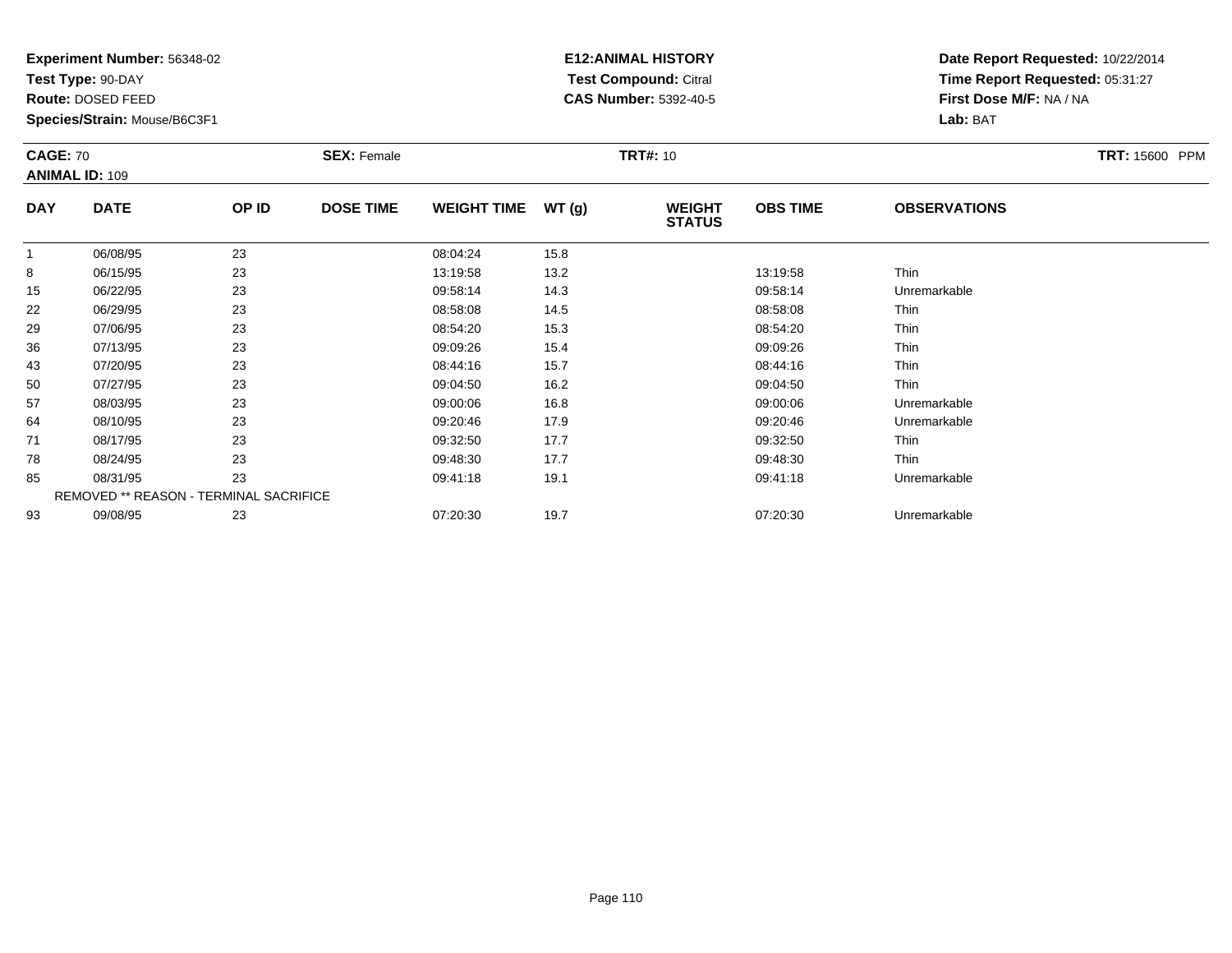**Test Type:** 90-DAY

**Route:** DOSED FEED

**Species/Strain:** Mouse/B6C3F1

# **E12:ANIMAL HISTORY Test Compound:** Citral **CAS Number:** 5392-40-5

| <b>CAGE: 70</b> |                       |                                        | <b>SEX: Female</b> |                    |       | <b>TRT#: 10</b>                |                 |                     | TRT: 15600 PPM |
|-----------------|-----------------------|----------------------------------------|--------------------|--------------------|-------|--------------------------------|-----------------|---------------------|----------------|
|                 | <b>ANIMAL ID: 109</b> |                                        |                    |                    |       |                                |                 |                     |                |
| <b>DAY</b>      | <b>DATE</b>           | OP ID                                  | <b>DOSE TIME</b>   | <b>WEIGHT TIME</b> | WT(g) | <b>WEIGHT</b><br><b>STATUS</b> | <b>OBS TIME</b> | <b>OBSERVATIONS</b> |                |
| $\mathbf{1}$    | 06/08/95              | 23                                     |                    | 08:04:24           | 15.8  |                                |                 |                     |                |
| 8               | 06/15/95              | 23                                     |                    | 13:19:58           | 13.2  |                                | 13:19:58        | Thin                |                |
| 15              | 06/22/95              | 23                                     |                    | 09:58:14           | 14.3  |                                | 09:58:14        | Unremarkable        |                |
| 22              | 06/29/95              | 23                                     |                    | 08:58:08           | 14.5  |                                | 08:58:08        | Thin                |                |
| 29              | 07/06/95              | 23                                     |                    | 08:54:20           | 15.3  |                                | 08:54:20        | Thin                |                |
| 36              | 07/13/95              | 23                                     |                    | 09:09:26           | 15.4  |                                | 09:09:26        | Thin                |                |
| 43              | 07/20/95              | 23                                     |                    | 08:44:16           | 15.7  |                                | 08:44:16        | Thin                |                |
| 50              | 07/27/95              | 23                                     |                    | 09:04:50           | 16.2  |                                | 09:04:50        | Thin                |                |
| 57              | 08/03/95              | 23                                     |                    | 09:00:06           | 16.8  |                                | 09:00:06        | Unremarkable        |                |
| 64              | 08/10/95              | 23                                     |                    | 09:20:46           | 17.9  |                                | 09:20:46        | Unremarkable        |                |
| 71              | 08/17/95              | 23                                     |                    | 09:32:50           | 17.7  |                                | 09:32:50        | Thin                |                |
| 78              | 08/24/95              | 23                                     |                    | 09:48:30           | 17.7  |                                | 09:48:30        | Thin                |                |
| 85              | 08/31/95              | 23                                     |                    | 09:41:18           | 19.1  |                                | 09:41:18        | Unremarkable        |                |
|                 |                       | REMOVED ** REASON - TERMINAL SACRIFICE |                    |                    |       |                                |                 |                     |                |
| 93              | 09/08/95              | 23                                     |                    | 07:20:30           | 19.7  |                                | 07:20:30        | Unremarkable        |                |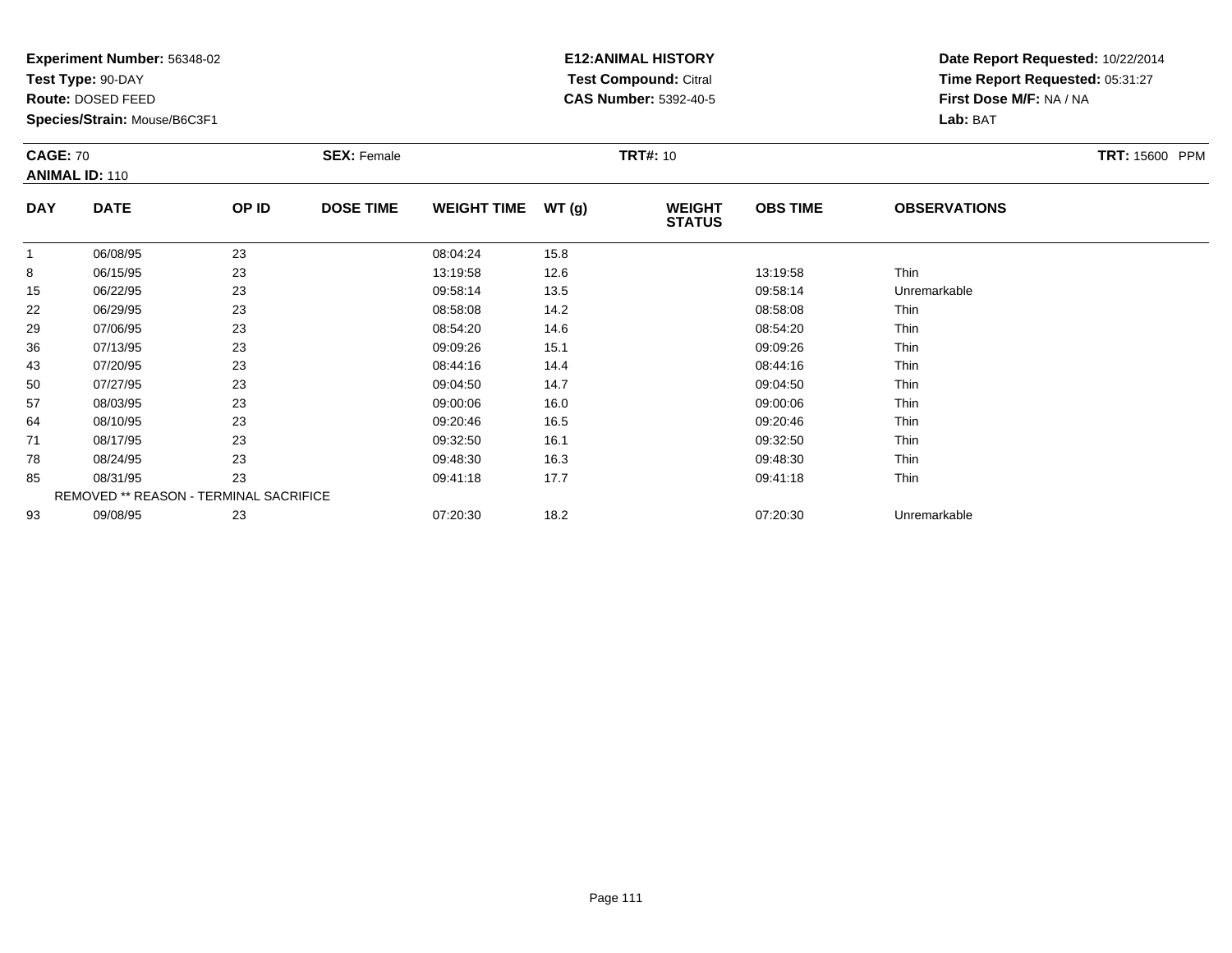**Test Type:** 90-DAY

**Route:** DOSED FEED

**Species/Strain:** Mouse/B6C3F1

# **E12:ANIMAL HISTORY Test Compound:** Citral **CAS Number:** 5392-40-5

| <b>CAGE: 70</b> | <b>ANIMAL ID: 110</b>                  |       | <b>SEX: Female</b> |                    |       | <b>TRT#: 10</b>                |                 |                     | <b>TRT: 15600 PPM</b> |
|-----------------|----------------------------------------|-------|--------------------|--------------------|-------|--------------------------------|-----------------|---------------------|-----------------------|
| <b>DAY</b>      | <b>DATE</b>                            | OP ID | <b>DOSE TIME</b>   | <b>WEIGHT TIME</b> | WT(g) | <b>WEIGHT</b><br><b>STATUS</b> | <b>OBS TIME</b> | <b>OBSERVATIONS</b> |                       |
| $\mathbf{1}$    | 06/08/95                               | 23    |                    | 08:04:24           | 15.8  |                                |                 |                     |                       |
| 8               | 06/15/95                               | 23    |                    | 13:19:58           | 12.6  |                                | 13:19:58        | Thin                |                       |
| 15              | 06/22/95                               | 23    |                    | 09:58:14           | 13.5  |                                | 09:58:14        | Unremarkable        |                       |
| 22              | 06/29/95                               | 23    |                    | 08:58:08           | 14.2  |                                | 08:58:08        | Thin                |                       |
| 29              | 07/06/95                               | 23    |                    | 08:54:20           | 14.6  |                                | 08:54:20        | Thin                |                       |
| 36              | 07/13/95                               | 23    |                    | 09:09:26           | 15.1  |                                | 09:09:26        | Thin                |                       |
| 43              | 07/20/95                               | 23    |                    | 08:44:16           | 14.4  |                                | 08:44:16        | Thin                |                       |
| 50              | 07/27/95                               | 23    |                    | 09:04:50           | 14.7  |                                | 09:04:50        | Thin                |                       |
| 57              | 08/03/95                               | 23    |                    | 09:00:06           | 16.0  |                                | 09:00:06        | Thin                |                       |
| 64              | 08/10/95                               | 23    |                    | 09:20:46           | 16.5  |                                | 09:20:46        | Thin                |                       |
| 71              | 08/17/95                               | 23    |                    | 09:32:50           | 16.1  |                                | 09:32:50        | Thin                |                       |
| 78              | 08/24/95                               | 23    |                    | 09:48:30           | 16.3  |                                | 09:48:30        | Thin                |                       |
| 85              | 08/31/95                               | 23    |                    | 09:41:18           | 17.7  |                                | 09:41:18        | Thin                |                       |
|                 | REMOVED ** REASON - TERMINAL SACRIFICE |       |                    |                    |       |                                |                 |                     |                       |
| 93              | 09/08/95                               | 23    |                    | 07:20:30           | 18.2  |                                | 07:20:30        | Unremarkable        |                       |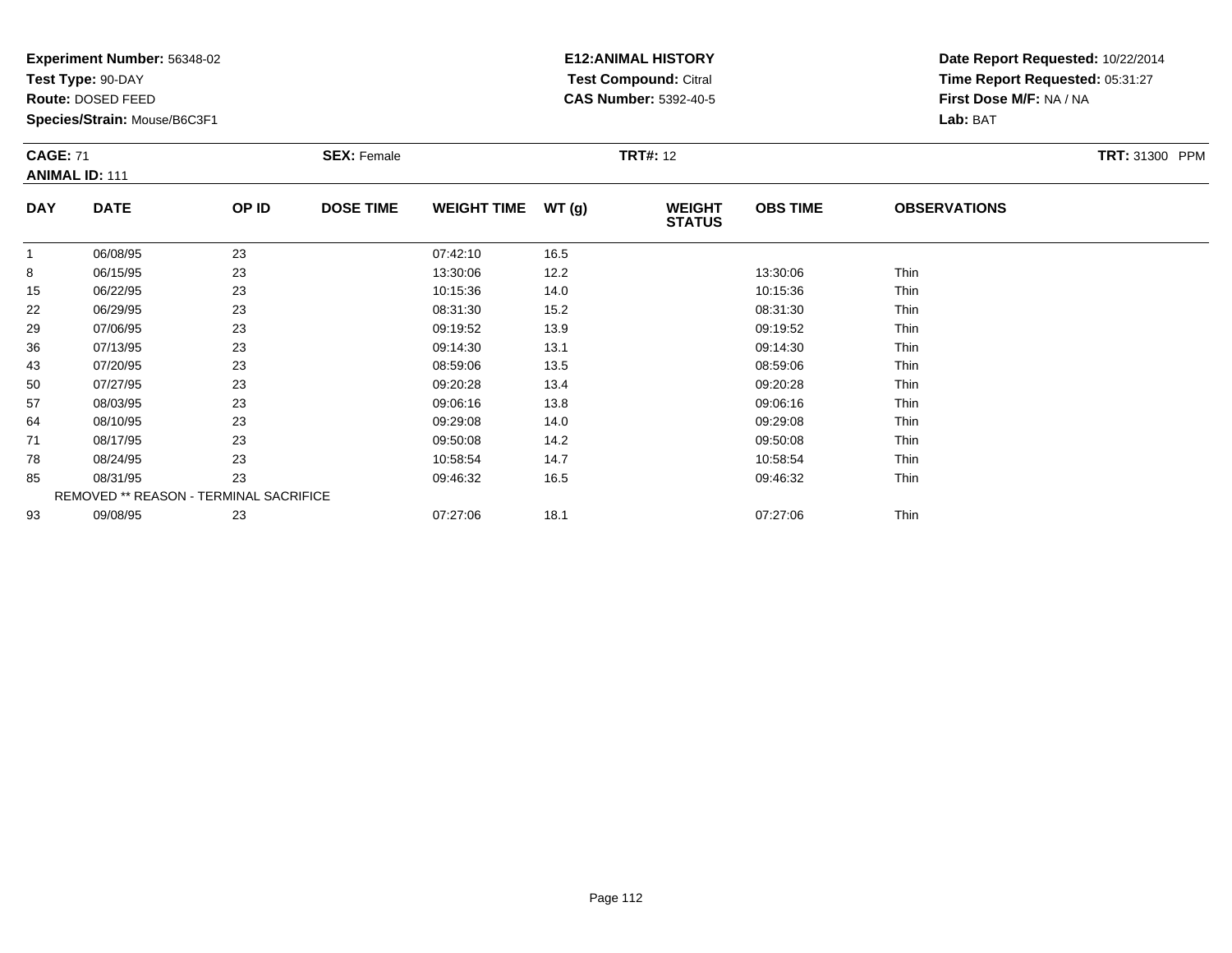**Test Type:** 90-DAY

**Route:** DOSED FEED

93

**Species/Strain:** Mouse/B6C3F1

REMOVED \*\* REASON - TERMINAL SACRIFICE

### **E12:ANIMAL HISTORY Test Compound:** Citral **CAS Number:** 5392-40-5

**Date Report Requested:** 10/22/2014**Time Report Requested:** 05:31:27**First Dose M/F:** NA / NA**Lab:** BAT

| <b>CAGE: 71</b> | <b>ANIMAL ID: 111</b> |       | <b>SEX: Female</b> |                    |       | <b>TRT#: 12</b>                |                 |                     | TRT: 31300 PPM |
|-----------------|-----------------------|-------|--------------------|--------------------|-------|--------------------------------|-----------------|---------------------|----------------|
| <b>DAY</b>      | <b>DATE</b>           | OP ID | <b>DOSE TIME</b>   | <b>WEIGHT TIME</b> | WT(g) | <b>WEIGHT</b><br><b>STATUS</b> | <b>OBS TIME</b> | <b>OBSERVATIONS</b> |                |
| 1               | 06/08/95              | 23    |                    | 07:42:10           | 16.5  |                                |                 |                     |                |
| 8               | 06/15/95              | 23    |                    | 13:30:06           | 12.2  |                                | 13:30:06        | Thin                |                |
| 15              | 06/22/95              | 23    |                    | 10:15:36           | 14.0  |                                | 10:15:36        | Thin                |                |
| 22              | 06/29/95              | 23    |                    | 08:31:30           | 15.2  |                                | 08:31:30        | Thin                |                |
| 29              | 07/06/95              | 23    |                    | 09:19:52           | 13.9  |                                | 09:19:52        | Thin                |                |
| 36              | 07/13/95              | 23    |                    | 09:14:30           | 13.1  |                                | 09:14:30        | Thin                |                |
| 43              | 07/20/95              | 23    |                    | 08:59:06           | 13.5  |                                | 08:59:06        | Thin                |                |
| 50              | 07/27/95              | 23    |                    | 09:20:28           | 13.4  |                                | 09:20:28        | Thin                |                |
| 57              | 08/03/95              | 23    |                    | 09:06:16           | 13.8  |                                | 09:06:16        | Thin                |                |
| 64              | 08/10/95              | 23    |                    | 09:29:08           | 14.0  |                                | 09:29:08        | Thin                |                |
| 71              | 08/17/95              | 23    |                    | 09:50:08           | 14.2  |                                | 09:50:08        | Thin                |                |
| 78              | 08/24/95              | 23    |                    | 10:58:54           | 14.7  |                                | 10:58:54        | Thin                |                |
| 85              | 08/31/95              | 23    |                    | 09:46:32           | 16.5  |                                | 09:46:32        | Thin                |                |

09/08/95 <sup>23</sup> 07:27:06 18.1 07:27:06 Thin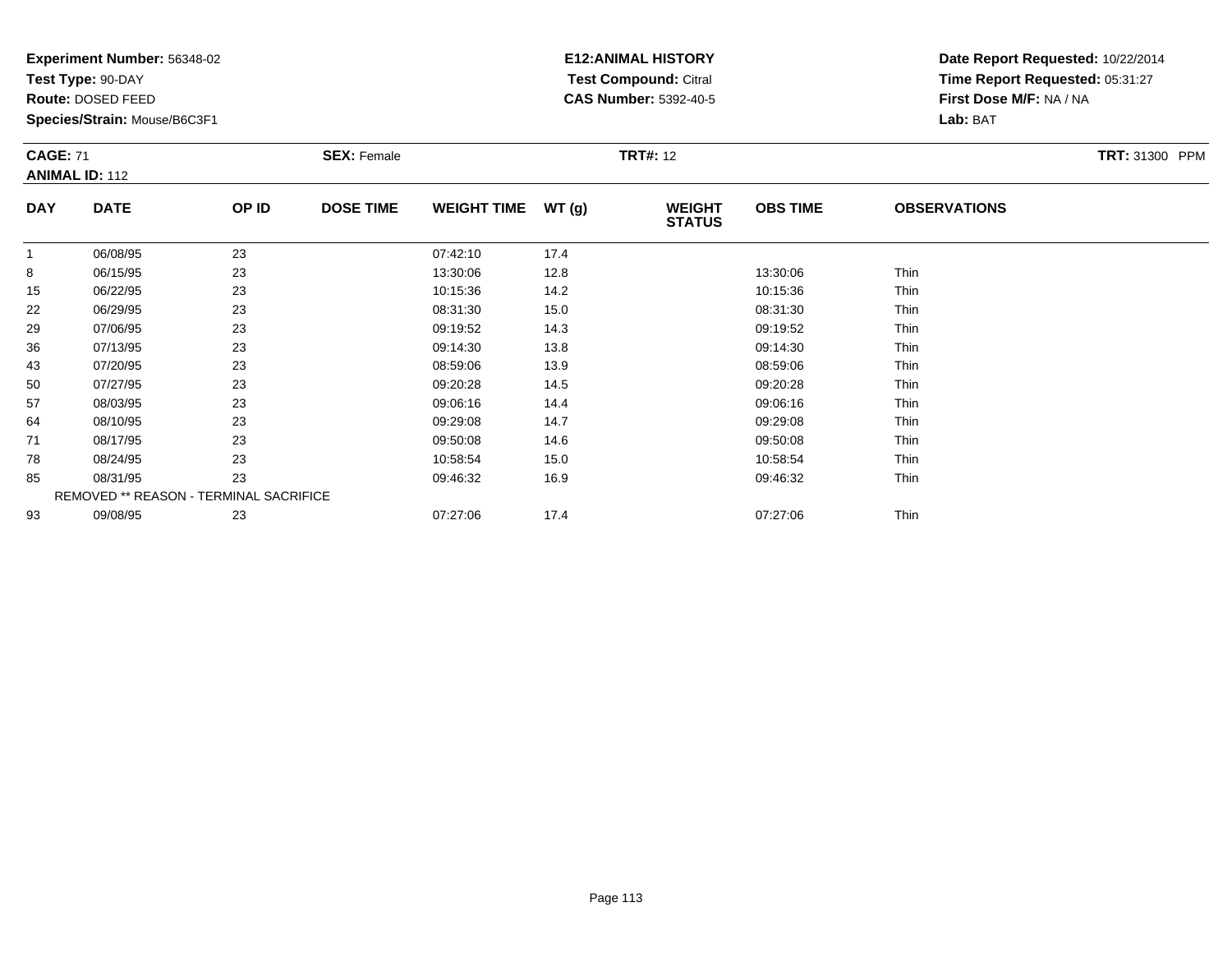**Test Type:** 90-DAY

**Route:** DOSED FEED

93

**Species/Strain:** Mouse/B6C3F1

REMOVED \*\* REASON - TERMINAL SACRIFICE

### **E12:ANIMAL HISTORY Test Compound:** Citral **CAS Number:** 5392-40-5

**Date Report Requested:** 10/22/2014**Time Report Requested:** 05:31:27**First Dose M/F:** NA / NA**Lab:** BAT

|            | <b>CAGE: 71</b><br><b>ANIMAL ID: 112</b> |       | <b>SEX: Female</b> |                    |       | <b>TRT#: 12</b>                | <b>TRT: 31300 PPM</b> |                     |  |
|------------|------------------------------------------|-------|--------------------|--------------------|-------|--------------------------------|-----------------------|---------------------|--|
| <b>DAY</b> | <b>DATE</b>                              | OP ID | <b>DOSE TIME</b>   | <b>WEIGHT TIME</b> | WT(g) | <b>WEIGHT</b><br><b>STATUS</b> | <b>OBS TIME</b>       | <b>OBSERVATIONS</b> |  |
|            | 06/08/95                                 | 23    |                    | 07:42:10           | 17.4  |                                |                       |                     |  |
| 8          | 06/15/95                                 | 23    |                    | 13:30:06           | 12.8  |                                | 13:30:06              | Thin                |  |
| 15         | 06/22/95                                 | 23    |                    | 10:15:36           | 14.2  |                                | 10:15:36              | Thin                |  |
| 22         | 06/29/95                                 | 23    |                    | 08:31:30           | 15.0  |                                | 08:31:30              | Thin                |  |
| 29         | 07/06/95                                 | 23    |                    | 09:19:52           | 14.3  |                                | 09:19:52              | Thin                |  |
| 36         | 07/13/95                                 | 23    |                    | 09:14:30           | 13.8  |                                | 09:14:30              | Thin                |  |
| 43         | 07/20/95                                 | 23    |                    | 08:59:06           | 13.9  |                                | 08:59:06              | Thin                |  |
| 50         | 07/27/95                                 | 23    |                    | 09:20:28           | 14.5  |                                | 09:20:28              | Thin                |  |
| 57         | 08/03/95                                 | 23    |                    | 09:06:16           | 14.4  |                                | 09:06:16              | Thin                |  |
| 64         | 08/10/95                                 | 23    |                    | 09:29:08           | 14.7  |                                | 09:29:08              | Thin                |  |
| 71         | 08/17/95                                 | 23    |                    | 09:50:08           | 14.6  |                                | 09:50:08              | Thin                |  |
| 78         | 08/24/95                                 | 23    |                    | 10:58:54           | 15.0  |                                | 10:58:54              | Thin                |  |
| 85         | 08/31/95                                 | 23    |                    | 09:46:32           | 16.9  |                                | 09:46:32              | Thin                |  |

08/31/95 <sup>23</sup> 09:46:32 16.9 09:46:32 Thin

3 09/08/95 23 23 07:27:06 17.4 20 07:27:06 17.4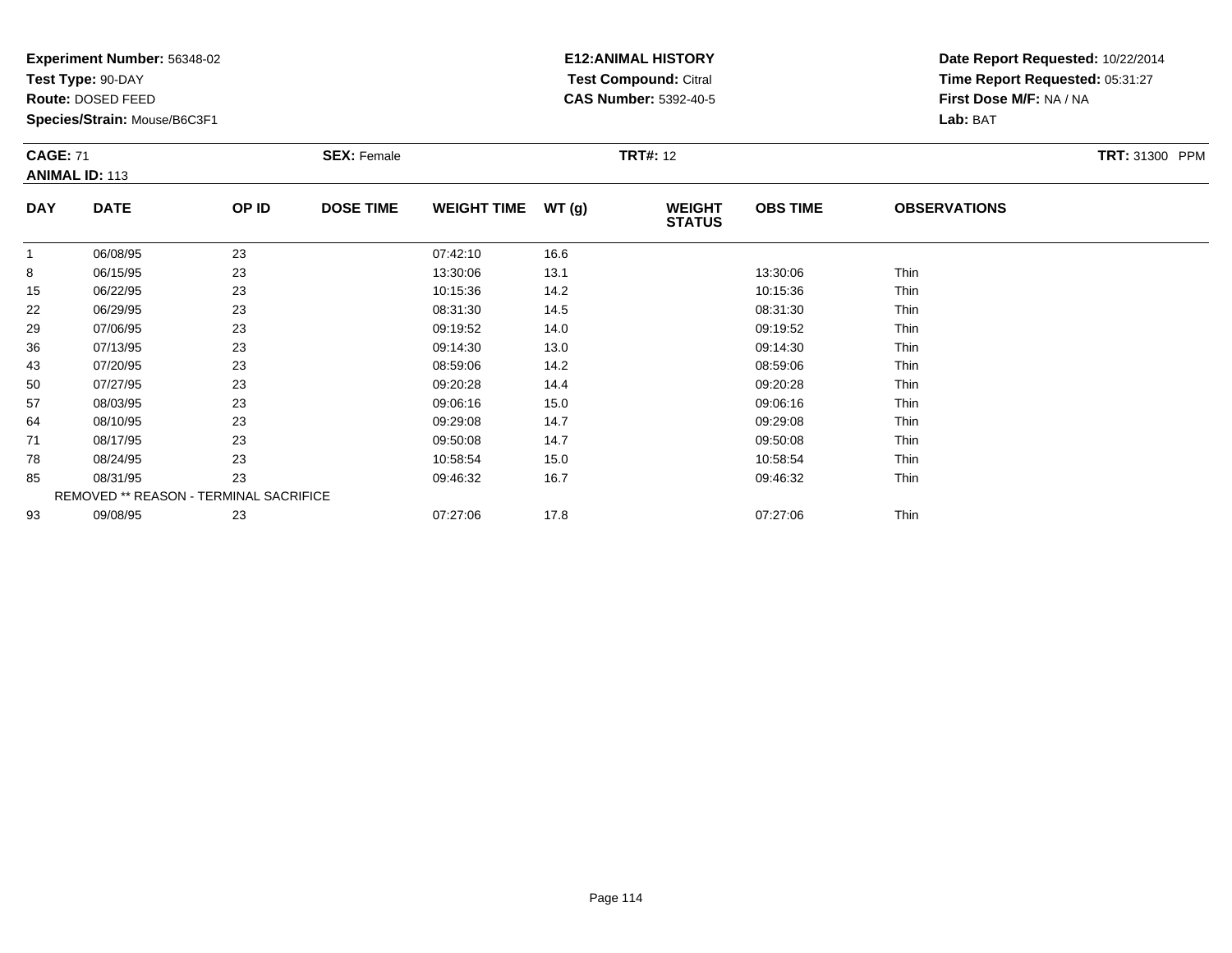**Test Type:** 90-DAY

**Route:** DOSED FEED

93

**Species/Strain:** Mouse/B6C3F1

REMOVED \*\* REASON - TERMINAL SACRIFICE

# **E12:ANIMAL HISTORY Test Compound:** Citral **CAS Number:** 5392-40-5

**Date Report Requested:** 10/22/2014**Time Report Requested:** 05:31:27**First Dose M/F:** NA / NA**Lab:** BAT

| <b>CAGE: 71</b> | <b>ANIMAL ID: 113</b> |       | <b>SEX: Female</b> |                    |       | <b>TRT#: 12</b>                |                 |                     | <b>TRT: 31300 PPM</b> |
|-----------------|-----------------------|-------|--------------------|--------------------|-------|--------------------------------|-----------------|---------------------|-----------------------|
| <b>DAY</b>      | <b>DATE</b>           | OP ID | <b>DOSE TIME</b>   | <b>WEIGHT TIME</b> | WT(g) | <b>WEIGHT</b><br><b>STATUS</b> | <b>OBS TIME</b> | <b>OBSERVATIONS</b> |                       |
| 1               | 06/08/95              | 23    |                    | 07:42:10           | 16.6  |                                |                 |                     |                       |
| 8               | 06/15/95              | 23    |                    | 13:30:06           | 13.1  |                                | 13:30:06        | Thin                |                       |
| 15              | 06/22/95              | 23    |                    | 10:15:36           | 14.2  |                                | 10:15:36        | Thin                |                       |
| 22              | 06/29/95              | 23    |                    | 08:31:30           | 14.5  |                                | 08:31:30        | Thin                |                       |
| 29              | 07/06/95              | 23    |                    | 09:19:52           | 14.0  |                                | 09:19:52        | Thin                |                       |
| 36              | 07/13/95              | 23    |                    | 09:14:30           | 13.0  |                                | 09:14:30        | Thin                |                       |
| 43              | 07/20/95              | 23    |                    | 08:59:06           | 14.2  |                                | 08:59:06        | Thin                |                       |
| 50              | 07/27/95              | 23    |                    | 09:20:28           | 14.4  |                                | 09:20:28        | Thin                |                       |
| 57              | 08/03/95              | 23    |                    | 09:06:16           | 15.0  |                                | 09:06:16        | Thin                |                       |
| 64              | 08/10/95              | 23    |                    | 09:29:08           | 14.7  |                                | 09:29:08        | Thin                |                       |
| 71              | 08/17/95              | 23    |                    | 09:50:08           | 14.7  |                                | 09:50:08        | Thin                |                       |
| 78              | 08/24/95              | 23    |                    | 10:58:54           | 15.0  |                                | 10:58:54        | Thin                |                       |
| 85              | 08/31/95              | 23    |                    | 09:46:32           | 16.7  |                                | 09:46:32        | Thin                |                       |

09/08/95 <sup>23</sup> 07:27:06 17.8 07:27:06 Thin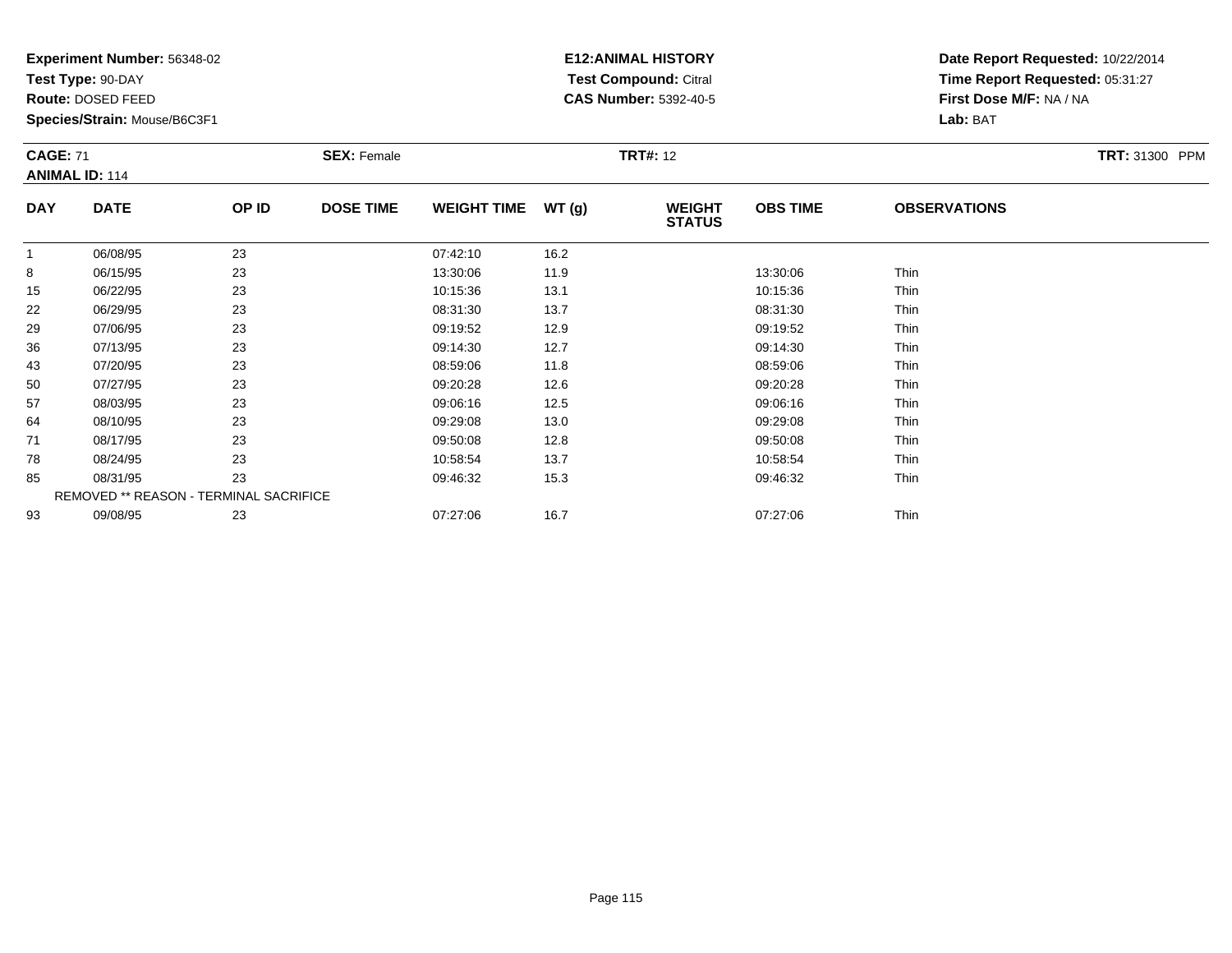**Test Type:** 90-DAY

**Route:** DOSED FEED

**Species/Strain:** Mouse/B6C3F1

# **E12:ANIMAL HISTORY Test Compound:** Citral **CAS Number:** 5392-40-5

| <b>CAGE: 71</b> | <b>ANIMAL ID: 114</b>                  |       | <b>SEX: Female</b> |                    |       | <b>TRT#: 12</b>                |                 |                     | TRT: 31300 PPM |
|-----------------|----------------------------------------|-------|--------------------|--------------------|-------|--------------------------------|-----------------|---------------------|----------------|
| <b>DAY</b>      | <b>DATE</b>                            | OP ID | <b>DOSE TIME</b>   | <b>WEIGHT TIME</b> | WT(g) | <b>WEIGHT</b><br><b>STATUS</b> | <b>OBS TIME</b> | <b>OBSERVATIONS</b> |                |
| 1               | 06/08/95                               | 23    |                    | 07:42:10           | 16.2  |                                |                 |                     |                |
| 8               | 06/15/95                               | 23    |                    | 13:30:06           | 11.9  |                                | 13:30:06        | Thin                |                |
| 15              | 06/22/95                               | 23    |                    | 10:15:36           | 13.1  |                                | 10:15:36        | Thin                |                |
| 22              | 06/29/95                               | 23    |                    | 08:31:30           | 13.7  |                                | 08:31:30        | Thin                |                |
| 29              | 07/06/95                               | 23    |                    | 09:19:52           | 12.9  |                                | 09:19:52        | Thin                |                |
| 36              | 07/13/95                               | 23    |                    | 09:14:30           | 12.7  |                                | 09:14:30        | Thin                |                |
| 43              | 07/20/95                               | 23    |                    | 08:59:06           | 11.8  |                                | 08:59:06        | Thin                |                |
| 50              | 07/27/95                               | 23    |                    | 09:20:28           | 12.6  |                                | 09:20:28        | Thin                |                |
| 57              | 08/03/95                               | 23    |                    | 09:06:16           | 12.5  |                                | 09:06:16        | Thin                |                |
| 64              | 08/10/95                               | 23    |                    | 09:29:08           | 13.0  |                                | 09:29:08        | Thin                |                |
| 71              | 08/17/95                               | 23    |                    | 09:50:08           | 12.8  |                                | 09:50:08        | Thin                |                |
| 78              | 08/24/95                               | 23    |                    | 10:58:54           | 13.7  |                                | 10:58:54        | Thin                |                |
| 85              | 08/31/95                               | 23    |                    | 09:46:32           | 15.3  |                                | 09:46:32        | Thin                |                |
|                 | REMOVED ** REASON - TERMINAL SACRIFICE |       |                    |                    |       |                                |                 |                     |                |
| 93              | 09/08/95                               | 23    |                    | 07:27:06           | 16.7  |                                | 07:27:06        | Thin                |                |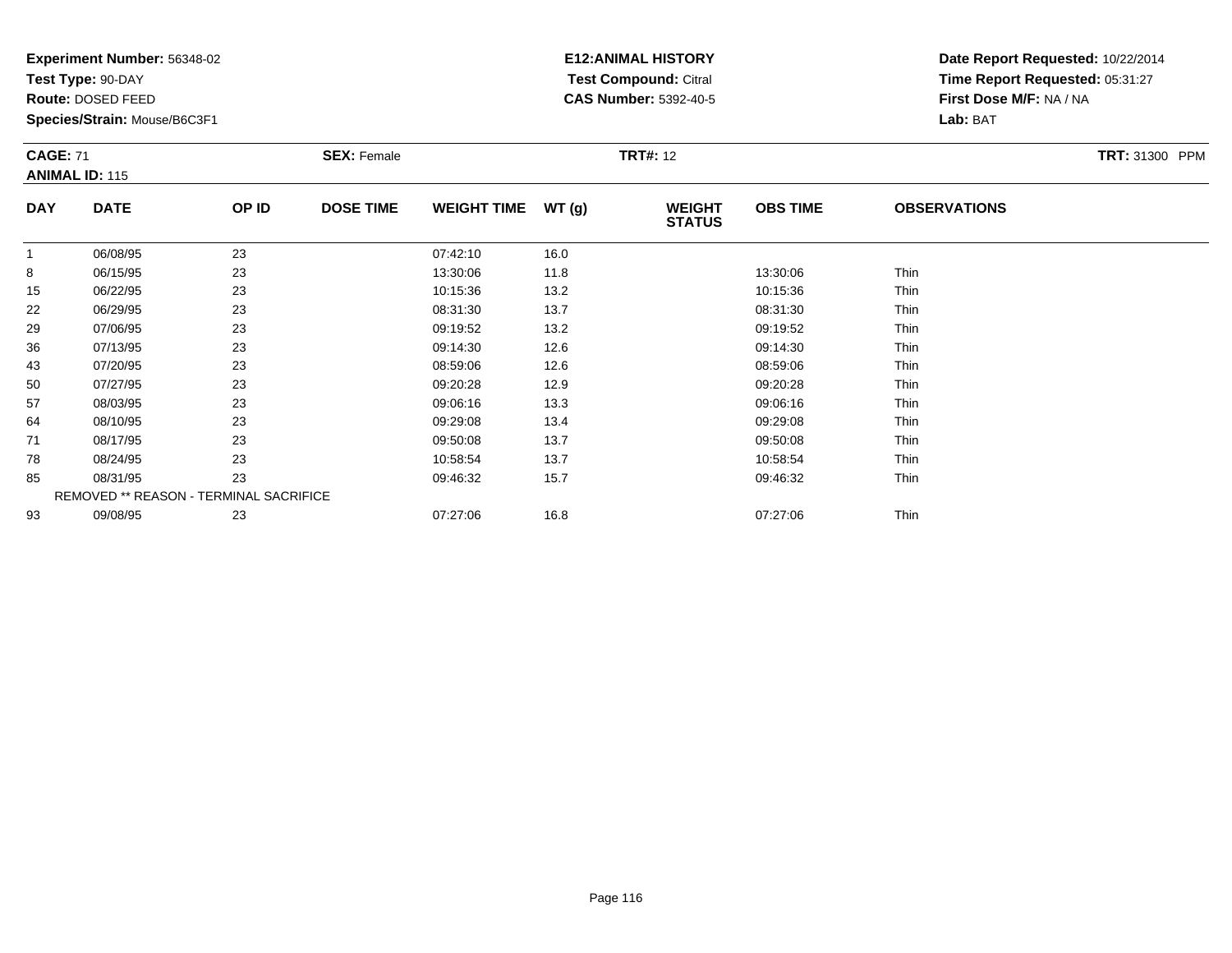**Test Type:** 90-DAY

**Route:** DOSED FEED

**Species/Strain:** Mouse/B6C3F1

# **E12:ANIMAL HISTORY Test Compound:** Citral **CAS Number:** 5392-40-5

**Date Report Requested:** 10/22/2014**Time Report Requested:** 05:31:27**First Dose M/F:** NA / NA**Lab:** BAT

| <b>CAGE: 71</b> | <b>ANIMAL ID: 115</b>                  |       | <b>SEX: Female</b> |                    |       | <b>TRT#: 12</b>                |                 |                     | <b>TRT: 31300 PPM</b> |
|-----------------|----------------------------------------|-------|--------------------|--------------------|-------|--------------------------------|-----------------|---------------------|-----------------------|
| <b>DAY</b>      | <b>DATE</b>                            | OP ID | <b>DOSE TIME</b>   | <b>WEIGHT TIME</b> | WT(g) | <b>WEIGHT</b><br><b>STATUS</b> | <b>OBS TIME</b> | <b>OBSERVATIONS</b> |                       |
| $\mathbf{1}$    | 06/08/95                               | 23    |                    | 07:42:10           | 16.0  |                                |                 |                     |                       |
| 8               | 06/15/95                               | 23    |                    | 13:30:06           | 11.8  |                                | 13:30:06        | Thin                |                       |
| 15              | 06/22/95                               | 23    |                    | 10:15:36           | 13.2  |                                | 10:15:36        | Thin                |                       |
| 22              | 06/29/95                               | 23    |                    | 08:31:30           | 13.7  |                                | 08:31:30        | Thin                |                       |
| 29              | 07/06/95                               | 23    |                    | 09:19:52           | 13.2  |                                | 09:19:52        | Thin                |                       |
| 36              | 07/13/95                               | 23    |                    | 09:14:30           | 12.6  |                                | 09:14:30        | Thin                |                       |
| 43              | 07/20/95                               | 23    |                    | 08:59:06           | 12.6  |                                | 08:59:06        | Thin                |                       |
| 50              | 07/27/95                               | 23    |                    | 09:20:28           | 12.9  |                                | 09:20:28        | Thin                |                       |
| 57              | 08/03/95                               | 23    |                    | 09:06:16           | 13.3  |                                | 09:06:16        | Thin                |                       |
| 64              | 08/10/95                               | 23    |                    | 09:29:08           | 13.4  |                                | 09:29:08        | Thin                |                       |
| 71              | 08/17/95                               | 23    |                    | 09:50:08           | 13.7  |                                | 09:50:08        | Thin                |                       |
| 78              | 08/24/95                               | 23    |                    | 10:58:54           | 13.7  |                                | 10:58:54        | Thin                |                       |
| 85              | 08/31/95                               | 23    |                    | 09:46:32           | 15.7  |                                | 09:46:32        | Thin                |                       |
|                 | REMOVED ** REASON - TERMINAL SACRIFICE |       |                    |                    |       |                                |                 |                     |                       |
| 93              | 09/08/95                               | 23    |                    | 07:27:06           | 16.8  |                                | 07:27:06        | Thin                |                       |

09/08/95 <sup>23</sup> 07:27:06 16.8 07:27:06 Thin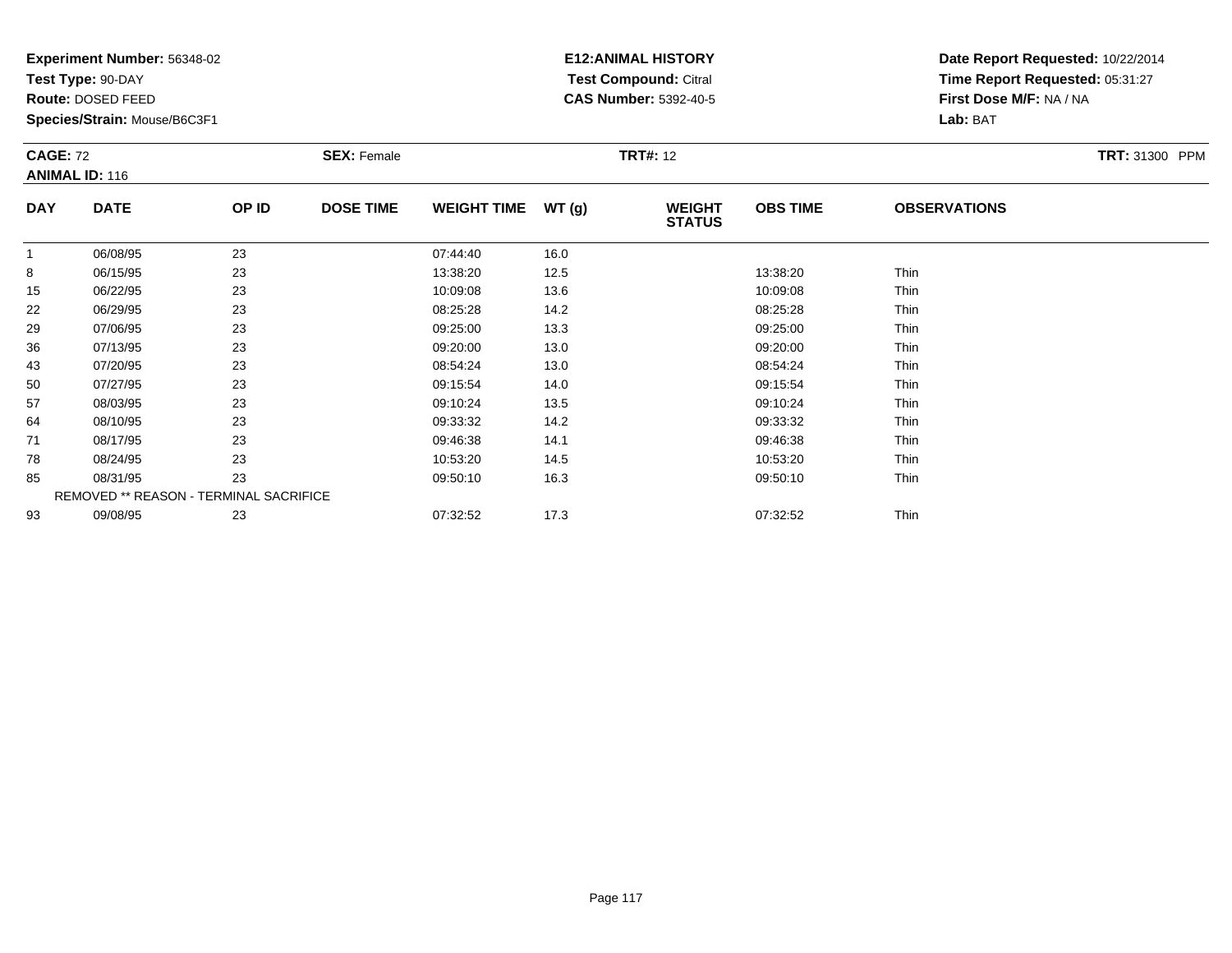**Test Type:** 90-DAY

**Route:** DOSED FEED

93

**Species/Strain:** Mouse/B6C3F1

# **E12:ANIMAL HISTORY Test Compound:** Citral **CAS Number:** 5392-40-5

**Date Report Requested:** 10/22/2014**Time Report Requested:** 05:31:27**First Dose M/F:** NA / NA**Lab:** BAT

| <b>CAGE: 72</b> | <b>ANIMAL ID: 116</b>                  |       | <b>SEX: Female</b> |                    |       | <b>TRT#: 12</b>                |                 |                     | <b>TRT: 31300 PPM</b> |
|-----------------|----------------------------------------|-------|--------------------|--------------------|-------|--------------------------------|-----------------|---------------------|-----------------------|
| <b>DAY</b>      | <b>DATE</b>                            | OP ID | <b>DOSE TIME</b>   | <b>WEIGHT TIME</b> | WT(g) | <b>WEIGHT</b><br><b>STATUS</b> | <b>OBS TIME</b> | <b>OBSERVATIONS</b> |                       |
| $\mathbf{1}$    | 06/08/95                               | 23    |                    | 07:44:40           | 16.0  |                                |                 |                     |                       |
| 8               | 06/15/95                               | 23    |                    | 13:38:20           | 12.5  |                                | 13:38:20        | Thin                |                       |
| 15              | 06/22/95                               | 23    |                    | 10:09:08           | 13.6  |                                | 10:09:08        | Thin                |                       |
| 22              | 06/29/95                               | 23    |                    | 08:25:28           | 14.2  |                                | 08:25:28        | Thin                |                       |
| 29              | 07/06/95                               | 23    |                    | 09:25:00           | 13.3  |                                | 09:25:00        | Thin                |                       |
| 36              | 07/13/95                               | 23    |                    | 09:20:00           | 13.0  |                                | 09:20:00        | Thin                |                       |
| 43              | 07/20/95                               | 23    |                    | 08:54:24           | 13.0  |                                | 08:54:24        | Thin                |                       |
| 50              | 07/27/95                               | 23    |                    | 09:15:54           | 14.0  |                                | 09:15:54        | Thin                |                       |
| 57              | 08/03/95                               | 23    |                    | 09:10:24           | 13.5  |                                | 09:10:24        | Thin                |                       |
| 64              | 08/10/95                               | 23    |                    | 09:33:32           | 14.2  |                                | 09:33:32        | Thin                |                       |
| 71              | 08/17/95                               | 23    |                    | 09:46:38           | 14.1  |                                | 09:46:38        | Thin                |                       |
| 78              | 08/24/95                               | 23    |                    | 10:53:20           | 14.5  |                                | 10:53:20        | Thin                |                       |
| 85              | 08/31/95                               | 23    |                    | 09:50:10           | 16.3  |                                | 09:50:10        | Thin                |                       |
|                 | REMOVED ** REASON - TERMINAL SACRIFICE |       |                    |                    |       |                                |                 |                     |                       |

09/08/95 <sup>23</sup> 07:32:52 17.3 07:32:52 Thin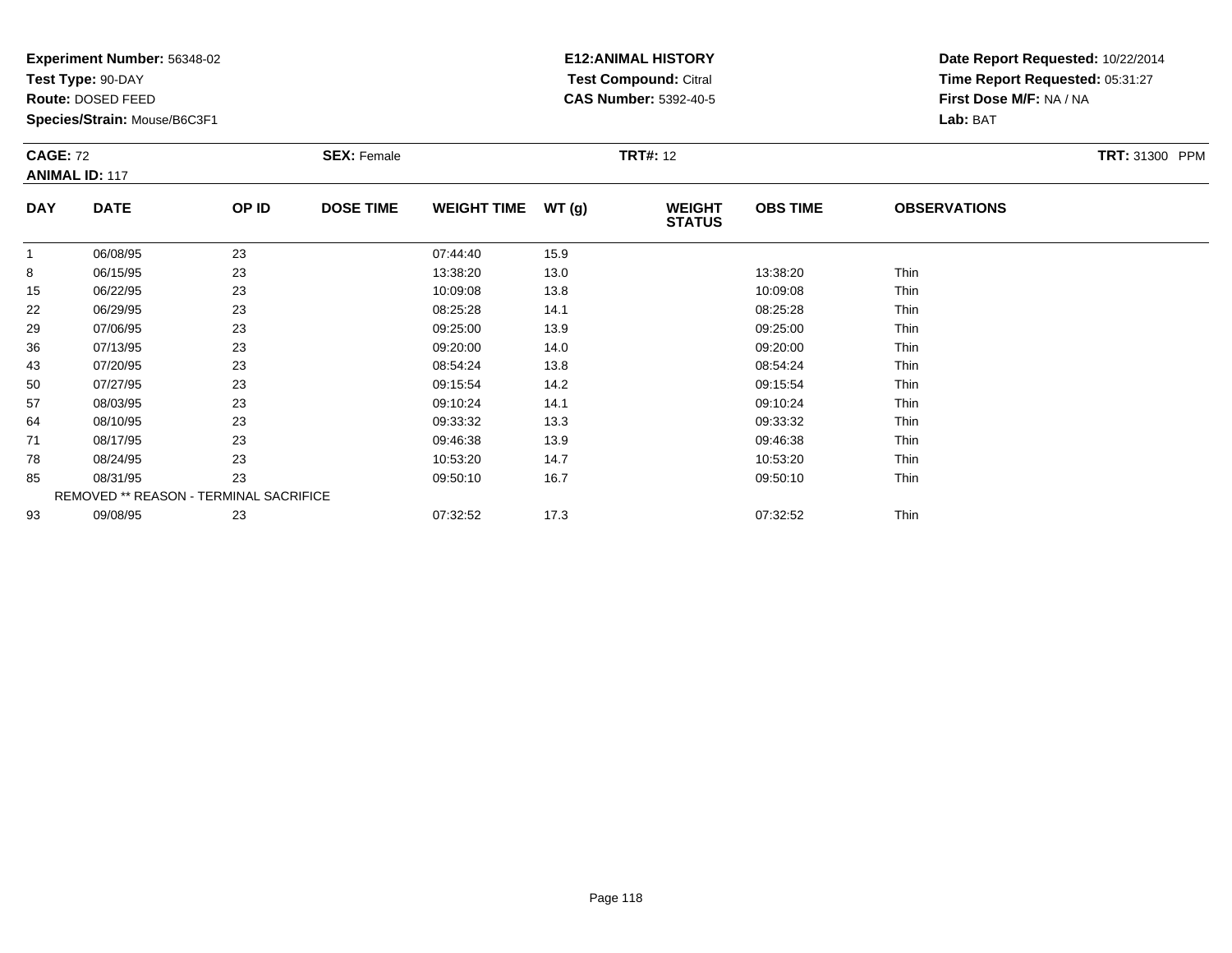**Test Type:** 90-DAY

**Route:** DOSED FEED

93

**Species/Strain:** Mouse/B6C3F1

REMOVED \*\* REASON - TERMINAL SACRIFICE

### **E12:ANIMAL HISTORY Test Compound:** Citral **CAS Number:** 5392-40-5

**Date Report Requested:** 10/22/2014**Time Report Requested:** 05:31:27**First Dose M/F:** NA / NA**Lab:** BAT

| <b>CAGE: 72</b> | <b>ANIMAL ID: 117</b> |       | <b>SEX: Female</b> |                    |       | <b>TRT#: 12</b>                |                 |                     | TRT: 31300 PPM |
|-----------------|-----------------------|-------|--------------------|--------------------|-------|--------------------------------|-----------------|---------------------|----------------|
| <b>DAY</b>      | <b>DATE</b>           | OP ID | <b>DOSE TIME</b>   | <b>WEIGHT TIME</b> | WT(g) | <b>WEIGHT</b><br><b>STATUS</b> | <b>OBS TIME</b> | <b>OBSERVATIONS</b> |                |
|                 | 06/08/95              | 23    |                    | 07:44:40           | 15.9  |                                |                 |                     |                |
| 8               | 06/15/95              | 23    |                    | 13:38:20           | 13.0  |                                | 13:38:20        | Thin                |                |
| 15              | 06/22/95              | 23    |                    | 10:09:08           | 13.8  |                                | 10:09:08        | Thin                |                |
| 22              | 06/29/95              | 23    |                    | 08:25:28           | 14.1  |                                | 08:25:28        | Thin                |                |
| 29              | 07/06/95              | 23    |                    | 09:25:00           | 13.9  |                                | 09:25:00        | Thin                |                |
| 36              | 07/13/95              | 23    |                    | 09:20:00           | 14.0  |                                | 09:20:00        | Thin                |                |
| 43              | 07/20/95              | 23    |                    | 08:54:24           | 13.8  |                                | 08:54:24        | Thin                |                |
| 50              | 07/27/95              | 23    |                    | 09:15:54           | 14.2  |                                | 09:15:54        | Thin                |                |
| 57              | 08/03/95              | 23    |                    | 09:10:24           | 14.1  |                                | 09:10:24        | Thin                |                |
| 64              | 08/10/95              | 23    |                    | 09:33:32           | 13.3  |                                | 09:33:32        | Thin                |                |
| 71              | 08/17/95              | 23    |                    | 09:46:38           | 13.9  |                                | 09:46:38        | Thin                |                |
| 78              | 08/24/95              | 23    |                    | 10:53:20           | 14.7  |                                | 10:53:20        | Thin                |                |
| 85              | 08/31/95              | 23    |                    | 09:50:10           | 16.7  |                                | 09:50:10        | Thin                |                |

09/08/95 <sup>23</sup> 07:32:52 17.3 07:32:52 Thin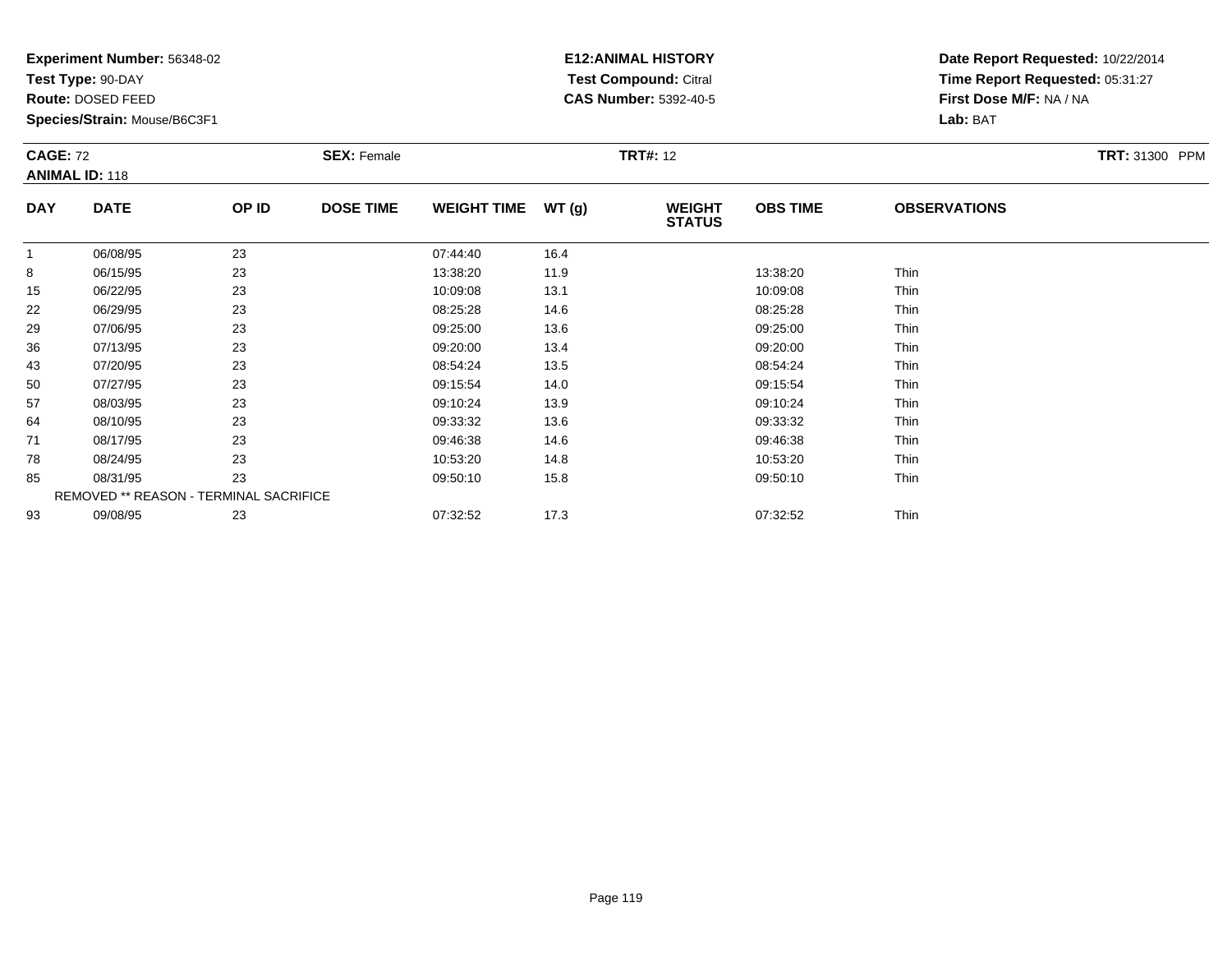**Test Type:** 90-DAY

**Route:** DOSED FEED

**Species/Strain:** Mouse/B6C3F1

# **E12:ANIMAL HISTORY Test Compound:** Citral **CAS Number:** 5392-40-5

| <b>CAGE: 72</b> | <b>ANIMAL ID: 118</b>                  |       | <b>SEX: Female</b> |                    |       | <b>TRT#: 12</b>                |                 |                     | <b>TRT: 31300 PPM</b> |
|-----------------|----------------------------------------|-------|--------------------|--------------------|-------|--------------------------------|-----------------|---------------------|-----------------------|
| <b>DAY</b>      | <b>DATE</b>                            | OP ID | <b>DOSE TIME</b>   | <b>WEIGHT TIME</b> | WT(g) | <b>WEIGHT</b><br><b>STATUS</b> | <b>OBS TIME</b> | <b>OBSERVATIONS</b> |                       |
|                 | 06/08/95                               | 23    |                    | 07:44:40           | 16.4  |                                |                 |                     |                       |
| 8               | 06/15/95                               | 23    |                    | 13:38:20           | 11.9  |                                | 13:38:20        | Thin                |                       |
| 15              | 06/22/95                               | 23    |                    | 10:09:08           | 13.1  |                                | 10:09:08        | Thin                |                       |
| 22              | 06/29/95                               | 23    |                    | 08:25:28           | 14.6  |                                | 08:25:28        | Thin                |                       |
| 29              | 07/06/95                               | 23    |                    | 09:25:00           | 13.6  |                                | 09:25:00        | Thin                |                       |
| 36              | 07/13/95                               | 23    |                    | 09:20:00           | 13.4  |                                | 09:20:00        | Thin                |                       |
| 43              | 07/20/95                               | 23    |                    | 08:54:24           | 13.5  |                                | 08:54:24        | Thin                |                       |
| 50              | 07/27/95                               | 23    |                    | 09:15:54           | 14.0  |                                | 09:15:54        | Thin                |                       |
| 57              | 08/03/95                               | 23    |                    | 09:10:24           | 13.9  |                                | 09:10:24        | Thin                |                       |
| 64              | 08/10/95                               | 23    |                    | 09:33:32           | 13.6  |                                | 09:33:32        | Thin                |                       |
| 71              | 08/17/95                               | 23    |                    | 09:46:38           | 14.6  |                                | 09:46:38        | Thin                |                       |
| 78              | 08/24/95                               | 23    |                    | 10:53:20           | 14.8  |                                | 10:53:20        | Thin                |                       |
| 85              | 08/31/95                               | 23    |                    | 09:50:10           | 15.8  |                                | 09:50:10        | Thin                |                       |
|                 | REMOVED ** REASON - TERMINAL SACRIFICE |       |                    |                    |       |                                |                 |                     |                       |
| 93              | 09/08/95                               | 23    |                    | 07:32:52           | 17.3  |                                | 07:32:52        | Thin                |                       |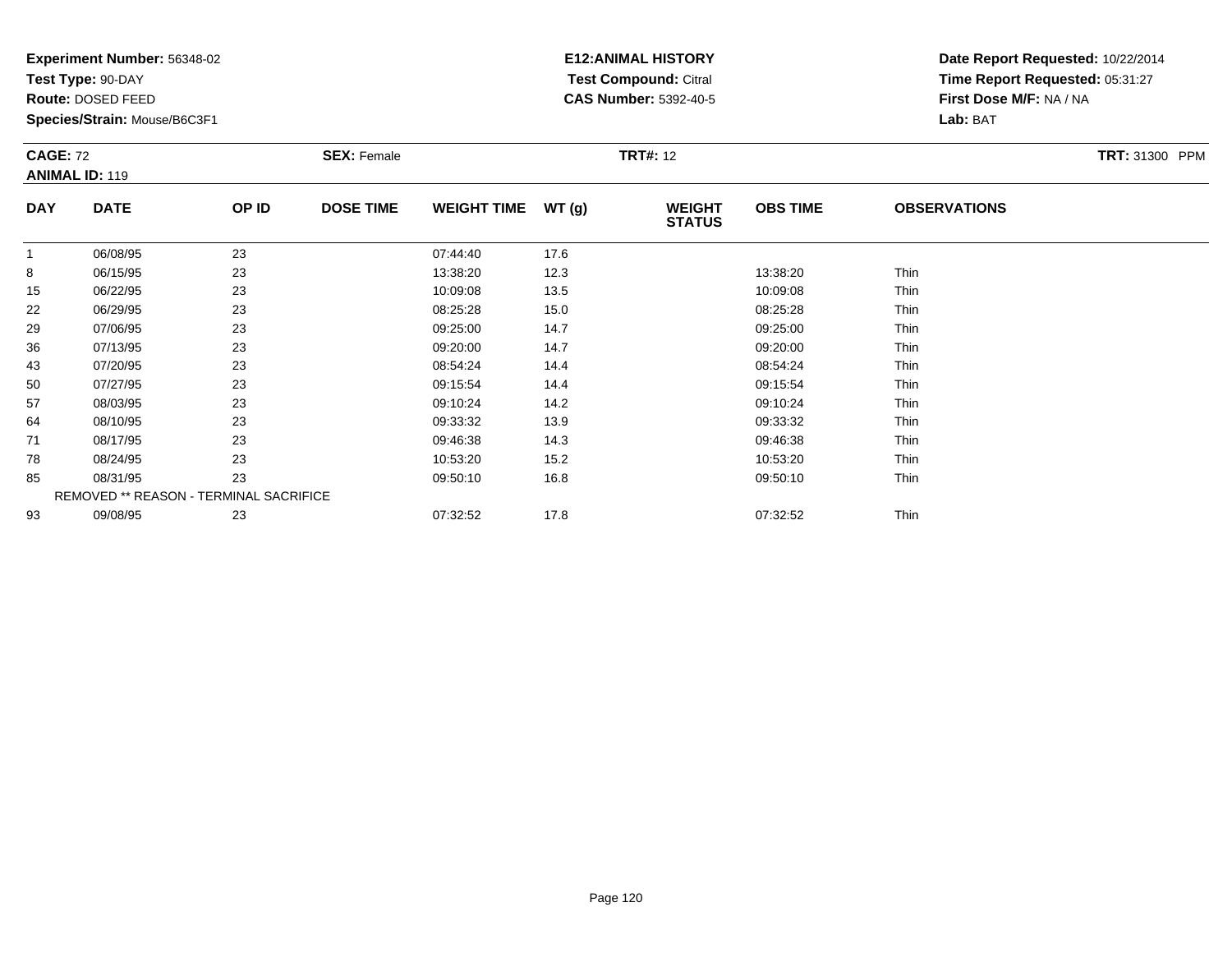**Test Type:** 90-DAY

**Route:** DOSED FEED

93

**Species/Strain:** Mouse/B6C3F1

# **E12:ANIMAL HISTORY Test Compound:** Citral **CAS Number:** 5392-40-5

**Date Report Requested:** 10/22/2014**Time Report Requested:** 05:31:27**First Dose M/F:** NA / NA**Lab:** BAT

| <b>CAGE: 72</b> | <b>ANIMAL ID: 119</b> |                                        | <b>SEX: Female</b> |                    |       | <b>TRT#: 12</b>                |                 |                     | TRT: 31300 PPM |
|-----------------|-----------------------|----------------------------------------|--------------------|--------------------|-------|--------------------------------|-----------------|---------------------|----------------|
| <b>DAY</b>      | <b>DATE</b>           | OP ID                                  | <b>DOSE TIME</b>   | <b>WEIGHT TIME</b> | WT(g) | <b>WEIGHT</b><br><b>STATUS</b> | <b>OBS TIME</b> | <b>OBSERVATIONS</b> |                |
|                 | 06/08/95              | 23                                     |                    | 07:44:40           | 17.6  |                                |                 |                     |                |
| 8               | 06/15/95              | 23                                     |                    | 13:38:20           | 12.3  |                                | 13:38:20        | Thin                |                |
| 15              | 06/22/95              | 23                                     |                    | 10:09:08           | 13.5  |                                | 10:09:08        | Thin                |                |
| 22              | 06/29/95              | 23                                     |                    | 08:25:28           | 15.0  |                                | 08:25:28        | Thin                |                |
| 29              | 07/06/95              | 23                                     |                    | 09:25:00           | 14.7  |                                | 09:25:00        | Thin                |                |
| 36              | 07/13/95              | 23                                     |                    | 09:20:00           | 14.7  |                                | 09:20:00        | Thin                |                |
| 43              | 07/20/95              | 23                                     |                    | 08:54:24           | 14.4  |                                | 08:54:24        | Thin                |                |
| 50              | 07/27/95              | 23                                     |                    | 09:15:54           | 14.4  |                                | 09:15:54        | Thin                |                |
| 57              | 08/03/95              | 23                                     |                    | 09:10:24           | 14.2  |                                | 09:10:24        | Thin                |                |
| 64              | 08/10/95              | 23                                     |                    | 09:33:32           | 13.9  |                                | 09:33:32        | Thin                |                |
| 71              | 08/17/95              | 23                                     |                    | 09:46:38           | 14.3  |                                | 09:46:38        | Thin                |                |
| 78              | 08/24/95              | 23                                     |                    | 10:53:20           | 15.2  |                                | 10:53:20        | Thin                |                |
| 85              | 08/31/95              | 23                                     |                    | 09:50:10           | 16.8  |                                | 09:50:10        | Thin                |                |
|                 |                       | REMOVED ** REASON - TERMINAL SACRIFICE |                    |                    |       |                                |                 |                     |                |

09/08/95 <sup>23</sup> 07:32:52 17.8 07:32:52 Thin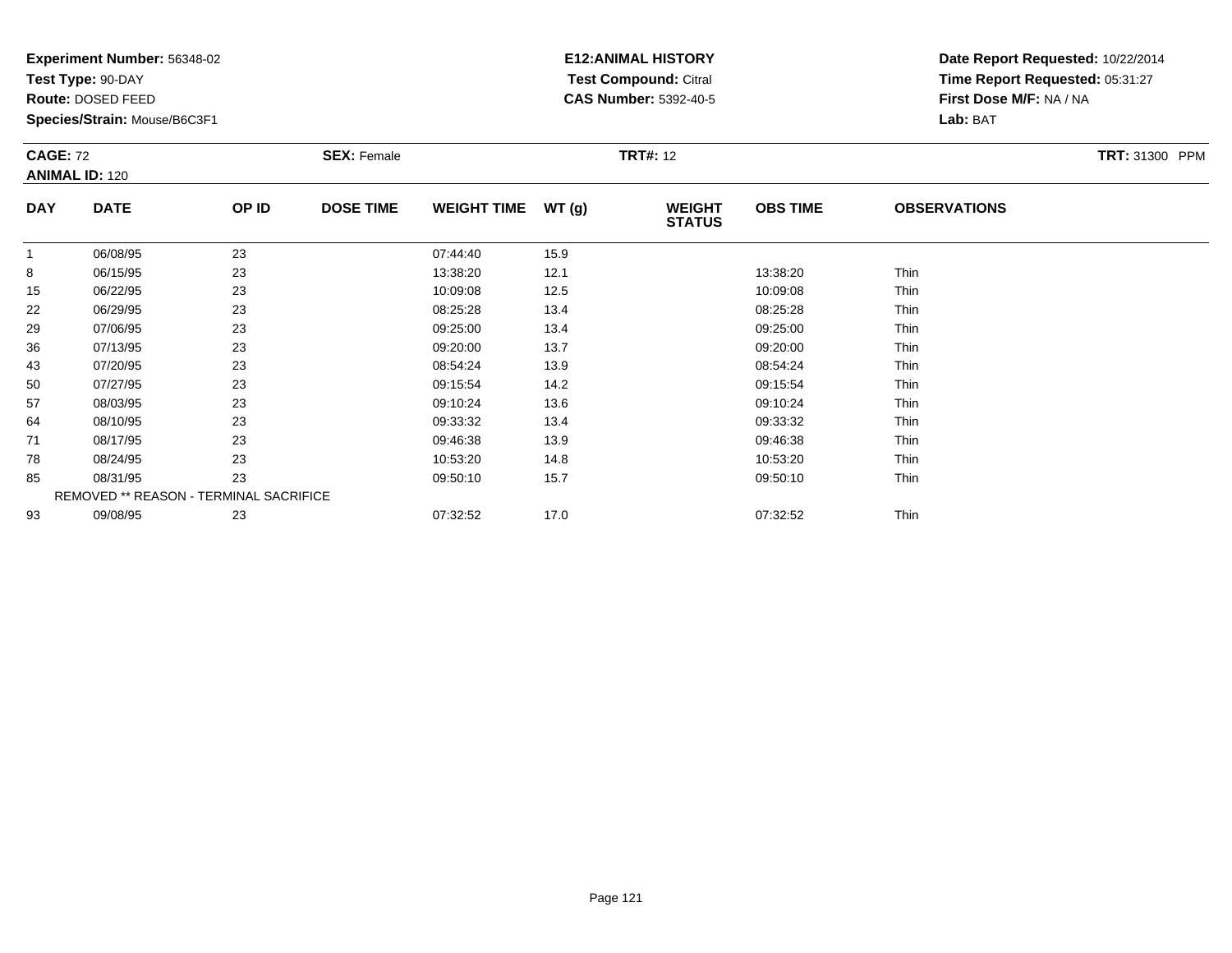**Test Type:** 90-DAY

**Route:** DOSED FEED

**Species/Strain:** Mouse/B6C3F1

# **E12:ANIMAL HISTORY Test Compound:** Citral **CAS Number:** 5392-40-5

| <b>CAGE: 72</b><br><b>ANIMAL ID: 120</b> |                                        |       | <b>SEX: Female</b> | <b>TRT#: 12</b>    |       |                                |                 |                     | <b>TRT: 31300 PPM</b> |
|------------------------------------------|----------------------------------------|-------|--------------------|--------------------|-------|--------------------------------|-----------------|---------------------|-----------------------|
| <b>DAY</b>                               | <b>DATE</b>                            | OP ID | <b>DOSE TIME</b>   | <b>WEIGHT TIME</b> | WT(g) | <b>WEIGHT</b><br><b>STATUS</b> | <b>OBS TIME</b> | <b>OBSERVATIONS</b> |                       |
|                                          | 06/08/95                               | 23    |                    | 07:44:40           | 15.9  |                                |                 |                     |                       |
| 8                                        | 06/15/95                               | 23    |                    | 13:38:20           | 12.1  |                                | 13:38:20        | Thin                |                       |
| 15                                       | 06/22/95                               | 23    |                    | 10:09:08           | 12.5  |                                | 10:09:08        | Thin                |                       |
| 22                                       | 06/29/95                               | 23    |                    | 08:25:28           | 13.4  |                                | 08:25:28        | Thin                |                       |
| 29                                       | 07/06/95                               | 23    |                    | 09:25:00           | 13.4  |                                | 09:25:00        | Thin                |                       |
| 36                                       | 07/13/95                               | 23    |                    | 09:20:00           | 13.7  |                                | 09:20:00        | Thin                |                       |
| 43                                       | 07/20/95                               | 23    |                    | 08:54:24           | 13.9  |                                | 08:54:24        | Thin                |                       |
| 50                                       | 07/27/95                               | 23    |                    | 09:15:54           | 14.2  |                                | 09:15:54        | Thin                |                       |
| 57                                       | 08/03/95                               | 23    |                    | 09:10:24           | 13.6  |                                | 09:10:24        | Thin                |                       |
| 64                                       | 08/10/95                               | 23    |                    | 09:33:32           | 13.4  |                                | 09:33:32        | Thin                |                       |
| 71                                       | 08/17/95                               | 23    |                    | 09:46:38           | 13.9  |                                | 09:46:38        | Thin                |                       |
| 78                                       | 08/24/95                               | 23    |                    | 10:53:20           | 14.8  |                                | 10:53:20        | Thin                |                       |
| 85                                       | 08/31/95                               | 23    |                    | 09:50:10           | 15.7  |                                | 09:50:10        | Thin                |                       |
|                                          | REMOVED ** REASON - TERMINAL SACRIFICE |       |                    |                    |       |                                |                 |                     |                       |
| 93                                       | 09/08/95                               | 23    |                    | 07:32:52           | 17.0  |                                | 07:32:52        | Thin                |                       |